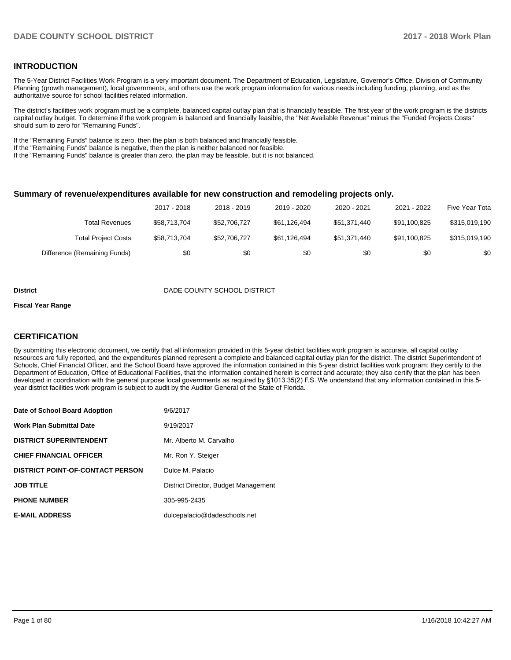#### **INTRODUCTION**

The 5-Year District Facilities Work Program is a very important document. The Department of Education, Legislature, Governor's Office, Division of Community Planning (growth management), local governments, and others use the work program information for various needs including funding, planning, and as the authoritative source for school facilities related information.

The district's facilities work program must be a complete, balanced capital outlay plan that is financially feasible. The first year of the work program is the districts capital outlay budget. To determine if the work program is balanced and financially feasible, the "Net Available Revenue" minus the "Funded Projects Costs" should sum to zero for "Remaining Funds".

If the "Remaining Funds" balance is zero, then the plan is both balanced and financially feasible.

If the "Remaining Funds" balance is negative, then the plan is neither balanced nor feasible.

If the "Remaining Funds" balance is greater than zero, the plan may be feasible, but it is not balanced.

#### **Summary of revenue/expenditures available for new construction and remodeling projects only.**

|                              | 2017 - 2018  | 2018 - 2019  | 2019 - 2020  | 2020 - 2021  | 2021 - 2022  | Five Year Tota |
|------------------------------|--------------|--------------|--------------|--------------|--------------|----------------|
| Total Revenues               | \$58,713,704 | \$52,706,727 | \$61.126.494 | \$51.371.440 | \$91.100.825 | \$315,019,190  |
| <b>Total Project Costs</b>   | \$58,713,704 | \$52,706,727 | \$61.126.494 | \$51.371.440 | \$91.100.825 | \$315,019,190  |
| Difference (Remaining Funds) | \$0          | \$0          | \$0          | \$0          | \$0          | \$0            |

#### **District** District DADE COUNTY SCHOOL DISTRICT

#### **Fiscal Year Range**

#### **CERTIFICATION**

By submitting this electronic document, we certify that all information provided in this 5-year district facilities work program is accurate, all capital outlay resources are fully reported, and the expenditures planned represent a complete and balanced capital outlay plan for the district. The district Superintendent of Schools, Chief Financial Officer, and the School Board have approved the information contained in this 5-year district facilities work program; they certify to the Department of Education, Office of Educational Facilities, that the information contained herein is correct and accurate; they also certify that the plan has been developed in coordination with the general purpose local governments as required by §1013.35(2) F.S. We understand that any information contained in this 5year district facilities work program is subject to audit by the Auditor General of the State of Florida.

| Date of School Board Adoption           | 9/6/2017                             |
|-----------------------------------------|--------------------------------------|
| Work Plan Submittal Date                | 9/19/2017                            |
| <b>DISTRICT SUPERINTENDENT</b>          | Mr. Alberto M. Carvalho              |
| <b>CHIEF FINANCIAL OFFICER</b>          | Mr. Ron Y. Steiger                   |
| <b>DISTRICT POINT-OF-CONTACT PERSON</b> | Dulce M. Palacio                     |
| JOB TITLE                               | District Director, Budget Management |
| <b>PHONE NUMBER</b>                     | 305-995-2435                         |
| <b>E-MAIL ADDRESS</b>                   | dulcepalacio@dadeschools.net         |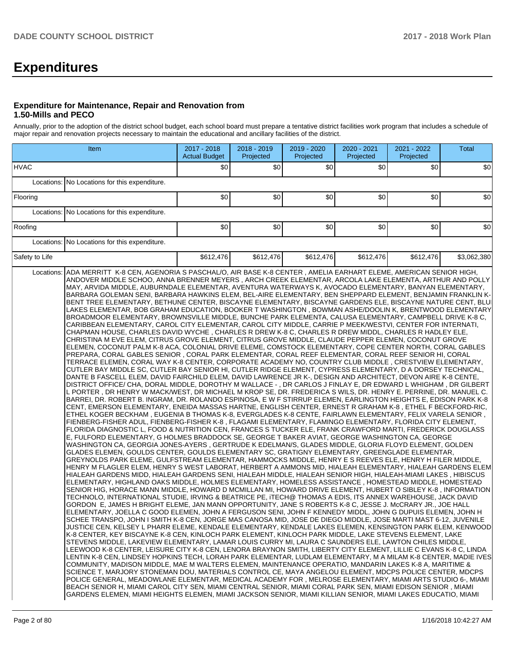# **Expenditures**

#### **Expenditure for Maintenance, Repair and Renovation from 1.50-Mills and PECO**

Annually, prior to the adoption of the district school budget, each school board must prepare a tentative district facilities work program that includes a schedule of major repair and renovation projects necessary to maintain the educational and ancillary facilities of the district.

|                | Item                                                                                                                                                                                                                                                                                                                                                                                                                                                                                                                                                                                                                                                                                                                                                                                                                                                                                                                                                                                                                                                                                                                                                                                                                                                                                                                                                                                                                                                                                                                                                                                                                                                                                                                                                                                                                                                                                                                                                                                                                                                                                                                                                                                                                                                                                                                                                                                                                                                                                                                                                                                                                                                                                                                                                                                                                                                                                                                                                                                                                                                                                                                                                                                                                                                                                                                                                                                                                                                                                                                                                                                                                                                                                                                                                                                                                                                                                                                                                                                                                                                                                                                                                                                                                                                                                                                                                                                                                                                                                                                                                                                                                                                                                                                                                                                                                                                                                                                                                                                                                                | 2017 - 2018<br><b>Actual Budget</b> | 2018 - 2019<br>Projected | 2019 - 2020<br>Projected | 2020 - 2021<br>Projected | 2021 - 2022<br>Projected | <b>Total</b> |  |  |  |
|----------------|-------------------------------------------------------------------------------------------------------------------------------------------------------------------------------------------------------------------------------------------------------------------------------------------------------------------------------------------------------------------------------------------------------------------------------------------------------------------------------------------------------------------------------------------------------------------------------------------------------------------------------------------------------------------------------------------------------------------------------------------------------------------------------------------------------------------------------------------------------------------------------------------------------------------------------------------------------------------------------------------------------------------------------------------------------------------------------------------------------------------------------------------------------------------------------------------------------------------------------------------------------------------------------------------------------------------------------------------------------------------------------------------------------------------------------------------------------------------------------------------------------------------------------------------------------------------------------------------------------------------------------------------------------------------------------------------------------------------------------------------------------------------------------------------------------------------------------------------------------------------------------------------------------------------------------------------------------------------------------------------------------------------------------------------------------------------------------------------------------------------------------------------------------------------------------------------------------------------------------------------------------------------------------------------------------------------------------------------------------------------------------------------------------------------------------------------------------------------------------------------------------------------------------------------------------------------------------------------------------------------------------------------------------------------------------------------------------------------------------------------------------------------------------------------------------------------------------------------------------------------------------------------------------------------------------------------------------------------------------------------------------------------------------------------------------------------------------------------------------------------------------------------------------------------------------------------------------------------------------------------------------------------------------------------------------------------------------------------------------------------------------------------------------------------------------------------------------------------------------------------------------------------------------------------------------------------------------------------------------------------------------------------------------------------------------------------------------------------------------------------------------------------------------------------------------------------------------------------------------------------------------------------------------------------------------------------------------------------------------------------------------------------------------------------------------------------------------------------------------------------------------------------------------------------------------------------------------------------------------------------------------------------------------------------------------------------------------------------------------------------------------------------------------------------------------------------------------------------------------------------------------------------------------------------------------------------------------------------------------------------------------------------------------------------------------------------------------------------------------------------------------------------------------------------------------------------------------------------------------------------------------------------------------------------------------------------------------------------------------------------------------------------------------------|-------------------------------------|--------------------------|--------------------------|--------------------------|--------------------------|--------------|--|--|--|
| <b>HVAC</b>    |                                                                                                                                                                                                                                                                                                                                                                                                                                                                                                                                                                                                                                                                                                                                                                                                                                                                                                                                                                                                                                                                                                                                                                                                                                                                                                                                                                                                                                                                                                                                                                                                                                                                                                                                                                                                                                                                                                                                                                                                                                                                                                                                                                                                                                                                                                                                                                                                                                                                                                                                                                                                                                                                                                                                                                                                                                                                                                                                                                                                                                                                                                                                                                                                                                                                                                                                                                                                                                                                                                                                                                                                                                                                                                                                                                                                                                                                                                                                                                                                                                                                                                                                                                                                                                                                                                                                                                                                                                                                                                                                                                                                                                                                                                                                                                                                                                                                                                                                                                                                                                     | \$0                                 | \$0                      | \$0                      | \$0                      | \$0                      | \$0          |  |  |  |
|                | Locations: No Locations for this expenditure.                                                                                                                                                                                                                                                                                                                                                                                                                                                                                                                                                                                                                                                                                                                                                                                                                                                                                                                                                                                                                                                                                                                                                                                                                                                                                                                                                                                                                                                                                                                                                                                                                                                                                                                                                                                                                                                                                                                                                                                                                                                                                                                                                                                                                                                                                                                                                                                                                                                                                                                                                                                                                                                                                                                                                                                                                                                                                                                                                                                                                                                                                                                                                                                                                                                                                                                                                                                                                                                                                                                                                                                                                                                                                                                                                                                                                                                                                                                                                                                                                                                                                                                                                                                                                                                                                                                                                                                                                                                                                                                                                                                                                                                                                                                                                                                                                                                                                                                                                                                       |                                     |                          |                          |                          |                          |              |  |  |  |
| Flooring       |                                                                                                                                                                                                                                                                                                                                                                                                                                                                                                                                                                                                                                                                                                                                                                                                                                                                                                                                                                                                                                                                                                                                                                                                                                                                                                                                                                                                                                                                                                                                                                                                                                                                                                                                                                                                                                                                                                                                                                                                                                                                                                                                                                                                                                                                                                                                                                                                                                                                                                                                                                                                                                                                                                                                                                                                                                                                                                                                                                                                                                                                                                                                                                                                                                                                                                                                                                                                                                                                                                                                                                                                                                                                                                                                                                                                                                                                                                                                                                                                                                                                                                                                                                                                                                                                                                                                                                                                                                                                                                                                                                                                                                                                                                                                                                                                                                                                                                                                                                                                                                     | \$0                                 | \$0                      | \$0                      | \$0                      | \$0                      | \$0          |  |  |  |
|                | Locations: No Locations for this expenditure.                                                                                                                                                                                                                                                                                                                                                                                                                                                                                                                                                                                                                                                                                                                                                                                                                                                                                                                                                                                                                                                                                                                                                                                                                                                                                                                                                                                                                                                                                                                                                                                                                                                                                                                                                                                                                                                                                                                                                                                                                                                                                                                                                                                                                                                                                                                                                                                                                                                                                                                                                                                                                                                                                                                                                                                                                                                                                                                                                                                                                                                                                                                                                                                                                                                                                                                                                                                                                                                                                                                                                                                                                                                                                                                                                                                                                                                                                                                                                                                                                                                                                                                                                                                                                                                                                                                                                                                                                                                                                                                                                                                                                                                                                                                                                                                                                                                                                                                                                                                       |                                     |                          |                          |                          |                          |              |  |  |  |
| Roofing        |                                                                                                                                                                                                                                                                                                                                                                                                                                                                                                                                                                                                                                                                                                                                                                                                                                                                                                                                                                                                                                                                                                                                                                                                                                                                                                                                                                                                                                                                                                                                                                                                                                                                                                                                                                                                                                                                                                                                                                                                                                                                                                                                                                                                                                                                                                                                                                                                                                                                                                                                                                                                                                                                                                                                                                                                                                                                                                                                                                                                                                                                                                                                                                                                                                                                                                                                                                                                                                                                                                                                                                                                                                                                                                                                                                                                                                                                                                                                                                                                                                                                                                                                                                                                                                                                                                                                                                                                                                                                                                                                                                                                                                                                                                                                                                                                                                                                                                                                                                                                                                     | \$0                                 | \$0                      | \$0                      | \$0                      | \$0                      | \$0          |  |  |  |
|                | Locations: No Locations for this expenditure.                                                                                                                                                                                                                                                                                                                                                                                                                                                                                                                                                                                                                                                                                                                                                                                                                                                                                                                                                                                                                                                                                                                                                                                                                                                                                                                                                                                                                                                                                                                                                                                                                                                                                                                                                                                                                                                                                                                                                                                                                                                                                                                                                                                                                                                                                                                                                                                                                                                                                                                                                                                                                                                                                                                                                                                                                                                                                                                                                                                                                                                                                                                                                                                                                                                                                                                                                                                                                                                                                                                                                                                                                                                                                                                                                                                                                                                                                                                                                                                                                                                                                                                                                                                                                                                                                                                                                                                                                                                                                                                                                                                                                                                                                                                                                                                                                                                                                                                                                                                       |                                     |                          |                          |                          |                          |              |  |  |  |
| Safety to Life |                                                                                                                                                                                                                                                                                                                                                                                                                                                                                                                                                                                                                                                                                                                                                                                                                                                                                                                                                                                                                                                                                                                                                                                                                                                                                                                                                                                                                                                                                                                                                                                                                                                                                                                                                                                                                                                                                                                                                                                                                                                                                                                                                                                                                                                                                                                                                                                                                                                                                                                                                                                                                                                                                                                                                                                                                                                                                                                                                                                                                                                                                                                                                                                                                                                                                                                                                                                                                                                                                                                                                                                                                                                                                                                                                                                                                                                                                                                                                                                                                                                                                                                                                                                                                                                                                                                                                                                                                                                                                                                                                                                                                                                                                                                                                                                                                                                                                                                                                                                                                                     | \$612,476                           | \$612.476                | \$612,476                | \$612,476                | \$612.476                | \$3,062,380  |  |  |  |
|                | Locations: ADA MERRITT K-8 CEN, AGENORIA S PASCHAL/O, AIR BASE K-8 CENTER, AMELIA EARHART ELEME, AMERICAN SENIOR HIGH,<br>ANDOVER MIDDLE SCHOO, ANNA BRENNER MEYERS , ARCH CREEK ELEMENTAR, ARCOLA LAKE ELEMENTA, ARTHUR AND POLLY<br>MAY, ARVIDA MIDDLE, AUBURNDALE ELEMENTAR, AVENTURA WATERWAYS K, AVOCADO ELEMENTARY, BANYAN ELEMENTARY,<br>BARBARA GOLEMAN SENI, BARBARA HAWKINS ELEM, BEL-AIRE ELEMENTARY, BEN SHEPPARD ELEMENT, BENJAMIN FRANKLIN K-<br>BENT TREE ELEMENTARY, BETHUNE CENTER, BISCAYNE ELEMENTARY, BISCAYNE GARDENS ELE, BISCAYNE NATURE CENT, BLUI)<br>LAKES ELEMENTAR, BOB GRAHAM EDUCATION, BOOKER T WASHINGTON , BOWMAN ASHE/DOOLIN K, BRENTWOOD ELEMENTARY<br>BROADMOOR ELEMENTARY, BROWNSVILLE MIDDLE, BUNCHE PARK ELEMENTA, CALUSA ELEMENTARY, CAMPBELL DRIVE K-8 C,<br>CARIBBEAN ELEMENTARY, CAROL CITY ELEMENTAR, CAROL CITY MIDDLE, CARRIE P MEEK/WESTVI, CENTER FOR INTERNATI,<br>CHAPMAN HOUSE, CHARLES DAVID WYCHE, CHARLES R DREW K-8 C, CHARLES R DREW MIDDL, CHARLES R HADLEY ELE,<br>CHRISTINA M EVE ELEM, CITRUS GROVE ELEMENT, CITRUS GROVE MIDDLE, CLAUDE PEPPER ELEMEN, COCONUT GROVE<br>ELEMEN, COCONUT PALM K-8 ACA, COLONIAL DRIVE ELEME, COMSTOCK ELEMENTARY, COPE CENTER NORTH, CORAL GABLES<br>PREPARA, CORAL GABLES SENIOR , CORAL PARK ELEMENTAR, CORAL REEF ELEMENTAR, CORAL REEF SENIOR HI, CORAL<br>TERRACE ELEMEN, CORAL WAY K-8 CENTER, CORPORATE ACADEMY NO, COUNTRY CLUB MIDDLE , CRESTVIEW ELEMENTARY,<br>CUTLER BAY MIDDLE SC, CUTLER BAY SENIOR HI, CUTLER RIDGE ELEMENT, CYPRESS ELEMENTARY, D A DORSEY TECHNICAL,<br>DANTE B FASCELL ELEM, DAVID FAIRCHILD ELEM, DAVID LAWRENCE JR K-, DESIGN AND ARCHITECT, DEVON AIRE K-8 CENTE,<br>DISTRICT OFFICE/ CHA, DORAL MIDDLE, DOROTHY M WALLACE - , DR CARLOS J FINLAY E, DR EDWARD L WHIGHAM , DR GILBERT<br>L PORTER , DR HENRY W MACKWEST, DR MICHAEL M KROP SE, DR. FREDERICA S WILS, DR. HENRY E. PERRINE, DR. MANUEL C.<br>BARREI, DR. ROBERT B. INGRAM, DR. ROLANDO ESPINOSA, E W F STIRRUP ELEMEN, EARLINGTON HEIGHTS E, EDISON PARK K-8<br>CENT, EMERSON ELEMENTARY, ENEIDA MASSAS HARTNE, ENGLISH CENTER, ERNEST R GRAHAM K-8, ETHEL F BECKFORD-RIC,<br>, ETHEL KOGER BECKHAM , EUGENIA B THOMAS K-8, EVERGLADES K-8 CENTE, FAIRLAWN ELEMENTARY, FELIX VARELA SENIOR <br>FIENBERG-FISHER ADUL, FIENBERG-FISHER K-8 , FLAGAMI ELEMENTARY, FLAMINGO ELEMENTARY, FLORIDA CITY ELEMENT,<br>FLORIDA DIAGNOSTIC L, FOOD & NUTRITION CEN, FRANCES S TUCKER ELE, FRANK CRAWFORD MARTI, FREDERICK DOUGLASS<br>E, FULFORD ELEMENTARY, G HOLMES BRADDOCK SE, GEORGE T BAKER AVIAT, GEORGE WASHINGTON CA, GEORGE<br>WASHINGTON CA, GEORGIA JONES-AYERS , GERTRUDE K EDELMAN/S, GLADES MIDDLE, GLORIA FLOYD ELEMENT, GOLDEN <br>GLADES ELEMEN, GOULDS CENTER, GOULDS ELEMENTARY SC, GRATIGNY ELEMENTARY, GREENGLADE ELEMENTAR,<br>GREYNOLDS PARK ELEME, GULFSTREAM ELEMENTAR, HAMMOCKS MIDDLE, HENRY E S REEVES ELE, HENRY H FILER MIDDLE,<br>HENRY M FLAGLER ELEM, HENRY S WEST LABORAT, HERBERT A AMMONS MID, HIALEAH ELEMENTARY, HIALEAH GARDENS ELEM<br>HIALEAH GARDENS MIDD, HIALEAH GARDENS SENI, HIALEAH MIDDLE, HIALEAH SENIOR HIGH, HIALEAH-MIAMI LAKES , HIBISCUS<br>ELEMENTARY, HIGHLAND OAKS MIDDLE, HOLMES ELEMENTARY, HOMELESS ASSISTANCE , HOMESTEAD MIDDLE, HOMESTEAD<br>SENIOR HIG, HORACE MANN MIDDLE, HOWARD D MCMILLAN MI, HOWARD DRIVE ELEMENT, HUBERT O SIBLEY K-8, INFORMATION<br>TECHNOLO, INTERNATIONAL STUDIE, IRVING & BEATRICE PE, ITECH@ THOMAS A EDIS, ITS ANNEX WAREHOUSE, JACK DAVID<br>GORDON E, JAMES H BRIGHT ELEME, JAN MANN OPPORTUNITY, JANE S ROBERTS K-8 C, JESSE J. McCRARY JR., JOE HALL<br> ELEMENTARY, JOELLA C GOOD ELEMEN, JOHN A FERGUSON SENI, JOHN F KENNEDY MIDDL, JOHN G DUPUIS ELEMEN, JOHN H<br>SCHEE TRANSPO, JOHN I SMITH K-8 CEN, JORGE MAS CANOSA MID, JOSE DE DIEGO MIDDLE, JOSE MARTI MAST 6-12, JUVENILE<br>JUSTICE CEN, KELSEY L PHARR ELEME, KENDALE ELEMENTARY, KENDALE LAKES ELEMEN, KENSINGTON PARK ELEM, KENWOOD<br>K-8 CENTER, KEY BISCAYNE K-8 CEN, KINLOCH PARK ELEMENT, KINLOCH PARK MIDDLE, LAKE STEVENS ELEMENT, LAKE<br>STEVENS MIDDLE, LAKEVIEW ELEMENTARY, LAMAR LOUIS CURRY MI, LAURA C SAUNDERS ELE, LAWTON CHILES MIDDLE,<br>ILEEWOOD K-8 CENTER. LEISURE CITY K-8 CEN. LENORA BRAYNON SMITH. LIBERTY CITY ELEMENT. LILLIE C EVANS K-8 C. LINDA<br>LENTIN K-8 CEN, LINDSEY HOPKINS TECH, LORAH PARK ELEMENTAR, LUDLAM ELEMENTARY, M A MILAM K-8 CENTER, MADIE IVES<br>ICOMMUNITY, MADISON MIDDLE, MAE M WALTERS ELEMEN, MAINTENANCE OPERATIO, MANDARIN LAKES K-8 A, MARITIME &<br>SCIENCE T, MARJORY STONEMAN DOU, MATERIALS CONTROL CE, MAYA ANGELOU ELEMENT, MDCPS POLICE CENTER, MDCPS<br>POLICE GENERAL, MEADOWLANE ELEMENTAR, MEDICAL ACADEMY FOR , MELROSE ELEMENTARY, MIAMI ARTS STUDIO 6-, MIAMI<br>IBEACH SENIOR H, MIAMI CAROL CITY SEN, MIAMI CENTRAL SENIOR, MIAMI CORAL PARK SEN, MIAMI EDISON SENIOR , MIAMI<br>IGARDENS ELEMEN, MIAMI HEIGHTS ELEMEN, MIAMI JACKSON SENIOR, MIAMI KILLIAN SENIOR, MIAMI LAKES EDUCATIO, MIAMI |                                     |                          |                          |                          |                          |              |  |  |  |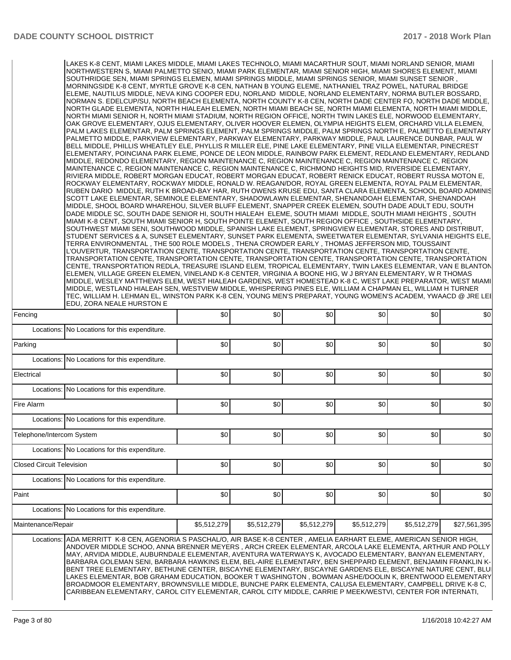| SOUTHRIDGE SEN, MIAMI SPRINGS ELEMEN, MIAMI SPRINGS MIDDLE, MIAMI SPRINGS SENIOR, MIAMI SUNSET SENIOR,<br>MORNINGSIDE K-8 CENT, MYRTLE GROVE K-8 CEN, NATHAN B YOUNG ELEME, NATHANIEL TRAZ POWEL, NATURAL BRIDGE<br>ELEME, NAUTILUS MIDDLE, NEVA KING COOPER EDU, NORLAND  MIDDLE, NORLAND ELEMENTARY, NORMA BUTLER BOSSARD,<br>NORMAN S. EDELCUP/SU, NORTH BEACH ELEMENTA, NORTH COUNTY K-8 CEN, NORTH DADE CENTER FO, NORTH DADE MIDDLE,<br>NORTH GLADE ELEMENTA, NORTH HIALEAH ELEMEN, NORTH MIAMI BEACH SE, NORTH MIAMI ELEMENTA, NORTH MIAMI MIDDLE,<br>NORTH MIAMI SENIOR H, NORTH MIAMI STADIUM, NORTH REGION OFFICE, NORTH TWIN LAKES ELE, NORWOOD ELEMENTARY,<br>OAK GROVE ELEMENTARY, OJUS ELEMENTARY, OLIVER HOOVER ELEMEN, OLYMPIA HEIGHTS ELEM, ORCHARD VILLA ELEMEN,<br>PALM LAKES ELEMENTAR, PALM SPRINGS ELEMENT, PALM SPRINGS MIDDLE, PALM SPRINGS NORTH E, PALMETTO ELEMENTARY<br>PALMETTO MIDDLE, PARKVIEW ELEMENTARY, PARKWAY ELEMENTARY, PARKWAY MIDDLE, PAUL LAURENCE DUNBAR, PAUL W<br>BELL MIDDLE, PHILLIS WHEATLEY ELE, PHYLLIS R MILLER ELE, PINE LAKE ELEMENTARY, PINE VILLA ELEMENTAR, PINECREST<br>IELEMENTARY, POINCIANA PARK ELEME, PONCE DE LEON MIDDLE, RAINBOW PARK ELEMENT, REDLAND ELEMENTARY, REDLAND<br>MIDDLE, REDONDO ELEMENTARY, REGION MAINTENANCE C, REGION MAINTENANCE C, REGION MAINTENANCE C, REGION<br>MAINTENANCE C, REGION MAINTENANCE C, REGION MAINTENANCE C, RICHMOND HEIGHTS MID, RIVERSIDE ELEMENTARY,<br>RIVIERA MIDDLE, ROBERT MORGAN EDUCAT, ROBERT MORGAN EDUCAT, ROBERT RENICK EDUCAT, ROBERT RUSSA MOTON E,<br>ROCKWAY ELEMENTARY, ROCKWAY MIDDLE, RONALD W. REAGAN/DOR, ROYAL GREEN ELEMENTA, ROYAL PALM ELEMENTAR,<br>RUBEN DARIO MIDDLE, RUTH K BROAD-BAY HAR, RUTH OWENS KRUSE EDU, SANTA CLARA ELEMENTA, SCHOOL BOARD ADMINIS<br>SCOTT LAKE ELEMENTAR, SEMINOLE ELEMENTARY, SHADOWLAWN ELEMENTAR, SHENANDOAH ELEMENTAR, SHENANDOAH<br>MIDDLE, SHOOL BOARD WHAREHOU, SILVER BLUFF ELEMENT, SNAPPER CREEK ELEMEN, SOUTH DADE ADULT EDU, SOUTH<br>DADE MIDDLE SC, SOUTH DADE SENIOR HI, SOUTH HIALEAH ELEME, SOUTH MIAMI MIDDLE, SOUTH MIAMI HEIGHTS , SOUTH<br>MIAMI K-8 CENT, SOUTH MIAMI SENIOR H, SOUTH POINTE ELEMENT, SOUTH REGION OFFICE , SOUTHSIDE ELEMENTARY,<br>SOUTHWEST MIAMI SENI, SOUTHWOOD MIDDLE, SPANISH LAKE ELEMENT, SPRINGVIEW ELEMENTAR, STORES AND DISTRIBUT,<br>STUDENT SERVICES & A, SUNSET ELEMENTARY, SUNSET PARK ELEMENTA, SWEETWATER ELEMENTAR, SYLVANIA HEIGHTS ELE,<br>TERRA ENVIRONMENTAL , THE 500 ROLE MODELS , THENA CROWDER EARLY , THOMAS JEFFERSON MID, TOUSSAINT<br>L'OUVERTUR, TRANSPORTATION CENTE, TRANSPORTATION CENTE, TRANSPORTATION CENTE, TRANSPORTATION CENTE,<br>TRANSPORTATION CENTE, TRANSPORTATION CENTE, TRANSPORTATION CENTE, TRANSPORTATION CENTE, TRANSPORTATION<br>CENTE, TRANSPORTATION REDLA, TREASURE ISLAND ELEM, TROPICAL ELEMENTARY, TWIN LAKES ELEMENTAR, VAN E BLANTON<br>ELEMEN, VILLAGE GREEN ELEMEN, VINELAND K-8 CENTER, VIRGINIA A BOONE HIG, W J BRYAN ELEMENTARY, W R THOMAS<br>MIDDLE, WESLEY MATTHEWS ELEM, WEST HIALEAH GARDENS, WEST HOMESTEAD K-8 C, WEST LAKE PREPARATOR, WEST MIAMI<br>MIDDLE, WESTLAND HIALEAH SEN, WESTVIEW MIDDLE, WHISPERING PINES ELE, WILLIAM A CHAPMAN EL, WILLIAM H TURNER<br>TEC, WILLIAM H. LEHMAN EL, WINSTON PARK K-8 CEN, YOUNG MEN'S PREPARAT, YOUNG WOMEN'S ACADEM, YWAACD @ JRE LEI <br>EDU, ZORA NEALE HURSTON E |                                                                                                                                                                                                                                                                                                                                                                                                                                                                                                                                                                                                                                                                                                                                                                                                                                                                                                    |             |             |             |             |             |              |  |  |
|------------------------------------------------------------------------------------------------------------------------------------------------------------------------------------------------------------------------------------------------------------------------------------------------------------------------------------------------------------------------------------------------------------------------------------------------------------------------------------------------------------------------------------------------------------------------------------------------------------------------------------------------------------------------------------------------------------------------------------------------------------------------------------------------------------------------------------------------------------------------------------------------------------------------------------------------------------------------------------------------------------------------------------------------------------------------------------------------------------------------------------------------------------------------------------------------------------------------------------------------------------------------------------------------------------------------------------------------------------------------------------------------------------------------------------------------------------------------------------------------------------------------------------------------------------------------------------------------------------------------------------------------------------------------------------------------------------------------------------------------------------------------------------------------------------------------------------------------------------------------------------------------------------------------------------------------------------------------------------------------------------------------------------------------------------------------------------------------------------------------------------------------------------------------------------------------------------------------------------------------------------------------------------------------------------------------------------------------------------------------------------------------------------------------------------------------------------------------------------------------------------------------------------------------------------------------------------------------------------------------------------------------------------------------------------------------------------------------------------------------------------------------------------------------------------------------------------------------------------------------------------------------------------------------------------------------------------------------------------------------------------------------------------------------------------------------------------------------------------------------------------------------------------------------------------------------------------------------------------------------------------------------------------------------------------------------------------------------------------------------------------------------|----------------------------------------------------------------------------------------------------------------------------------------------------------------------------------------------------------------------------------------------------------------------------------------------------------------------------------------------------------------------------------------------------------------------------------------------------------------------------------------------------------------------------------------------------------------------------------------------------------------------------------------------------------------------------------------------------------------------------------------------------------------------------------------------------------------------------------------------------------------------------------------------------|-------------|-------------|-------------|-------------|-------------|--------------|--|--|
| Fencing                                                                                                                                                                                                                                                                                                                                                                                                                                                                                                                                                                                                                                                                                                                                                                                                                                                                                                                                                                                                                                                                                                                                                                                                                                                                                                                                                                                                                                                                                                                                                                                                                                                                                                                                                                                                                                                                                                                                                                                                                                                                                                                                                                                                                                                                                                                                                                                                                                                                                                                                                                                                                                                                                                                                                                                                                                                                                                                                                                                                                                                                                                                                                                                                                                                                                                                                                                                        |                                                                                                                                                                                                                                                                                                                                                                                                                                                                                                                                                                                                                                                                                                                                                                                                                                                                                                    | \$0         | \$0         | \$0         | \$0         | \$0         | \$0          |  |  |
|                                                                                                                                                                                                                                                                                                                                                                                                                                                                                                                                                                                                                                                                                                                                                                                                                                                                                                                                                                                                                                                                                                                                                                                                                                                                                                                                                                                                                                                                                                                                                                                                                                                                                                                                                                                                                                                                                                                                                                                                                                                                                                                                                                                                                                                                                                                                                                                                                                                                                                                                                                                                                                                                                                                                                                                                                                                                                                                                                                                                                                                                                                                                                                                                                                                                                                                                                                                                | Locations: No Locations for this expenditure.                                                                                                                                                                                                                                                                                                                                                                                                                                                                                                                                                                                                                                                                                                                                                                                                                                                      |             |             |             |             |             |              |  |  |
| Parking                                                                                                                                                                                                                                                                                                                                                                                                                                                                                                                                                                                                                                                                                                                                                                                                                                                                                                                                                                                                                                                                                                                                                                                                                                                                                                                                                                                                                                                                                                                                                                                                                                                                                                                                                                                                                                                                                                                                                                                                                                                                                                                                                                                                                                                                                                                                                                                                                                                                                                                                                                                                                                                                                                                                                                                                                                                                                                                                                                                                                                                                                                                                                                                                                                                                                                                                                                                        |                                                                                                                                                                                                                                                                                                                                                                                                                                                                                                                                                                                                                                                                                                                                                                                                                                                                                                    | \$0         | \$0         | \$0         | \$0         | \$0         | \$0          |  |  |
|                                                                                                                                                                                                                                                                                                                                                                                                                                                                                                                                                                                                                                                                                                                                                                                                                                                                                                                                                                                                                                                                                                                                                                                                                                                                                                                                                                                                                                                                                                                                                                                                                                                                                                                                                                                                                                                                                                                                                                                                                                                                                                                                                                                                                                                                                                                                                                                                                                                                                                                                                                                                                                                                                                                                                                                                                                                                                                                                                                                                                                                                                                                                                                                                                                                                                                                                                                                                | Locations: No Locations for this expenditure.                                                                                                                                                                                                                                                                                                                                                                                                                                                                                                                                                                                                                                                                                                                                                                                                                                                      |             |             |             |             |             |              |  |  |
| Electrical                                                                                                                                                                                                                                                                                                                                                                                                                                                                                                                                                                                                                                                                                                                                                                                                                                                                                                                                                                                                                                                                                                                                                                                                                                                                                                                                                                                                                                                                                                                                                                                                                                                                                                                                                                                                                                                                                                                                                                                                                                                                                                                                                                                                                                                                                                                                                                                                                                                                                                                                                                                                                                                                                                                                                                                                                                                                                                                                                                                                                                                                                                                                                                                                                                                                                                                                                                                     |                                                                                                                                                                                                                                                                                                                                                                                                                                                                                                                                                                                                                                                                                                                                                                                                                                                                                                    | \$0         | \$0         | \$0         | \$0         | \$0         | \$0          |  |  |
|                                                                                                                                                                                                                                                                                                                                                                                                                                                                                                                                                                                                                                                                                                                                                                                                                                                                                                                                                                                                                                                                                                                                                                                                                                                                                                                                                                                                                                                                                                                                                                                                                                                                                                                                                                                                                                                                                                                                                                                                                                                                                                                                                                                                                                                                                                                                                                                                                                                                                                                                                                                                                                                                                                                                                                                                                                                                                                                                                                                                                                                                                                                                                                                                                                                                                                                                                                                                | Locations: No Locations for this expenditure.                                                                                                                                                                                                                                                                                                                                                                                                                                                                                                                                                                                                                                                                                                                                                                                                                                                      |             |             |             |             |             |              |  |  |
| Fire Alarm                                                                                                                                                                                                                                                                                                                                                                                                                                                                                                                                                                                                                                                                                                                                                                                                                                                                                                                                                                                                                                                                                                                                                                                                                                                                                                                                                                                                                                                                                                                                                                                                                                                                                                                                                                                                                                                                                                                                                                                                                                                                                                                                                                                                                                                                                                                                                                                                                                                                                                                                                                                                                                                                                                                                                                                                                                                                                                                                                                                                                                                                                                                                                                                                                                                                                                                                                                                     |                                                                                                                                                                                                                                                                                                                                                                                                                                                                                                                                                                                                                                                                                                                                                                                                                                                                                                    | \$0         | \$0         | \$0         | \$0         | \$0         | \$0          |  |  |
|                                                                                                                                                                                                                                                                                                                                                                                                                                                                                                                                                                                                                                                                                                                                                                                                                                                                                                                                                                                                                                                                                                                                                                                                                                                                                                                                                                                                                                                                                                                                                                                                                                                                                                                                                                                                                                                                                                                                                                                                                                                                                                                                                                                                                                                                                                                                                                                                                                                                                                                                                                                                                                                                                                                                                                                                                                                                                                                                                                                                                                                                                                                                                                                                                                                                                                                                                                                                | Locations: No Locations for this expenditure.                                                                                                                                                                                                                                                                                                                                                                                                                                                                                                                                                                                                                                                                                                                                                                                                                                                      |             |             |             |             |             |              |  |  |
| Telephone/Intercom System                                                                                                                                                                                                                                                                                                                                                                                                                                                                                                                                                                                                                                                                                                                                                                                                                                                                                                                                                                                                                                                                                                                                                                                                                                                                                                                                                                                                                                                                                                                                                                                                                                                                                                                                                                                                                                                                                                                                                                                                                                                                                                                                                                                                                                                                                                                                                                                                                                                                                                                                                                                                                                                                                                                                                                                                                                                                                                                                                                                                                                                                                                                                                                                                                                                                                                                                                                      |                                                                                                                                                                                                                                                                                                                                                                                                                                                                                                                                                                                                                                                                                                                                                                                                                                                                                                    | \$0         | \$0         | \$0         | \$0         | \$0         | \$0          |  |  |
|                                                                                                                                                                                                                                                                                                                                                                                                                                                                                                                                                                                                                                                                                                                                                                                                                                                                                                                                                                                                                                                                                                                                                                                                                                                                                                                                                                                                                                                                                                                                                                                                                                                                                                                                                                                                                                                                                                                                                                                                                                                                                                                                                                                                                                                                                                                                                                                                                                                                                                                                                                                                                                                                                                                                                                                                                                                                                                                                                                                                                                                                                                                                                                                                                                                                                                                                                                                                | Locations: No Locations for this expenditure.                                                                                                                                                                                                                                                                                                                                                                                                                                                                                                                                                                                                                                                                                                                                                                                                                                                      |             |             |             |             |             |              |  |  |
| <b>Closed Circuit Television</b>                                                                                                                                                                                                                                                                                                                                                                                                                                                                                                                                                                                                                                                                                                                                                                                                                                                                                                                                                                                                                                                                                                                                                                                                                                                                                                                                                                                                                                                                                                                                                                                                                                                                                                                                                                                                                                                                                                                                                                                                                                                                                                                                                                                                                                                                                                                                                                                                                                                                                                                                                                                                                                                                                                                                                                                                                                                                                                                                                                                                                                                                                                                                                                                                                                                                                                                                                               |                                                                                                                                                                                                                                                                                                                                                                                                                                                                                                                                                                                                                                                                                                                                                                                                                                                                                                    | \$0         | \$0         | \$0         | \$0         | \$0         | \$0          |  |  |
|                                                                                                                                                                                                                                                                                                                                                                                                                                                                                                                                                                                                                                                                                                                                                                                                                                                                                                                                                                                                                                                                                                                                                                                                                                                                                                                                                                                                                                                                                                                                                                                                                                                                                                                                                                                                                                                                                                                                                                                                                                                                                                                                                                                                                                                                                                                                                                                                                                                                                                                                                                                                                                                                                                                                                                                                                                                                                                                                                                                                                                                                                                                                                                                                                                                                                                                                                                                                | Locations: No Locations for this expenditure.                                                                                                                                                                                                                                                                                                                                                                                                                                                                                                                                                                                                                                                                                                                                                                                                                                                      |             |             |             |             |             |              |  |  |
| Paint                                                                                                                                                                                                                                                                                                                                                                                                                                                                                                                                                                                                                                                                                                                                                                                                                                                                                                                                                                                                                                                                                                                                                                                                                                                                                                                                                                                                                                                                                                                                                                                                                                                                                                                                                                                                                                                                                                                                                                                                                                                                                                                                                                                                                                                                                                                                                                                                                                                                                                                                                                                                                                                                                                                                                                                                                                                                                                                                                                                                                                                                                                                                                                                                                                                                                                                                                                                          |                                                                                                                                                                                                                                                                                                                                                                                                                                                                                                                                                                                                                                                                                                                                                                                                                                                                                                    | \$0         | \$0         | \$0         | \$0         | \$0         | \$0          |  |  |
|                                                                                                                                                                                                                                                                                                                                                                                                                                                                                                                                                                                                                                                                                                                                                                                                                                                                                                                                                                                                                                                                                                                                                                                                                                                                                                                                                                                                                                                                                                                                                                                                                                                                                                                                                                                                                                                                                                                                                                                                                                                                                                                                                                                                                                                                                                                                                                                                                                                                                                                                                                                                                                                                                                                                                                                                                                                                                                                                                                                                                                                                                                                                                                                                                                                                                                                                                                                                | Locations: No Locations for this expenditure.                                                                                                                                                                                                                                                                                                                                                                                                                                                                                                                                                                                                                                                                                                                                                                                                                                                      |             |             |             |             |             |              |  |  |
| Maintenance/Repair                                                                                                                                                                                                                                                                                                                                                                                                                                                                                                                                                                                                                                                                                                                                                                                                                                                                                                                                                                                                                                                                                                                                                                                                                                                                                                                                                                                                                                                                                                                                                                                                                                                                                                                                                                                                                                                                                                                                                                                                                                                                                                                                                                                                                                                                                                                                                                                                                                                                                                                                                                                                                                                                                                                                                                                                                                                                                                                                                                                                                                                                                                                                                                                                                                                                                                                                                                             |                                                                                                                                                                                                                                                                                                                                                                                                                                                                                                                                                                                                                                                                                                                                                                                                                                                                                                    | \$5,512,279 | \$5,512,279 | \$5,512,279 | \$5,512,279 | \$5,512,279 | \$27,561,395 |  |  |
| Locations:                                                                                                                                                                                                                                                                                                                                                                                                                                                                                                                                                                                                                                                                                                                                                                                                                                                                                                                                                                                                                                                                                                                                                                                                                                                                                                                                                                                                                                                                                                                                                                                                                                                                                                                                                                                                                                                                                                                                                                                                                                                                                                                                                                                                                                                                                                                                                                                                                                                                                                                                                                                                                                                                                                                                                                                                                                                                                                                                                                                                                                                                                                                                                                                                                                                                                                                                                                                     | ADA MERRITT K-8 CEN, AGENORIA S PASCHAL/O, AIR BASE K-8 CENTER, AMELIA EARHART ELEME, AMERICAN SENIOR HIGH,<br>ANDOVER MIDDLE SCHOO, ANNA BRENNER MEYERS, ARCH CREEK ELEMENTAR, ARCOLA LAKE ELEMENTA, ARTHUR AND POLLY<br>MAY, ARVIDA MIDDLE, AUBURNDALE ELEMENTAR, AVENTURA WATERWAYS K, AVOCADO ELEMENTARY, BANYAN ELEMENTARY,<br>BARBARA GOLEMAN SENI, BARBARA HAWKINS ELEM, BEL-AIRE ELEMENTARY, BEN SHEPPARD ELEMENT, BENJAMIN FRANKLIN K-<br>BENT TREE ELEMENTARY, BETHUNE CENTER, BISCAYNE ELEMENTARY, BISCAYNE GARDENS ELE, BISCAYNE NATURE CENT, BLUI<br>LAKES ELEMENTAR, BOB GRAHAM EDUCATION, BOOKER T WASHINGTON, BOWMAN ASHE/DOOLIN K, BRENTWOOD ELEMENTARY<br>BROADMOOR ELEMENTARY, BROWNSVILLE MIDDLE, BUNCHE PARK ELEMENTA, CALUSA ELEMENTARY, CAMPBELL DRIVE K-8 C,<br>CARIBBEAN ELEMENTARY, CAROL CITY ELEMENTAR, CAROL CITY MIDDLE, CARRIE P MEEK/WESTVI, CENTER FOR INTERNATI, |             |             |             |             |             |              |  |  |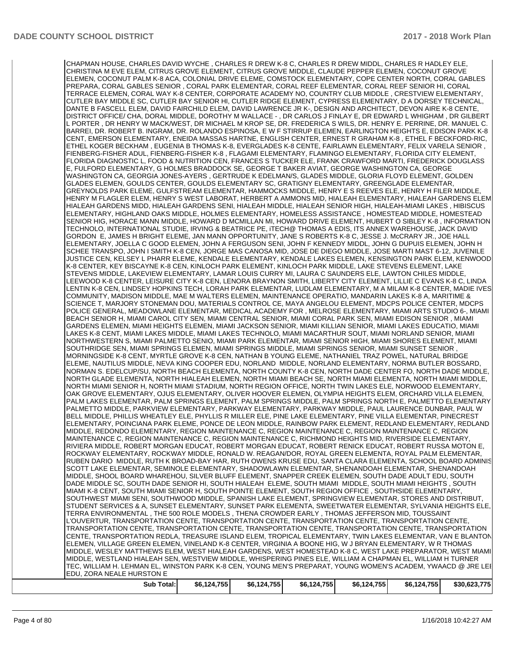CHAPMAN HOUSE, CHARLES DAVID WYCHE , CHARLES R DREW K-8 C, CHARLES R DREW MIDDL, CHARLES R HADLEY ELE, CHRISTINA M EVE ELEM, CITRUS GROVE ELEMENT, CITRUS GROVE MIDDLE, CLAUDE PEPPER ELEMEN, COCONUT GROVE ELEMEN, COCONUT PALM K-8 ACA, COLONIAL DRIVE ELEME, COMSTOCK ELEMENTARY, COPE CENTER NORTH, CORAL GABLES PREPARA, CORAL GABLES SENIOR , CORAL PARK ELEMENTAR, CORAL REEF ELEMENTAR, CORAL REEF SENIOR HI, CORAL TERRACE ELEMEN, CORAL WAY K-8 CENTER, CORPORATE ACADEMY NO, COUNTRY CLUB MIDDLE , CRESTVIEW ELEMENTARY, CUTLER BAY MIDDLE SC, CUTLER BAY SENIOR HI, CUTLER RIDGE ELEMENT, CYPRESS ELEMENTARY, D A DORSEY TECHNICAL, DANTE B FASCELL ELEM, DAVID FAIRCHILD ELEM, DAVID LAWRENCE JR K-, DESIGN AND ARCHITECT, DEVON AIRE K-8 CENTE, DISTRICT OFFICE/ CHA, DORAL MIDDLE, DOROTHY M WALLACE - , DR CARLOS J FINLAY E, DR EDWARD L WHIGHAM , DR GILBERT L PORTER , DR HENRY W MACK/WEST, DR MICHAEL M KROP SE, DR. FREDERICA S WILS, DR. HENRY E. PERRINE, DR. MANUEL C. BARREI, DR. ROBERT B. INGRAM, DR. ROLANDO ESPINOSA, E W F STIRRUP ELEMEN, EARLINGTON HEIGHTS E, EDISON PARK K-8 CENT, EMERSON ELEMENTARY, ENEIDA MASSAS HARTNE, ENGLISH CENTER, ERNEST R GRAHAM K-8 , ETHEL F BECKFORD-RIC, ETHEL KOGER BECKHAM , EUGENIA B THOMAS K-8, EVERGLADES K-8 CENTE, FAIRLAWN ELEMENTARY, FELIX VARELA SENIOR , FIENBERG-FISHER ADUL, FIENBERG-FISHER K-8 , FLAGAMI ELEMENTARY, FLAMINGO ELEMENTARY, FLORIDA CITY ELEMENT, FLORIDA DIAGNOSTIC L, FOOD & NUTRITION CEN, FRANCES S TUCKER ELE, FRANK CRAWFORD MARTI, FREDERICK DOUGLASS E, FULFORD ELEMENTARY, G HOLMES BRADDOCK SE, GEORGE T BAKER AVIAT, GEORGE WASHINGTON CA, GEORGE WASHINGTON CA, GEORGIA JONES-AYERS , GERTRUDE K EDELMAN/S, GLADES MIDDLE, GLORIA FLOYD ELEMENT, GOLDEN GLADES ELEMEN, GOULDS CENTER, GOULDS ELEMENTARY SC, GRATIGNY ELEMENTARY, GREENGLADE ELEMENTAR, GREYNOLDS PARK ELEME, GULFSTREAM ELEMENTAR, HAMMOCKS MIDDLE, HENRY E S REEVES ELE, HENRY H FILER MIDDLE, HENRY M FLAGLER ELEM, HENRY S WEST LABORAT, HERBERT A AMMONS MID, HIALEAH ELEMENTARY, HIALEAH GARDENS ELEM, HIALEAH GARDENS MIDD, HIALEAH GARDENS SENI, HIALEAH MIDDLE, HIALEAH SENIOR HIGH, HIALEAH-MIAMI LAKES , HIBISCUS ELEMENTARY, HIGHLAND OAKS MIDDLE, HOLMES ELEMENTARY, HOMELESS ASSISTANCE , HOMESTEAD MIDDLE, HOMESTEAD SENIOR HIG, HORACE MANN MIDDLE, HOWARD D MCMILLAN MI, HOWARD DRIVE ELEMENT, HUBERT O SIBLEY K-8 , INFORMATION TECHNOLO, INTERNATIONAL STUDIE, IRVING & BEATRICE PE, iTECH@ THOMAS A EDIS, ITS ANNEX WAREHOUSE, JACK DAVID GORDON E, JAMES H BRIGHT ELEME, JAN MANN OPPORTUNITY, JANE S ROBERTS K-8 C, JESSE J. McCRARY JR., JOE HALL ELEMENTARY, JOELLA C GOOD ELEMEN, JOHN A FERGUSON SENI, JOHN F KENNEDY MIDDL, JOHN G DUPUIS ELEMEN, JOHN H SCHEE TRANSPO, JOHN I SMITH K-8 CEN, JORGE MAS CANOSA MID, JOSE DE DIEGO MIDDLE, JOSE MARTI MAST 6-12, JUVENILE JUSTICE CEN, KELSEY L PHARR ELEME, KENDALE ELEMENTARY, KENDALE LAKES ELEMEN, KENSINGTON PARK ELEM, KENWOOD K-8 CENTER, KEY BISCAYNE K-8 CEN, KINLOCH PARK ELEMENT, KINLOCH PARK MIDDLE, LAKE STEVENS ELEMENT, LAKE STEVENS MIDDLE, LAKEVIEW ELEMENTARY, LAMAR LOUIS CURRY MI, LAURA C SAUNDERS ELE, LAWTON CHILES MIDDLE, LEEWOOD K-8 CENTER, LEISURE CITY K-8 CEN, LENORA BRAYNON SMITH, LIBERTY CITY ELEMENT, LILLIE C EVANS K-8 C, LINDA LENTIN K-8 CEN, LINDSEY HOPKINS TECH, LORAH PARK ELEMENTAR, LUDLAM ELEMENTARY, M A MILAM K-8 CENTER, MADIE IVES COMMUNITY, MADISON MIDDLE, MAE M WALTERS ELEMEN, MAINTENANCE OPERATIO, MANDARIN LAKES K-8 A, MARITIME & SCIENCE T, MARJORY STONEMAN DOU, MATERIALS CONTROL CE, MAYA ANGELOU ELEMENT, MDCPS POLICE CENTER, MDCPS POLICE GENERAL, MEADOWLANE ELEMENTAR, MEDICAL ACADEMY FOR , MELROSE ELEMENTARY, MIAMI ARTS STUDIO 6-, MIAMI BEACH SENIOR H, MIAMI CAROL CITY SEN, MIAMI CENTRAL SENIOR, MIAMI CORAL PARK SEN, MIAMI EDISON SENIOR , MIAMI GARDENS ELEMEN, MIAMI HEIGHTS ELEMEN, MIAMI JACKSON SENIOR, MIAMI KILLIAN SENIOR, MIAMI LAKES EDUCATIO, MIAMI LAKES K-8 CENT, MIAMI LAKES MIDDLE, MIAMI LAKES TECHNOLO, MIAMI MACARTHUR SOUT, MIAMI NORLAND SENIOR, MIAMI NORTHWESTERN S, MIAMI PALMETTO SENIO, MIAMI PARK ELEMENTAR, MIAMI SENIOR HIGH, MIAMI SHORES ELEMENT, MIAMI SOUTHRIDGE SEN, MIAMI SPRINGS ELEMEN, MIAMI SPRINGS MIDDLE, MIAMI SPRINGS SENIOR, MIAMI SUNSET SENIOR , MORNINGSIDE K-8 CENT, MYRTLE GROVE K-8 CEN, NATHAN B YOUNG ELEME, NATHANIEL TRAZ POWEL, NATURAL BRIDGE ELEME, NAUTILUS MIDDLE, NEVA KING COOPER EDU, NORLAND MIDDLE, NORLAND ELEMENTARY, NORMA BUTLER BOSSARD, NORMAN S. EDELCUP/SU, NORTH BEACH ELEMENTA, NORTH COUNTY K-8 CEN, NORTH DADE CENTER FO, NORTH DADE MIDDLE, NORTH GLADE ELEMENTA, NORTH HIALEAH ELEMEN, NORTH MIAMI BEACH SE, NORTH MIAMI ELEMENTA, NORTH MIAMI MIDDLE, NORTH MIAMI SENIOR H, NORTH MIAMI STADIUM, NORTH REGION OFFICE, NORTH TWIN LAKES ELE, NORWOOD ELEMENTARY, OAK GROVE ELEMENTARY, OJUS ELEMENTARY, OLIVER HOOVER ELEMEN, OLYMPIA HEIGHTS ELEM, ORCHARD VILLA ELEMEN, PALM LAKES ELEMENTAR, PALM SPRINGS ELEMENT, PALM SPRINGS MIDDLE, PALM SPRINGS NORTH E, PALMETTO ELEMENTARY, PALMETTO MIDDLE, PARKVIEW ELEMENTARY, PARKWAY ELEMENTARY, PARKWAY MIDDLE, PAUL LAURENCE DUNBAR, PAUL W BELL MIDDLE, PHILLIS WHEATLEY ELE, PHYLLIS R MILLER ELE, PINE LAKE ELEMENTARY, PINE VILLA ELEMENTAR, PINECREST ELEMENTARY, POINCIANA PARK ELEME, PONCE DE LEON MIDDLE, RAINBOW PARK ELEMENT, REDLAND ELEMENTARY, REDLAND MIDDLE, REDONDO ELEMENTARY, REGION MAINTENANCE C, REGION MAINTENANCE C, REGION MAINTENANCE C, REGION MAINTENANCE C, REGION MAINTENANCE C, REGION MAINTENANCE C, RICHMOND HEIGHTS MID, RIVERSIDE ELEMENTARY, RIVIERA MIDDLE, ROBERT MORGAN EDUCAT, ROBERT MORGAN EDUCAT, ROBERT RENICK EDUCAT, ROBERT RUSSA MOTON E, ROCKWAY ELEMENTARY, ROCKWAY MIDDLE, RONALD W. REAGAN/DOR, ROYAL GREEN ELEMENTA, ROYAL PALM ELEMENTAR, RUBEN DARIO MIDDLE, RUTH K BROAD-BAY HAR, RUTH OWENS KRUSE EDU, SANTA CLARA ELEMENTA, SCHOOL BOARD ADMINIS, SCOTT LAKE ELEMENTAR, SEMINOLE ELEMENTARY, SHADOWLAWN ELEMENTAR, SHENANDOAH ELEMENTAR, SHENANDOAH MIDDLE, SHOOL BOARD WHAREHOU, SILVER BLUFF ELEMENT, SNAPPER CREEK ELEMEN, SOUTH DADE ADULT EDU, SOUTH DADE MIDDLE SC, SOUTH DADE SENIOR HI, SOUTH HIALEAH ELEME, SOUTH MIAMI MIDDLE, SOUTH MIAMI HEIGHTS , SOUTH MIAMI K-8 CENT, SOUTH MIAMI SENIOR H, SOUTH POINTE ELEMENT, SOUTH REGION OFFICE , SOUTHSIDE ELEMENTARY, SOUTHWEST MIAMI SENI, SOUTHWOOD MIDDLE, SPANISH LAKE ELEMENT, SPRINGVIEW ELEMENTAR, STORES AND DISTRIBUT, STUDENT SERVICES & A, SUNSET ELEMENTARY, SUNSET PARK ELEMENTA, SWEETWATER ELEMENTAR, SYLVANIA HEIGHTS ELE, TERRA ENVIRONMENTAL , THE 500 ROLE MODELS , THENA CROWDER EARLY , THOMAS JEFFERSON MID, TOUSSAINT L'OUVERTUR, TRANSPORTATION CENTE, TRANSPORTATION CENTE, TRANSPORTATION CENTE, TRANSPORTATION CENTE, TRANSPORTATION CENTE, TRANSPORTATION CENTE, TRANSPORTATION CENTE, TRANSPORTATION CENTE, TRANSPORTATION CENTE, TRANSPORTATION REDLA, TREASURE ISLAND ELEM, TROPICAL ELEMENTARY, TWIN LAKES ELEMENTAR, VAN E BLANTON ELEMEN, VILLAGE GREEN ELEMEN, VINELAND K-8 CENTER, VIRGINIA A BOONE HIG, W J BRYAN ELEMENTARY, W R THOMAS MIDDLE, WESLEY MATTHEWS ELEM, WEST HIALEAH GARDENS, WEST HOMESTEAD K-8 C, WEST LAKE PREPARATOR, WEST MIAMI MIDDLE, WESTLAND HIALEAH SEN, WESTVIEW MIDDLE, WHISPERING PINES ELE, WILLIAM A CHAPMAN EL, WILLIAM H TURNER TEC, WILLIAM H. LEHMAN EL, WINSTON PARK K-8 CEN, YOUNG MEN'S PREPARAT, YOUNG WOMEN'S ACADEM, YWAACD @ JRE LEE EDU, ZORA NEALE HURSTON E **Sub Total: \$6,124,755 \$6,124,755 \$6,124,755 \$6,124,755 \$6,124,755 \$30,623,775**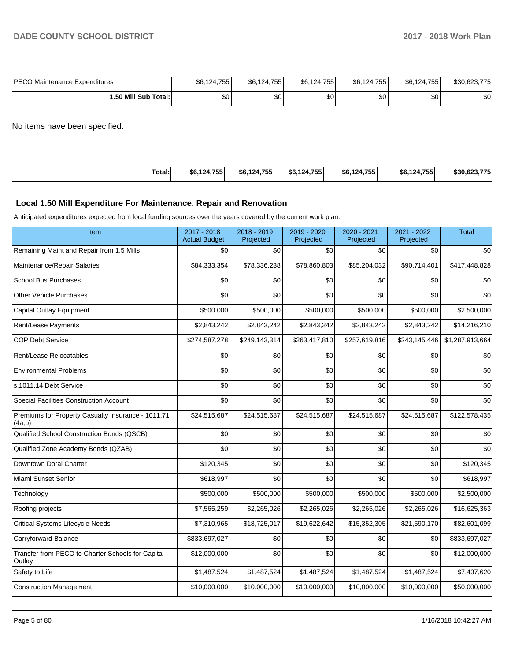| <b>IPECO Maintenance Expenditures</b> | \$6,124,755 | \$6,124,755 | \$6,124,755]     | \$6,124,755] | \$6,124,755 | \$30,623,775 |
|---------------------------------------|-------------|-------------|------------------|--------------|-------------|--------------|
| 1.50 Mill Sub Total:                  | ጦጣ<br>ΦU    | ሶሳ<br>JU.   | \$0 <sub>1</sub> | \$0          | \$0         | \$0          |

No items have been specified.

|--|

#### **Local 1.50 Mill Expenditure For Maintenance, Repair and Renovation**

Anticipated expenditures expected from local funding sources over the years covered by the current work plan.

| Item                                                         | 2017 - 2018<br><b>Actual Budget</b> | 2018 - 2019<br>Projected | 2019 - 2020<br>Projected | 2020 - 2021<br>Projected | 2021 - 2022<br>Projected | <b>Total</b>    |
|--------------------------------------------------------------|-------------------------------------|--------------------------|--------------------------|--------------------------|--------------------------|-----------------|
| Remaining Maint and Repair from 1.5 Mills                    | \$0                                 | \$0                      | \$0                      | \$0                      | \$0                      | \$0             |
| Maintenance/Repair Salaries                                  | \$84,333,354                        | \$78,336,238             | \$78,860,803             | \$85,204,032             | \$90,714,401             | \$417,448,828   |
| <b>School Bus Purchases</b>                                  | \$0                                 | \$0                      | \$0                      | \$0                      | \$0                      | \$0             |
| Other Vehicle Purchases                                      | \$0                                 | \$0                      | \$0                      | \$0                      | \$0                      | \$0             |
| Capital Outlay Equipment                                     | \$500,000                           | \$500,000                | \$500,000                | \$500,000                | \$500,000                | \$2,500,000     |
| Rent/Lease Payments                                          | \$2,843,242                         | \$2,843,242              | \$2,843,242              | \$2,843,242              | \$2,843,242              | \$14,216,210    |
| <b>COP Debt Service</b>                                      | \$274,587,278                       | \$249,143,314            | \$263,417,810            | \$257,619,816            | \$243,145,446            | \$1,287,913,664 |
| Rent/Lease Relocatables                                      | \$0                                 | \$0                      | \$0                      | \$0                      | \$0                      | \$0             |
| <b>Environmental Problems</b>                                | \$0                                 | \$0                      | \$0                      | \$0                      | \$0                      | \$0             |
| s.1011.14 Debt Service                                       | \$0                                 | \$0                      | \$0                      | \$0                      | \$0                      | \$0             |
| Special Facilities Construction Account                      | \$0                                 | \$0                      | \$0                      | \$0                      | \$0                      | \$0             |
| Premiums for Property Casualty Insurance - 1011.71<br>(4a,b) | \$24,515,687                        | \$24,515,687             | \$24,515,687             | \$24,515,687             | \$24,515,687             | \$122,578,435   |
| Qualified School Construction Bonds (QSCB)                   | \$0                                 | \$0                      | \$0                      | \$0                      | \$0                      | \$0             |
| Qualified Zone Academy Bonds (QZAB)                          | \$0                                 | \$0                      | \$0                      | \$0                      | \$0                      | \$0             |
| Downtown Doral Charter                                       | \$120,345                           | \$0                      | \$0                      | \$0                      | \$0                      | \$120,345       |
| Miami Sunset Senior                                          | \$618,997                           | \$0                      | \$0                      | \$0                      | \$0                      | \$618,997       |
| Technology                                                   | \$500,000                           | \$500,000                | \$500,000                | \$500,000                | \$500,000                | \$2,500,000     |
| Roofing projects                                             | \$7,565,259                         | \$2,265,026              | \$2,265,026              | \$2,265,026              | \$2,265,026              | \$16,625,363    |
| <b>Critical Systems Lifecycle Needs</b>                      | \$7,310,965                         | \$18,725,017             | \$19,622,642             | \$15,352,305             | \$21,590,170             | \$82,601,099    |
| Carryforward Balance                                         | \$833,697,027                       | \$0                      | \$0                      | \$0                      | \$0                      | \$833,697,027   |
| Transfer from PECO to Charter Schools for Capital<br>Outlay  | \$12,000,000                        | \$0                      | \$0                      | \$0                      | \$0                      | \$12,000,000    |
| Safety to Life                                               | \$1,487,524                         | \$1,487,524              | \$1,487,524              | \$1,487,524              | \$1,487,524              | \$7,437,620     |
| <b>Construction Management</b>                               | \$10,000,000                        | \$10,000,000             | \$10,000,000             | \$10,000,000             | \$10,000,000             | \$50,000,000    |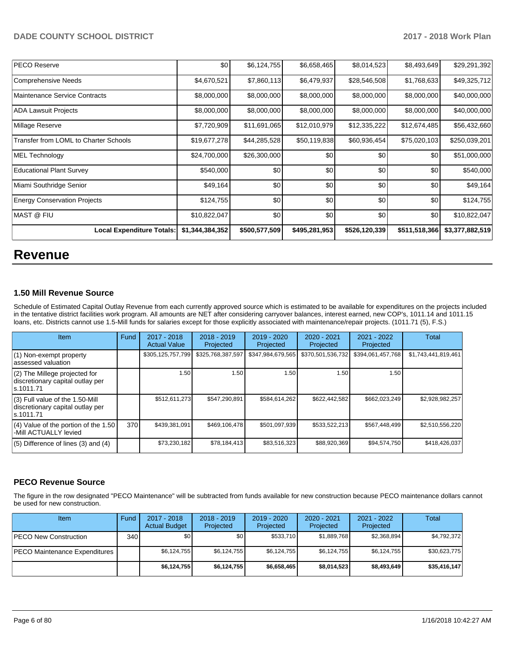| <b>PECO Reserve</b>                   | \$0             | \$6,124,755   | \$6,658,465   | \$8,014,523   | \$8,493,649   | \$29,291,392    |
|---------------------------------------|-----------------|---------------|---------------|---------------|---------------|-----------------|
| Comprehensive Needs                   | \$4,670,521     | \$7,860,113   | \$6,479,937   | \$28,546,508  | \$1,768,633   | \$49,325,712    |
| Maintenance Service Contracts         | \$8,000,000     | \$8,000,000   | \$8,000,000   | \$8,000,000   | \$8,000,000   | \$40,000,000    |
| <b>ADA Lawsuit Projects</b>           | \$8,000,000     | \$8,000,000   | \$8,000,000   | \$8,000,000   | \$8,000,000   | \$40,000,000    |
| Millage Reserve                       | \$7,720,909     | \$11,691,065  | \$12,010,979  | \$12,335,222  | \$12,674,485  | \$56,432,660    |
| Transfer from LOML to Charter Schools | \$19,677,278    | \$44,285,528  | \$50,119,838  | \$60,936,454  | \$75,020,103  | \$250,039,201   |
| MEL Technology                        | \$24,700,000    | \$26,300,000  | \$0           | \$0           | \$0           | \$51,000,000    |
| <b>Educational Plant Survey</b>       | \$540,000       | \$0           | \$0           | \$0           | \$0           | \$540,000       |
| Miami Southridge Senior               | \$49,164        | \$0           | \$0           | \$0           | \$0           | \$49,164        |
| <b>Energy Conservation Projects</b>   | \$124,755       | \$0           | \$0           | \$0           | \$0           | \$124,755       |
| <b>MAST @ FIU</b>                     | \$10,822,047    | \$0           | \$0           | \$0           | \$0           | \$10,822,047    |
| <b>Local Expenditure Totals:</b>      | \$1,344,384,352 | \$500,577,509 | \$495,281,953 | \$526,120,339 | \$511,518,366 | \$3,377,882,519 |

## **Revenue**

#### **1.50 Mill Revenue Source**

Schedule of Estimated Capital Outlay Revenue from each currently approved source which is estimated to be available for expenditures on the projects included in the tentative district facilities work program. All amounts are NET after considering carryover balances, interest earned, new COP's, 1011.14 and 1011.15 loans, etc. Districts cannot use 1.5-Mill funds for salaries except for those explicitly associated with maintenance/repair projects. (1011.71 (5), F.S.)

| <b>Item</b>                                                                         | Fund | $2017 - 2018$<br><b>Actual Value</b> | $2018 - 2019$<br>Projected | $2019 - 2020$<br>Projected | $2020 - 2021$<br>Projected | $2021 - 2022$<br>Projected | <b>Total</b>        |
|-------------------------------------------------------------------------------------|------|--------------------------------------|----------------------------|----------------------------|----------------------------|----------------------------|---------------------|
| $(1)$ Non-exempt property<br>lassessed valuation                                    |      | \$305,125,757,799                    | \$325,768,387,597          | \$347,984,679,565          | \$370,501,536,732          | \$394,061,457,768          | \$1,743,441,819,461 |
| $(2)$ The Millege projected for<br>discretionary capital outlay per<br>ls.1011.71   |      | 1.50                                 | 1.50                       | 1.50                       | 1.50                       | 1.50                       |                     |
| $(3)$ Full value of the 1.50-Mill<br>discretionary capital outlay per<br>ls.1011.71 |      | \$512,611,273                        | \$547.290.891              | \$584,614,262              | \$622,442,582              | \$662,023,249              | \$2,928,982,257     |
| $(4)$ Value of the portion of the 1.50<br>-Mill ACTUALLY levied                     | 370  | \$439,381,091                        | \$469,106,478              | \$501,097,939              | \$533,522,213              | \$567,448,499              | \$2,510,556,220     |
| $(5)$ Difference of lines $(3)$ and $(4)$                                           |      | \$73,230,182                         | \$78,184,413               | \$83,516,323               | \$88,920,369               | \$94,574,750               | \$418,426,037       |

#### **PECO Revenue Source**

The figure in the row designated "PECO Maintenance" will be subtracted from funds available for new construction because PECO maintenance dollars cannot be used for new construction.

| Item                                  | Fund         | $2017 - 2018$<br><b>Actual Budget</b> | $2018 - 2019$<br>Projected | 2019 - 2020<br><b>Projected</b> | $2020 - 2021$<br><b>Projected</b> | 2021 - 2022<br>Projected | <b>Total</b> |
|---------------------------------------|--------------|---------------------------------------|----------------------------|---------------------------------|-----------------------------------|--------------------------|--------------|
| <b>IPECO New Construction</b>         | 340 <b>I</b> | ا 30                                  | \$0                        | \$533,710                       | \$1,889,768                       | \$2,368,894              | \$4,792,372  |
| <b>IPECO Maintenance Expenditures</b> |              | \$6,124,755                           | \$6,124,755                | \$6,124,755                     | \$6,124,755                       | \$6,124,755              | \$30,623,775 |
|                                       |              | \$6.124.755                           | \$6,124,755                | \$6,658,465                     | \$8,014,523                       | \$8,493,649              | \$35,416,147 |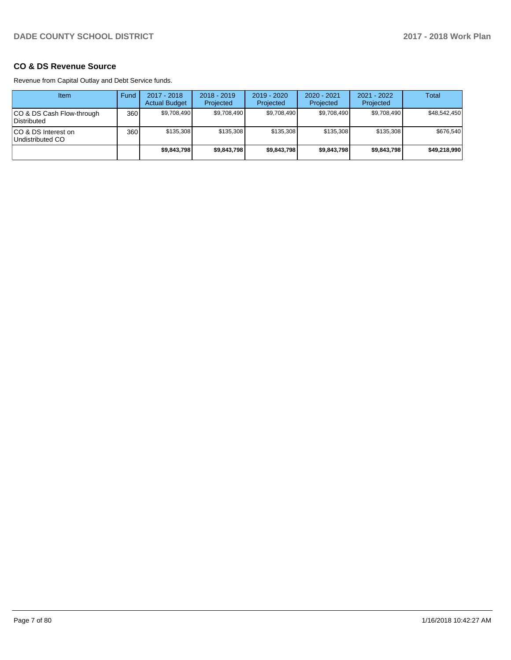#### **CO & DS Revenue Source**

Revenue from Capital Outlay and Debt Service funds.

| Item                                      | Fund | 2017 - 2018<br><b>Actual Budget</b> | $2018 - 2019$<br>Projected | $2019 - 2020$<br>Projected | $2020 - 2021$<br>Projected | $2021 - 2022$<br>Projected | <b>Total</b> |
|-------------------------------------------|------|-------------------------------------|----------------------------|----------------------------|----------------------------|----------------------------|--------------|
| ICO & DS Cash Flow-through<br>Distributed | 360  | \$9.708.490                         | \$9,708,490                | \$9,708,490                | \$9,708,490                | \$9,708,490                | \$48,542,450 |
| ICO & DS Interest on<br>Undistributed CO  | 360  | \$135,308                           | \$135,308                  | \$135.308                  | \$135,308                  | \$135.308                  | \$676,540    |
|                                           |      | \$9.843.798                         | \$9,843,798                | \$9,843,798                | \$9,843,798                | \$9,843,798                | \$49,218,990 |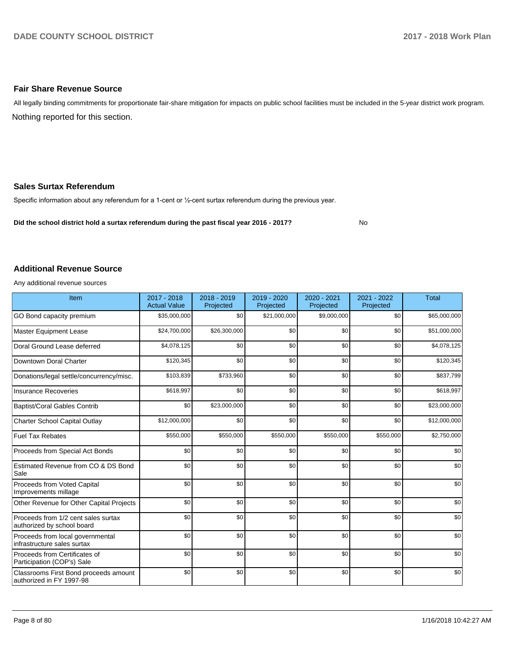#### **Fair Share Revenue Source**

Nothing reported for this section. All legally binding commitments for proportionate fair-share mitigation for impacts on public school facilities must be included in the 5-year district work program.

#### **Sales Surtax Referendum**

Specific information about any referendum for a 1-cent or 1/2-cent surtax referendum during the previous year.

**Did the school district hold a surtax referendum during the past fiscal year 2016 - 2017?**

No

#### **Additional Revenue Source**

Any additional revenue sources

| Item                                                              | 2017 - 2018<br><b>Actual Value</b> | $2018 - 2019$<br>Projected | 2019 - 2020<br>Projected | $2020 - 2021$<br>Projected | 2021 - 2022<br>Projected | <b>Total</b> |
|-------------------------------------------------------------------|------------------------------------|----------------------------|--------------------------|----------------------------|--------------------------|--------------|
| GO Bond capacity premium                                          | \$35,000,000                       | \$0                        | \$21,000,000             | \$9,000,000                | \$0                      | \$65,000,000 |
| <b>Master Equipment Lease</b>                                     | \$24,700,000                       | \$26,300,000               | \$0                      | \$0                        | \$0                      | \$51,000,000 |
| Doral Ground Lease deferred                                       | \$4,078,125                        | \$0                        | \$0                      | \$0                        | \$0                      | \$4,078,125  |
| Downtown Doral Charter                                            | \$120,345                          | \$0                        | \$0                      | \$0                        | \$0                      | \$120,345    |
| Donations/legal settle/concurrency/misc.                          | \$103,839                          | \$733,960                  | \$0                      | \$0                        | \$0                      | \$837,799    |
| <b>Insurance Recoveries</b>                                       | \$618,997                          | \$0                        | \$0                      | \$0                        | \$0                      | \$618,997    |
| <b>Baptist/Coral Gables Contrib</b>                               | \$0                                | \$23,000,000               | \$0                      | \$0                        | \$0                      | \$23,000,000 |
| Charter School Capital Outlay                                     | \$12,000,000                       | \$0                        | \$0                      | \$0                        | \$0                      | \$12,000,000 |
| <b>Fuel Tax Rebates</b>                                           | \$550,000                          | \$550,000                  | \$550,000                | \$550,000                  | \$550,000                | \$2,750,000  |
| Proceeds from Special Act Bonds                                   | \$0                                | \$0                        | \$0                      | \$0                        | \$0                      | \$0          |
| Estimated Revenue from CO & DS Bond<br>Sale                       | \$0                                | \$0                        | \$0                      | \$0                        | \$0                      | \$0          |
| Proceeds from Voted Capital<br>Improvements millage               | \$0                                | \$0                        | \$0                      | \$0                        | \$0                      | \$0          |
| Other Revenue for Other Capital Projects                          | \$0                                | \$0                        | \$0                      | \$0                        | \$0                      | \$0          |
| Proceeds from 1/2 cent sales surtax<br>authorized by school board | \$0                                | \$0                        | \$0                      | \$0                        | \$0                      | \$0          |
| Proceeds from local governmental<br>infrastructure sales surtax   | \$0                                | \$0                        | \$0                      | \$0                        | \$0                      | \$0          |
| Proceeds from Certificates of<br>Participation (COP's) Sale       | \$0                                | \$0                        | \$0                      | \$0                        | \$0                      | \$0          |
| Classrooms First Bond proceeds amount<br>authorized in FY 1997-98 | \$0                                | \$0                        | \$0                      | \$0                        | \$0                      | \$0          |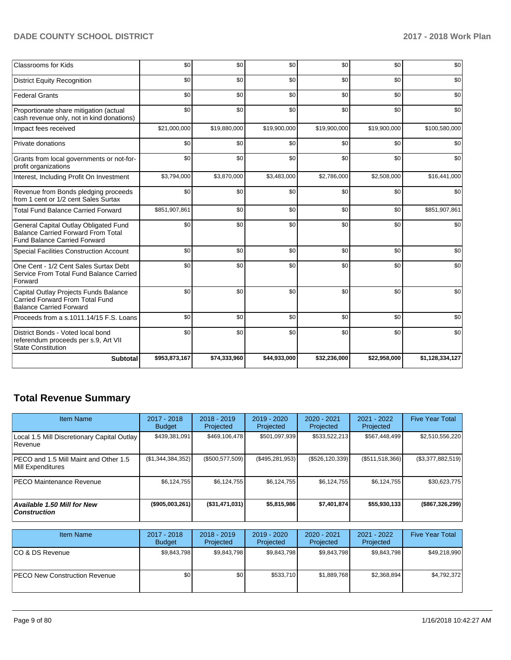| Classrooms for Kids                                                                                                       | \$0           | \$0          | \$0          | \$0          | \$0          | \$0             |
|---------------------------------------------------------------------------------------------------------------------------|---------------|--------------|--------------|--------------|--------------|-----------------|
| <b>District Equity Recognition</b>                                                                                        | \$0           | \$0          | \$0          | \$0          | \$0          | \$0             |
| <b>Federal Grants</b>                                                                                                     | \$0           | \$0          | \$0          | \$0          | \$0          | \$0             |
| Proportionate share mitigation (actual<br>cash revenue only, not in kind donations)                                       | \$0           | \$0          | \$0          | \$0          | \$0          | \$0             |
| Impact fees received                                                                                                      | \$21,000,000  | \$19,880,000 | \$19,900,000 | \$19,900,000 | \$19,900,000 | \$100,580,000   |
| Private donations                                                                                                         | \$0           | \$0          | \$0          | \$0          | \$0          | \$0             |
| Grants from local governments or not-for-<br>profit organizations                                                         | \$0           | \$0          | \$0          | \$0          | \$0          | \$0             |
| Interest, Including Profit On Investment                                                                                  | \$3,794,000   | \$3,870,000  | \$3,483,000  | \$2,786,000  | \$2,508,000  | \$16,441,000    |
| Revenue from Bonds pledging proceeds<br>from 1 cent or 1/2 cent Sales Surtax                                              | \$0           | \$0          | \$0          | \$0          | \$0          | \$0             |
| <b>Total Fund Balance Carried Forward</b>                                                                                 | \$851,907,861 | \$0          | \$0          | \$0          | \$0          | \$851,907,861   |
| General Capital Outlay Obligated Fund<br><b>Balance Carried Forward From Total</b><br><b>Fund Balance Carried Forward</b> | \$0           | \$0          | \$0          | \$0          | \$0          | \$0             |
| Special Facilities Construction Account                                                                                   | \$0           | \$0          | \$0          | \$0          | \$0          | \$0             |
| One Cent - 1/2 Cent Sales Surtax Debt<br>Service From Total Fund Balance Carried<br>Forward                               | \$0           | \$0          | \$0          | \$0          | \$0          | \$0             |
| Capital Outlay Projects Funds Balance<br><b>Carried Forward From Total Fund</b><br><b>Balance Carried Forward</b>         | \$0           | \$0          | \$0          | \$0          | \$0          | \$0             |
| Proceeds from a s.1011.14/15 F.S. Loans                                                                                   | \$0           | \$0          | \$0          | \$0          | \$0          | \$0             |
| District Bonds - Voted local bond<br>referendum proceeds per s.9, Art VII<br><b>State Constitution</b>                    | \$0           | \$0          | \$0          | \$0          | \$0          | \$0             |
| <b>Subtotal</b>                                                                                                           | \$953,873,167 | \$74,333,960 | \$44,933,000 | \$32,236,000 | \$22,958,000 | \$1,128,334,127 |

## **Total Revenue Summary**

| <b>Item Name</b>                                                  | 2017 - 2018<br><b>Budget</b> | $2018 - 2019$<br>Projected | $2019 - 2020$<br>Projected | $2020 - 2021$<br>Projected | $2021 - 2022$<br>Projected | <b>Five Year Total</b> |
|-------------------------------------------------------------------|------------------------------|----------------------------|----------------------------|----------------------------|----------------------------|------------------------|
| Local 1.5 Mill Discretionary Capital Outlay<br><b>Revenue</b>     | \$439,381,091                | \$469,106,478              | \$501,097,939              | \$533,522,213              | \$567,448,499              | \$2,510,556,220        |
| <b>PECO</b> and 1.5 Mill Maint and Other 1.5<br>Mill Expenditures | (\$1,344,384,352)            | (\$500,577,509)            | (\$495,281,953)            | (\$526, 120, 339)          | (\$511,518,366)            | (\$3,377,882,519)      |
| <b>PECO Maintenance Revenue</b>                                   | \$6,124,755                  | \$6,124,755                | \$6,124,755                | \$6,124,755                | \$6,124,755                | \$30,623,775           |
| <b>Available 1.50 Mill for New</b><br><b>Construction</b>         | $($ \$905,003,261)           | (\$31,471,031)             | \$5,815,986                | \$7,401,874                | \$55,930,133               | (\$867,326,299)        |

| <b>Item Name</b>                      | 2017 - 2018<br><b>Budget</b> | $2018 - 2019$<br>Projected | 2019 - 2020<br>Projected | $2020 - 2021$<br>Projected | 2021 - 2022<br>Projected | <b>Five Year Total</b> |
|---------------------------------------|------------------------------|----------------------------|--------------------------|----------------------------|--------------------------|------------------------|
| ICO & DS Revenue                      | \$9,843,798                  | \$9,843,798                | \$9,843,798              | \$9.843.798                | \$9,843,798              | \$49,218,990           |
| <b>IPECO New Construction Revenue</b> | \$0                          | \$0                        | \$533.710                | \$1,889,768                | \$2,368,894              | \$4,792,372            |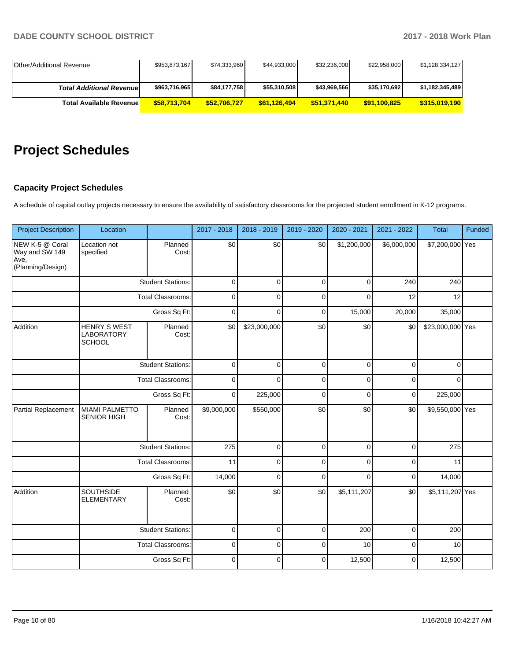| Other/Additional Revenue         | \$953,873,167 | \$74,333,960 | \$44,933,000 | \$32,236,000 | \$22,958,000 | \$1,128,334,127 |
|----------------------------------|---------------|--------------|--------------|--------------|--------------|-----------------|
|                                  |               |              |              |              |              |                 |
| <b>Total Additional Revenuel</b> | \$963,716,965 | \$84,177,758 | \$55,310,508 | \$43,969,566 | \$35,170,692 | \$1,182,345,489 |
| <b>Total Available Revenue</b>   | \$58,713,704  | \$52,706,727 | \$61.126.494 | \$51,371,440 | \$91.100.825 | \$315,019,190   |

# **Project Schedules**

### **Capacity Project Schedules**

A schedule of capital outlay projects necessary to ensure the availability of satisfactory classrooms for the projected student enrollment in K-12 programs.

| <b>Project Description</b>                                     | Location                                           |                          | 2017 - 2018 | 2018 - 2019  | 2019 - 2020 | 2020 - 2021 | 2021 - 2022 | <b>Total</b>     | Funded |
|----------------------------------------------------------------|----------------------------------------------------|--------------------------|-------------|--------------|-------------|-------------|-------------|------------------|--------|
| NEW K-5 @ Coral<br>Way and SW 149<br>Ave,<br>(Planning/Design) | Location not<br>specified                          | Planned<br>Cost:         | \$0         | \$0          | \$0         | \$1,200,000 | \$6,000,000 | \$7,200,000 Yes  |        |
|                                                                |                                                    | <b>Student Stations:</b> | $\mathbf 0$ | $\Omega$     | 0           | $\Omega$    | 240         | 240              |        |
|                                                                |                                                    | <b>Total Classrooms:</b> | $\mathbf 0$ | $\Omega$     | $\Omega$    | $\Omega$    | 12          | 12               |        |
|                                                                |                                                    | Gross Sq Ft:             | $\mathbf 0$ | $\Omega$     | $\Omega$    | 15,000      | 20,000      | 35,000           |        |
| Addition                                                       | <b>HENRY S WEST</b><br>LABORATORY<br><b>SCHOOL</b> | Planned<br>Cost:         | \$0         | \$23,000,000 | \$0         | \$0         | \$0         | \$23,000,000 Yes |        |
|                                                                |                                                    | <b>Student Stations:</b> | $\pmb{0}$   | $\Omega$     | $\mathbf 0$ | $\mathbf 0$ | $\pmb{0}$   | $\mathbf 0$      |        |
|                                                                |                                                    | <b>Total Classrooms:</b> | $\mathbf 0$ | $\Omega$     | 0           | 0           | $\pmb{0}$   | $\mathbf 0$      |        |
|                                                                |                                                    | Gross Sq Ft:             | $\mathbf 0$ | 225,000      | $\Omega$    | $\Omega$    | $\pmb{0}$   | 225,000          |        |
| Partial Replacement                                            | <b>MIAMI PALMETTO</b><br><b>SENIOR HIGH</b>        | Planned<br>Cost:         | \$9,000,000 | \$550,000    | \$0         | \$0         | \$0         | \$9,550,000 Yes  |        |
|                                                                |                                                    | <b>Student Stations:</b> | 275         | 0            | 0           | 0           | $\pmb{0}$   | 275              |        |
|                                                                |                                                    | <b>Total Classrooms:</b> | 11          | 0            | 0           | $\Omega$    | $\mathbf 0$ | 11               |        |
|                                                                |                                                    | Gross Sq Ft:             | 14,000      | $\Omega$     | $\Omega$    | $\Omega$    | $\pmb{0}$   | 14,000           |        |
| Addition                                                       | SOUTHSIDE<br><b>ELEMENTARY</b>                     | Planned<br>Cost:         | \$0         | \$0          | \$0         | \$5,111,207 | \$0         | \$5,111,207 Yes  |        |
|                                                                |                                                    | <b>Student Stations:</b> | $\mathbf 0$ | $\Omega$     | 0           | 200         | 0           | 200              |        |
|                                                                |                                                    | <b>Total Classrooms:</b> | $\pmb{0}$   | $\Omega$     | $\Omega$    | 10          | $\mathbf 0$ | 10               |        |
|                                                                |                                                    | Gross Sq Ft:             | $\mathbf 0$ | 0            | $\Omega$    | 12,500      | $\Omega$    | 12,500           |        |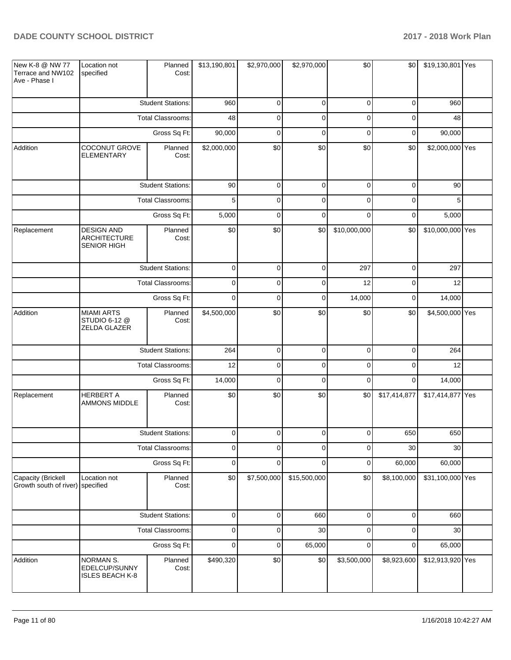| New K-8 @ NW 77<br>Terrace and NW102<br>Ave - Phase I  | Location not<br>specified                                      | Planned<br>Cost:         | \$13,190,801 | \$2,970,000 | \$2,970,000  | \$0          | \$0          | \$19,130,801 Yes |  |
|--------------------------------------------------------|----------------------------------------------------------------|--------------------------|--------------|-------------|--------------|--------------|--------------|------------------|--|
|                                                        |                                                                | <b>Student Stations:</b> | 960          | 0           | 0            | 0            | 0            | 960              |  |
|                                                        |                                                                | <b>Total Classrooms:</b> | 48           | $\mathbf 0$ | $\mathbf 0$  | $\mathbf 0$  | $\mathbf 0$  | 48               |  |
|                                                        |                                                                | Gross Sq Ft:             | 90,000       | 0           | $\pmb{0}$    | $\mathbf 0$  | 0            | 90,000           |  |
| Addition                                               | <b>COCONUT GROVE</b><br><b>ELEMENTARY</b>                      | Planned<br>Cost:         | \$2,000,000  | \$0         | \$0          | \$0          | \$0          | \$2,000,000 Yes  |  |
|                                                        |                                                                | <b>Student Stations:</b> | 90           | $\mathbf 0$ | $\pmb{0}$    | $\mathbf 0$  | $\pmb{0}$    | 90               |  |
|                                                        |                                                                | <b>Total Classrooms:</b> | 5            | 0           | $\pmb{0}$    | $\mathbf 0$  | 0            | 5                |  |
|                                                        |                                                                | Gross Sq Ft:             | 5,000        | $\mathbf 0$ | $\mathbf 0$  | $\mathbf 0$  | 0            | 5,000            |  |
| Replacement                                            | <b>DESIGN AND</b><br><b>ARCHITECTURE</b><br><b>SENIOR HIGH</b> | Planned<br>Cost:         | \$0          | \$0         | \$0          | \$10,000,000 | \$0          | \$10,000,000 Yes |  |
|                                                        |                                                                | <b>Student Stations:</b> | $\mathbf 0$  | 0           | $\pmb{0}$    | 297          | $\pmb{0}$    | 297              |  |
|                                                        |                                                                | <b>Total Classrooms:</b> | $\mathbf 0$  | 0           | $\pmb{0}$    | 12           | $\pmb{0}$    | 12               |  |
|                                                        |                                                                | Gross Sq Ft:             | $\mathbf 0$  | $\mathbf 0$ | 0            | 14,000       | 0            | 14,000           |  |
| Addition                                               | <b>MIAMI ARTS</b><br>STUDIO 6-12 @<br>ZELDA GLAZER             | Planned<br>Cost:         | \$4,500,000  | \$0         | \$0          | \$0          | \$0          | \$4,500,000 Yes  |  |
|                                                        |                                                                | <b>Student Stations:</b> | 264          | $\mathbf 0$ | $\pmb{0}$    | $\pmb{0}$    | $\pmb{0}$    | 264              |  |
|                                                        |                                                                | <b>Total Classrooms:</b> | 12           | 0           | $\pmb{0}$    | $\mathbf 0$  | $\mathbf 0$  | 12               |  |
|                                                        |                                                                | Gross Sq Ft:             | 14,000       | $\mathbf 0$ | $\pmb{0}$    | $\mathbf 0$  | $\mathbf 0$  | 14,000           |  |
| Replacement                                            | <b>HERBERT A</b><br><b>AMMONS MIDDLE</b>                       | Planned<br>Cost:         | \$0          | \$0         | \$0          | \$0          | \$17,414,877 | \$17,414,877 Yes |  |
|                                                        |                                                                | <b>Student Stations:</b> | $\mathbf 0$  | 0           | $\mathbf 0$  | $\mathbf 0$  | 650          | 650              |  |
|                                                        |                                                                | <b>Total Classrooms:</b> | 0            | 0           | $\pmb{0}$    | $\pmb{0}$    | 30           | 30               |  |
|                                                        |                                                                | Gross Sq Ft:             | 0            | 0           | $\pmb{0}$    | 0            | 60,000       | 60,000           |  |
| Capacity (Brickell<br>Growth south of river) specified | Location not                                                   | Planned<br>Cost:         | \$0          | \$7,500,000 | \$15,500,000 | \$0          | \$8,100,000  | \$31,100,000 Yes |  |
|                                                        |                                                                | <b>Student Stations:</b> | $\mathbf 0$  | $\mathbf 0$ | 660          | $\pmb{0}$    | $\pmb{0}$    | 660              |  |
|                                                        |                                                                | <b>Total Classrooms:</b> | $\mathbf 0$  | 0           | 30           | $\pmb{0}$    | $\pmb{0}$    | 30               |  |
|                                                        |                                                                | Gross Sq Ft:             | $\mathbf 0$  | $\mathbf 0$ | 65,000       | $\pmb{0}$    | 0            | 65,000           |  |
| Addition                                               | NORMAN S.<br>EDELCUP/SUNNY<br><b>ISLES BEACH K-8</b>           | Planned<br>Cost:         | \$490,320    | \$0         | \$0          | \$3,500,000  | \$8,923,600  | \$12,913,920 Yes |  |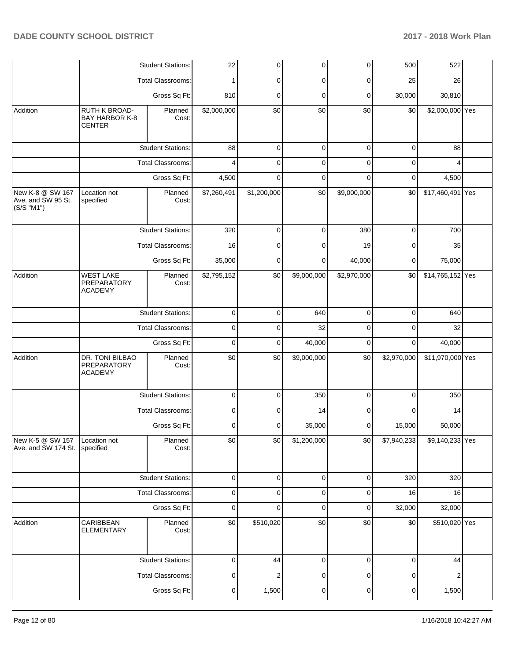|                                                      |                                                         | <b>Student Stations:</b> | 22          | 0              | $\mathbf 0$ | 0           | 500         | 522                                                                                                                                                                                                                                                                                                                           |  |
|------------------------------------------------------|---------------------------------------------------------|--------------------------|-------------|----------------|-------------|-------------|-------------|-------------------------------------------------------------------------------------------------------------------------------------------------------------------------------------------------------------------------------------------------------------------------------------------------------------------------------|--|
|                                                      |                                                         | <b>Total Classrooms:</b> | 1           | 0              | 0           | 0           | 25          | 26                                                                                                                                                                                                                                                                                                                            |  |
|                                                      |                                                         | Gross Sq Ft:             | 810         | 0              | 0           | 0           | 30,000      | 30,810                                                                                                                                                                                                                                                                                                                        |  |
| Addition                                             | RUTH K BROAD-<br><b>BAY HARBOR K-8</b><br><b>CENTER</b> | Planned<br>Cost:         | \$2,000,000 | \$0            | \$0         | \$0         | \$0         |                                                                                                                                                                                                                                                                                                                               |  |
|                                                      |                                                         | <b>Student Stations:</b> | 88          | $\mathbf 0$    | $\mathbf 0$ | $\mathbf 0$ | $\mathbf 0$ | \$2,000,000 Yes<br>88<br>0<br>4<br>4,500<br>$\mathbf 0$<br>\$0<br>\$17,460,491 Yes<br>700<br>$\mathbf 0$<br>35<br>$\mathbf 0$<br>75,000<br>$\mathbf 0$<br>\$14,765,152 Yes<br>\$0<br>$\mathbf 0$<br>640<br>32<br>0<br>40,000<br>$\mathbf 0$<br>\$11,970,000 Yes<br>350<br>$\mathbf 0$<br>14<br>0<br>50,000<br>\$9,140,233 Yes |  |
|                                                      |                                                         | <b>Total Classrooms:</b> | 4           | 0              | $\mathbf 0$ | 0           |             |                                                                                                                                                                                                                                                                                                                               |  |
|                                                      |                                                         | Gross Sq Ft:             | 4,500       | 0              | $\mathbf 0$ | 0           |             |                                                                                                                                                                                                                                                                                                                               |  |
| New K-8 @ SW 167<br>Ave. and SW 95 St.<br>(S/S "M1") | Location not<br>specified                               | Planned<br>Cost:         | \$7,260,491 | \$1,200,000    | \$0         | \$9,000,000 |             |                                                                                                                                                                                                                                                                                                                               |  |
|                                                      |                                                         | <b>Student Stations:</b> | 320         | 0              | $\mathbf 0$ | 380         |             |                                                                                                                                                                                                                                                                                                                               |  |
|                                                      |                                                         | <b>Total Classrooms:</b> | 16          | 0              | 0           | 19          |             |                                                                                                                                                                                                                                                                                                                               |  |
|                                                      |                                                         | Gross Sq Ft:             | 35,000      | 0              | $\mathbf 0$ | 40,000      |             |                                                                                                                                                                                                                                                                                                                               |  |
| Addition                                             | <b>WEST LAKE</b><br>PREPARATORY<br><b>ACADEMY</b>       | Planned<br>Cost:         | \$2,795,152 | \$0            | \$9,000,000 | \$2,970,000 |             |                                                                                                                                                                                                                                                                                                                               |  |
|                                                      |                                                         | <b>Student Stations:</b> | $\mathbf 0$ | $\mathbf 0$    | 640         | $\mathbf 0$ |             |                                                                                                                                                                                                                                                                                                                               |  |
|                                                      |                                                         | <b>Total Classrooms:</b> | $\mathbf 0$ | 0              | 32          | 0           |             |                                                                                                                                                                                                                                                                                                                               |  |
|                                                      |                                                         | Gross Sq Ft:             | $\mathbf 0$ | 0              | 40,000      | $\mathbf 0$ |             |                                                                                                                                                                                                                                                                                                                               |  |
| Addition                                             | DR. TONI BILBAO<br>PREPARATORY<br><b>ACADEMY</b>        | Planned<br>Cost:         | \$0         | \$0            | \$9,000,000 | \$0         | \$2,970,000 |                                                                                                                                                                                                                                                                                                                               |  |
|                                                      |                                                         | <b>Student Stations:</b> | $\mathbf 0$ | 0              | 350         | 0           |             |                                                                                                                                                                                                                                                                                                                               |  |
|                                                      |                                                         | <b>Total Classrooms:</b> | $\mathbf 0$ | 0              | 14          | 0           |             |                                                                                                                                                                                                                                                                                                                               |  |
|                                                      |                                                         | Gross Sq Ft:             | 0           | 0              | 35,000      | 0           | 15,000      |                                                                                                                                                                                                                                                                                                                               |  |
| New K-5 @ SW 157<br>Ave. and SW 174 St.              | Location not<br>specified                               | Planned<br>Cost:         | \$0         | \$0            | \$1,200,000 | \$0         | \$7,940,233 |                                                                                                                                                                                                                                                                                                                               |  |
|                                                      |                                                         | <b>Student Stations:</b> | $\pmb{0}$   | $\mathbf 0$    | $\mathbf 0$ | $\mathbf 0$ | 320         | 320                                                                                                                                                                                                                                                                                                                           |  |
|                                                      |                                                         | <b>Total Classrooms:</b> | $\pmb{0}$   | 0              | $\mathbf 0$ | 0           | 16          | 16                                                                                                                                                                                                                                                                                                                            |  |
|                                                      |                                                         | Gross Sq Ft:             | $\pmb{0}$   | 0              | $\mathbf 0$ | 0           | 32,000      | 32,000                                                                                                                                                                                                                                                                                                                        |  |
| Addition                                             | <b>CARIBBEAN</b><br><b>ELEMENTARY</b>                   | Planned<br>Cost:         | \$0         | \$510,020      | \$0         | \$0         | \$0         | \$510,020 Yes                                                                                                                                                                                                                                                                                                                 |  |
|                                                      |                                                         | <b>Student Stations:</b> | $\pmb{0}$   | 44             | $\pmb{0}$   | 0           | $\mathbf 0$ | 44                                                                                                                                                                                                                                                                                                                            |  |
|                                                      |                                                         | Total Classrooms:        | 0           | $\overline{c}$ | $\mathbf 0$ | 0           | $\mathbf 0$ | $\overline{2}$                                                                                                                                                                                                                                                                                                                |  |
|                                                      |                                                         | Gross Sq Ft:             | $\pmb{0}$   | 1,500          | $\mathbf 0$ | 0           | $\pmb{0}$   | 1,500                                                                                                                                                                                                                                                                                                                         |  |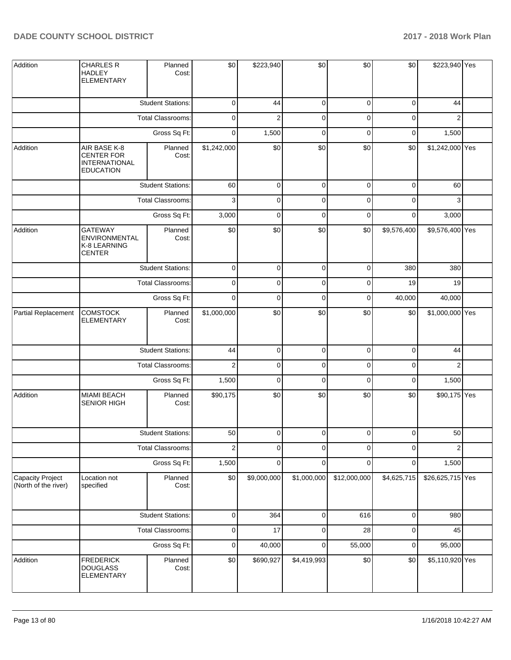| Addition                                 | <b>CHARLES R</b><br><b>HADLEY</b><br><b>ELEMENTARY</b>                        | Planned<br>Cost:         | \$0            | \$223,940      | \$0         | \$0          | \$0         | \$223,940 Yes    |  |
|------------------------------------------|-------------------------------------------------------------------------------|--------------------------|----------------|----------------|-------------|--------------|-------------|------------------|--|
|                                          |                                                                               | <b>Student Stations:</b> | $\mathbf 0$    | 44             | $\pmb{0}$   | $\mathbf 0$  | 0           | 44               |  |
|                                          |                                                                               | <b>Total Classrooms:</b> | $\mathbf 0$    | $\overline{2}$ | $\pmb{0}$   | $\mathbf 0$  | 0           | $\overline{2}$   |  |
|                                          |                                                                               | Gross Sq Ft:             | $\mathbf 0$    | 1,500          | $\pmb{0}$   | $\mathbf 0$  | 0           | 1,500            |  |
| Addition                                 | AIR BASE K-8<br><b>CENTER FOR</b><br><b>INTERNATIONAL</b><br><b>EDUCATION</b> | Planned<br>Cost:         | \$1,242,000    | \$0            | \$0         | \$0          | \$0         | \$1,242,000 Yes  |  |
|                                          |                                                                               | <b>Student Stations:</b> | 60             | $\mathbf 0$    | $\mathsf 0$ | $\mathbf 0$  | $\mathbf 0$ | 60               |  |
|                                          |                                                                               | Total Classrooms:        | 3              | $\mathbf 0$    | $\pmb{0}$   | $\mathbf 0$  | $\mathbf 0$ | 3                |  |
|                                          |                                                                               | Gross Sq Ft:             | 3,000          | $\mathbf 0$    | $\mathbf 0$ | $\mathbf 0$  | $\mathbf 0$ | 3,000            |  |
| Addition                                 | <b>GATEWAY</b><br><b>ENVIRONMENTAL</b><br>K-8 LEARNING<br><b>CENTER</b>       | Planned<br>Cost:         | \$0            | \$0            | \$0         | \$0          | \$9,576,400 | \$9,576,400 Yes  |  |
|                                          |                                                                               | <b>Student Stations:</b> | $\mathbf 0$    | $\mathbf 0$    | $\pmb{0}$   | $\mathbf 0$  | 380         | 380              |  |
|                                          |                                                                               | <b>Total Classrooms:</b> | $\mathbf 0$    | 0              | $\pmb{0}$   | $\mathbf 0$  | 19          | 19               |  |
|                                          |                                                                               | Gross Sq Ft:             | $\mathbf 0$    | $\mathbf 0$    | $\pmb{0}$   | $\mathbf 0$  | 40,000      | 40,000           |  |
| Partial Replacement                      | <b>COMSTOCK</b><br><b>ELEMENTARY</b>                                          | Planned<br>Cost:         | \$1,000,000    | \$0            | \$0         | \$0          | \$0         | \$1,000,000 Yes  |  |
|                                          |                                                                               | <b>Student Stations:</b> | 44             | $\mathbf 0$    | $\pmb{0}$   | $\pmb{0}$    | $\pmb{0}$   | 44               |  |
|                                          |                                                                               | <b>Total Classrooms:</b> | $\overline{2}$ | 0              | $\pmb{0}$   | $\mathbf 0$  | $\mathbf 0$ | $\overline{2}$   |  |
|                                          |                                                                               | Gross Sq Ft:             | 1,500          | $\mathbf 0$    | $\pmb{0}$   | $\mathbf 0$  | $\pmb{0}$   | 1,500            |  |
| Addition                                 | <b>MIAMI BEACH</b><br><b>SENIOR HIGH</b>                                      | Planned<br>Cost:         | \$90,175       | \$0            | \$0         | \$0          | \$0         | \$90,175 Yes     |  |
|                                          |                                                                               | <b>Student Stations:</b> | 50             | $\mathbf 0$    | $\mathbf 0$ | $\mathbf 0$  | $\mathbf 0$ | 50               |  |
|                                          |                                                                               | <b>Total Classrooms:</b> | $\overline{2}$ | 0              | $\pmb{0}$   | $\pmb{0}$    | $\pmb{0}$   | $\overline{c}$   |  |
|                                          |                                                                               | Gross Sq Ft:             | 1,500          | 0              | $\pmb{0}$   | $\mathbf 0$  | $\pmb{0}$   | 1,500            |  |
| Capacity Project<br>(North of the river) | Location not<br>specified                                                     | Planned<br>Cost:         | \$0            | \$9,000,000    | \$1,000,000 | \$12,000,000 | \$4,625,715 | \$26,625,715 Yes |  |
|                                          |                                                                               | <b>Student Stations:</b> | $\pmb{0}$      | 364            | $\pmb{0}$   | 616          | $\pmb{0}$   | 980              |  |
|                                          |                                                                               | <b>Total Classrooms:</b> | $\mathbf 0$    | 17             | $\pmb{0}$   | 28           | $\pmb{0}$   | 45               |  |
|                                          |                                                                               | Gross Sq Ft:             | $\pmb{0}$      | 40,000         | $\pmb{0}$   | 55,000       | $\pmb{0}$   | 95,000           |  |
| Addition                                 | <b>FREDERICK</b><br><b>DOUGLASS</b><br><b>ELEMENTARY</b>                      | Planned<br>Cost:         | \$0            | \$690,927      | \$4,419,993 | \$0          | \$0         | \$5,110,920 Yes  |  |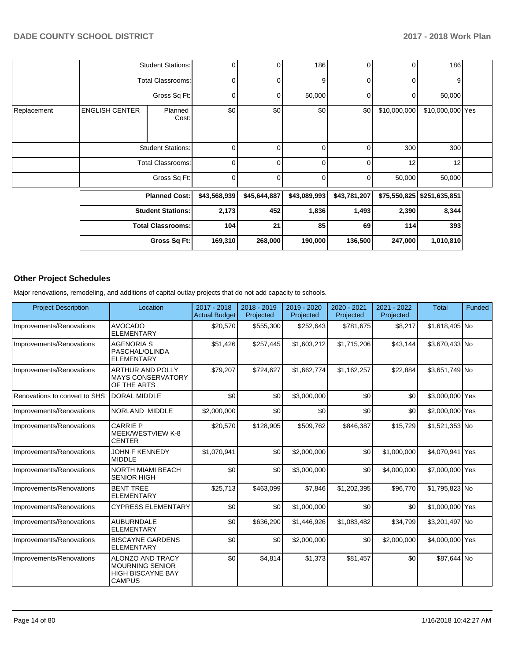|             |                          | <b>Student Stations:</b> | 0            | $\overline{0}$ | 186          | $\overline{0}$ | 0            | 186                        |  |
|-------------|--------------------------|--------------------------|--------------|----------------|--------------|----------------|--------------|----------------------------|--|
|             |                          | <b>Total Classrooms:</b> | 0            | $\overline{0}$ | 9            | $\overline{0}$ | 0            | 9                          |  |
|             |                          | Gross Sq Ft:             | 0            | $\overline{0}$ | 50,000       | $\overline{0}$ | 0            | 50,000                     |  |
| Replacement | <b>ENGLISH CENTER</b>    | Planned<br>Cost:         | \$0          | \$0            | \$0          | \$0            | \$10,000,000 | \$10,000,000 Yes           |  |
|             | <b>Student Stations:</b> |                          | $\Omega$     | $\overline{0}$ | $\Omega$     | $\Omega$       | 300          | 300                        |  |
|             | <b>Total Classrooms:</b> |                          | $\Omega$     | $\Omega$       | 0            | 0              | 12           | 12                         |  |
|             |                          | Gross Sq Ft:             | $\Omega$     | $\overline{0}$ | $\Omega$     | $\overline{0}$ | 50,000       | 50,000                     |  |
|             |                          | <b>Planned Cost:</b>     | \$43,568,939 | \$45,644,887   | \$43,089,993 | \$43,781,207   |              | \$75,550,825 \$251,635,851 |  |
|             |                          | <b>Student Stations:</b> | 2,173        | 452            | 1,836        | 1,493          | 2,390        | 8,344                      |  |
|             |                          | <b>Total Classrooms:</b> | 104          | 21             | 85           | 69             | 114          | 393                        |  |
|             |                          | Gross Sq Ft:             | 169,310      | 268,000        | 190,000      | 136,500        | 247,000      | 1,010,810                  |  |

#### **Other Project Schedules**

Major renovations, remodeling, and additions of capital outlay projects that do not add capacity to schools.

| <b>Project Description</b>    | Location                                                                                 | 2017 - 2018<br><b>Actual Budget</b> | 2018 - 2019<br>Projected | 2019 - 2020<br>Projected | 2020 - 2021<br>Projected | 2021 - 2022<br>Projected | <b>Total</b>    | Funded |
|-------------------------------|------------------------------------------------------------------------------------------|-------------------------------------|--------------------------|--------------------------|--------------------------|--------------------------|-----------------|--------|
| Improvements/Renovations      | <b>AVOCADO</b><br><b>ELEMENTARY</b>                                                      | \$20,570                            | \$555,300                | \$252,643                | \$781.675                | \$8,217                  | \$1,618,405 No  |        |
| Improvements/Renovations      | <b>AGENORIA S</b><br><b>PASCHAL/OLINDA</b><br><b>ELEMENTARY</b>                          | \$51,426                            | \$257,445                | \$1,603,212              | \$1,715,206              | \$43,144                 | \$3,670,433 No  |        |
| Improvements/Renovations      | <b>ARTHUR AND POLLY</b><br><b>MAYS CONSERVATORY</b><br>OF THE ARTS                       | \$79,207                            | \$724,627                | \$1,662,774              | \$1,162,257              | \$22,884                 | \$3,651,749 No  |        |
| Renovations to convert to SHS | <b>DORAL MIDDLE</b>                                                                      | \$0                                 | \$0                      | \$3,000,000              | \$0                      | \$0                      | \$3,000,000 Yes |        |
| Improvements/Renovations      | NORLAND MIDDLE                                                                           | \$2,000,000                         | \$0                      | \$0                      | \$0                      | \$0                      | \$2,000,000 Yes |        |
| Improvements/Renovations      | <b>CARRIE P</b><br>MEEK/WESTVIEW K-8<br><b>CENTER</b>                                    | \$20,570                            | \$128,905                | \$509,762                | \$846,387                | \$15,729                 | \$1,521,353 No  |        |
| Improvements/Renovations      | <b>JOHN F KENNEDY</b><br><b>MIDDLE</b>                                                   | \$1.070.941                         | \$0                      | \$2,000,000              | \$0                      | \$1.000.000              | \$4.070.941 Yes |        |
| Improvements/Renovations      | <b>NORTH MIAMI BEACH</b><br><b>SENIOR HIGH</b>                                           | \$0                                 | \$0                      | \$3,000,000              | \$0                      | \$4,000,000              | \$7,000,000 Yes |        |
| Improvements/Renovations      | <b>BENT TREE</b><br><b>ELEMENTARY</b>                                                    | \$25,713                            | \$463,099                | \$7,846                  | \$1,202,395              | \$96,770                 | \$1,795,823 No  |        |
| Improvements/Renovations      | <b>CYPRESS ELEMENTARY</b>                                                                | \$0                                 | \$0                      | \$1,000,000              | \$0                      | \$0                      | \$1,000,000 Yes |        |
| Improvements/Renovations      | <b>AUBURNDALE</b><br><b>ELEMENTARY</b>                                                   | \$0                                 | \$636,290                | \$1,446,926              | \$1,083,482              | \$34,799                 | \$3,201,497 No  |        |
| Improvements/Renovations      | <b>BISCAYNE GARDENS</b><br><b>ELEMENTARY</b>                                             | \$0                                 | \$0                      | \$2,000,000              | \$0                      | \$2,000,000              | \$4,000,000 Yes |        |
| Improvements/Renovations      | ALONZO AND TRACY<br><b>IMOURNING SENIOR</b><br><b>HIGH BISCAYNE BAY</b><br><b>CAMPUS</b> | \$0                                 | \$4,814                  | \$1,373                  | \$81,457                 | \$0                      | \$87,644 No     |        |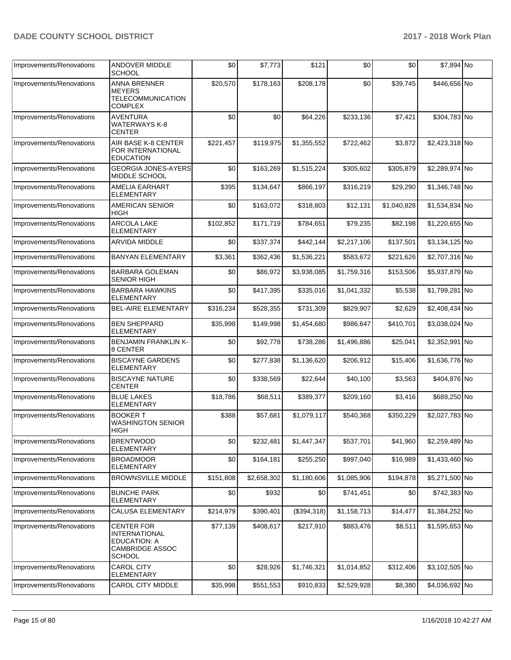| Improvements/Renovations | <b>ANDOVER MIDDLE</b><br><b>SCHOOL</b>                                                               | \$0       | \$7,773     | \$121       | \$0         | \$0         | \$7,894 No     |  |
|--------------------------|------------------------------------------------------------------------------------------------------|-----------|-------------|-------------|-------------|-------------|----------------|--|
| Improvements/Renovations | <b>ANNA BRENNER</b><br><b>MEYERS</b><br><b>TELECOMMUNICATION</b><br><b>COMPLEX</b>                   | \$20,570  | \$178,163   | \$208,178   | \$0         | \$39,745    | \$446,656 No   |  |
| Improvements/Renovations | <b>AVENTURA</b><br><b>WATERWAYS K-8</b><br><b>CENTER</b>                                             | \$0       | \$0         | \$64,226    | \$233,136   | \$7,421     | \$304,783 No   |  |
| Improvements/Renovations | AIR BASE K-8 CENTER<br>FOR INTERNATIONAL<br><b>EDUCATION</b>                                         | \$221,457 | \$119,975   | \$1,355,552 | \$722,462   | \$3,872     | \$2,423,318 No |  |
| Improvements/Renovations | <b>GEORGIA JONES-AYERS</b><br>MIDDLE SCHOOL                                                          | \$0       | \$163,269   | \$1,515,224 | \$305,602   | \$305,879   | \$2,289,974 No |  |
| Improvements/Renovations | AMELIA EARHART<br><b>ELEMENTARY</b>                                                                  | \$395     | \$134,647   | \$866,197   | \$316,219   | \$29,290    | \$1,346,748 No |  |
| Improvements/Renovations | <b>AMERICAN SENIOR</b><br><b>HIGH</b>                                                                | \$0       | \$163,072   | \$318,803   | \$12,131    | \$1,040,828 | \$1,534,834 No |  |
| Improvements/Renovations | ARCOLA LAKE<br><b>ELEMENTARY</b>                                                                     | \$102,852 | \$171,719   | \$784,651   | \$79,235    | \$82,198    | \$1,220,655 No |  |
| Improvements/Renovations | <b>ARVIDA MIDDLE</b>                                                                                 | \$0       | \$337,374   | \$442,144   | \$2,217,106 | \$137,501   | \$3,134,125 No |  |
| Improvements/Renovations | <b>BANYAN ELEMENTARY</b>                                                                             | \$3,361   | \$362,436   | \$1,536,221 | \$583,672   | \$221,626   | \$2,707,316 No |  |
| Improvements/Renovations | <b>BARBARA GOLEMAN</b><br><b>SENIOR HIGH</b>                                                         | \$0       | \$86,972    | \$3,938,085 | \$1,759,316 | \$153,506   | \$5,937,879 No |  |
| Improvements/Renovations | <b>BARBARA HAWKINS</b><br>ELEMENTARY                                                                 | \$0       | \$417,395   | \$335,016   | \$1,041,332 | \$5,538     | \$1,799,281 No |  |
| Improvements/Renovations | <b>BEL-AIRE ELEMENTARY</b>                                                                           | \$316,234 | \$528,355   | \$731,309   | \$829,907   | \$2,629     | \$2,408,434 No |  |
| Improvements/Renovations | <b>BEN SHEPPARD</b><br><b>ELEMENTARY</b>                                                             | \$35,998  | \$149,998   | \$1,454,680 | \$986,647   | \$410,701   | \$3,038,024 No |  |
| Improvements/Renovations | <b>BENJAMIN FRANKLIN K-</b><br>8 CENTER                                                              | \$0       | \$92,778    | \$738,286   | \$1,496,886 | \$25,041    | \$2,352,991 No |  |
| Improvements/Renovations | <b>BISCAYNE GARDENS</b><br>ELEMENTARY                                                                | \$0       | \$277,838   | \$1,136,620 | \$206,912   | \$15,406    | \$1,636,776 No |  |
| Improvements/Renovations | <b>BISCAYNE NATURE</b><br><b>CENTER</b>                                                              | \$0       | \$338,569   | \$22,644    | \$40,100    | \$3,563     | \$404,876 No   |  |
| Improvements/Renovations | <b>BLUE LAKES</b><br><b>ELEMENTARY</b>                                                               | \$18,786  | \$68,511    | \$389,377   | \$209,160   | \$3,416     | \$689,250 No   |  |
| Improvements/Renovations | <b>BOOKER T</b><br><b>WASHINGTON SENIOR</b><br><b>HIGH</b>                                           | \$388     | \$57,681    | \$1,079,117 | \$540,368   | \$350,229   | \$2,027,783 No |  |
| Improvements/Renovations | <b>BRENTWOOD</b><br><b>ELEMENTARY</b>                                                                | \$0       | \$232,481   | \$1,447,347 | \$537,701   | \$41,960    | \$2,259,489 No |  |
| Improvements/Renovations | <b>BROADMOOR</b><br><b>ELEMENTARY</b>                                                                | \$0       | \$164,181   | \$255,250   | \$997,040   | \$16,989    | \$1,433,460 No |  |
| Improvements/Renovations | <b>BROWNSVILLE MIDDLE</b>                                                                            | \$151,808 | \$2,658,302 | \$1,180,606 | \$1,085,906 | \$194,878   | \$5,271,500 No |  |
| Improvements/Renovations | <b>BUNCHE PARK</b><br>ELEMENTARY                                                                     | \$0       | \$932       | \$0         | \$741,451   | \$0         | \$742,383 No   |  |
| Improvements/Renovations | CALUSA ELEMENTARY                                                                                    | \$214,979 | \$390,401   | (\$394,318) | \$1,158,713 | \$14,477    | \$1,384,252 No |  |
| Improvements/Renovations | <b>CENTER FOR</b><br><b>INTERNATIONAL</b><br><b>EDUCATION: A</b><br>CAMBRIDGE ASSOC<br><b>SCHOOL</b> | \$77,139  | \$408,617   | \$217,910   | \$883,476   | \$8,511     | \$1,595,653 No |  |
| Improvements/Renovations | CAROL CITY<br>ELEMENTARY                                                                             | \$0       | \$28,926    | \$1,746,321 | \$1,014,852 | \$312,406   | \$3,102,505 No |  |
| Improvements/Renovations | CAROL CITY MIDDLE                                                                                    | \$35,998  | \$551,553   | \$910,833   | \$2,529,928 | \$8,380     | \$4,036,692 No |  |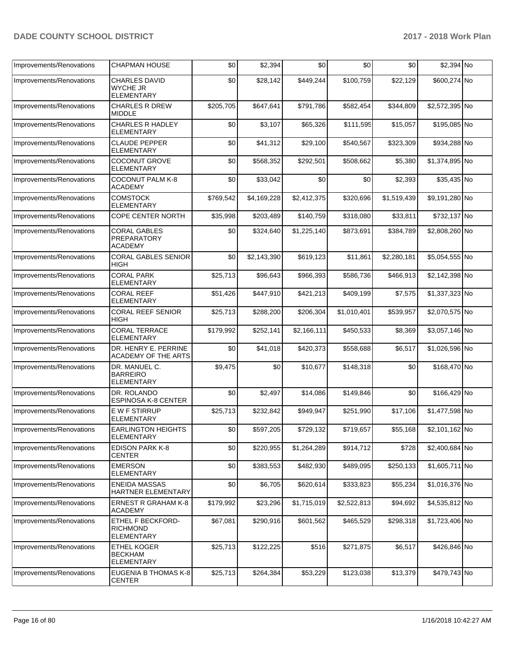| Improvements/Renovations | <b>CHAPMAN HOUSE</b>                                             | \$0       | \$2,394     | \$0         | \$0         | \$0         | \$2,394 No     |  |
|--------------------------|------------------------------------------------------------------|-----------|-------------|-------------|-------------|-------------|----------------|--|
| Improvements/Renovations | <b>CHARLES DAVID</b><br><b>WYCHE JR</b><br><b>ELEMENTARY</b>     | \$0       | \$28,142    | \$449,244   | \$100,759   | \$22,129    | \$600,274 No   |  |
| Improvements/Renovations | <b>CHARLES R DREW</b><br><b>MIDDLE</b>                           | \$205,705 | \$647,641   | \$791,786   | \$582,454   | \$344,809   | \$2,572,395 No |  |
| Improvements/Renovations | <b>CHARLES R HADLEY</b><br><b>ELEMENTARY</b>                     | \$0       | \$3,107     | \$65,326    | \$111,595   | \$15,057    | \$195,085 No   |  |
| Improvements/Renovations | <b>CLAUDE PEPPER</b><br><b>ELEMENTARY</b>                        | \$0       | \$41,312    | \$29,100    | \$540,567   | \$323,309   | \$934,288 No   |  |
| Improvements/Renovations | <b>COCONUT GROVE</b><br><b>ELEMENTARY</b>                        | \$0       | \$568,352   | \$292,501   | \$508,662   | \$5,380     | \$1,374,895 No |  |
| Improvements/Renovations | <b>COCONUT PALM K-8</b><br><b>ACADEMY</b>                        | \$0       | \$33,042    | \$0         | \$0         | \$2,393     | \$35,435 No    |  |
| Improvements/Renovations | <b>COMSTOCK</b><br><b>ELEMENTARY</b>                             | \$769,542 | \$4,169,228 | \$2,412,375 | \$320,696   | \$1,519,439 | \$9,191,280 No |  |
| Improvements/Renovations | COPE CENTER NORTH                                                | \$35,998  | \$203,489   | \$140,759   | \$318,080   | \$33,811    | \$732,137 No   |  |
| Improvements/Renovations | <b>CORAL GABLES</b><br>PREPARATORY<br><b>ACADEMY</b>             | \$0       | \$324,640   | \$1,225,140 | \$873,691   | \$384,789   | \$2,808,260 No |  |
| Improvements/Renovations | <b>CORAL GABLES SENIOR</b><br><b>HIGH</b>                        | \$0       | \$2,143,390 | \$619,123   | \$11,861    | \$2,280,181 | \$5,054,555 No |  |
| Improvements/Renovations | <b>CORAL PARK</b><br><b>ELEMENTARY</b>                           | \$25,713  | \$96,643    | \$966,393   | \$586,736   | \$466,913   | \$2,142,398 No |  |
| Improvements/Renovations | <b>CORAL REEF</b><br><b>ELEMENTARY</b>                           | \$51,426  | \$447,910   | \$421,213   | \$409,199   | \$7,575     | \$1,337,323 No |  |
| Improvements/Renovations | <b>CORAL REEF SENIOR</b><br><b>HIGH</b>                          | \$25,713  | \$288,200   | \$206,304   | \$1,010,401 | \$539,957   | \$2,070,575 No |  |
| Improvements/Renovations | <b>CORAL TERRACE</b><br><b>ELEMENTARY</b>                        | \$179,992 | \$252,141   | \$2,166,111 | \$450,533   | \$8,369     | \$3,057,146 No |  |
| Improvements/Renovations | DR. HENRY E. PERRINE<br><b>ACADEMY OF THE ARTS</b>               | \$0       | \$41,018    | \$420,373   | \$558,688   | \$6,517     | \$1,026,596 No |  |
| Improvements/Renovations | DR. MANUEL C.<br><b>BARREIRO</b><br><b>ELEMENTARY</b>            | \$9,475   | \$0         | \$10,677    | \$148,318   | \$0         | \$168,470 No   |  |
| Improvements/Renovations | DR. ROLANDO<br><b>ESPINOSA K-8 CENTER</b>                        | \$0       | \$2,497     | \$14,086    | \$149,846   | \$0         | \$166,429 No   |  |
| Improvements/Renovations | E W F STIRRUP<br><b>ELEMENTARY</b>                               | \$25,713  | \$232,842   | \$949,947   | \$251,990   | \$17,106    | \$1,477,598 No |  |
| Improvements/Renovations | <b>EARLINGTON HEIGHTS</b><br><b>ELEMENTARY</b>                   | ا 30      | \$597,205   | \$729,132   | \$719,657   | \$55,168    | \$2,101,162 No |  |
| Improvements/Renovations | <b>EDISON PARK K-8</b><br><b>CENTER</b>                          | \$0       | \$220,955   | \$1,264,289 | \$914,712   | \$728       | \$2,400,684 No |  |
| Improvements/Renovations | <b>EMERSON</b><br><b>ELEMENTARY</b>                              | \$0       | \$383,553   | \$482,930   | \$489,095   | \$250,133   | \$1,605,711 No |  |
| Improvements/Renovations | <b>ENEIDA MASSAS</b><br><b>HARTNER ELEMENTARY</b>                | \$0       | \$6,705     | \$620,614   | \$333,823   | \$55,234    | \$1,016,376 No |  |
| Improvements/Renovations | <b>ERNEST R GRAHAM K-8</b><br><b>ACADEMY</b>                     | \$179,992 | \$23,296    | \$1,715,019 | \$2,522,813 | \$94,692    | \$4,535,812 No |  |
| Improvements/Renovations | <b>ETHEL F BECKFORD-</b><br><b>RICHMOND</b><br><b>ELEMENTARY</b> | \$67,081  | \$290,916   | \$601,562   | \$465,529   | \$298,318   | \$1,723,406 No |  |
| Improvements/Renovations | <b>ETHEL KOGER</b><br><b>BECKHAM</b><br><b>ELEMENTARY</b>        | \$25,713  | \$122,225   | \$516       | \$271,875   | \$6,517     | \$426,846 No   |  |
| Improvements/Renovations | EUGENIA B THOMAS K-8<br><b>CENTER</b>                            | \$25,713  | \$264,384   | \$53,229    | \$123,038   | \$13,379    | \$479,743 No   |  |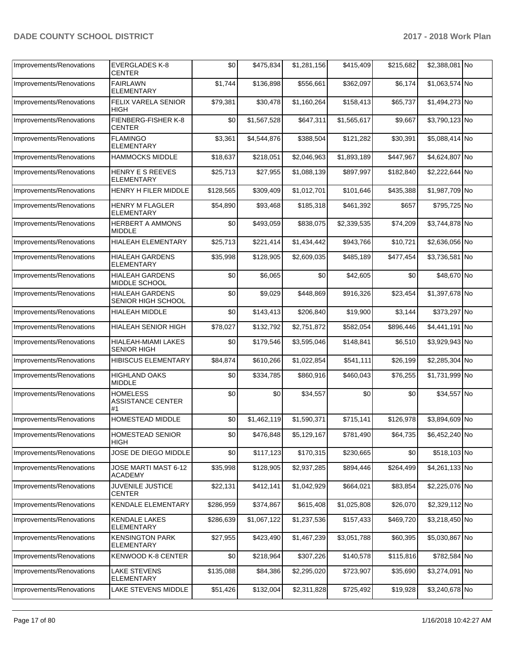| Improvements/Renovations | <b>EVERGLADES K-8</b><br><b>CENTER</b>            | \$0       | \$475,834   | \$1,281,156 | \$415,409   | \$215,682 | \$2,388,081 No |  |
|--------------------------|---------------------------------------------------|-----------|-------------|-------------|-------------|-----------|----------------|--|
| Improvements/Renovations | <b>FAIRLAWN</b><br><b>ELEMENTARY</b>              | \$1,744   | \$136,898   | \$556,661   | \$362,097   | \$6,174   | \$1,063,574 No |  |
| Improvements/Renovations | FELIX VARELA SENIOR<br>HIGH                       | \$79,381  | \$30,478    | \$1,160,264 | \$158,413   | \$65,737  | \$1,494,273 No |  |
| Improvements/Renovations | FIENBERG-FISHER K-8<br><b>CENTER</b>              | \$0       | \$1,567,528 | \$647,311   | \$1,565,617 | \$9,667   | \$3,790,123 No |  |
| Improvements/Renovations | <b>FLAMINGO</b><br><b>ELEMENTARY</b>              | \$3,361   | \$4,544,876 | \$388,504   | \$121,282   | \$30,391  | \$5,088,414 No |  |
| Improvements/Renovations | <b>HAMMOCKS MIDDLE</b>                            | \$18,637  | \$218,051   | \$2,046,963 | \$1,893,189 | \$447,967 | \$4,624,807 No |  |
| Improvements/Renovations | HENRY E S REEVES<br>ELEMENTARY                    | \$25,713  | \$27,955    | \$1,088,139 | \$897,997   | \$182,840 | \$2,222,644 No |  |
| Improvements/Renovations | HENRY H FILER MIDDLE                              | \$128,565 | \$309,409   | \$1,012,701 | \$101,646   | \$435,388 | \$1,987,709 No |  |
| Improvements/Renovations | <b>HENRY M FLAGLER</b><br><b>ELEMENTARY</b>       | \$54,890  | \$93,468    | \$185,318   | \$461,392   | \$657     | \$795,725 No   |  |
| Improvements/Renovations | <b>HERBERT A AMMONS</b><br><b>MIDDLE</b>          | \$0       | \$493,059   | \$838,075   | \$2,339,535 | \$74,209  | \$3,744,878 No |  |
| Improvements/Renovations | HIALEAH ELEMENTARY                                | \$25,713  | \$221,414   | \$1,434,442 | \$943,766   | \$10,721  | \$2,636,056 No |  |
| Improvements/Renovations | <b>HIALEAH GARDENS</b><br><b>ELEMENTARY</b>       | \$35,998  | \$128,905   | \$2,609,035 | \$485,189   | \$477,454 | \$3,736,581 No |  |
| Improvements/Renovations | <b>HIALEAH GARDENS</b><br>MIDDLE SCHOOL           | \$0       | \$6,065     | \$0         | \$42,605    | \$0       | \$48,670 No    |  |
| Improvements/Renovations | <b>HIALEAH GARDENS</b><br>SENIOR HIGH SCHOOL      | \$0       | \$9,029     | \$448,869   | \$916,326   | \$23,454  | \$1,397,678 No |  |
| Improvements/Renovations | <b>HIALEAH MIDDLE</b>                             | \$0       | \$143,413   | \$206,840   | \$19,900    | \$3,144   | \$373,297 No   |  |
| Improvements/Renovations | <b>HIALEAH SENIOR HIGH</b>                        | \$78,027  | \$132,792   | \$2,751,872 | \$582,054   | \$896,446 | \$4,441,191 No |  |
| Improvements/Renovations | HIALEAH-MIAMI LAKES<br><b>SENIOR HIGH</b>         | \$0       | \$179,546   | \$3,595,046 | \$148,841   | \$6,510   | \$3,929,943 No |  |
| Improvements/Renovations | <b>HIBISCUS ELEMENTARY</b>                        | \$84,874  | \$610,266   | \$1,022,854 | \$541,111   | \$26,199  | \$2,285,304 No |  |
| Improvements/Renovations | <b>HIGHLAND OAKS</b><br><b>MIDDLE</b>             | \$0       | \$334,785   | \$860,916   | \$460,043   | \$76,255  | \$1,731,999 No |  |
| Improvements/Renovations | <b>HOMELESS</b><br><b>ASSISTANCE CENTER</b><br>#1 | \$0       | \$0         | \$34,557    | \$0         | \$0       | \$34,557 No    |  |
| Improvements/Renovations | HOMESTEAD MIDDLE                                  | \$0       | \$1,462,119 | \$1,590,371 | \$715,141   | \$126,978 | \$3,894,609 No |  |
| Improvements/Renovations | <b>HOMESTEAD SENIOR</b><br>HIGH                   | \$0       | \$476,848   | \$5,129,167 | \$781,490   | \$64,735  | \$6,452,240 No |  |
| Improvements/Renovations | JOSE DE DIEGO MIDDLE                              | \$0       | \$117,123   | \$170,315   | \$230,665   | \$0       | \$518,103 No   |  |
| Improvements/Renovations | JOSE MARTI MAST 6-12<br><b>ACADEMY</b>            | \$35,998  | \$128,905   | \$2,937,285 | \$894,446   | \$264,499 | \$4,261,133 No |  |
| Improvements/Renovations | JUVENILE JUSTICE<br><b>CENTER</b>                 | \$22,131  | \$412,141   | \$1,042,929 | \$664,021   | \$83,854  | \$2,225,076 No |  |
| Improvements/Renovations | <b>KENDALE ELEMENTARY</b>                         | \$286,959 | \$374,867   | \$615,408   | \$1,025,808 | \$26,070  | \$2,329,112 No |  |
| Improvements/Renovations | <b>KENDALE LAKES</b><br><b>ELEMENTARY</b>         | \$286,639 | \$1,067,122 | \$1,237,536 | \$157,433   | \$469,720 | \$3,218,450 No |  |
| Improvements/Renovations | <b>KENSINGTON PARK</b><br><b>ELEMENTARY</b>       | \$27,955  | \$423,490   | \$1,467,239 | \$3,051,788 | \$60,395  | \$5,030,867 No |  |
| Improvements/Renovations | <b>KENWOOD K-8 CENTER</b>                         | \$0       | \$218,964   | \$307,226   | \$140,578   | \$115,816 | \$782,584 No   |  |
| Improvements/Renovations | <b>LAKE STEVENS</b><br><b>ELEMENTARY</b>          | \$135,088 | \$84,386    | \$2,295,020 | \$723,907   | \$35,690  | \$3,274,091 No |  |
| Improvements/Renovations | LAKE STEVENS MIDDLE                               | \$51,426  | \$132,004   | \$2,311,828 | \$725,492   | \$19,928  | \$3,240,678 No |  |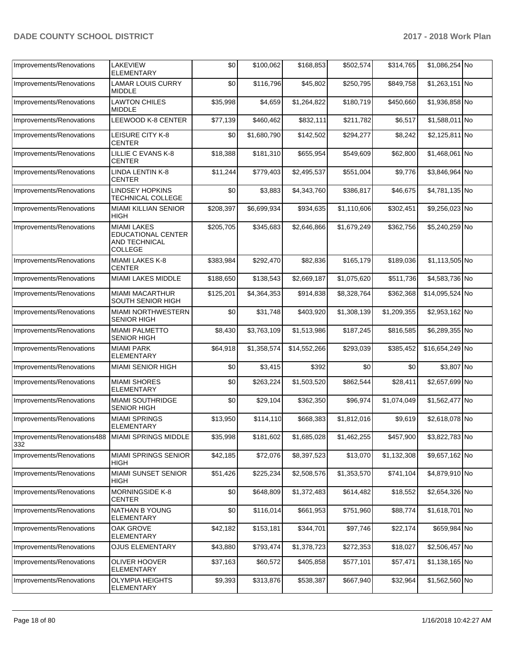| Improvements/Renovations                                  | <b>LAKEVIEW</b><br><b>ELEMENTARY</b>                                                      | \$0       | \$100,062   | \$168,853    | \$502,574   | \$314,765   | \$1,086,254 No  |  |
|-----------------------------------------------------------|-------------------------------------------------------------------------------------------|-----------|-------------|--------------|-------------|-------------|-----------------|--|
| Improvements/Renovations                                  | <b>LAMAR LOUIS CURRY</b><br><b>MIDDLE</b>                                                 | \$0       | \$116.796   | \$45,802     | \$250,795   | \$849,758   | \$1.263.151 No  |  |
| Improvements/Renovations                                  | <b>LAWTON CHILES</b><br><b>MIDDLE</b>                                                     | \$35,998  | \$4.659     | \$1,264,822  | \$180,719   | \$450.660   | \$1,936,858 No  |  |
| Improvements/Renovations                                  | LEEWOOD K-8 CENTER                                                                        | \$77,139  | \$460,462   | \$832,111    | \$211,782   | \$6,517     | \$1,588,011 No  |  |
| Improvements/Renovations                                  | LEISURE CITY K-8<br><b>CENTER</b>                                                         | \$0       | \$1,680,790 | \$142,502    | \$294,277   | \$8,242     | \$2,125,811 No  |  |
| Improvements/Renovations                                  | LILLIE C EVANS K-8<br><b>CENTER</b>                                                       | \$18,388  | \$181,310   | \$655,954    | \$549,609   | \$62,800    | \$1,468,061 No  |  |
| Improvements/Renovations                                  | <b>LINDA LENTIN K-8</b><br><b>CENTER</b>                                                  | \$11,244  | \$779,403   | \$2,495,537  | \$551,004   | \$9,776     | \$3,846,964 No  |  |
| Improvements/Renovations                                  | <b>LINDSEY HOPKINS</b><br>TECHNICAL COLLEGE                                               | \$0       | \$3,883     | \$4,343,760  | \$386,817   | \$46,675    | \$4,781,135 No  |  |
| Improvements/Renovations                                  | <b>MIAMI KILLIAN SENIOR</b><br><b>HIGH</b>                                                | \$208,397 | \$6,699,934 | \$934,635    | \$1,110,606 | \$302,451   | \$9,256,023 No  |  |
| Improvements/Renovations                                  | <b>MIAMI LAKES</b><br><b>EDUCATIONAL CENTER</b><br><b>AND TECHNICAL</b><br><b>COLLEGE</b> | \$205,705 | \$345,683   | \$2,646,866  | \$1,679,249 | \$362,756   | \$5,240,259 No  |  |
| Improvements/Renovations                                  | <b>MIAMI LAKES K-8</b><br><b>CENTER</b>                                                   | \$383,984 | \$292,470   | \$82,836     | \$165,179   | \$189,036   | \$1,113,505 No  |  |
| Improvements/Renovations                                  | MIAMI LAKES MIDDLE                                                                        | \$188,650 | \$138,543   | \$2,669,187  | \$1,075,620 | \$511,736   | \$4,583,736 No  |  |
| Improvements/Renovations                                  | <b>MIAMI MACARTHUR</b><br><b>SOUTH SENIOR HIGH</b>                                        | \$125,201 | \$4,364,353 | \$914,838    | \$8,328,764 | \$362,368   | \$14,095,524 No |  |
| Improvements/Renovations                                  | <b>MIAMI NORTHWESTERN</b><br><b>SENIOR HIGH</b>                                           | \$0       | \$31,748    | \$403,920    | \$1,308,139 | \$1,209,355 | \$2,953,162 No  |  |
| Improvements/Renovations                                  | <b>MIAMI PALMETTO</b><br><b>SENIOR HIGH</b>                                               | \$8,430   | \$3,763,109 | \$1,513,986  | \$187,245   | \$816,585   | \$6,289,355 No  |  |
| Improvements/Renovations                                  | <b>MIAMI PARK</b><br><b>ELEMENTARY</b>                                                    | \$64,918  | \$1,358,574 | \$14,552,266 | \$293,039   | \$385,452   | \$16,654,249 No |  |
| Improvements/Renovations                                  | <b>MIAMI SENIOR HIGH</b>                                                                  | \$0       | \$3,415     | \$392        | \$0         | \$0         | \$3,807 No      |  |
| Improvements/Renovations                                  | <b>MIAMI SHORES</b><br><b>ELEMENTARY</b>                                                  | \$0       | \$263,224   | \$1,503,520  | \$862,544   | \$28,411    | \$2,657,699 No  |  |
| Improvements/Renovations                                  | <b>MIAMI SOUTHRIDGE</b><br><b>SENIOR HIGH</b>                                             | \$0       | \$29,104    | \$362,350    | \$96,974    | \$1,074,049 | \$1,562,477 No  |  |
| Improvements/Renovations                                  | <b>MIAMI SPRINGS</b><br><b>ELEMENTARY</b>                                                 | \$13,950  | \$114,110   | \$668,383    | \$1,812,016 | \$9.619     | \$2,618,078 No  |  |
| Improvements/Renovations488   MIAMI SPRINGS MIDDLE<br>332 |                                                                                           | \$35,998  | \$181,602   | \$1,685,028  | \$1,462,255 | \$457,900   | \$3,822,783 No  |  |
| Improvements/Renovations                                  | <b>MIAMI SPRINGS SENIOR</b><br><b>HIGH</b>                                                | \$42,185  | \$72,076    | \$8,397,523  | \$13,070    | \$1,132,308 | \$9,657,162 No  |  |
| Improvements/Renovations                                  | <b>MIAMI SUNSET SENIOR</b><br><b>HIGH</b>                                                 | \$51,426  | \$225,234   | \$2,508,576  | \$1,353,570 | \$741,104   | \$4,879,910 No  |  |
| Improvements/Renovations                                  | <b>MORNINGSIDE K-8</b><br><b>CENTER</b>                                                   | \$0       | \$648,809   | \$1,372,483  | \$614,482   | \$18,552    | \$2,654,326 No  |  |
| Improvements/Renovations                                  | <b>NATHAN B YOUNG</b><br><b>ELEMENTARY</b>                                                | \$0       | \$116,014   | \$661,953    | \$751,960   | \$88,774    | \$1,618,701 No  |  |
| Improvements/Renovations                                  | OAK GROVE<br><b>ELEMENTARY</b>                                                            | \$42,182  | \$153,181   | \$344,701    | \$97,746    | \$22,174    | \$659,984 No    |  |
| Improvements/Renovations                                  | <b>OJUS ELEMENTARY</b>                                                                    | \$43,880  | \$793,474   | \$1,378,723  | \$272,353   | \$18,027    | \$2,506,457 No  |  |
| Improvements/Renovations                                  | <b>OLIVER HOOVER</b><br><b>ELEMENTARY</b>                                                 | \$37,163  | \$60,572    | \$405,858    | \$577,101   | \$57,471    | \$1,138,165 No  |  |
| Improvements/Renovations                                  | <b>OLYMPIA HEIGHTS</b><br>ELEMENTARY                                                      | \$9,393   | \$313,876   | \$538,387    | \$667,940   | \$32,964    | \$1,562,560 No  |  |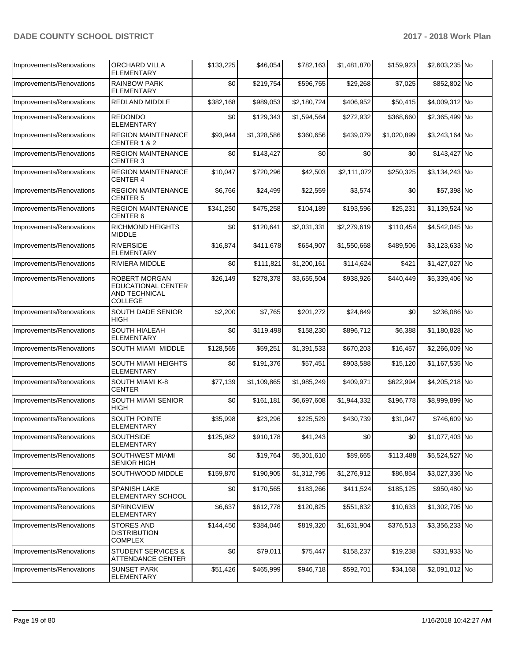| Improvements/Renovations | ORCHARD VILLA<br><b>ELEMENTARY</b>                                                   | \$133,225 | \$46,054    | \$782,163   | \$1,481,870 | \$159,923   | \$2,603,235 No |  |
|--------------------------|--------------------------------------------------------------------------------------|-----------|-------------|-------------|-------------|-------------|----------------|--|
| Improvements/Renovations | <b>RAINBOW PARK</b><br><b>ELEMENTARY</b>                                             | \$0       | \$219,754   | \$596,755   | \$29,268    | \$7,025     | \$852,802 No   |  |
| Improvements/Renovations | REDLAND MIDDLE                                                                       | \$382,168 | \$989,053   | \$2,180,724 | \$406,952   | \$50,415    | \$4,009,312 No |  |
| Improvements/Renovations | <b>REDONDO</b><br>ELEMENTARY                                                         | \$0       | \$129,343   | \$1,594,564 | \$272,932   | \$368,660   | \$2,365,499 No |  |
| Improvements/Renovations | <b>REGION MAINTENANCE</b><br>CENTER 1 & 2                                            | \$93,944  | \$1,328,586 | \$360,656   | \$439,079   | \$1,020,899 | \$3,243,164 No |  |
| Improvements/Renovations | <b>REGION MAINTENANCE</b><br><b>CENTER 3</b>                                         | \$0       | \$143,427   | \$0         | \$0         | \$0         | \$143,427 No   |  |
| Improvements/Renovations | <b>REGION MAINTENANCE</b><br><b>CENTER 4</b>                                         | \$10,047  | \$720,296   | \$42,503    | \$2,111,072 | \$250,325   | \$3,134,243 No |  |
| Improvements/Renovations | <b>REGION MAINTENANCE</b><br><b>CENTER 5</b>                                         | \$6,766   | \$24,499    | \$22,559    | \$3,574     | \$0         | \$57,398 No    |  |
| Improvements/Renovations | <b>REGION MAINTENANCE</b><br><b>CENTER 6</b>                                         | \$341,250 | \$475,258   | \$104,189   | \$193,596   | \$25,231    | \$1,139,524 No |  |
| Improvements/Renovations | <b>RICHMOND HEIGHTS</b><br>MIDDLE                                                    | \$0       | \$120,641   | \$2,031,331 | \$2,279,619 | \$110,454   | \$4,542,045 No |  |
| Improvements/Renovations | <b>RIVERSIDE</b><br><b>ELEMENTARY</b>                                                | \$16,874  | \$411,678   | \$654,907   | \$1,550,668 | \$489,506   | \$3,123,633 No |  |
| Improvements/Renovations | RIVIERA MIDDLE                                                                       | \$0       | \$111,821   | \$1,200,161 | \$114,624   | \$421       | \$1,427,027 No |  |
| Improvements/Renovations | <b>ROBERT MORGAN</b><br><b>EDUCATIONAL CENTER</b><br>AND TECHNICAL<br><b>COLLEGE</b> | \$26,149  | \$278,378   | \$3,655,504 | \$938,926   | \$440,449   | \$5,339,406 No |  |
| Improvements/Renovations | SOUTH DADE SENIOR<br><b>HIGH</b>                                                     | \$2,200   | \$7,765     | \$201,272   | \$24,849    | \$0         | \$236,086 No   |  |
| Improvements/Renovations | <b>SOUTH HIALEAH</b><br><b>ELEMENTARY</b>                                            | \$0       | \$119,498   | \$158,230   | \$896,712   | \$6,388     | \$1,180,828 No |  |
| Improvements/Renovations | SOUTH MIAMI MIDDLE                                                                   | \$128,565 | \$59,251    | \$1,391,533 | \$670,203   | \$16,457    | \$2,266,009 No |  |
| Improvements/Renovations | SOUTH MIAMI HEIGHTS<br><b>ELEMENTARY</b>                                             | \$0       | \$191,376   | \$57,451    | \$903,588   | \$15,120    | \$1,167,535 No |  |
| Improvements/Renovations | SOUTH MIAMI K-8<br><b>CENTER</b>                                                     | \$77,139  | \$1,109,865 | \$1,985,249 | \$409,971   | \$622,994   | \$4,205,218 No |  |
| Improvements/Renovations | <b>SOUTH MIAMI SENIOR</b><br><b>HIGH</b>                                             | \$0       | \$161,181   | \$6,697,608 | \$1,944,332 | \$196,778   | \$8,999,899 No |  |
| Improvements/Renovations | SOUTH POINTE<br><b>ELEMENTARY</b>                                                    | \$35,998  | \$23,296    | \$225,529   | \$430,739   | \$31,047    | \$746,609 No   |  |
| Improvements/Renovations | <b>SOUTHSIDE</b><br>ELEMENTARY                                                       | \$125,982 | \$910,178   | \$41,243    | \$0         | \$0         | \$1,077,403 No |  |
| Improvements/Renovations | SOUTHWEST MIAMI<br><b>SENIOR HIGH</b>                                                | \$0       | \$19,764    | \$5,301,610 | \$89,665    | \$113,488   | \$5,524,527 No |  |
| Improvements/Renovations | SOUTHWOOD MIDDLE                                                                     | \$159,870 | \$190,905   | \$1,312,795 | \$1,276,912 | \$86,854    | \$3,027,336 No |  |
| Improvements/Renovations | SPANISH LAKE<br>ELEMENTARY SCHOOL                                                    | \$0       | \$170,565   | \$183,266   | \$411,524   | \$185,125   | \$950,480 No   |  |
| Improvements/Renovations | SPRINGVIEW<br><b>ELEMENTARY</b>                                                      | \$6,637   | \$612,778   | \$120,825   | \$551,832   | \$10,633    | \$1,302,705 No |  |
| Improvements/Renovations | <b>STORES AND</b><br><b>DISTRIBUTION</b><br><b>COMPLEX</b>                           | \$144,450 | \$384,046   | \$819,320   | \$1,631,904 | \$376,513   | \$3,356,233 No |  |
| Improvements/Renovations | <b>STUDENT SERVICES &amp;</b><br>ATTENDANCE CENTER                                   | \$0       | \$79,011    | \$75,447    | \$158,237   | \$19,238    | \$331,933 No   |  |
| Improvements/Renovations | <b>SUNSET PARK</b><br>ELEMENTARY                                                     | \$51,426  | \$465,999   | \$946,718   | \$592,701   | \$34,168    | \$2,091,012 No |  |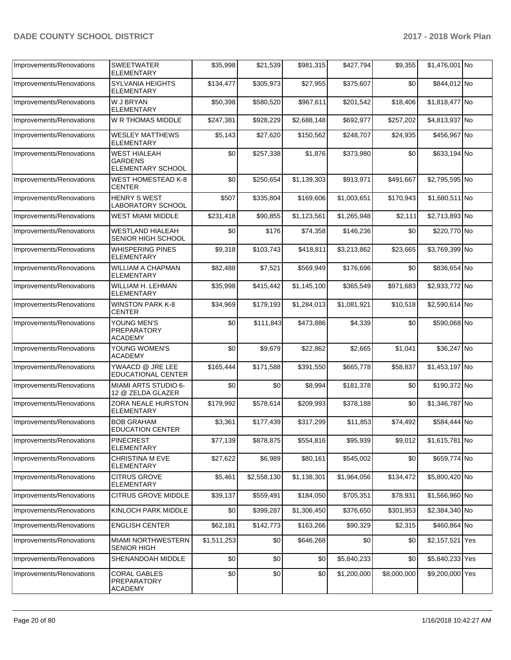| Improvements/Renovations | <b>SWEETWATER</b><br><b>ELEMENTARY</b>                     | \$35,998    | \$21,539    | \$981,315   | \$427,794   | \$9,355     | \$1,476,001 No  |  |
|--------------------------|------------------------------------------------------------|-------------|-------------|-------------|-------------|-------------|-----------------|--|
| Improvements/Renovations | <b>SYLVANIA HEIGHTS</b><br><b>ELEMENTARY</b>               | \$134,477   | \$305,973   | \$27,955    | \$375,607   | \$0         | \$844,012 No    |  |
| Improvements/Renovations | W J BRYAN<br><b>ELEMENTARY</b>                             | \$50,398    | \$580,520   | \$967,611   | \$201,542   | \$18,406    | \$1,818,477 No  |  |
| Improvements/Renovations | W R THOMAS MIDDLE                                          | \$247,381   | \$928,229   | \$2,688,148 | \$692,977   | \$257,202   | \$4,813,937 No  |  |
| Improvements/Renovations | <b>WESLEY MATTHEWS</b><br><b>ELEMENTARY</b>                | \$5,143     | \$27,620    | \$150,562   | \$248,707   | \$24,935    | \$456,967 No    |  |
| Improvements/Renovations | <b>WEST HIALEAH</b><br><b>GARDENS</b><br>ELEMENTARY SCHOOL | \$0         | \$257,338   | \$1,876     | \$373,980   | \$0         | \$633,194 No    |  |
| Improvements/Renovations | <b>WEST HOMESTEAD K-8</b><br><b>CENTER</b>                 | \$0         | \$250,654   | \$1,139,303 | \$913,971   | \$491.667   | \$2,795,595 No  |  |
| Improvements/Renovations | <b>HENRY S WEST</b><br>LABORATORY SCHOOL                   | \$507       | \$335,804   | \$169,606   | \$1,003,651 | \$170,943   | \$1,680,511 No  |  |
| Improvements/Renovations | <b>WEST MIAMI MIDDLE</b>                                   | \$231,418   | \$90,855    | \$1,123,561 | \$1,265,948 | \$2,111     | \$2,713,893 No  |  |
| Improvements/Renovations | <b>WESTLAND HIALEAH</b><br>SENIOR HIGH SCHOOL              | \$0         | \$176       | \$74,358    | \$146,236   | \$0         | \$220,770 No    |  |
| Improvements/Renovations | <b>WHISPERING PINES</b><br>ELEMENTARY                      | \$9,318     | \$103,743   | \$418,811   | \$3,213,862 | \$23,665    | \$3,769,399 No  |  |
| Improvements/Renovations | <b>WILLIAM A CHAPMAN</b><br>ELEMENTARY                     | \$82,488    | \$7,521     | \$569,949   | \$176,696   | \$0         | \$836,654 No    |  |
| Improvements/Renovations | WILLIAM H. LEHMAN<br><b>ELEMENTARY</b>                     | \$35,998    | \$415,442   | \$1,145,100 | \$365,549   | \$971,683   | \$2,933,772 No  |  |
| Improvements/Renovations | <b>WINSTON PARK K-8</b><br><b>CENTER</b>                   | \$34,969    | \$179,193   | \$1,284,013 | \$1,081,921 | \$10,518    | \$2,590,614 No  |  |
| Improvements/Renovations | YOUNG MEN'S<br>PREPARATORY<br><b>ACADEMY</b>               | \$0         | \$111,843   | \$473,886   | \$4,339     | \$0         | \$590,068 No    |  |
| Improvements/Renovations | YOUNG WOMEN'S<br><b>ACADEMY</b>                            | \$0         | \$9,679     | \$22,862    | \$2,665     | \$1,041     | \$36,247 No     |  |
| Improvements/Renovations | YWAACD @ JRE LEE<br>EDUCATIONAL CENTER                     | \$165,444   | \$171,588   | \$391,550   | \$665,778   | \$58,837    | \$1,453,197 No  |  |
| Improvements/Renovations | MIAMI ARTS STUDIO 6-<br>12 @ ZELDA GLAZER                  | \$0         | \$0         | \$8,994     | \$181,378   | \$0         | \$190,372 No    |  |
| Improvements/Renovations | ZORA NEALE HURSTON<br><b>ELEMENTARY</b>                    | \$179,992   | \$578,614   | \$209,993   | \$378,188   | \$0         | \$1,346,787 No  |  |
| Improvements/Renovations | <b>BOB GRAHAM</b><br><b>EDUCATION CENTER</b>               | \$3,361     | \$177,439   | \$317,299   | \$11,853    | \$74,492    | \$584,444 No    |  |
| Improvements/Renovations | <b>PINECREST</b><br><b>ELEMENTARY</b>                      | \$77,139    | \$878,875   | \$554,816   | \$95,939    | \$9,012     | \$1,615,781 No  |  |
| Improvements/Renovations | <b>CHRISTINA M EVE</b><br><b>ELEMENTARY</b>                | \$27,622    | \$6,989     | \$80,161    | \$545,002   | \$0         | \$659,774 No    |  |
| Improvements/Renovations | <b>CITRUS GROVE</b><br><b>ELEMENTARY</b>                   | \$5,461     | \$2,558,130 | \$1,138,301 | \$1,964,056 | \$134,472   | \$5,800,420 No  |  |
| Improvements/Renovations | <b>CITRUS GROVE MIDDLE</b>                                 | \$39,137    | \$559,491   | \$184,050   | \$705,351   | \$78,931    | \$1,566,960 No  |  |
| Improvements/Renovations | KINLOCH PARK MIDDLE                                        | \$0         | \$399,287   | \$1,306,450 | \$376,650   | \$301,953   | \$2,384,340 No  |  |
| Improvements/Renovations | <b>ENGLISH CENTER</b>                                      | \$62,181    | \$142,773   | \$163,266   | \$90,329    | \$2,315     | \$460,864 No    |  |
| Improvements/Renovations | MIAMI NORTHWESTERN<br><b>SENIOR HIGH</b>                   | \$1,511,253 | \$0         | \$646,268   | \$0         | \$0         | \$2,157,521 Yes |  |
| Improvements/Renovations | SHENANDOAH MIDDLE                                          | \$0         | \$0         | \$0         | \$5,840,233 | \$0         | \$5,840,233 Yes |  |
| Improvements/Renovations | <b>CORAL GABLES</b><br>PREPARATORY<br><b>ACADEMY</b>       | \$0         | \$0         | \$0         | \$1,200,000 | \$8,000,000 | \$9,200,000 Yes |  |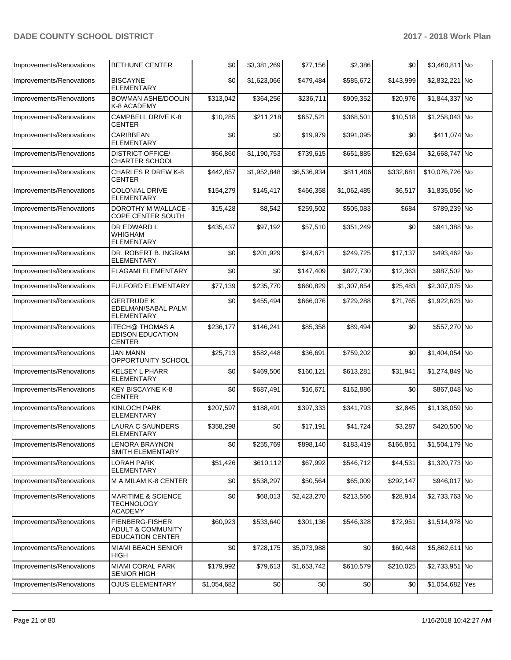| Improvements/Renovations | <b>BETHUNE CENTER</b>                                                             | \$0         | \$3,381,269 | \$77,156    | \$2,386     | \$0       | \$3,460,811 No  |  |
|--------------------------|-----------------------------------------------------------------------------------|-------------|-------------|-------------|-------------|-----------|-----------------|--|
| Improvements/Renovations | <b>BISCAYNE</b><br><b>ELEMENTARY</b>                                              | \$0         | \$1,623,066 | \$479,484   | \$585,672   | \$143,999 | \$2,832,221 No  |  |
| Improvements/Renovations | <b>BOWMAN ASHE/DOOLIN</b><br>K-8 ACADEMY                                          | \$313,042   | \$364,256   | \$236,711   | \$909,352   | \$20,976  | \$1,844,337 No  |  |
| Improvements/Renovations | <b>CAMPBELL DRIVE K-8</b><br><b>CENTER</b>                                        | \$10,285    | \$211,218   | \$657,521   | \$368,501   | \$10,518  | \$1,258,043 No  |  |
| Improvements/Renovations | CARIBBEAN<br>ELEMENTARY                                                           | \$0         | \$0         | \$19,979    | \$391,095   | \$0       | \$411,074 No    |  |
| Improvements/Renovations | <b>DISTRICT OFFICE/</b><br><b>CHARTER SCHOOL</b>                                  | \$56,860    | \$1,190,753 | \$739,615   | \$651,885   | \$29,634  | \$2,668,747 No  |  |
| Improvements/Renovations | <b>CHARLES R DREW K-8</b><br><b>CENTER</b>                                        | \$442,857   | \$1,952,848 | \$6,536,934 | \$811,406   | \$332,681 | \$10,076,726 No |  |
| Improvements/Renovations | <b>COLONIAL DRIVE</b><br><b>ELEMENTARY</b>                                        | \$154,279   | \$145,417   | \$466,358   | \$1,062,485 | \$6,517   | \$1,835,056 No  |  |
| Improvements/Renovations | DOROTHY M WALLACE -<br>COPE CENTER SOUTH                                          | \$15,428    | \$8,542     | \$259,502   | \$505,083   | \$684     | \$789,239 No    |  |
| Improvements/Renovations | DR EDWARD L<br><b>WHIGHAM</b><br><b>ELEMENTARY</b>                                | \$435,437   | \$97,192    | \$57,510    | \$351,249   | \$0       | \$941,388 No    |  |
| Improvements/Renovations | DR. ROBERT B. INGRAM<br><b>ELEMENTARY</b>                                         | \$0         | \$201,929   | \$24,671    | \$249,725   | \$17,137  | \$493,462 No    |  |
| Improvements/Renovations | <b>FLAGAMI ELEMENTARY</b>                                                         | \$0         | \$0         | \$147,409   | \$827.730   | \$12,363  | \$987,502 No    |  |
| Improvements/Renovations | <b>FULFORD ELEMENTARY</b>                                                         | \$77,139    | \$235,770   | \$660,829   | \$1,307,854 | \$25,483  | \$2,307,075 No  |  |
| Improvements/Renovations | <b>GERTRUDE K</b><br>EDELMAN/SABAL PALM<br><b>ELEMENTARY</b>                      | \$0         | \$455,494   | \$666,076   | \$729,288   | \$71,765  | \$1,922,623 No  |  |
| Improvements/Renovations | <b>iTECH@ THOMAS A</b><br><b>EDISON EDUCATION</b><br><b>CENTER</b>                | \$236,177   | \$146,241   | \$85,358    | \$89,494    | \$0       | \$557,270 No    |  |
| Improvements/Renovations | <b>JAN MANN</b><br>OPPORTUNITY SCHOOL                                             | \$25,713    | \$582,448   | \$36,691    | \$759,202   | \$0       | \$1,404,054 No  |  |
| Improvements/Renovations | <b>KELSEY L PHARR</b><br><b>ELEMENTARY</b>                                        | \$0         | \$469,506   | \$160,121   | \$613,281   | \$31,941  | \$1,274,849 No  |  |
| Improvements/Renovations | <b>KEY BISCAYNE K-8</b><br><b>CENTER</b>                                          | \$0         | \$687,491   | \$16,671    | \$162,886   | \$0       | \$867,048 No    |  |
| Improvements/Renovations | <b>KINLOCH PARK</b><br><b>ELEMENTARY</b>                                          | \$207,597   | \$188,491   | \$397,333   | \$341,793   | \$2,845   | \$1,138,059 No  |  |
| Improvements/Renovations | LAURA C SAUNDERS<br>ELEMENTARY                                                    | \$358,298   | \$0         | \$17,191    | \$41,724    | \$3,287   | \$420,500 No    |  |
| Improvements/Renovations | <b>LENORA BRAYNON</b><br>SMITH ELEMENTARY                                         | \$0         | \$255,769   | \$898,140   | \$183,419   | \$166,851 | \$1,504,179 No  |  |
| Improvements/Renovations | <b>LORAH PARK</b><br><b>ELEMENTARY</b>                                            | \$51,426    | \$610,112   | \$67,992    | \$546,712   | \$44,531  | \$1,320,773 No  |  |
| Improvements/Renovations | M A MILAM K-8 CENTER                                                              | \$0         | \$538,297   | \$50,564    | \$65,009    | \$292,147 | \$946,017 No    |  |
| Improvements/Renovations | <b>MARITIME &amp; SCIENCE</b><br><b>TECHNOLOGY</b><br><b>ACADEMY</b>              | \$0         | \$68,013    | \$2,423,270 | \$213,566   | \$28,914  | \$2,733,763 No  |  |
| Improvements/Renovations | <b>FIENBERG-FISHER</b><br><b>ADULT &amp; COMMUNITY</b><br><b>EDUCATION CENTER</b> | \$60,923    | \$533,640   | \$301,136   | \$546,328   | \$72,951  | \$1,514,978 No  |  |
| Improvements/Renovations | <b>MIAMI BEACH SENIOR</b><br>HIGH                                                 | \$0         | \$728,175   | \$5,073,988 | \$0         | \$60,448  | \$5,862,611 No  |  |
| Improvements/Renovations | <b>MIAMI CORAL PARK</b><br><b>SENIOR HIGH</b>                                     | \$179,992   | \$79,613    | \$1,653,742 | \$610,579   | \$210,025 | \$2,733,951 No  |  |
| Improvements/Renovations | <b>OJUS ELEMENTARY</b>                                                            | \$1,054,682 | \$0         | \$0         | \$0         | \$0       | \$1,054,682 Yes |  |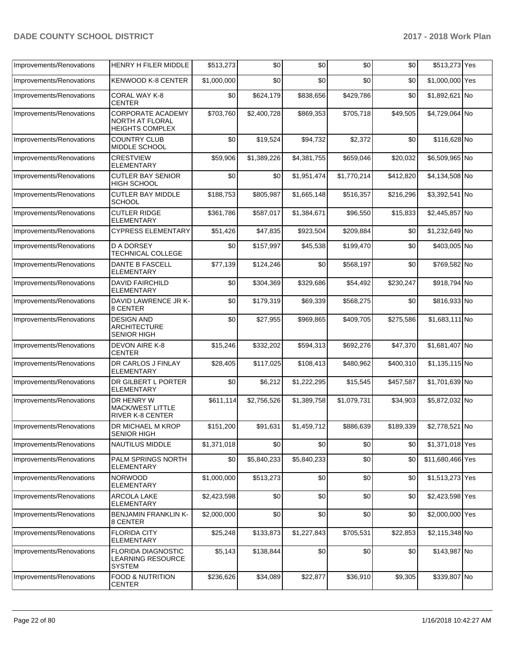| Improvements/Renovations | HENRY H FILER MIDDLE                                                         | \$513,273   | \$0         | \$0         | \$0         | \$0       | \$513,273 Yes    |           |
|--------------------------|------------------------------------------------------------------------------|-------------|-------------|-------------|-------------|-----------|------------------|-----------|
| Improvements/Renovations | <b>KENWOOD K-8 CENTER</b>                                                    | \$1,000,000 | \$0         | \$0         | \$0         | \$0       | \$1,000,000 Yes  |           |
| Improvements/Renovations | CORAL WAY K-8<br><b>CENTER</b>                                               | \$0         | \$624,179   | \$838,656   | \$429,786   | \$0       | \$1,892,621      | <b>No</b> |
| Improvements/Renovations | <b>CORPORATE ACADEMY</b><br><b>NORTH AT FLORAL</b><br><b>HEIGHTS COMPLEX</b> | \$703,760   | \$2,400,728 | \$869,353   | \$705,718   | \$49,505  | \$4,729,064 No   |           |
| Improvements/Renovations | <b>COUNTRY CLUB</b><br><b>MIDDLE SCHOOL</b>                                  | \$0         | \$19,524    | \$94,732    | \$2,372     | \$0       | \$116,628 No     |           |
| Improvements/Renovations | <b>CRESTVIEW</b><br><b>ELEMENTARY</b>                                        | \$59,906    | \$1,389,226 | \$4,381,755 | \$659,046   | \$20,032  | \$6,509,965 No   |           |
| Improvements/Renovations | <b>CUTLER BAY SENIOR</b><br><b>HIGH SCHOOL</b>                               | \$0         | \$0         | \$1,951,474 | \$1,770,214 | \$412,820 | \$4,134,508 No   |           |
| Improvements/Renovations | <b>CUTLER BAY MIDDLE</b><br><b>SCHOOL</b>                                    | \$188,753   | \$805,987   | \$1,665,148 | \$516,357   | \$216,296 | \$3,392,541 No   |           |
| Improvements/Renovations | <b>CUTLER RIDGE</b><br><b>ELEMENTARY</b>                                     | \$361,786   | \$587,017   | \$1,384,671 | \$96,550    | \$15,833  | \$2,445,857 No   |           |
| Improvements/Renovations | <b>CYPRESS ELEMENTARY</b>                                                    | \$51,426    | \$47,835    | \$923,504   | \$209,884   | \$0       | \$1,232,649 No   |           |
| Improvements/Renovations | <b>D A DORSEY</b><br><b>TECHNICAL COLLEGE</b>                                | \$0         | \$157,997   | \$45,538    | \$199,470   | \$0       | \$403,005 No     |           |
| Improvements/Renovations | <b>DANTE B FASCELL</b><br><b>ELEMENTARY</b>                                  | \$77,139    | \$124,246   | \$0         | \$568,197   | \$0       | \$769,582 No     |           |
| Improvements/Renovations | <b>DAVID FAIRCHILD</b><br><b>ELEMENTARY</b>                                  | \$0         | \$304,369   | \$329,686   | \$54,492    | \$230,247 | \$918,794 No     |           |
| Improvements/Renovations | DAVID LAWRENCE JR K-<br>8 CENTER                                             | \$0         | \$179,319   | \$69,339    | \$568,275   | \$0       | \$816,933 No     |           |
| Improvements/Renovations | <b>DESIGN AND</b><br><b>ARCHITECTURE</b><br><b>SENIOR HIGH</b>               | \$0         | \$27,955    | \$969,865   | \$409,705   | \$275,586 | \$1,683,111 No   |           |
| Improvements/Renovations | DEVON AIRE K-8<br><b>CENTER</b>                                              | \$15,246    | \$332,202   | \$594,313   | \$692,276   | \$47,370  | \$1,681,407 No   |           |
| Improvements/Renovations | DR CARLOS J FINLAY<br><b>ELEMENTARY</b>                                      | \$28,405    | \$117,025   | \$108,413   | \$480,962   | \$400,310 | \$1,135,115 No   |           |
| Improvements/Renovations | <b>DR GILBERT L PORTER</b><br><b>ELEMENTARY</b>                              | \$0         | \$6,212     | \$1,222,295 | \$15,545    | \$457,587 | \$1,701,639 No   |           |
| Improvements/Renovations | DR HENRY W<br><b>MACK/WEST LITTLE</b><br><b>RIVER K-8 CENTER</b>             | \$611,114   | \$2,756,526 | \$1,389,758 | \$1,079,731 | \$34,903  | \$5,872,032 No   |           |
| Improvements/Renovations | DR MICHAEL M KROP<br><b>SENIOR HIGH</b>                                      | \$151,200   | \$91,631    | \$1,459,712 | \$886,639   | \$189,339 | \$2,778,521 No   |           |
| Improvements/Renovations | <b>NAUTILUS MIDDLE</b>                                                       | \$1,371,018 | \$0         | \$0         | \$0         | \$0       | \$1,371,018 Yes  |           |
| Improvements/Renovations | <b>PALM SPRINGS NORTH</b><br><b>ELEMENTARY</b>                               | \$0         | \$5,840,233 | \$5,840,233 | \$0         | \$0       | \$11,680,466 Yes |           |
| Improvements/Renovations | <b>NORWOOD</b><br><b>ELEMENTARY</b>                                          | \$1,000,000 | \$513,273   | \$0         | \$0         | \$0       | \$1,513,273 Yes  |           |
| Improvements/Renovations | <b>ARCOLA LAKE</b><br><b>ELEMENTARY</b>                                      | \$2,423,598 | \$0         | \$0         | \$0         | \$0       | \$2,423,598 Yes  |           |
| Improvements/Renovations | <b>BENJAMIN FRANKLIN K-</b><br>8 CENTER                                      | \$2,000,000 | \$0         | \$0         | \$0         | \$0       | \$2,000,000 Yes  |           |
| Improvements/Renovations | <b>FLORIDA CITY</b><br><b>ELEMENTARY</b>                                     | \$25,248    | \$133,873   | \$1,227,843 | \$705,531   | \$22,853  | \$2,115,348 No   |           |
| Improvements/Renovations | <b>FLORIDA DIAGNOSTIC</b><br>LEARNING RESOURCE<br><b>SYSTEM</b>              | \$5,143     | \$138,844   | \$0         | \$0         | \$0       | \$143,987 No     |           |
| Improvements/Renovations | <b>FOOD &amp; NUTRITION</b><br><b>CENTER</b>                                 | \$236,626   | \$34,089    | \$22,877    | \$36,910    | \$9,305   | \$339,807 No     |           |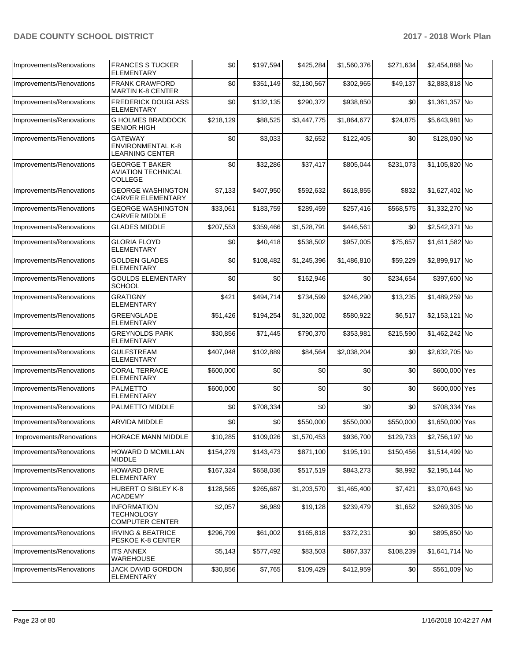| Improvements/Renovations | <b>FRANCES S TUCKER</b><br><b>ELEMENTARY</b>                         | \$0       | \$197,594 | \$425,284   | \$1,560,376 | \$271,634 | \$2,454,888 No  |  |
|--------------------------|----------------------------------------------------------------------|-----------|-----------|-------------|-------------|-----------|-----------------|--|
| Improvements/Renovations | <b>FRANK CRAWFORD</b><br><b>MARTIN K-8 CENTER</b>                    | \$0       | \$351,149 | \$2,180,567 | \$302,965   | \$49,137  | \$2,883,818 No  |  |
| Improvements/Renovations | <b>FREDERICK DOUGLASS</b><br>ELEMENTARY                              | \$0       | \$132,135 | \$290,372   | \$938,850   | \$0       | \$1,361,357 No  |  |
| Improvements/Renovations | <b>G HOLMES BRADDOCK</b><br><b>SENIOR HIGH</b>                       | \$218,129 | \$88,525  | \$3,447,775 | \$1,864,677 | \$24,875  | \$5,643,981 No  |  |
| Improvements/Renovations | <b>GATEWAY</b><br><b>ENVIRONMENTAL K-8</b><br>LEARNING CENTER        | \$0       | \$3,033   | \$2,652     | \$122,405   | \$0       | \$128,090 No    |  |
| Improvements/Renovations | <b>GEORGE T BAKER</b><br><b>AVIATION TECHNICAL</b><br><b>COLLEGE</b> | \$0       | \$32,286  | \$37,417    | \$805,044   | \$231,073 | \$1,105,820 No  |  |
| Improvements/Renovations | <b>GEORGE WASHINGTON</b><br><b>CARVER ELEMENTARY</b>                 | \$7,133   | \$407,950 | \$592,632   | \$618,855   | \$832     | \$1,627,402 No  |  |
| Improvements/Renovations | <b>GEORGE WASHINGTON</b><br><b>CARVER MIDDLE</b>                     | \$33,061  | \$183,759 | \$289,459   | \$257,416   | \$568,575 | \$1,332,270 No  |  |
| Improvements/Renovations | <b>GLADES MIDDLE</b>                                                 | \$207,553 | \$359,466 | \$1,528,791 | \$446,561   | \$0       | \$2,542,371 No  |  |
| Improvements/Renovations | <b>GLORIA FLOYD</b><br>ELEMENTARY                                    | \$0       | \$40,418  | \$538,502   | \$957,005   | \$75,657  | \$1,611,582 No  |  |
| Improvements/Renovations | <b>GOLDEN GLADES</b><br><b>ELEMENTARY</b>                            | \$0       | \$108,482 | \$1,245,396 | \$1,486,810 | \$59,229  | \$2,899,917 No  |  |
| Improvements/Renovations | <b>GOULDS ELEMENTARY</b><br><b>SCHOOL</b>                            | \$0       | \$0       | \$162,946   | \$0         | \$234,654 | \$397,600 No    |  |
| Improvements/Renovations | <b>GRATIGNY</b><br>ELEMENTARY                                        | \$421     | \$494,714 | \$734,599   | \$246,290   | \$13,235  | \$1,489,259 No  |  |
| Improvements/Renovations | GREENGLADE<br><b>ELEMENTARY</b>                                      | \$51,426  | \$194,254 | \$1,320,002 | \$580,922   | \$6,517   | \$2,153,121 No  |  |
| Improvements/Renovations | <b>GREYNOLDS PARK</b><br><b>ELEMENTARY</b>                           | \$30,856  | \$71,445  | \$790,370   | \$353,981   | \$215,590 | \$1,462,242 No  |  |
| Improvements/Renovations | <b>GULFSTREAM</b><br><b>ELEMENTARY</b>                               | \$407,048 | \$102,889 | \$84,564    | \$2,038,204 | \$0       | \$2,632,705 No  |  |
| Improvements/Renovations | CORAL TERRACE<br><b>ELEMENTARY</b>                                   | \$600,000 | \$0       | \$0         | \$0         | \$0       | \$600,000 Yes   |  |
| Improvements/Renovations | <b>PALMETTO</b><br><b>ELEMENTARY</b>                                 | \$600,000 | \$0       | \$0         | \$0         | \$0       | \$600,000 Yes   |  |
| Improvements/Renovations | PALMETTO MIDDLE                                                      | \$0       | \$708,334 | \$0         | \$0         | \$0       | \$708,334 Yes   |  |
| Improvements/Renovations | <b>ARVIDA MIDDLE</b>                                                 | \$0       | \$0       | \$550,000   | \$550,000   | \$550,000 | \$1,650,000 Yes |  |
| Improvements/Renovations | HORACE MANN MIDDLE                                                   | \$10,285  | \$109,026 | \$1,570,453 | \$936,700   | \$129,733 | \$2,756,197 No  |  |
| Improvements/Renovations | HOWARD D MCMILLAN<br><b>MIDDLE</b>                                   | \$154,279 | \$143,473 | \$871,100   | \$195,191   | \$150,456 | \$1,514,499 No  |  |
| Improvements/Renovations | HOWARD DRIVE<br>ELEMENTARY                                           | \$167,324 | \$658,036 | \$517,519   | \$843,273   | \$8,992   | \$2,195,144 No  |  |
| Improvements/Renovations | HUBERT O SIBLEY K-8<br><b>ACADEMY</b>                                | \$128,565 | \$265,687 | \$1,203,570 | \$1,465,400 | \$7,421   | \$3,070,643 No  |  |
| Improvements/Renovations | <b>INFORMATION</b><br><b>TECHNOLOGY</b><br><b>COMPUTER CENTER</b>    | \$2,057   | \$6,989   | \$19,128    | \$239,479   | \$1,652   | \$269,305 No    |  |
| Improvements/Renovations | <b>IRVING &amp; BEATRICE</b><br>PESKOE K-8 CENTER                    | \$296,799 | \$61,002  | \$165,818   | \$372,231   | \$0       | \$895,850 No    |  |
| Improvements/Renovations | <b>ITS ANNEX</b><br><b>WAREHOUSE</b>                                 | \$5,143   | \$577,492 | \$83,503    | \$867,337   | \$108,239 | $$1,641,714$ No |  |
| Improvements/Renovations | JACK DAVID GORDON<br>ELEMENTARY                                      | \$30,856  | \$7,765   | \$109,429   | \$412,959   | \$0       | \$561,009 No    |  |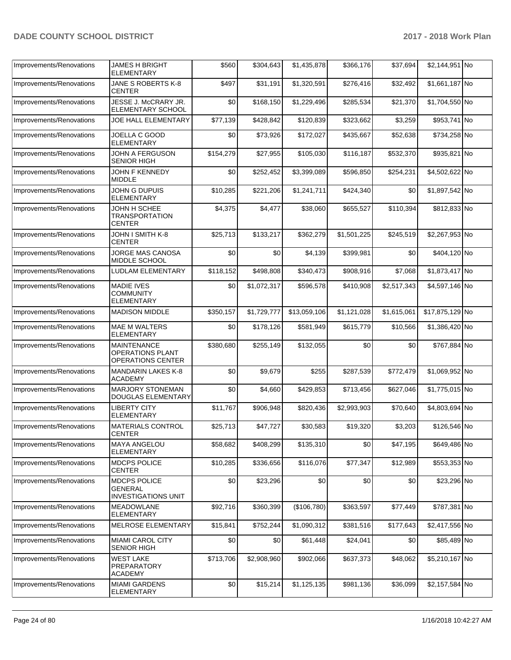| Improvements/Renovations | <b>JAMES H BRIGHT</b><br><b>ELEMENTARY</b>                                | \$560     | \$304,643   | \$1,435,878  | \$366,176   | \$37,694    | \$2,144,951 No  |           |
|--------------------------|---------------------------------------------------------------------------|-----------|-------------|--------------|-------------|-------------|-----------------|-----------|
| Improvements/Renovations | JANE S ROBERTS K-8<br><b>CENTER</b>                                       | \$497     | \$31,191    | \$1,320,591  | \$276,416   | \$32,492    | \$1,661,187 No  |           |
| Improvements/Renovations | JESSE J. McCRARY JR.<br>ELEMENTARY SCHOOL                                 | \$0       | \$168,150   | \$1,229,496  | \$285,534   | \$21,370    | \$1,704,550 No  |           |
| Improvements/Renovations | JOE HALL ELEMENTARY                                                       | \$77,139  | \$428.842   | \$120,839    | \$323,662   | \$3,259     | \$953,741 No    |           |
| Improvements/Renovations | JOELLA C GOOD<br><b>ELEMENTARY</b>                                        | \$0       | \$73,926    | \$172,027    | \$435,667   | \$52,638    | \$734,258 No    |           |
| Improvements/Renovations | <b>JOHN A FERGUSON</b><br><b>SENIOR HIGH</b>                              | \$154,279 | \$27,955    | \$105,030    | \$116,187   | \$532,370   | \$935,821       | <b>No</b> |
| Improvements/Renovations | JOHN F KENNEDY<br><b>MIDDLE</b>                                           | \$0       | \$252,452   | \$3,399,089  | \$596,850   | \$254,231   | \$4,502,622 No  |           |
| Improvements/Renovations | JOHN G DUPUIS<br><b>ELEMENTARY</b>                                        | \$10,285  | \$221,206   | \$1,241,711  | \$424,340   | \$0         | \$1,897,542 No  |           |
| Improvements/Renovations | JOHN H SCHEE<br><b>TRANSPORTATION</b><br><b>CENTER</b>                    | \$4,375   | \$4,477     | \$38,060     | \$655,527   | \$110,394   | \$812,833 No    |           |
| Improvements/Renovations | JOHN I SMITH K-8<br><b>CENTER</b>                                         | \$25,713  | \$133,217   | \$362,279    | \$1,501,225 | \$245,519   | \$2,267,953 No  |           |
| Improvements/Renovations | JORGE MAS CANOSA<br><b>MIDDLE SCHOOL</b>                                  | \$0       | \$0         | \$4,139      | \$399,981   | \$0         | \$404,120 No    |           |
| Improvements/Renovations | <b>LUDLAM ELEMENTARY</b>                                                  | \$118,152 | \$498,808   | \$340,473    | \$908,916   | \$7,068     | \$1,873,417 No  |           |
| Improvements/Renovations | <b>MADIE IVES</b><br><b>COMMUNITY</b><br><b>ELEMENTARY</b>                | \$0       | \$1,072,317 | \$596,578    | \$410,908   | \$2,517,343 | \$4,597,146 No  |           |
| Improvements/Renovations | <b>MADISON MIDDLE</b>                                                     | \$350,157 | \$1,729,777 | \$13,059,106 | \$1,121,028 | \$1,615,061 | \$17,875,129 No |           |
| Improvements/Renovations | <b>MAE M WALTERS</b><br><b>ELEMENTARY</b>                                 | \$0       | \$178,126   | \$581,949    | \$615,779   | \$10,566    | \$1,386,420 No  |           |
| Improvements/Renovations | <b>MAINTENANCE</b><br><b>OPERATIONS PLANT</b><br><b>OPERATIONS CENTER</b> | \$380,680 | \$255,149   | \$132,055    | \$0         | \$0         | \$767,884 No    |           |
| Improvements/Renovations | <b>MANDARIN LAKES K-8</b><br><b>ACADEMY</b>                               | \$0       | \$9,679     | \$255        | \$287,539   | \$772,479   | \$1,069,952 No  |           |
| Improvements/Renovations | <b>MARJORY STONEMAN</b><br>DOUGLAS ELEMENTARY                             | \$0       | \$4,660     | \$429,853    | \$713,456   | \$627,046   | \$1,775,015 No  |           |
| Improvements/Renovations | <b>LIBERTY CITY</b><br><b>ELEMENTARY</b>                                  | \$11,767  | \$906,948   | \$820,436    | \$2,993,903 | \$70,640    | \$4,803,694 No  |           |
| Improvements/Renovations | <b>MATERIALS CONTROL</b><br><b>CENTER</b>                                 | \$25,713  | \$47,727    | \$30,583     | \$19,320    | \$3,203     | \$126,546 No    |           |
| Improvements/Renovations | <b>MAYA ANGELOU</b><br>ELEMENTARY                                         | \$58,682  | \$408,299   | \$135,310    | \$0         | \$47,195    | \$649,486 No    |           |
| Improvements/Renovations | <b>MDCPS POLICE</b><br><b>CENTER</b>                                      | \$10,285  | \$336,656   | \$116,076    | \$77,347    | \$12,989    | \$553,353 No    |           |
| Improvements/Renovations | MDCPS POLICE<br><b>GENERAL</b><br><b>INVESTIGATIONS UNIT</b>              | \$0       | \$23,296    | \$0          | \$0         | \$0         | \$23,296 No     |           |
| Improvements/Renovations | <b>MEADOWLANE</b><br><b>ELEMENTARY</b>                                    | \$92,716  | \$360,399   | (\$106,780)  | \$363,597   | \$77,449    | \$787,381 No    |           |
| Improvements/Renovations | <b>MELROSE ELEMENTARY</b>                                                 | \$15,841  | \$752,244   | \$1,090,312  | \$381,516   | \$177,643   | \$2,417,556 No  |           |
| Improvements/Renovations | <b>MIAMI CAROL CITY</b><br><b>SENIOR HIGH</b>                             | \$0       | \$0         | \$61,448     | \$24,041    | \$0         | \$85,489 No     |           |
| Improvements/Renovations | <b>WEST LAKE</b><br>PREPARATORY<br><b>ACADEMY</b>                         | \$713,706 | \$2,908,960 | \$902,066    | \$637,373   | \$48,062    | \$5,210,167 No  |           |
| Improvements/Renovations | <b>MIAMI GARDENS</b><br><b>ELEMENTARY</b>                                 | \$0       | \$15,214    | \$1,125,135  | \$981,136   | \$36,099    | \$2,157,584 No  |           |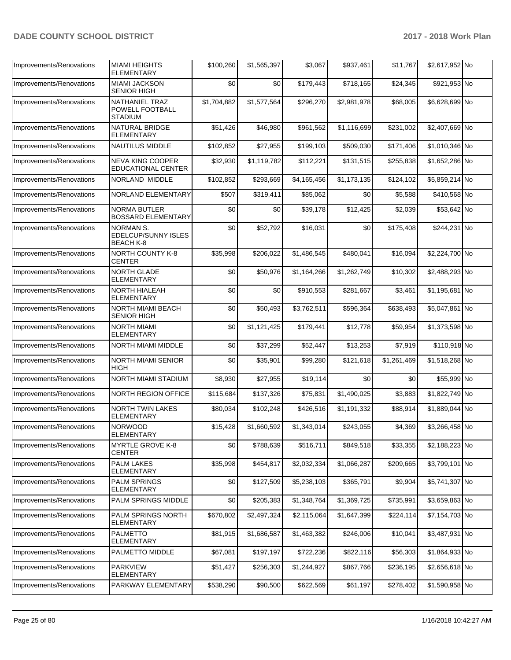| Improvements/Renovations | <b>MIAMI HEIGHTS</b><br><b>ELEMENTARY</b>                          | \$100,260   | \$1,565,397 | \$3,067     | \$937,461   | \$11,767    | \$2,617,952 No |  |
|--------------------------|--------------------------------------------------------------------|-------------|-------------|-------------|-------------|-------------|----------------|--|
| Improvements/Renovations | <b>MIAMI JACKSON</b><br><b>SENIOR HIGH</b>                         | \$0         | \$0         | \$179,443   | \$718,165   | \$24,345    | \$921,953 No   |  |
| Improvements/Renovations | NATHANIEL TRAZ<br>POWELL FOOTBALL<br><b>STADIUM</b>                | \$1,704,882 | \$1,577,564 | \$296,270   | \$2,981,978 | \$68,005    | \$6,628,699 No |  |
| Improvements/Renovations | NATURAL BRIDGE<br><b>ELEMENTARY</b>                                | \$51,426    | \$46,980    | \$961,562   | \$1,116,699 | \$231,002   | \$2,407,669 No |  |
| Improvements/Renovations | <b>NAUTILUS MIDDLE</b>                                             | \$102,852   | \$27,955    | \$199,103   | \$509,030   | \$171,406   | \$1,010,346 No |  |
| Improvements/Renovations | <b>NEVA KING COOPER</b><br><b>EDUCATIONAL CENTER</b>               | \$32,930    | \$1,119,782 | \$112,221   | \$131,515   | \$255,838   | \$1,652,286 No |  |
| Improvements/Renovations | NORLAND MIDDLE                                                     | \$102,852   | \$293,669   | \$4,165,456 | \$1,173,135 | \$124,102   | \$5,859,214 No |  |
| Improvements/Renovations | <b>NORLAND ELEMENTARY</b>                                          | \$507       | \$319,411   | \$85,062    | \$0         | \$5,588     | \$410,568 No   |  |
| Improvements/Renovations | <b>NORMA BUTLER</b><br><b>BOSSARD ELEMENTARY</b>                   | \$0         | \$0         | \$39,178    | \$12,425    | \$2,039     | \$53,642 No    |  |
| Improvements/Renovations | <b>NORMAN S.</b><br><b>EDELCUP/SUNNY ISLES</b><br><b>BEACH K-8</b> | \$0         | \$52,792    | \$16,031    | \$0         | \$175,408   | \$244,231 No   |  |
| Improvements/Renovations | <b>NORTH COUNTY K-8</b><br><b>CENTER</b>                           | \$35,998    | \$206,022   | \$1,486,545 | \$480,041   | \$16,094    | \$2,224,700 No |  |
| Improvements/Renovations | <b>NORTH GLADE</b><br><b>ELEMENTARY</b>                            | \$0         | \$50,976    | \$1,164,266 | \$1,262,749 | \$10,302    | \$2,488,293 No |  |
| Improvements/Renovations | NORTH HIALEAH<br>ELEMENTARY                                        | \$0         | \$0         | \$910,553   | \$281,667   | \$3,461     | \$1,195,681 No |  |
| Improvements/Renovations | NORTH MIAMI BEACH<br><b>SENIOR HIGH</b>                            | \$0         | \$50,493    | \$3,762,511 | \$596,364   | \$638,493   | \$5,047,861 No |  |
| Improvements/Renovations | <b>NORTH MIAMI</b><br>ELEMENTARY                                   | \$0         | \$1,121,425 | \$179,441   | \$12,778    | \$59,954    | \$1,373,598 No |  |
| Improvements/Renovations | <b>NORTH MIAMI MIDDLE</b>                                          | \$0         | \$37,299    | \$52,447    | \$13,253    | \$7,919     | \$110,918 No   |  |
| Improvements/Renovations | <b>NORTH MIAMI SENIOR</b><br><b>HIGH</b>                           | \$0         | \$35,901    | \$99,280    | \$121,618   | \$1,261,469 | \$1,518,268 No |  |
| Improvements/Renovations | NORTH MIAMI STADIUM                                                | \$8,930     | \$27,955    | \$19,114    | \$0         | \$0         | \$55,999 No    |  |
| Improvements/Renovations | NORTH REGION OFFICE                                                | \$115,684   | \$137,326   | \$75,831    | \$1,490,025 | \$3,883     | \$1,822,749 No |  |
| Improvements/Renovations | NORTH TWIN LAKES<br><b>ELEMENTARY</b>                              | \$80,034    | \$102,248   | \$426,516   | \$1,191,332 | \$88,914    | \$1,889,044 No |  |
| Improvements/Renovations | <b>NORWOOD</b><br>ELEMENTARY                                       | \$15,428    | \$1,660,592 | \$1,343,014 | \$243,055   | \$4,369     | \$3,266,458 No |  |
| Improvements/Renovations | <b>MYRTLE GROVE K-8</b><br><b>CENTER</b>                           | \$0         | \$788,639   | \$516,711   | \$849,518   | \$33,355    | \$2,188,223 No |  |
| Improvements/Renovations | <b>PALM LAKES</b><br><b>ELEMENTARY</b>                             | \$35,998    | \$454,817   | \$2,032,334 | \$1,066,287 | \$209,665   | \$3,799,101 No |  |
| Improvements/Renovations | PALM SPRINGS<br><b>ELEMENTARY</b>                                  | \$0         | \$127,509   | \$5,238,103 | \$365,791   | \$9,904     | \$5,741,307 No |  |
| Improvements/Renovations | PALM SPRINGS MIDDLE                                                | \$0         | \$205,383   | \$1,348,764 | \$1,369,725 | \$735,991   | \$3,659,863 No |  |
| Improvements/Renovations | PALM SPRINGS NORTH<br>ELEMENTARY                                   | \$670,802   | \$2,497,324 | \$2,115,064 | \$1,647,399 | \$224,114   | \$7,154,703 No |  |
| Improvements/Renovations | <b>PALMETTO</b><br><b>ELEMENTARY</b>                               | \$81,915    | \$1,686,587 | \$1,463,382 | \$246,006   | \$10,041    | \$3,487,931 No |  |
| Improvements/Renovations | PALMETTO MIDDLE                                                    | \$67,081    | \$197,197   | \$722,236   | \$822,116   | \$56,303    | \$1,864,933 No |  |
| Improvements/Renovations | <b>PARKVIEW</b><br><b>ELEMENTARY</b>                               | \$51,427    | \$256,303   | \$1,244,927 | \$867,766   | \$236,195   | \$2,656,618 No |  |
| Improvements/Renovations | PARKWAY ELEMENTARY                                                 | \$538,290   | \$90,500    | \$622,569   | \$61,197    | \$278,402   | \$1,590,958 No |  |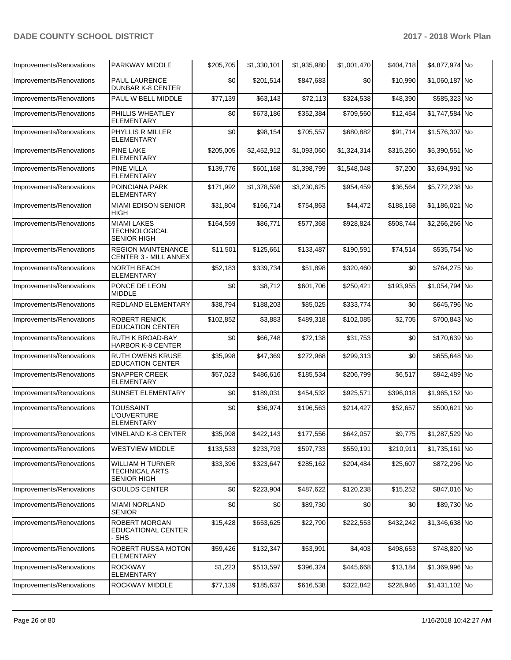| Improvements/Renovations | <b>PARKWAY MIDDLE</b>                                                  | \$205,705 | \$1,330,101 | \$1,935,980 | \$1,001,470 | \$404,718 | \$4,877,974 No |  |
|--------------------------|------------------------------------------------------------------------|-----------|-------------|-------------|-------------|-----------|----------------|--|
| Improvements/Renovations | PAUL LAURENCE<br><b>DUNBAR K-8 CENTER</b>                              | \$0       | \$201,514   | \$847,683   | \$0         | \$10,990  | \$1,060,187 No |  |
| Improvements/Renovations | PAUL W BELL MIDDLE                                                     | \$77,139  | \$63,143    | \$72,113    | \$324,538   | \$48,390  | \$585,323 No   |  |
| Improvements/Renovations | PHILLIS WHEATLEY<br><b>ELEMENTARY</b>                                  | \$0       | \$673,186   | \$352,384   | \$709,560   | \$12,454  | \$1,747,584 No |  |
| Improvements/Renovations | PHYLLIS R MILLER<br><b>ELEMENTARY</b>                                  | \$0       | \$98,154    | \$705,557   | \$680,882   | \$91,714  | \$1,576,307 No |  |
| Improvements/Renovations | <b>PINE LAKE</b><br><b>ELEMENTARY</b>                                  | \$205,005 | \$2,452,912 | \$1,093,060 | \$1,324,314 | \$315,260 | \$5,390,551 No |  |
| Improvements/Renovations | <b>PINE VILLA</b><br>ELEMENTARY                                        | \$139,776 | \$601,168   | \$1,398,799 | \$1,548,048 | \$7,200   | \$3,694,991 No |  |
| Improvements/Renovations | POINCIANA PARK<br>ELEMENTARY                                           | \$171,992 | \$1,378,598 | \$3,230,625 | \$954,459   | \$36,564  | \$5,772,238 No |  |
| Improvements/Renovation  | <b>MIAMI EDISON SENIOR</b><br>HIGH                                     | \$31,804  | \$166,714   | \$754,863   | \$44,472    | \$188,168 | \$1,186,021 No |  |
| Improvements/Renovations | <b>MIAMI LAKES</b><br><b>TECHNOLOGICAL</b><br><b>SENIOR HIGH</b>       | \$164,559 | \$86,771    | \$577,368   | \$928,824   | \$508,744 | \$2,266,266 No |  |
| Improvements/Renovations | <b>REGION MAINTENANCE</b><br><b>CENTER 3 - MILL ANNEX</b>              | \$11,501  | \$125,661   | \$133,487   | \$190,591   | \$74,514  | \$535,754 No   |  |
| Improvements/Renovations | <b>NORTH BEACH</b><br><b>ELEMENTARY</b>                                | \$52,183  | \$339,734   | \$51,898    | \$320,460   | \$0       | \$764,275 No   |  |
| Improvements/Renovations | PONCE DE LEON<br><b>MIDDLE</b>                                         | \$0       | \$8,712     | \$601,706   | \$250,421   | \$193,955 | \$1,054,794 No |  |
| Improvements/Renovations | REDLAND ELEMENTARY                                                     | \$38,794  | \$188,203   | \$85,025    | \$333,774   | \$0       | \$645,796 No   |  |
| Improvements/Renovations | <b>ROBERT RENICK</b><br><b>EDUCATION CENTER</b>                        | \$102,852 | \$3,883     | \$489,318   | \$102,085   | \$2,705   | \$700,843 No   |  |
| Improvements/Renovations | RUTH K BROAD-BAY<br><b>HARBOR K-8 CENTER</b>                           | \$0       | \$66,748    | \$72,138    | \$31,753    | \$0       | \$170,639 No   |  |
| Improvements/Renovations | <b>RUTH OWENS KRUSE</b><br><b>EDUCATION CENTER</b>                     | \$35,998  | \$47,369    | \$272,968   | \$299,313   | \$0       | \$655,648 No   |  |
| Improvements/Renovations | <b>SNAPPER CREEK</b><br>ELEMENTARY                                     | \$57,023  | \$486,616   | \$185,534   | \$206,799   | \$6,517   | \$942,489 No   |  |
| Improvements/Renovations | SUNSET ELEMENTARY                                                      | \$0       | \$189,031   | \$454,532   | \$925,571   | \$396,018 | \$1,965,152 No |  |
| Improvements/Renovations | <b>TOUSSAINT</b><br><b>L'OUVERTURE</b><br>ELEMENTARY                   | \$0       | \$36,974    | \$196,563   | \$214,427   | \$52,657  | \$500,621 No   |  |
| Improvements/Renovations | <b>VINELAND K-8 CENTER</b>                                             | \$35,998  | \$422,143   | \$177,556   | \$642,057   | \$9,775   | \$1,287,529 No |  |
| Improvements/Renovations | <b>WESTVIEW MIDDLE</b>                                                 | \$133,533 | \$233,793   | \$597,733   | \$559,191   | \$210,911 | \$1,735,161 No |  |
| Improvements/Renovations | <b>WILLIAM H TURNER</b><br><b>TECHNICAL ARTS</b><br><b>SENIOR HIGH</b> | \$33,396  | \$323,647   | \$285,162   | \$204,484   | \$25,607  | \$872,296 No   |  |
| Improvements/Renovations | <b>GOULDS CENTER</b>                                                   | \$0       | \$223,904   | \$487,622   | \$120,238   | \$15,252  | \$847,016 No   |  |
| Improvements/Renovations | <b>MIAMI NORLAND</b><br><b>SENIOR</b>                                  | \$0       | \$0         | \$89,730    | \$0         | \$0       | \$89,730 No    |  |
| Improvements/Renovations | <b>ROBERT MORGAN</b><br>EDUCATIONAL CENTER<br>SHS                      | \$15,428  | \$653,625   | \$22,790    | \$222,553   | \$432,242 | \$1,346,638 No |  |
| Improvements/Renovations | ROBERT RUSSA MOTON<br>ELEMENTARY                                       | \$59,426  | \$132,347   | \$53,991    | \$4,403     | \$498,653 | \$748,820 No   |  |
| Improvements/Renovations | <b>ROCKWAY</b><br><b>ELEMENTARY</b>                                    | \$1,223   | \$513,597   | \$396,324   | \$445,668   | \$13,184  | \$1,369,996 No |  |
| Improvements/Renovations | ROCKWAY MIDDLE                                                         | \$77,139  | \$185,637   | \$616,538   | \$322,842   | \$228,946 | \$1,431,102 No |  |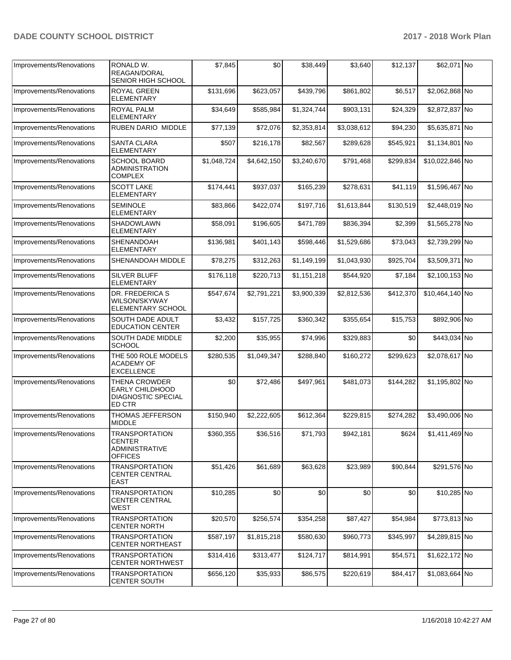| Improvements/Renovations | RONALD W.<br>REAGAN/DORAL<br>SENIOR HIGH SCHOOL                                       | \$7,845     | \$0         | \$38,449    | \$3,640     | \$12,137  | \$62.071 No     |  |
|--------------------------|---------------------------------------------------------------------------------------|-------------|-------------|-------------|-------------|-----------|-----------------|--|
| Improvements/Renovations | ROYAL GREEN<br><b>ELEMENTARY</b>                                                      | \$131,696   | \$623,057   | \$439,796   | \$861,802   | \$6,517   | \$2,062,868 No  |  |
| Improvements/Renovations | <b>ROYAL PALM</b><br><b>ELEMENTARY</b>                                                | \$34,649    | \$585,984   | \$1,324,744 | \$903,131   | \$24,329  | \$2,872,837 No  |  |
| Improvements/Renovations | RUBEN DARIO MIDDLE                                                                    | \$77,139    | \$72,076    | \$2,353,814 | \$3,038,612 | \$94,230  | \$5,635,871 No  |  |
| Improvements/Renovations | <b>SANTA CLARA</b><br><b>ELEMENTARY</b>                                               | \$507       | \$216,178   | \$82,567    | \$289,628   | \$545,921 | \$1,134,801 No  |  |
| Improvements/Renovations | <b>SCHOOL BOARD</b><br><b>ADMINISTRATION</b><br><b>COMPLEX</b>                        | \$1,048,724 | \$4,642,150 | \$3,240,670 | \$791,468   | \$299,834 | \$10,022,846 No |  |
| Improvements/Renovations | <b>SCOTT LAKE</b><br><b>ELEMENTARY</b>                                                | \$174,441   | \$937,037   | \$165,239   | \$278,631   | \$41,119  | \$1,596,467 No  |  |
| Improvements/Renovations | <b>SEMINOLE</b><br><b>ELEMENTARY</b>                                                  | \$83,866    | \$422,074   | \$197,716   | \$1,613,844 | \$130,519 | \$2,448,019 No  |  |
| Improvements/Renovations | SHADOWLAWN<br><b>ELEMENTARY</b>                                                       | \$58,091    | \$196,605   | \$471,789   | \$836,394   | \$2,399   | \$1,565,278 No  |  |
| Improvements/Renovations | SHENANDOAH<br><b>ELEMENTARY</b>                                                       | \$136,981   | \$401,143   | \$598,446   | \$1,529,686 | \$73,043  | \$2,739,299 No  |  |
| Improvements/Renovations | SHENANDOAH MIDDLE                                                                     | \$78,275    | \$312,263   | \$1,149,199 | \$1,043,930 | \$925,704 | \$3,509,371 No  |  |
| Improvements/Renovations | <b>SILVER BLUFF</b><br><b>ELEMENTARY</b>                                              | \$176,118   | \$220,713   | \$1,151,218 | \$544,920   | \$7,184   | \$2,100,153 No  |  |
| Improvements/Renovations | DR. FREDERICA S<br>WILSON/SKYWAY<br>ELEMENTARY SCHOOL                                 | \$547,674   | \$2,791,221 | \$3,900,339 | \$2,812,536 | \$412,370 | \$10,464,140 No |  |
| Improvements/Renovations | SOUTH DADE ADULT<br><b>EDUCATION CENTER</b>                                           | \$3,432     | \$157,725   | \$360,342   | \$355,654   | \$15,753  | \$892,906 No    |  |
| Improvements/Renovations | SOUTH DADE MIDDLE<br><b>SCHOOL</b>                                                    | \$2,200     | \$35,955    | \$74,996    | \$329,883   | \$0       | \$443,034 No    |  |
| Improvements/Renovations | THE 500 ROLE MODELS<br><b>ACADEMY OF</b><br><b>EXCELLENCE</b>                         | \$280,535   | \$1,049,347 | \$288,840   | \$160,272   | \$299,623 | \$2,078,617 No  |  |
| Improvements/Renovations | <b>THENA CROWDER</b><br><b>EARLY CHILDHOOD</b><br><b>DIAGNOSTIC SPECIAL</b><br>ED CTR | \$0         | \$72,486    | \$497,961   | \$481,073   | \$144,282 | \$1,195,802 No  |  |
| Improvements/Renovations | THOMAS JEFFERSON<br><b>MIDDLE</b>                                                     | \$150,940   | \$2,222,605 | \$612,364   | \$229,815   | \$274,282 | \$3,490,006 No  |  |
| Improvements/Renovations | <b>TRANSPORTATION</b><br><b>CENTER</b><br>ADMINISTRATIVE<br><b>OFFICES</b>            | \$360,355   | \$36,516    | \$71,793    | \$942,181   | \$624     | \$1,411,469 No  |  |
| Improvements/Renovations | <b>TRANSPORTATION</b><br>CENTER CENTRAL<br><b>EAST</b>                                | \$51,426    | \$61,689    | \$63,628    | \$23,989    | \$90,844  | \$291,576 No    |  |
| Improvements/Renovations | <b>TRANSPORTATION</b><br><b>CENTER CENTRAL</b><br>WEST                                | \$10,285    | \$0         | \$0         | \$0         | \$0       | \$10,285 No     |  |
| Improvements/Renovations | <b>TRANSPORTATION</b><br><b>CENTER NORTH</b>                                          | \$20,570    | \$256,574   | \$354,258   | \$87,427    | \$54,984  | \$773,813 No    |  |
| Improvements/Renovations | <b>TRANSPORTATION</b><br><b>CENTER NORTHEAST</b>                                      | \$587,197   | \$1,815,218 | \$580,630   | \$960,773   | \$345,997 | \$4,289,815 No  |  |
| Improvements/Renovations | <b>TRANSPORTATION</b><br><b>CENTER NORTHWEST</b>                                      | \$314,416   | \$313,477   | \$124,717   | \$814,991   | \$54,571  | \$1,622,172 No  |  |
| Improvements/Renovations | <b>TRANSPORTATION</b><br><b>CENTER SOUTH</b>                                          | \$656,120   | \$35,933    | \$86,575    | \$220,619   | \$84,417  | \$1,083,664 No  |  |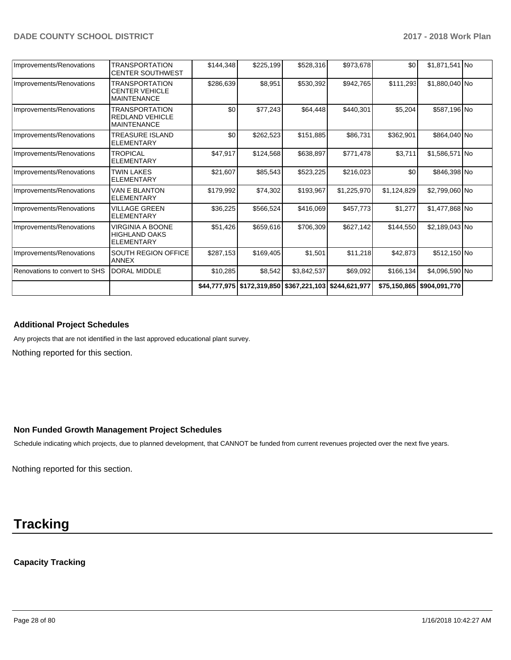| Improvements/Renovations      | <b>TRANSPORTATION</b><br><b>CENTER SOUTHWEST</b>                      | \$144,348 | \$225,199 | \$528,316                                    | \$973,678     | \$0          | \$1,871,541 No |  |
|-------------------------------|-----------------------------------------------------------------------|-----------|-----------|----------------------------------------------|---------------|--------------|----------------|--|
| Improvements/Renovations      | <b>TRANSPORTATION</b><br><b>CENTER VEHICLE</b><br><b>MAINTENANCE</b>  | \$286,639 | \$8,951   | \$530,392                                    | \$942,765     | \$111,293    | \$1,880,040 No |  |
| Improvements/Renovations      | <b>TRANSPORTATION</b><br><b>REDLAND VEHICLE</b><br><b>MAINTENANCE</b> | \$0       | \$77,243  | \$64,448                                     | \$440,301     | \$5,204      | \$587,196 No   |  |
| Improvements/Renovations      | <b>TREASURE ISLAND</b><br><b>ELEMENTARY</b>                           | \$0       | \$262,523 | \$151,885                                    | \$86,731      | \$362,901    | \$864,040 No   |  |
| Improvements/Renovations      | <b>TROPICAL</b><br><b>ELEMENTARY</b>                                  | \$47,917  | \$124,568 | \$638,897                                    | \$771,478     | \$3,711      | \$1,586,571 No |  |
| Improvements/Renovations      | <b>TWIN LAKES</b><br><b>ELEMENTARY</b>                                | \$21,607  | \$85,543  | \$523,225                                    | \$216,023     | \$0          | \$846,398 No   |  |
| Improvements/Renovations      | <b>VAN E BLANTON</b><br><b>ELEMENTARY</b>                             | \$179,992 | \$74,302  | \$193,967                                    | \$1,225,970   | \$1,124,829  | \$2,799,060 No |  |
| Improvements/Renovations      | <b>VILLAGE GREEN</b><br><b>ELEMENTARY</b>                             | \$36,225  | \$566,524 | \$416,069                                    | \$457,773     | \$1,277      | \$1,477,868 No |  |
| Improvements/Renovations      | <b>VIRGINIA A BOONE</b><br><b>HIGHLAND OAKS</b><br><b>ELEMENTARY</b>  | \$51,426  | \$659,616 | \$706,309                                    | \$627,142     | \$144,550    | \$2,189,043 No |  |
| Improvements/Renovations      | SOUTH REGION OFFICE<br><b>ANNEX</b>                                   | \$287,153 | \$169,405 | \$1,501                                      | \$11,218      | \$42,873     | \$512,150 No   |  |
| Renovations to convert to SHS | <b>DORAL MIDDLE</b>                                                   | \$10,285  | \$8,542   | \$3,842,537                                  | \$69,092      | \$166,134    | \$4,096,590 No |  |
|                               |                                                                       |           |           | \$44,777,975   \$172,319,850   \$367,221,103 | \$244,621,977 | \$75,150,865 | \$904,091,770  |  |
|                               |                                                                       |           |           |                                              |               |              |                |  |

#### **Additional Project Schedules**

Any projects that are not identified in the last approved educational plant survey.

Nothing reported for this section.

#### **Non Funded Growth Management Project Schedules**

Schedule indicating which projects, due to planned development, that CANNOT be funded from current revenues projected over the next five years.

Nothing reported for this section.

# **Tracking**

### **Capacity Tracking**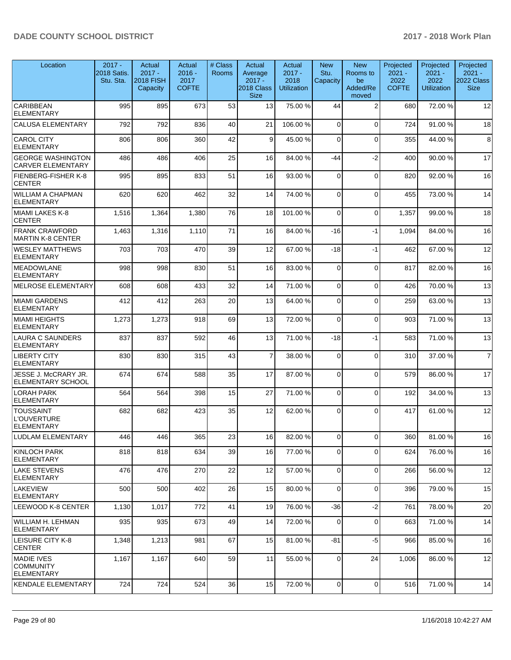| Location                                                   | $2017 -$<br>2018 Satis.<br>Stu. Sta. | Actual<br>$2017 -$<br><b>2018 FISH</b><br>Capacity | Actual<br>$2016 -$<br>2017<br><b>COFTE</b> | # Class<br><b>Rooms</b> | Actual<br>Average<br>$2017 -$<br>2018 Class<br><b>Size</b> | Actual<br>$2017 -$<br>2018<br><b>Utilization</b> | <b>New</b><br>Stu.<br>Capacity | <b>New</b><br>Rooms to<br>be<br>Added/Re<br>moved | Projected<br>$2021 -$<br>2022<br><b>COFTE</b> | Projected<br>$2021 -$<br>2022<br><b>Utilization</b> | Projected<br>$2021 -$<br>2022 Class<br><b>Size</b> |
|------------------------------------------------------------|--------------------------------------|----------------------------------------------------|--------------------------------------------|-------------------------|------------------------------------------------------------|--------------------------------------------------|--------------------------------|---------------------------------------------------|-----------------------------------------------|-----------------------------------------------------|----------------------------------------------------|
| <b>CARIBBEAN</b><br><b>ELEMENTARY</b>                      | 995                                  | 895                                                | 673                                        | 53                      | 13                                                         | 75.00 %                                          | 44                             | $\overline{2}$                                    | 680                                           | 72.00 %                                             | 12                                                 |
| <b>CALUSA ELEMENTARY</b>                                   | 792                                  | 792                                                | 836                                        | 40                      | 21                                                         | 106.00%                                          | $\Omega$                       | $\Omega$                                          | 724                                           | 91.00 %                                             | 18                                                 |
| <b>CAROL CITY</b><br><b>ELEMENTARY</b>                     | 806                                  | 806                                                | 360                                        | 42                      | 9                                                          | 45.00 %                                          | $\Omega$                       | $\Omega$                                          | 355                                           | 44.00%                                              | $\bf8$                                             |
| <b>GEORGE WASHINGTON</b><br><b>CARVER ELEMENTARY</b>       | 486                                  | 486                                                | 406                                        | 25                      | 16                                                         | 84.00%                                           | -44                            | $-2$                                              | 400                                           | 90.00 %                                             | 17                                                 |
| <b>FIENBERG-FISHER K-8</b><br><b>CENTER</b>                | 995                                  | 895                                                | 833                                        | 51                      | 16                                                         | 93.00 %                                          | $\Omega$                       | $\Omega$                                          | 820                                           | 92.00 %                                             | 16                                                 |
| <b>WILLIAM A CHAPMAN</b><br><b>ELEMENTARY</b>              | 620                                  | 620                                                | 462                                        | 32                      | 14                                                         | 74.00 %                                          | $\Omega$                       | $\Omega$                                          | 455                                           | 73.00 %                                             | 14                                                 |
| MIAMI LAKES K-8<br><b>CENTER</b>                           | 1,516                                | 1,364                                              | 1,380                                      | 76                      | 18                                                         | 101.00%                                          | $\Omega$                       | $\Omega$                                          | 1,357                                         | 99.00 %                                             | 18                                                 |
| <b>FRANK CRAWFORD</b><br><b>MARTIN K-8 CENTER</b>          | 1,463                                | 1,316                                              | 1,110                                      | 71                      | 16                                                         | 84.00 %                                          | $-16$                          | $-1$                                              | 1,094                                         | 84.00 %                                             | 16                                                 |
| <b>WESLEY MATTHEWS</b><br><b>ELEMENTARY</b>                | 703                                  | 703                                                | 470                                        | 39                      | 12                                                         | 67.00 %                                          | $-18$                          | $-1$                                              | 462                                           | 67.00 %                                             | 12                                                 |
| <b>MEADOWLANE</b><br><b>ELEMENTARY</b>                     | 998                                  | 998                                                | 830                                        | 51                      | 16                                                         | 83.00 %                                          | $\Omega$                       | $\Omega$                                          | 817                                           | 82.00 %                                             | 16                                                 |
| MELROSE ELEMENTARY                                         | 608                                  | 608                                                | 433                                        | 32                      | 14                                                         | 71.00 %                                          | $\Omega$                       | $\Omega$                                          | 426                                           | 70.00 %                                             | 13                                                 |
| MIAMI GARDENS<br><b>ELEMENTARY</b>                         | 412                                  | 412                                                | 263                                        | 20                      | 13                                                         | 64.00%                                           | $\Omega$                       | $\Omega$                                          | 259                                           | 63.00 %                                             | 13                                                 |
| <b>MIAMI HEIGHTS</b><br><b>ELEMENTARY</b>                  | 1,273                                | 1,273                                              | 918                                        | 69                      | 13                                                         | 72.00 %                                          | $\Omega$                       | $\mathbf 0$                                       | 903                                           | 71.00 %                                             | 13                                                 |
| <b>LAURA C SAUNDERS</b><br><b>ELEMENTARY</b>               | 837                                  | 837                                                | 592                                        | 46                      | 13 <sup>1</sup>                                            | 71.00 %                                          | $-18$                          | $-1$                                              | 583                                           | 71.00 %                                             | 13                                                 |
| <b>LIBERTY CITY</b><br><b>ELEMENTARY</b>                   | 830                                  | 830                                                | 315                                        | 43                      | $\overline{7}$                                             | 38.00 %                                          | $\Omega$                       | $\mathbf 0$                                       | 310                                           | 37.00 %                                             | $\overline{7}$                                     |
| JESSE J. McCRARY JR.<br>ELEMENTARY SCHOOL                  | 674                                  | 674                                                | 588                                        | 35                      | 17                                                         | 87.00 %                                          | $\Omega$                       | $\Omega$                                          | 579                                           | 86.00 %                                             | 17                                                 |
| <b>LORAH PARK</b><br>ELEMENTARY                            | 564                                  | 564                                                | 398                                        | 15                      | 27                                                         | 71.00 %                                          | $\Omega$                       | $\Omega$                                          | 192                                           | 34.00 %                                             | 13                                                 |
| <b>TOUSSAINT</b><br><b>L'OUVERTURE</b><br>ELEMENTARY       | 682                                  | 682                                                | 423                                        | 35                      | 12                                                         | 62.00%                                           | $\Omega$                       | $\Omega$                                          | 417                                           | 61.00 %                                             | 12                                                 |
| <b>LUDLAM ELEMENTARY</b>                                   | 446                                  | 446                                                | 365                                        | 23                      | 16                                                         | 82.00 %                                          | $\overline{0}$                 | $\overline{0}$                                    | 360                                           | 81.00 %                                             | 16                                                 |
| KINLOCH PARK<br><b>ELEMENTARY</b>                          | 818                                  | 818                                                | 634                                        | 39                      | 16                                                         | 77.00 %                                          | $\Omega$                       | $\Omega$                                          | 624                                           | 76.00 %                                             | 16                                                 |
| <b>LAKE STEVENS</b><br>ELEMENTARY                          | 476                                  | 476                                                | 270                                        | 22                      | 12                                                         | 57.00 %                                          | 0                              | $\mathbf 0$                                       | 266                                           | 56.00 %                                             | 12                                                 |
| <b>LAKEVIEW</b><br><b>ELEMENTARY</b>                       | 500                                  | 500                                                | 402                                        | 26                      | 15                                                         | 80.00 %                                          | $\mathbf 0$                    | $\mathbf 0$                                       | 396                                           | 79.00 %                                             | 15                                                 |
| LEEWOOD K-8 CENTER                                         | 1,130                                | 1,017                                              | 772                                        | 41                      | 19                                                         | 76.00 %                                          | -36                            | $-2$                                              | 761                                           | 78.00 %                                             | 20                                                 |
| WILLIAM H. LEHMAN<br><b>ELEMENTARY</b>                     | 935                                  | 935                                                | 673                                        | 49                      | 14                                                         | 72.00 %                                          | $\Omega$                       | $\mathbf 0$                                       | 663                                           | 71.00 %                                             | 14                                                 |
| <b>LEISURE CITY K-8</b><br><b>CENTER</b>                   | 1,348                                | 1,213                                              | 981                                        | 67                      | 15                                                         | 81.00 %                                          | -81                            | $-5$                                              | 966                                           | 85.00 %                                             | 16                                                 |
| <b>MADIE IVES</b><br><b>COMMUNITY</b><br><b>ELEMENTARY</b> | 1,167                                | 1,167                                              | 640                                        | 59                      | 11                                                         | 55.00 %                                          | $\mathbf 0$                    | 24                                                | 1,006                                         | 86.00 %                                             | 12                                                 |
| <b>KENDALE ELEMENTARY</b>                                  | 724                                  | 724                                                | 524                                        | 36                      | 15 <sup>1</sup>                                            | 72.00 %                                          | $\overline{0}$                 | $\mathbf 0$                                       | 516                                           | 71.00 %                                             | 14                                                 |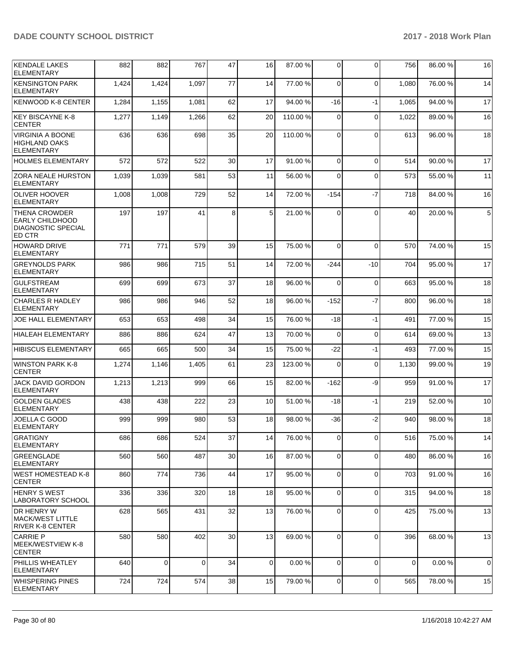| <b>KENDALE LAKES</b><br><b>ELEMENTARY</b>                                                    | 882   | 882      | 767      | 47              | 16              | 87.00 %  | 0              | $\Omega$       | 756      | 86.00 % | 16 |
|----------------------------------------------------------------------------------------------|-------|----------|----------|-----------------|-----------------|----------|----------------|----------------|----------|---------|----|
| <b>KENSINGTON PARK</b><br><b>ELEMENTARY</b>                                                  | 1,424 | 1,424    | 1,097    | 77              | 14              | 77.00 %  | $\mathbf 0$    | $\Omega$       | 1,080    | 76.00 % | 14 |
| <b>KENWOOD K-8 CENTER</b>                                                                    | 1,284 | 1,155    | 1,081    | 62              | 17              | 94.00 %  | $-16$          | $-1$           | 1,065    | 94.00 % | 17 |
| <b>KEY BISCAYNE K-8</b><br><b>CENTER</b>                                                     | 1,277 | 1,149    | 1,266    | 62              | 20              | 110.00 % | 0              | $\mathbf 0$    | 1,022    | 89.00 % | 16 |
| <b>VIRGINIA A BOONE</b><br><b>HIGHLAND OAKS</b><br><b>ELEMENTARY</b>                         | 636   | 636      | 698      | 35              | 20              | 110.00%  | 0              | $\Omega$       | 613      | 96.00 % | 18 |
| <b>HOLMES ELEMENTARY</b>                                                                     | 572   | 572      | 522      | 30              | 17              | 91.00 %  | $\mathbf 0$    | $\Omega$       | 514      | 90.00 % | 17 |
| <b>ZORA NEALE HURSTON</b><br><b>ELEMENTARY</b>                                               | 1,039 | 1,039    | 581      | 53              | 11              | 56.00 %  | 0              | $\Omega$       | 573      | 55.00 % | 11 |
| <b>OLIVER HOOVER</b><br>ELEMENTARY                                                           | 1,008 | 1,008    | 729      | 52              | 14              | 72.00 %  | $-154$         | $-7$           | 718      | 84.00 % | 16 |
| <b>THENA CROWDER</b><br><b>EARLY CHILDHOOD</b><br><b>DIAGNOSTIC SPECIAL</b><br><b>ED CTR</b> | 197   | 197      | 41       | 8               | 5               | 21.00%   | $\Omega$       | $\Omega$       | 40       | 20.00 % | 5  |
| <b>HOWARD DRIVE</b><br><b>ELEMENTARY</b>                                                     | 771   | 771      | 579      | 39              | 15              | 75.00 %  | 0              | $\Omega$       | 570      | 74.00 % | 15 |
| <b>GREYNOLDS PARK</b><br>ELEMENTARY                                                          | 986   | 986      | 715      | 51              | 14              | 72.00 %  | $-244$         | $-10$          | 704      | 95.00 % | 17 |
| <b>GULFSTREAM</b><br><b>ELEMENTARY</b>                                                       | 699   | 699      | 673      | 37              | 18              | 96.00 %  | $\Omega$       | $\Omega$       | 663      | 95.00 % | 18 |
| CHARLES R HADLEY<br><b>ELEMENTARY</b>                                                        | 986   | 986      | 946      | 52              | 18              | 96.00 %  | $-152$         | $-7$           | 800      | 96.00 % | 18 |
| JOE HALL ELEMENTARY                                                                          | 653   | 653      | 498      | 34              | 15              | 76.00 %  | $-18$          | $-1$           | 491      | 77.00 % | 15 |
| <b>HIALEAH ELEMENTARY</b>                                                                    | 886   | 886      | 624      | 47              | 13              | 70.00 %  | 0              | $\mathbf 0$    | 614      | 69.00 % | 13 |
| <b>HIBISCUS ELEMENTARY</b>                                                                   | 665   | 665      | 500      | 34              | 15              | 75.00 %  | $-22$          | $-1$           | 493      | 77.00 % | 15 |
| <b>WINSTON PARK K-8</b><br><b>CENTER</b>                                                     | 1,274 | 1,146    | 1,405    | 61              | 23              | 123.00 % | 0              | $\mathbf 0$    | 1,130    | 99.00 % | 19 |
| <b>JACK DAVID GORDON</b><br><b>ELEMENTARY</b>                                                | 1,213 | 1,213    | 999      | 66              | 15              | 82.00 %  | $-162$         | -9             | 959      | 91.00 % | 17 |
| <b>GOLDEN GLADES</b><br><b>ELEMENTARY</b>                                                    | 438   | 438      | 222      | 23              | 10              | 51.00 %  | $-18$          | $-1$           | 219      | 52.00 % | 10 |
| JOELLA C GOOD<br><b>ELEMENTARY</b>                                                           | 999   | 999      | 980      | 53              | 18              | 98.00 %  | -36            | $-2$           | 940      | 98.00 % | 18 |
| <b>GRATIGNY</b><br><b>ELEMENTARY</b>                                                         | 686   | 686      | 524      | 37 <sup>1</sup> | 14 <sub>l</sub> | 76.00 %  | $\overline{0}$ | $\overline{0}$ | 516      | 75.00 % | 14 |
| <b>GREENGLADE</b><br><b>ELEMENTARY</b>                                                       | 560   | 560      | 487      | 30              | 16              | 87.00 %  | 0              | 0              | 480      | 86.00 % | 16 |
| WEST HOMESTEAD K-8<br><b>CENTER</b>                                                          | 860   | 774      | 736      | 44              | 17              | 95.00 %  | 0              | $\mathbf 0$    | 703      | 91.00 % | 16 |
| HENRY S WEST<br><b>LABORATORY SCHOOL</b>                                                     | 336   | 336      | 320      | 18              | 18              | 95.00 %  | $\mathbf 0$    | $\Omega$       | 315      | 94.00 % | 18 |
| DR HENRY W<br><b>MACK/WEST LITTLE</b><br><b>RIVER K-8 CENTER</b>                             | 628   | 565      | 431      | 32              | 13              | 76.00 %  | 0              | 0              | 425      | 75.00 % | 13 |
| <b>CARRIE P</b><br>MEEK/WESTVIEW K-8<br><b>CENTER</b>                                        | 580   | 580      | 402      | 30              | 13              | 69.00 %  | $\mathbf 0$    | $\mathbf 0$    | 396      | 68.00 % | 13 |
| <b>PHILLIS WHEATLEY</b><br><b>ELEMENTARY</b>                                                 | 640   | $\Omega$ | $\Omega$ | 34              | $\overline{0}$  | 0.00%    | $\mathbf 0$    | $\Omega$       | $\Omega$ | 0.00%   | 0  |
| WHISPERING PINES<br><b>ELEMENTARY</b>                                                        | 724   | 724      | 574      | 38              | 15              | 79.00 %  | 0              | $\mathbf 0$    | 565      | 78.00 % | 15 |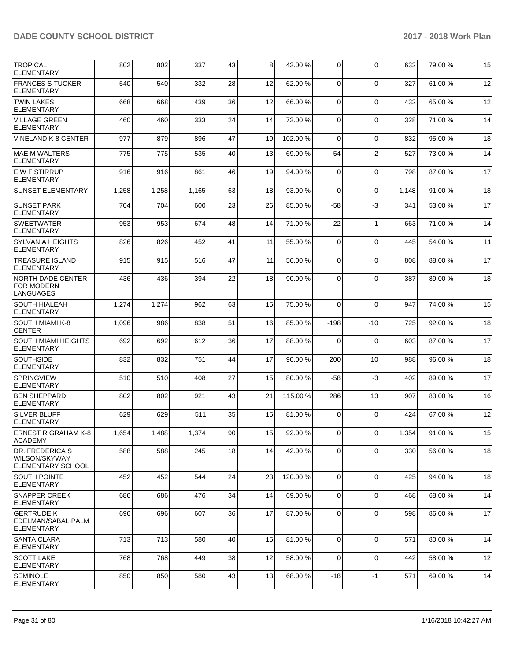| <b>TROPICAL</b><br><b>ELEMENTARY</b>                         | 802   | 802   | 337   | 43 | 8  | 42.00%   | $\Omega$       | $\mathbf 0$    | 632   | 79.00 % | 15 |
|--------------------------------------------------------------|-------|-------|-------|----|----|----------|----------------|----------------|-------|---------|----|
| <b>FRANCES S TUCKER</b><br><b>ELEMENTARY</b>                 | 540   | 540   | 332   | 28 | 12 | 62.00%   | $\Omega$       | $\Omega$       | 327   | 61.00%  | 12 |
| <b>TWIN LAKES</b><br><b>ELEMENTARY</b>                       | 668   | 668   | 439   | 36 | 12 | 66.00 %  | 0              | $\mathbf 0$    | 432   | 65.00 % | 12 |
| <b>VILLAGE GREEN</b><br><b>ELEMENTARY</b>                    | 460   | 460   | 333   | 24 | 14 | 72.00 %  | $\Omega$       | $\mathbf 0$    | 328   | 71.00 % | 14 |
| <b>VINELAND K-8 CENTER</b>                                   | 977   | 879   | 896   | 47 | 19 | 102.00%  | $\Omega$       | $\mathbf 0$    | 832   | 95.00 % | 18 |
| <b>MAE M WALTERS</b><br><b>ELEMENTARY</b>                    | 775   | 775   | 535   | 40 | 13 | 69.00 %  | $-54$          | $-2$           | 527   | 73.00 % | 14 |
| <b>EWFSTIRRUP</b><br><b>ELEMENTARY</b>                       | 916   | 916   | 861   | 46 | 19 | 94.00 %  | 0              | $\mathbf 0$    | 798   | 87.00 % | 17 |
| <b>SUNSET ELEMENTARY</b>                                     | 1,258 | 1,258 | 1,165 | 63 | 18 | 93.00 %  | $\Omega$       | $\mathbf 0$    | 1,148 | 91.00 % | 18 |
| <b>SUNSET PARK</b><br><b>ELEMENTARY</b>                      | 704   | 704   | 600   | 23 | 26 | 85.00 %  | $-58$          | $-3$           | 341   | 53.00 % | 17 |
| <b>SWEETWATER</b><br><b>ELEMENTARY</b>                       | 953   | 953   | 674   | 48 | 14 | 71.00%   | $-22$          | $-1$           | 663   | 71.00 % | 14 |
| <b>SYLVANIA HEIGHTS</b><br><b>ELEMENTARY</b>                 | 826   | 826   | 452   | 41 | 11 | 55.00 %  | 0              | $\mathbf 0$    | 445   | 54.00 % | 11 |
| <b>TREASURE ISLAND</b><br><b>ELEMENTARY</b>                  | 915   | 915   | 516   | 47 | 11 | 56.00 %  | $\Omega$       | $\mathbf 0$    | 808   | 88.00 % | 17 |
| NORTH DADE CENTER<br><b>FOR MODERN</b><br>LANGUAGES          | 436   | 436   | 394   | 22 | 18 | 90.00 %  | $\Omega$       | $\Omega$       | 387   | 89.00 % | 18 |
| <b>SOUTH HIALEAH</b><br>ELEMENTARY                           | 1,274 | 1,274 | 962   | 63 | 15 | 75.00 %  | $\Omega$       | $\Omega$       | 947   | 74.00 % | 15 |
| SOUTH MIAMI K-8<br><b>CENTER</b>                             | 1,096 | 986   | 838   | 51 | 16 | 85.00 %  | $-198$         | $-10$          | 725   | 92.00 % | 18 |
| <b>SOUTH MIAMI HEIGHTS</b><br><b>ELEMENTARY</b>              | 692   | 692   | 612   | 36 | 17 | 88.00 %  | $\Omega$       | 0              | 603   | 87.00 % | 17 |
| <b>SOUTHSIDE</b><br><b>ELEMENTARY</b>                        | 832   | 832   | 751   | 44 | 17 | 90.00 %  | 200            | 10             | 988   | 96.00 % | 18 |
| <b>SPRINGVIEW</b><br>ELEMENTARY                              | 510   | 510   | 408   | 27 | 15 | 80.00 %  | $-58$          | $-3$           | 402   | 89.00 % | 17 |
| <b>BEN SHEPPARD</b><br><b>ELEMENTARY</b>                     | 802   | 802   | 921   | 43 | 21 | 115.00 % | 286            | 13             | 907   | 83.00 % | 16 |
| <b>SILVER BLUFF</b><br><b>ELEMENTARY</b>                     | 629   | 629   | 511   | 35 | 15 | 81.00%   | $\Omega$       | $\Omega$       | 424   | 67.00 % | 12 |
| ERNEST R GRAHAM K-8<br><b>ACADEMY</b>                        | 1,654 | 1,488 | 1,374 | 90 | 15 | 92.00%   | $\overline{0}$ | $\overline{0}$ | 1,354 | 91.00%  | 15 |
| DR. FREDERICA S<br>WILSON/SKYWAY<br>ELEMENTARY SCHOOL        | 588   | 588   | 245   | 18 | 14 | 42.00 %  | 0              | $\Omega$       | 330   | 56.00 % | 18 |
| SOUTH POINTE<br> ELEMENTARY                                  | 452   | 452   | 544   | 24 | 23 | 120.00%  | 0              | $\mathbf 0$    | 425   | 94.00 % | 18 |
| <b>SNAPPER CREEK</b><br> ELEMENTARY                          | 686   | 686   | 476   | 34 | 14 | 69.00 %  | $\Omega$       | $\mathbf 0$    | 468   | 68.00 % | 14 |
| <b>GERTRUDE K</b><br>EDELMAN/SABAL PALM<br><b>ELEMENTARY</b> | 696   | 696   | 607   | 36 | 17 | 87.00 %  | 0              | $\mathbf 0$    | 598   | 86.00 % | 17 |
| SANTA CLARA<br><b>ELEMENTARY</b>                             | 713   | 713   | 580   | 40 | 15 | 81.00%   | 0              | $\mathbf 0$    | 571   | 80.00 % | 14 |
| <b>SCOTT LAKE</b><br><b>ELEMENTARY</b>                       | 768   | 768   | 449   | 38 | 12 | 58.00 %  | $\mathbf 0$    | $\mathbf 0$    | 442   | 58.00 % | 12 |
| <b>SEMINOLE</b><br>ELEMENTARY                                | 850   | 850   | 580   | 43 | 13 | 68.00 %  | $-18$          | $-1$           | 571   | 69.00 % | 14 |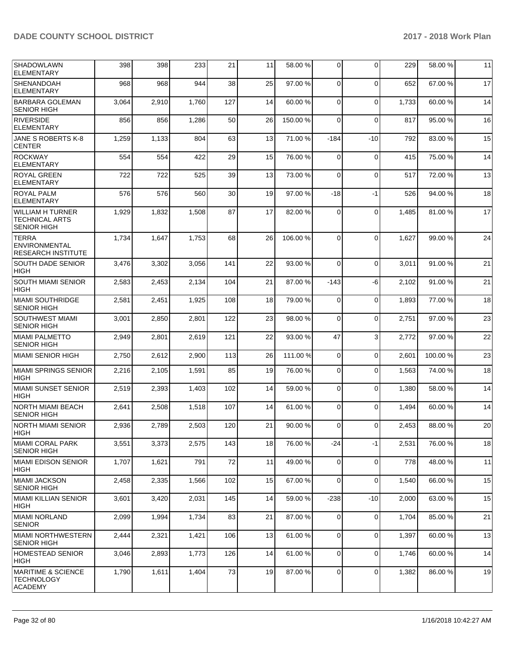| SHADOWLAWN<br><b>ELEMENTARY</b>                                        | 398   | 398   | 233   | 21  | 11 | 58.00 %  | 0           | $\Omega$    | 229   | 58.00 %  | 11 |
|------------------------------------------------------------------------|-------|-------|-------|-----|----|----------|-------------|-------------|-------|----------|----|
| SHENANDOAH<br><b>ELEMENTARY</b>                                        | 968   | 968   | 944   | 38  | 25 | 97.00 %  | $\Omega$    | $\Omega$    | 652   | 67.00 %  | 17 |
| <b>BARBARA GOLEMAN</b><br><b>SENIOR HIGH</b>                           | 3,064 | 2,910 | 1,760 | 127 | 14 | 60.00%   | $\Omega$    | $\Omega$    | 1,733 | 60.00 %  | 14 |
| RIVERSIDE<br><b>ELEMENTARY</b>                                         | 856   | 856   | 1,286 | 50  | 26 | 150.00%  | $\Omega$    | $\Omega$    | 817   | 95.00 %  | 16 |
| JANE S ROBERTS K-8<br><b>CENTER</b>                                    | 1,259 | 1,133 | 804   | 63  | 13 | 71.00 %  | $-184$      | $-10$       | 792   | 83.00 %  | 15 |
| ROCKWAY<br><b>ELEMENTARY</b>                                           | 554   | 554   | 422   | 29  | 15 | 76.00%   | $\Omega$    | $\Omega$    | 415   | 75.00 %  | 14 |
| ROYAL GREEN<br>ELEMENTARY                                              | 722   | 722   | 525   | 39  | 13 | 73.00 %  | $\Omega$    | $\mathbf 0$ | 517   | 72.00 %  | 13 |
| <b>ROYAL PALM</b><br><b>ELEMENTARY</b>                                 | 576   | 576   | 560   | 30  | 19 | 97.00 %  | -18         | $-1$        | 526   | 94.00 %  | 18 |
| <b>WILLIAM H TURNER</b><br><b>TECHNICAL ARTS</b><br><b>SENIOR HIGH</b> | 1,929 | 1,832 | 1,508 | 87  | 17 | 82.00%   | $\Omega$    | $\Omega$    | 1,485 | 81.00 %  | 17 |
| <b>TERRA</b><br><b>ENVIRONMENTAL</b><br><b>RESEARCH INSTITUTE</b>      | 1,734 | 1,647 | 1,753 | 68  | 26 | 106.00%  | $\Omega$    | $\Omega$    | 1,627 | 99.00 %  | 24 |
| <b>SOUTH DADE SENIOR</b><br><b>HIGH</b>                                | 3,476 | 3,302 | 3,056 | 141 | 22 | 93.00 %  | $\Omega$    | $\mathbf 0$ | 3,011 | 91.00 %  | 21 |
| <b>SOUTH MIAMI SENIOR</b><br><b>HIGH</b>                               | 2,583 | 2,453 | 2,134 | 104 | 21 | 87.00 %  | $-143$      | -6          | 2,102 | 91.00 %  | 21 |
| <b>MIAMI SOUTHRIDGE</b><br><b>SENIOR HIGH</b>                          | 2,581 | 2,451 | 1,925 | 108 | 18 | 79.00 %  | 0           | $\mathbf 0$ | 1,893 | 77.00 %  | 18 |
| <b>SOUTHWEST MIAMI</b><br><b>SENIOR HIGH</b>                           | 3,001 | 2,850 | 2,801 | 122 | 23 | 98.00%   | $\Omega$    | $\Omega$    | 2,751 | 97.00 %  | 23 |
| MIAMI PALMETTO<br><b>SENIOR HIGH</b>                                   | 2,949 | 2,801 | 2,619 | 121 | 22 | 93.00 %  | 47          | 3           | 2,772 | 97.00 %  | 22 |
| <b>MIAMI SENIOR HIGH</b>                                               | 2,750 | 2,612 | 2,900 | 113 | 26 | 111.00 % | 0           | $\mathbf 0$ | 2,601 | 100.00 % | 23 |
| <b>MIAMI SPRINGS SENIOR</b><br>HIGH                                    | 2,216 | 2,105 | 1,591 | 85  | 19 | 76.00 %  | $\Omega$    | $\Omega$    | 1,563 | 74.00 %  | 18 |
| MIAMI SUNSET SENIOR<br><b>HIGH</b>                                     | 2,519 | 2,393 | 1,403 | 102 | 14 | 59.00 %  | $\Omega$    | $\Omega$    | 1,380 | 58.00 %  | 14 |
| NORTH MIAMI BEACH<br><b>SENIOR HIGH</b>                                | 2,641 | 2,508 | 1,518 | 107 | 14 | 61.00%   | $\Omega$    | $\Omega$    | 1,494 | 60.00 %  | 14 |
| NORTH MIAMI SENIOR<br> HIGH                                            | 2,936 | 2,789 | 2,503 | 120 | 21 | 90.00%   | $\Omega$    | $\Omega$    | 2,453 | 88.00 %  | 20 |
| <b>MIAMI CORAL PARK</b><br> SENIOR HIGH                                | 3,551 | 3,373 | 2,575 | 143 | 18 | 76.00 %  | -24         | $-1$        | 2,531 | 76.00 %  | 18 |
| MIAMI EDISON SENIOR<br><b>HIGH</b>                                     | 1,707 | 1,621 | 791   | 72  | 11 | 49.00%   | $\mathbf 0$ | $\mathbf 0$ | 778   | 48.00 %  | 11 |
| <b>MIAMI JACKSON</b><br><b>SENIOR HIGH</b>                             | 2,458 | 2,335 | 1,566 | 102 | 15 | 67.00 %  | 0           | $\mathbf 0$ | 1,540 | 66.00 %  | 15 |
| MIAMI KILLIAN SENIOR<br><b>HIGH</b>                                    | 3,601 | 3,420 | 2,031 | 145 | 14 | 59.00 %  | $-238$      | -10         | 2,000 | 63.00 %  | 15 |
| MIAMI NORLAND<br><b>SENIOR</b>                                         | 2,099 | 1,994 | 1,734 | 83  | 21 | 87.00 %  | $\mathbf 0$ | $\mathbf 0$ | 1,704 | 85.00 %  | 21 |
| MIAMI NORTHWESTERN<br><b>SENIOR HIGH</b>                               | 2,444 | 2,321 | 1,421 | 106 | 13 | 61.00 %  | 0           | $\mathbf 0$ | 1,397 | 60.00 %  | 13 |
| HOMESTEAD SENIOR<br>HIGH                                               | 3,046 | 2,893 | 1,773 | 126 | 14 | 61.00%   | $\mathbf 0$ | $\mathbf 0$ | 1,746 | 60.00 %  | 14 |
| <b>MARITIME &amp; SCIENCE</b><br><b>TECHNOLOGY</b><br><b>ACADEMY</b>   | 1,790 | 1,611 | 1,404 | 73  | 19 | 87.00 %  | $\mathbf 0$ | $\mathbf 0$ | 1,382 | 86.00 %  | 19 |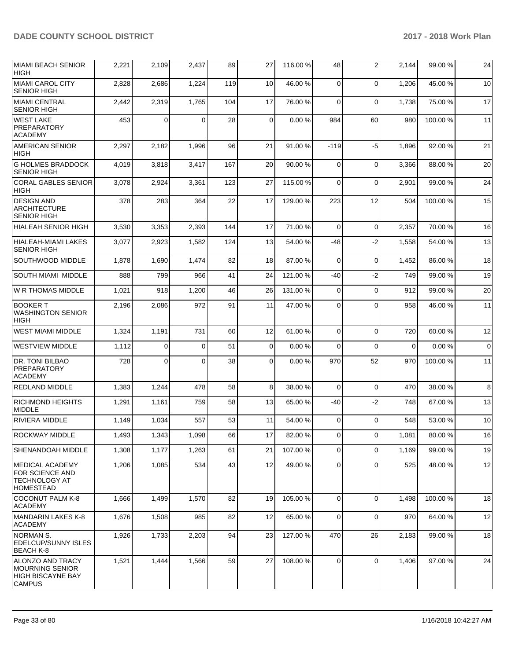| MIAMI BEACH SENIOR<br><b>HIGH</b>                                                | 2,221 | 2,109    | 2,437    | 89  | 27              | 116.00 % | 48             | $\overline{2}$ | 2,144 | 99.00 % | 24             |
|----------------------------------------------------------------------------------|-------|----------|----------|-----|-----------------|----------|----------------|----------------|-------|---------|----------------|
| MIAMI CAROL CITY<br><b>SENIOR HIGH</b>                                           | 2,828 | 2,686    | 1,224    | 119 | 10              | 46.00%   | $\Omega$       | $\mathbf 0$    | 1,206 | 45.00 % | 10             |
| MIAMI CENTRAL<br><b>SENIOR HIGH</b>                                              | 2,442 | 2,319    | 1,765    | 104 | 17              | 76.00 %  | $\Omega$       | $\Omega$       | 1,738 | 75.00 % | 17             |
| <b>WEST LAKE</b><br>PREPARATORY<br><b>ACADEMY</b>                                | 453   | $\Omega$ | $\Omega$ | 28  | $\Omega$        | 0.00%    | 984            | 60             | 980   | 100.00% | 11             |
| <b>AMERICAN SENIOR</b><br>HIGH                                                   | 2,297 | 2,182    | 1,996    | 96  | 21              | 91.00%   | $-119$         | -5             | 1,896 | 92.00 % | 21             |
| <b>G HOLMES BRADDOCK</b><br><b>SENIOR HIGH</b>                                   | 4,019 | 3,818    | 3,417    | 167 | 20              | 90.00 %  | $\Omega$       | $\mathbf 0$    | 3,366 | 88.00 % | 20             |
| <b>CORAL GABLES SENIOR</b><br>HIGH                                               | 3,078 | 2,924    | 3,361    | 123 | 27              | 115.00 % | $\Omega$       | $\mathbf 0$    | 2,901 | 99.00 % | 24             |
| <b>DESIGN AND</b><br><b>ARCHITECTURE</b><br><b>SENIOR HIGH</b>                   | 378   | 283      | 364      | 22  | 17              | 129.00%  | 223            | 12             | 504   | 100.00% | 15             |
| HIALEAH SENIOR HIGH                                                              | 3,530 | 3,353    | 2,393    | 144 | 17              | 71.00 %  | $\Omega$       | $\Omega$       | 2,357 | 70.00 % | 16             |
| HIALEAH-MIAMI LAKES<br><b>SENIOR HIGH</b>                                        | 3,077 | 2,923    | 1,582    | 124 | 13              | 54.00 %  | -48            | $-2$           | 1,558 | 54.00 % | 13             |
| SOUTHWOOD MIDDLE                                                                 | 1,878 | 1,690    | 1,474    | 82  | 18              | 87.00 %  | $\Omega$       | $\mathbf 0$    | 1,452 | 86.00 % | 18             |
| SOUTH MIAMI MIDDLE                                                               | 888   | 799      | 966      | 41  | 24              | 121.00%  | -40            | $-2$           | 749   | 99.00 % | 19             |
| <b>W R THOMAS MIDDLE</b>                                                         | 1,021 | 918      | 1,200    | 46  | 26              | 131.00%  | $\Omega$       | 0              | 912   | 99.00 % | 20             |
| <b>BOOKER T</b><br><b>WASHINGTON SENIOR</b><br><b>HIGH</b>                       | 2,196 | 2,086    | 972      | 91  | 11              | 47.00 %  | $\Omega$       | $\Omega$       | 958   | 46.00 % | 11             |
| <b>WEST MIAMI MIDDLE</b>                                                         | 1,324 | 1,191    | 731      | 60  | 12              | 61.00%   | $\Omega$       | $\Omega$       | 720   | 60.00 % | 12             |
| <b>WESTVIEW MIDDLE</b>                                                           | 1,112 | $\Omega$ | $\Omega$ | 51  | $\overline{0}$  | 0.00%    | $\Omega$       | $\Omega$       | 0     | 0.00%   | $\overline{0}$ |
| <b>DR. TONI BILBAO</b><br>PREPARATORY<br><b>ACADEMY</b>                          | 728   | $\Omega$ | $\Omega$ | 38  | $\Omega$        | 0.00%    | 970            | 52             | 970   | 100.00% | 11             |
| <b>REDLAND MIDDLE</b>                                                            | 1,383 | 1,244    | 478      | 58  | 8               | 38.00 %  | $\Omega$       | $\Omega$       | 470   | 38.00 % | 8              |
| <b>RICHMOND HEIGHTS</b><br>MIDDLE                                                | 1,291 | 1,161    | 759      | 58  | 13              | 65.00 %  | -40            | $-2$           | 748   | 67.00 % | 13             |
| RIVIERA MIDDLE                                                                   | 1,149 | 1,034    | 557      | 53  | 11              | 54.00 %  | 0              | 0              | 548   | 53.00 % | 10             |
| ROCKWAY MIDDLE                                                                   | 1,493 | 1,343    | 1,098    | 66  | 17 <sub>l</sub> | 82.00 %  | $\overline{0}$ | $\overline{0}$ | 1,081 | 80.00 % | 16 I           |
| SHENANDOAH MIDDLE                                                                | 1,308 | 1,177    | 1,263    | 61  | 21              | 107.00%  | $\Omega$       | $\Omega$       | 1,169 | 99.00 % | 19             |
| MEDICAL ACADEMY<br>FOR SCIENCE AND<br><b>TECHNOLOGY AT</b><br><b>HOMESTEAD</b>   | 1,206 | 1,085    | 534      | 43  | 12 <sup>1</sup> | 49.00 %  | $\Omega$       | $\Omega$       | 525   | 48.00 % | 12             |
| COCONUT PALM K-8<br><b>ACADEMY</b>                                               | 1,666 | 1,499    | 1,570    | 82  | 19 <sup>1</sup> | 105.00 % | $\Omega$       | $\mathbf 0$    | 1,498 | 100.00% | 18             |
| MANDARIN LAKES K-8<br>ACADEMY                                                    | 1,676 | 1,508    | 985      | 82  | 12              | 65.00 %  | $\mathbf{0}$   | $\Omega$       | 970   | 64.00 % | 12             |
| INORMAN S.<br>EDELCUP/SUNNY ISLES<br> BEACH K-8                                  | 1,926 | 1,733    | 2,203    | 94  | 23              | 127.00 % | 470            | 26             | 2,183 | 99.00 % | 18             |
| ALONZO AND TRACY<br><b>MOURNING SENIOR</b><br>HIGH BISCAYNE BAY<br><b>CAMPUS</b> | 1,521 | 1,444    | 1,566    | 59  | 27              | 108.00%  | $\Omega$       | $\mathbf 0$    | 1,406 | 97.00 % | 24             |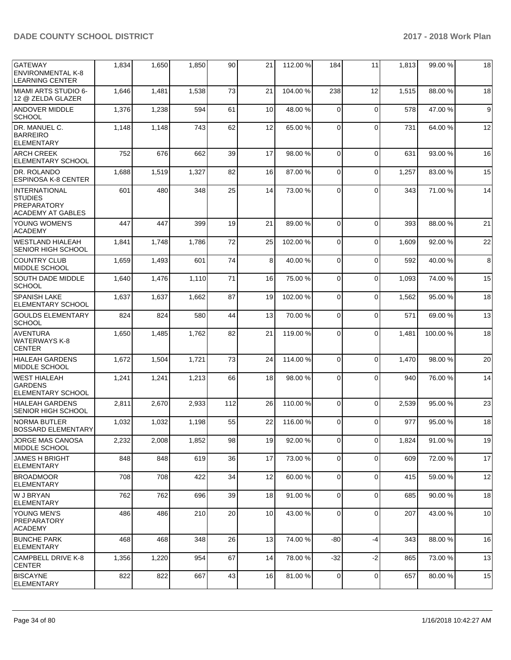| GATEWAY<br><b>ENVIRONMENTAL K-8</b><br><b>LEARNING CENTER</b>                     | 1,834 | 1,650 | 1,850 | 90  | 21              | 112.00 % | 184            | 11          | 1,813 | 99.00 %  | 18 |
|-----------------------------------------------------------------------------------|-------|-------|-------|-----|-----------------|----------|----------------|-------------|-------|----------|----|
| <b>MIAMI ARTS STUDIO 6-</b><br>12 @ ZELDA GLAZER                                  | 1,646 | 1,481 | 1,538 | 73  | 21              | 104.00%  | 238            | 12          | 1,515 | 88.00 %  | 18 |
| <b>ANDOVER MIDDLE</b><br><b>SCHOOL</b>                                            | 1,376 | 1,238 | 594   | 61  | 10 <sup>1</sup> | 48.00 %  | $\Omega$       | $\mathbf 0$ | 578   | 47.00%   | 9  |
| DR. MANUEL C.<br><b>BARREIRO</b><br><b>ELEMENTARY</b>                             | 1,148 | 1,148 | 743   | 62  | 12              | 65.00 %  | $\Omega$       | $\Omega$    | 731   | 64.00%   | 12 |
| <b>ARCH CREEK</b><br><b>ELEMENTARY SCHOOL</b>                                     | 752   | 676   | 662   | 39  | 17              | 98.00 %  | $\Omega$       | $\mathbf 0$ | 631   | 93.00 %  | 16 |
| DR. ROLANDO<br><b>ESPINOSA K-8 CENTER</b>                                         | 1,688 | 1,519 | 1,327 | 82  | 16              | 87.00%   | $\Omega$       | 0           | 1,257 | 83.00 %  | 15 |
| <b>INTERNATIONAL</b><br><b>STUDIES</b><br>PREPARATORY<br><b>ACADEMY AT GABLES</b> | 601   | 480   | 348   | 25  | 14              | 73.00 %  | $\Omega$       | $\Omega$    | 343   | 71.00 %  | 14 |
| <b>YOUNG WOMEN'S</b><br><b>ACADEMY</b>                                            | 447   | 447   | 399   | 19  | 21              | 89.00 %  | $\Omega$       | $\Omega$    | 393   | 88.00 %  | 21 |
| <b>WESTLAND HIALEAH</b><br><b>SENIOR HIGH SCHOOL</b>                              | 1,841 | 1,748 | 1,786 | 72  | 25              | 102.00%  | $\Omega$       | 0           | 1,609 | 92.00 %  | 22 |
| <b>COUNTRY CLUB</b><br>MIDDLE SCHOOL                                              | 1,659 | 1,493 | 601   | 74  | 8               | 40.00%   | $\Omega$       | 0           | 592   | 40.00%   | 8  |
| SOUTH DADE MIDDLE<br><b>SCHOOL</b>                                                | 1,640 | 1,476 | 1,110 | 71  | 16              | 75.00 %  | $\Omega$       | $\Omega$    | 1,093 | 74.00 %  | 15 |
| <b>SPANISH LAKE</b><br><b>ELEMENTARY SCHOOL</b>                                   | 1,637 | 1,637 | 1,662 | 87  | 19              | 102.00 % | $\Omega$       | 0           | 1,562 | 95.00 %  | 18 |
| <b>GOULDS ELEMENTARY</b><br> SCHOOL                                               | 824   | 824   | 580   | 44  | 13              | 70.00%   | $\Omega$       | $\mathbf 0$ | 571   | 69.00 %  | 13 |
| AVENTURA<br>WATERWAYS K-8<br><b>CENTER</b>                                        | 1,650 | 1,485 | 1,762 | 82  | 21              | 119.00 % | $\Omega$       | $\Omega$    | 1,481 | 100.00 % | 18 |
| <b>HIALEAH GARDENS</b><br><b>MIDDLE SCHOOL</b>                                    | 1,672 | 1,504 | 1,721 | 73  | 24              | 114.00 % | $\Omega$       | 0           | 1,470 | 98.00 %  | 20 |
| <b>WEST HIALEAH</b><br><b>GARDENS</b><br><b>ELEMENTARY SCHOOL</b>                 | 1,241 | 1,241 | 1,213 | 66  | 18              | 98.00 %  | $\Omega$       | $\Omega$    | 940   | 76.00 %  | 14 |
| <b>HIALEAH GARDENS</b><br>SENIOR HIGH SCHOOL                                      | 2,811 | 2,670 | 2,933 | 112 | 26              | 110.00 % | $\mathbf 0$    | $\mathbf 0$ | 2,539 | 95.00 %  | 23 |
| NORMA BUTLER<br><b>BOSSARD ELEMENTARY</b>                                         | 1,032 | 1,032 | 1,198 | 55  | 22              | 116.00 % | 0              | $\Omega$    | 977   | 95.00 %  | 18 |
| <b>JORGE MAS CANOSA</b><br> MIDDLE SCHOOL                                         | 2,232 | 2,008 | 1,852 | 98  | 19 <sub>l</sub> | 92.00 %  | $\overline{0}$ | 0           | 1,824 | 91.00%   | 19 |
| <b>JAMES H BRIGHT</b><br><b>ELEMENTARY</b>                                        | 848   | 848   | 619   | 36  | 17              | 73.00 %  | $\mathbf 0$    | $\mathbf 0$ | 609   | 72.00 %  | 17 |
| <b>BROADMOOR</b><br><b>ELEMENTARY</b>                                             | 708   | 708   | 422   | 34  | 12              | 60.00 %  | 0              | 0           | 415   | 59.00 %  | 12 |
| W J BRYAN<br>ELEMENTARY                                                           | 762   | 762   | 696   | 39  | 18              | 91.00%   | $\Omega$       | 0           | 685   | 90.00 %  | 18 |
| YOUNG MEN'S<br><b>PREPARATORY</b><br><b>ACADEMY</b>                               | 486   | 486   | 210   | 20  | 10              | 43.00 %  | $\mathbf 0$    | $\mathbf 0$ | 207   | 43.00%   | 10 |
| <b>BUNCHE PARK</b><br><b>ELEMENTARY</b>                                           | 468   | 468   | 348   | 26  | 13 <sup>1</sup> | 74.00 %  | -80            | -4          | 343   | 88.00 %  | 16 |
| CAMPBELL DRIVE K-8<br><b>CENTER</b>                                               | 1,356 | 1,220 | 954   | 67  | 14              | 78.00 %  | $-32$          | -2          | 865   | 73.00 %  | 13 |
| <b>BISCAYNE</b><br><b>ELEMENTARY</b>                                              | 822   | 822   | 667   | 43  | 16              | 81.00%   | $\overline{0}$ | $\mathbf 0$ | 657   | 80.00 %  | 15 |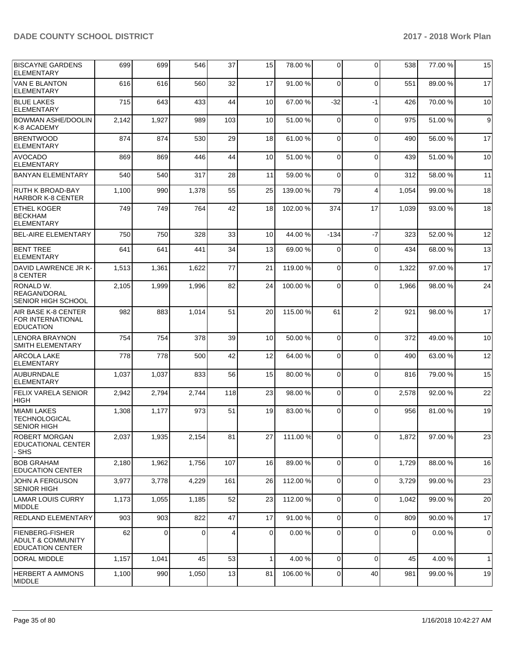| <b>BISCAYNE GARDENS</b><br><b>ELEMENTARY</b>                                      | 699   | 699         | 546      | 37  | 15           | 78.00 %  | $\Omega$       | $\Omega$       | 538   | 77.00 % | 15           |
|-----------------------------------------------------------------------------------|-------|-------------|----------|-----|--------------|----------|----------------|----------------|-------|---------|--------------|
| VAN E BLANTON<br><b>ELEMENTARY</b>                                                | 616   | 616         | 560      | 32  | 17           | 91.00 %  | $\mathbf 0$    | $\Omega$       | 551   | 89.00 % | 17           |
| <b>BLUE LAKES</b><br><b>ELEMENTARY</b>                                            | 715   | 643         | 433      | 44  | 10           | 67.00 %  | $-32$          | $-1$           | 426   | 70.00 % | 10           |
| <b>BOWMAN ASHE/DOOLIN</b><br>K-8 ACADEMY                                          | 2,142 | 1,927       | 989      | 103 | 10           | 51.00 %  | $\Omega$       | $\mathbf 0$    | 975   | 51.00 % | 9            |
| <b>BRENTWOOD</b><br><b>ELEMENTARY</b>                                             | 874   | 874         | 530      | 29  | 18           | 61.00%   | $\Omega$       | $\Omega$       | 490   | 56.00 % | 17           |
| <b>AVOCADO</b><br><b>ELEMENTARY</b>                                               | 869   | 869         | 446      | 44  | 10           | 51.00 %  | $\mathbf 0$    | $\mathbf 0$    | 439   | 51.00 % | 10           |
| <b>BANYAN ELEMENTARY</b>                                                          | 540   | 540         | 317      | 28  | 11           | 59.00 %  | $\Omega$       | $\Omega$       | 312   | 58.00 % | 11           |
| <b>RUTH K BROAD-BAY</b><br><b>HARBOR K-8 CENTER</b>                               | 1,100 | 990         | 1,378    | 55  | 25           | 139.00 % | 79             | $\overline{4}$ | 1,054 | 99.00 % | 18           |
| <b>ETHEL KOGER</b><br><b>BECKHAM</b><br><b>ELEMENTARY</b>                         | 749   | 749         | 764      | 42  | 18           | 102.00%  | 374            | 17             | 1,039 | 93.00 % | 18           |
| <b>BEL-AIRE ELEMENTARY</b>                                                        | 750   | 750         | 328      | 33  | 10           | 44.00 %  | $-134$         | $-7$           | 323   | 52.00 % | 12           |
| BENT TREE<br><b>ELEMENTARY</b>                                                    | 641   | 641         | 441      | 34  | 13           | 69.00 %  | 0              | $\mathbf 0$    | 434   | 68.00 % | 13           |
| DAVID LAWRENCE JR K-<br>8 CENTER                                                  | 1,513 | 1,361       | 1,622    | 77  | 21           | 119.00 % | $\Omega$       | $\Omega$       | 1,322 | 97.00 % | 17           |
| RONALD W.<br>REAGAN/DORAL<br>SENIOR HIGH SCHOOL                                   | 2,105 | 1,999       | 1,996    | 82  | 24           | 100.00%  | 0              | $\Omega$       | 1,966 | 98.00 % | 24           |
| AIR BASE K-8 CENTER<br>FOR INTERNATIONAL<br><b>EDUCATION</b>                      | 982   | 883         | 1,014    | 51  | 20           | 115.00 % | 61             | $\overline{2}$ | 921   | 98.00 % | 17           |
| <b>LENORA BRAYNON</b><br>SMITH ELEMENTARY                                         | 754   | 754         | 378      | 39  | 10           | 50.00 %  | $\Omega$       | $\Omega$       | 372   | 49.00 % | 10           |
| <b>ARCOLA LAKE</b><br><b>ELEMENTARY</b>                                           | 778   | 778         | 500      | 42  | 12           | 64.00%   | $\Omega$       | $\Omega$       | 490   | 63.00 % | 12           |
| AUBURNDALE<br>ELEMENTARY                                                          | 1,037 | 1,037       | 833      | 56  | 15           | 80.00%   | $\mathbf 0$    | $\mathbf 0$    | 816   | 79.00 % | 15           |
| <b>FELIX VARELA SENIOR</b><br>HIGH                                                | 2,942 | 2,794       | 2,744    | 118 | 23           | 98.00 %  | $\mathbf 0$    | $\mathbf 0$    | 2,578 | 92.00 % | 22           |
| <b>MIAMI LAKES</b><br><b>TECHNOLOGICAL</b><br><b>SENIOR HIGH</b>                  | 1,308 | 1,177       | 973      | 51  | 19           | 83.00 %  | 0              | $\Omega$       | 956   | 81.00%  | 19           |
| <b>ROBERT MORGAN</b><br><b>EDUCATIONAL CENTER</b><br>- SHS                        | 2,037 | 1,935       | 2,154    | 81  | 27           | 111.00 % | $\overline{0}$ | $\overline{0}$ | 1,872 | 97.00 % | 23           |
| <b>BOB GRAHAM</b><br><b>EDUCATION CENTER</b>                                      | 2,180 | 1,962       | 1,756    | 107 | 16           | 89.00 %  | $\Omega$       | $\Omega$       | 1,729 | 88.00 % | 16           |
| <b>JOHN A FERGUSON</b><br><b>SENIOR HIGH</b>                                      | 3,977 | 3,778       | 4,229    | 161 | 26           | 112.00 % | 0              | 0              | 3,729 | 99.00 % | 23           |
| LAMAR LOUIS CURRY<br>MIDDLE                                                       | 1,173 | 1,055       | 1,185    | 52  | 23           | 112.00 % | 0              | $\mathbf 0$    | 1,042 | 99.00 % | 20           |
| <b>REDLAND ELEMENTARY</b>                                                         | 903   | 903         | 822      | 47  | 17           | 91.00%   | $\mathbf 0$    | $\Omega$       | 809   | 90.00 % | 17           |
| <b>FIENBERG-FISHER</b><br><b>ADULT &amp; COMMUNITY</b><br><b>EDUCATION CENTER</b> | 62    | $\mathbf 0$ | $\Omega$ | 4   | $\mathbf 0$  | 0.00%    | $\mathbf 0$    | $\mathbf 0$    | 0     | 0.00%   | 0            |
| IDORAL MIDDLE                                                                     | 1,157 | 1,041       | 45       | 53  | $\mathbf{1}$ | 4.00 %   | $\mathbf 0$    | $\Omega$       | 45    | 4.00 %  | $\mathbf{1}$ |
| <b>HERBERT A AMMONS</b><br>MIDDLE                                                 | 1,100 | 990         | 1,050    | 13  | 81           | 106.00%  | 0              | 40             | 981   | 99.00 % | 19           |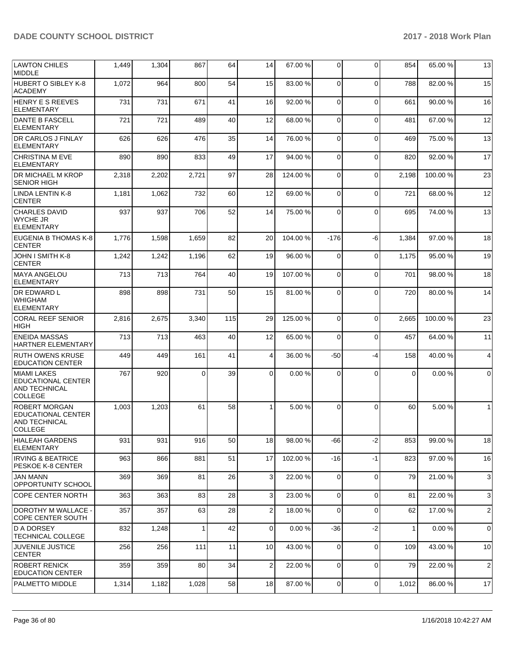| LAWTON CHILES<br><b>IMIDDLE</b>                                                             | 1,449 | 1,304 | 867          | 64  | 14           | 67.00 %  | 0           | $\mathbf 0$ | 854          | 65.00 %  | 13             |
|---------------------------------------------------------------------------------------------|-------|-------|--------------|-----|--------------|----------|-------------|-------------|--------------|----------|----------------|
| <b>HUBERT O SIBLEY K-8</b><br>ACADEMY                                                       | 1,072 | 964   | 800          | 54  | 15           | 83.00 %  | $\Omega$    | $\Omega$    | 788          | 82.00 %  | 15             |
| <b>HENRY E S REEVES</b><br><b>ELEMENTARY</b>                                                | 731   | 731   | 671          | 41  | 16           | 92.00%   | $\Omega$    | $\Omega$    | 661          | 90.00 %  | 16             |
| <b>DANTE B FASCELL</b><br><b>ELEMENTARY</b>                                                 | 721   | 721   | 489          | 40  | 12           | 68.00 %  | 0           | $\mathbf 0$ | 481          | 67.00 %  | 12             |
| <b>DR CARLOS J FINLAY</b><br><b>ELEMENTARY</b>                                              | 626   | 626   | 476          | 35  | 14           | 76.00%   | $\Omega$    | $\Omega$    | 469          | 75.00 %  | 13             |
| CHRISTINA M EVE<br><b>ELEMENTARY</b>                                                        | 890   | 890   | 833          | 49  | 17           | 94.00 %  | $\Omega$    | $\Omega$    | 820          | 92.00 %  | 17             |
| <b>DR MICHAEL M KROP</b><br><b>SENIOR HIGH</b>                                              | 2,318 | 2,202 | 2,721        | 97  | 28           | 124.00 % | 0           | $\mathbf 0$ | 2,198        | 100.00 % | 23             |
| LINDA LENTIN K-8<br><b>CENTER</b>                                                           | 1,181 | 1,062 | 732          | 60  | 12           | 69.00%   | $\Omega$    | $\Omega$    | 721          | 68.00 %  | 12             |
| <b>CHARLES DAVID</b><br><b>WYCHE JR</b><br><b>ELEMENTARY</b>                                | 937   | 937   | 706          | 52  | 14           | 75.00 %  | $\Omega$    | $\Omega$    | 695          | 74.00 %  | 13             |
| EUGENIA B THOMAS K-8<br><b>CENTER</b>                                                       | 1,776 | 1,598 | 1,659        | 82  | 20           | 104.00%  | $-176$      | -6          | 1,384        | 97.00 %  | 18             |
| JOHN I SMITH K-8<br><b>CENTER</b>                                                           | 1,242 | 1,242 | 1,196        | 62  | 19           | 96.00 %  | $\Omega$    | $\mathbf 0$ | 1,175        | 95.00 %  | 19             |
| MAYA ANGELOU<br><b>ELEMENTARY</b>                                                           | 713   | 713   | 764          | 40  | 19           | 107.00%  | $\Omega$    | $\Omega$    | 701          | 98.00 %  | 18             |
| DR EDWARD L<br><b>WHIGHAM</b><br><b>ELEMENTARY</b>                                          | 898   | 898   | 731          | 50  | 15           | 81.00 %  | $\Omega$    | $\Omega$    | 720          | 80.00 %  | 14             |
| CORAL REEF SENIOR<br>HIGH                                                                   | 2,816 | 2,675 | 3,340        | 115 | 29           | 125.00 % | $\Omega$    | $\Omega$    | 2,665        | 100.00%  | 23             |
| <b>ENEIDA MASSAS</b><br><b>HARTNER ELEMENTARY</b>                                           | 713   | 713   | 463          | 40  | 12           | 65.00 %  | $\Omega$    | $\Omega$    | 457          | 64.00 %  | 11             |
| <b>RUTH OWENS KRUSE</b><br><b>EDUCATION CENTER</b>                                          | 449   | 449   | 161          | 41  | 4            | 36.00 %  | -50         | $-4$        | 158          | 40.00 %  | 4              |
| MIAMI LAKES<br><b>EDUCATIONAL CENTER</b><br><b>AND TECHNICAL</b><br><b>COLLEGE</b>          | 767   | 920   | $\Omega$     | 39  | $\Omega$     | 0.00%    | 0           | $\Omega$    | $\Omega$     | 0.00%    | $\mathbf 0$    |
| <b>ROBERT MORGAN</b><br><b>EDUCATIONAL CENTER</b><br><b>AND TECHNICAL</b><br><b>COLLEGE</b> | 1,003 | 1,203 | 61           | 58  | $\mathbf{1}$ | 5.00 %   | $\Omega$    | $\Omega$    | 60           | 5.00 %   | $\mathbf{1}$   |
| <b>HIALEAH GARDENS</b><br><b>ELEMENTARY</b>                                                 | 931   | 931   | 916          | 50  | 18           | 98.00 %  | -66         | $-2$        | 853          | 99.00 %  | 18             |
| <b>IRVING &amp; BEATRICE</b><br><b>PESKOE K-8 CENTER</b>                                    | 963   | 866   | 881          | 51  | 17           | 102.00%  | $-16$       | $-1$        | 823          | 97.00 %  | 16             |
| <b>JAN MANN</b><br><b>OPPORTUNITY SCHOOL</b>                                                | 369   | 369   | 81           | 26  | 3            | 22.00 %  | $\mathbf 0$ | $\mathbf 0$ | 79           | 21.00 %  | 3              |
| <b>COPE CENTER NORTH</b>                                                                    | 363   | 363   | 83           | 28  | 3            | 23.00 %  | 0           | $\mathbf 0$ | 81           | 22.00 %  | 3              |
| DOROTHY M WALLACE -<br><b>COPE CENTER SOUTH</b>                                             | 357   | 357   | 63           | 28  | 2            | 18.00 %  | 0           | $\mathbf 0$ | 62           | 17.00 %  | $\overline{2}$ |
| D A DORSEY<br><b>TECHNICAL COLLEGE</b>                                                      | 832   | 1,248 | $\mathbf{1}$ | 42  | $\mathbf 0$  | 0.00%    | -36         | $-2$        | $\mathbf{1}$ | 0.00%    | 0              |
| JUVENILE JUSTICE<br><b>CENTER</b>                                                           | 256   | 256   | 111          | 11  | 10           | 43.00 %  | $\mathbf 0$ | $\mathbf 0$ | 109          | 43.00 %  | 10             |
| <b>ROBERT RENICK</b><br><b>EDUCATION CENTER</b>                                             | 359   | 359   | 80           | 34  | 2            | 22.00 %  | 0           | $\mathbf 0$ | 79           | 22.00 %  | $\overline{2}$ |
| PALMETTO MIDDLE                                                                             | 1,314 | 1,182 | 1,028        | 58  | 18           | 87.00 %  | 0           | 0           | 1,012        | 86.00 %  | 17             |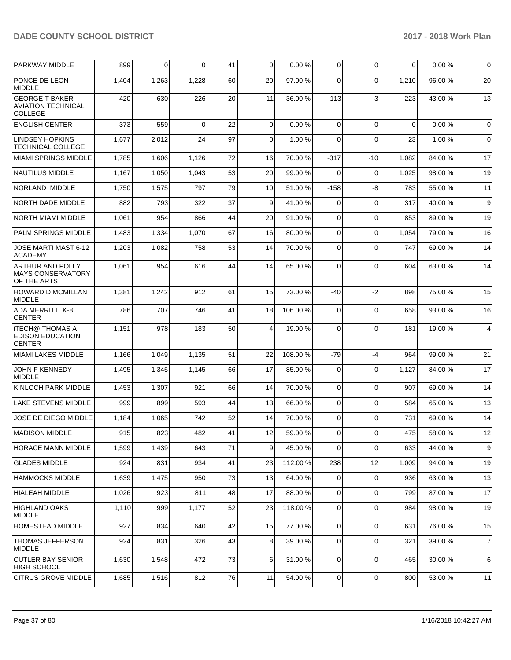| PARKWAY MIDDLE                                                       | 899   | 0     | 0        | 41 | 0              | 0.00%    | 0              | 0              | 0        | 0.00%   | $\mathbf 0$    |
|----------------------------------------------------------------------|-------|-------|----------|----|----------------|----------|----------------|----------------|----------|---------|----------------|
| PONCE DE LEON<br><b>MIDDLE</b>                                       | 1,404 | 1,263 | 1,228    | 60 | 20             | 97.00 %  | 0              | $\Omega$       | 1,210    | 96.00 % | 20             |
| <b>GEORGE T BAKER</b><br><b>AVIATION TECHNICAL</b><br><b>COLLEGE</b> | 420   | 630   | 226      | 20 | 11             | 36.00 %  | $-113$         | -3             | 223      | 43.00 % | 13             |
| <b>ENGLISH CENTER</b>                                                | 373   | 559   | $\Omega$ | 22 | $\overline{0}$ | 0.00%    | $\mathbf 0$    | $\Omega$       | $\Omega$ | 0.00%   | $\Omega$       |
| <b>LINDSEY HOPKINS</b><br><b>TECHNICAL COLLEGE</b>                   | 1,677 | 2,012 | 24       | 97 | 0              | 1.00 %   | 0              | $\Omega$       | 23       | 1.00 %  | $\mathbf 0$    |
| <b>MIAMI SPRINGS MIDDLE</b>                                          | 1,785 | 1,606 | 1,126    | 72 | 16             | 70.00 %  | $-317$         | -10            | 1,082    | 84.00 % | 17             |
| NAUTILUS MIDDLE                                                      | 1,167 | 1,050 | 1,043    | 53 | 20             | 99.00 %  | 0              | 0              | 1,025    | 98.00 % | 19             |
| NORLAND MIDDLE                                                       | 1,750 | 1,575 | 797      | 79 | 10             | 51.00 %  | $-158$         | -8             | 783      | 55.00 % | 11             |
| <b>NORTH DADE MIDDLE</b>                                             | 882   | 793   | 322      | 37 | 9              | 41.00 %  | 0              | $\Omega$       | 317      | 40.00 % | 9              |
| <b>NORTH MIAMI MIDDLE</b>                                            | 1,061 | 954   | 866      | 44 | 20             | 91.00 %  | $\mathbf 0$    | $\mathbf 0$    | 853      | 89.00 % | 19             |
| <b>PALM SPRINGS MIDDLE</b>                                           | 1,483 | 1,334 | 1,070    | 67 | 16             | 80.00 %  | $\mathbf 0$    | $\mathbf 0$    | 1,054    | 79.00 % | 16             |
| JOSE MARTI MAST 6-12<br><b>ACADEMY</b>                               | 1,203 | 1,082 | 758      | 53 | 14             | 70.00 %  | 0              | $\Omega$       | 747      | 69.00 % | 14             |
| <b>ARTHUR AND POLLY</b><br><b>MAYS CONSERVATORY</b><br>OF THE ARTS   | 1,061 | 954   | 616      | 44 | 14             | 65.00 %  | 0              | $\Omega$       | 604      | 63.00 % | 14             |
| <b>HOWARD D MCMILLAN</b><br><b>MIDDLE</b>                            | 1,381 | 1,242 | 912      | 61 | 15             | 73.00 %  | -40            | $-2$           | 898      | 75.00 % | 15             |
| <b>ADA MERRITT K-8</b><br><b>CENTER</b>                              | 786   | 707   | 746      | 41 | 18             | 106.00 % | 0              | $\Omega$       | 658      | 93.00 % | 16             |
| <b>ITECH@ THOMAS A</b><br><b>EDISON EDUCATION</b><br><b>CENTER</b>   | 1,151 | 978   | 183      | 50 | 4              | 19.00 %  | $\Omega$       | $\Omega$       | 181      | 19.00 % | 4              |
| <b>MIAMI LAKES MIDDLE</b>                                            | 1,166 | 1,049 | 1,135    | 51 | 22             | 108.00%  | $-79$          | $-4$           | 964      | 99.00 % | 21             |
| JOHN F KENNEDY<br><b>MIDDLE</b>                                      | 1,495 | 1,345 | 1,145    | 66 | 17             | 85.00 %  | 0              | $\Omega$       | 1,127    | 84.00 % | 17             |
| KINLOCH PARK MIDDLE                                                  | 1,453 | 1,307 | 921      | 66 | 14             | 70.00 %  | $\mathbf 0$    | $\mathbf 0$    | 907      | 69.00 % | 14             |
| <b>LAKE STEVENS MIDDLE</b>                                           | 999   | 899   | 593      | 44 | 13             | 66.00 %  | $\mathbf 0$    | $\Omega$       | 584      | 65.00 % | 13             |
| JOSE DE DIEGO MIDDLE                                                 | 1,184 | 1,065 | 742      | 52 | 14             | 70.00 %  | 0              | $\Omega$       | 731      | 69.00 % | 14             |
| MADISON MIDDLE                                                       | 915   | 823   | 482      | 41 | 12             | 59.00 %  | $\overline{0}$ | $\overline{0}$ | 475      | 58.00 % | 12             |
| HORACE MANN MIDDLE                                                   | 1,599 | 1,439 | 643      | 71 | 9              | 45.00 %  | $\overline{0}$ | $\Omega$       | 633      | 44.00 % | 9              |
| <b>GLADES MIDDLE</b>                                                 | 924   | 831   | 934      | 41 | 23             | 112.00 % | 238            | 12             | 1,009    | 94.00 % | 19             |
| <b>HAMMOCKS MIDDLE</b>                                               | 1,639 | 1,475 | 950      | 73 | 13             | 64.00%   | 0              | $\mathbf 0$    | 936      | 63.00 % | 13             |
| <b>HIALEAH MIDDLE</b>                                                | 1,026 | 923   | 811      | 48 | 17             | 88.00 %  | 0              | $\mathbf 0$    | 799      | 87.00 % | 17             |
| HIGHLAND OAKS<br><b>MIDDLE</b>                                       | 1,110 | 999   | 1,177    | 52 | 23             | 118.00 % | 0              | $\mathbf 0$    | 984      | 98.00 % | 19             |
| <b>HOMESTEAD MIDDLE</b>                                              | 927   | 834   | 640      | 42 | 15             | 77.00 %  | 0              | $\Omega$       | 631      | 76.00 % | 15             |
| <b>THOMAS JEFFERSON</b><br><b>MIDDLE</b>                             | 924   | 831   | 326      | 43 | 8              | 39.00 %  | 0              | 0              | 321      | 39.00 % | $\overline{7}$ |
| <b>CUTLER BAY SENIOR</b><br>HIGH SCHOOL                              | 1,630 | 1,548 | 472      | 73 | 6              | 31.00 %  | $\mathbf 0$    | $\mathbf 0$    | 465      | 30.00 % | 6              |
| <b>CITRUS GROVE MIDDLE</b>                                           | 1,685 | 1,516 | 812      | 76 | 11             | 54.00 %  | $\mathbf 0$    | 0              | 800      | 53.00 % | 11             |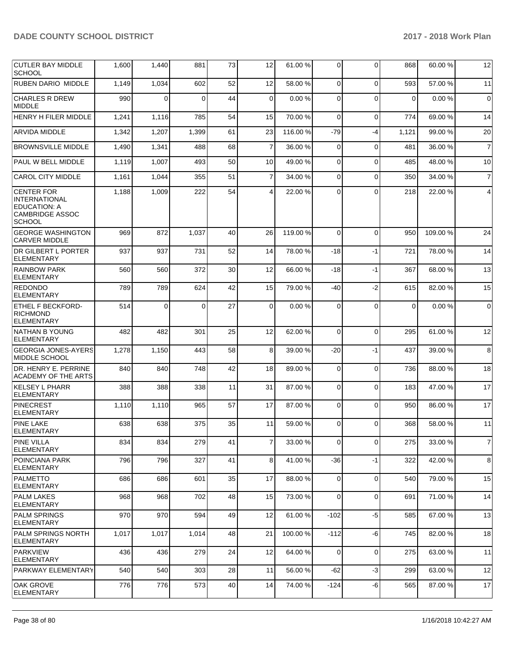| <b>CUTLER BAY MIDDLE</b><br><b>SCHOOL</b>                                                            | 1,600 | 1,440    | 881      | 73 | 12             | 61.00 %  | 0            | $\Omega$ | 868      | 60.00 % | 12             |
|------------------------------------------------------------------------------------------------------|-------|----------|----------|----|----------------|----------|--------------|----------|----------|---------|----------------|
| <b>RUBEN DARIO MIDDLE</b>                                                                            | 1,149 | 1,034    | 602      | 52 | 12             | 58.00 %  | $\Omega$     | $\Omega$ | 593      | 57.00 % | 11             |
| <b>CHARLES R DREW</b><br>MIDDLE                                                                      | 990   | $\Omega$ | $\Omega$ | 44 | $\mathbf 0$    | 0.00%    | $\Omega$     | $\Omega$ | $\Omega$ | 0.00%   | $\mathbf 0$    |
| HENRY H FILER MIDDLE                                                                                 | 1,241 | 1,116    | 785      | 54 | 15             | 70.00 %  | $\Omega$     | $\Omega$ | 774      | 69.00 % | 14             |
| <b>ARVIDA MIDDLE</b>                                                                                 | 1,342 | 1,207    | 1,399    | 61 | 23             | 116.00 % | $-79$        | -4       | 1,121    | 99.00 % | 20             |
| <b>BROWNSVILLE MIDDLE</b>                                                                            | 1,490 | 1,341    | 488      | 68 | $\overline{7}$ | 36.00 %  | $\mathbf 0$  | $\Omega$ | 481      | 36.00 % | $\overline{7}$ |
| PAUL W BELL MIDDLE                                                                                   | 1,119 | 1,007    | 493      | 50 | 10             | 49.00 %  | 0            | $\Omega$ | 485      | 48.00 % | 10             |
| <b>CAROL CITY MIDDLE</b>                                                                             | 1,161 | 1,044    | 355      | 51 | $\overline{7}$ | 34.00 %  | 0            | $\Omega$ | 350      | 34.00 % | $\overline{7}$ |
| <b>CENTER FOR</b><br><b>INTERNATIONAL</b><br><b>EDUCATION: A</b><br>CAMBRIDGE ASSOC<br><b>SCHOOL</b> | 1,188 | 1,009    | 222      | 54 | 4              | 22.00 %  | $\Omega$     | $\Omega$ | 218      | 22.00 % | 4              |
| <b>GEORGE WASHINGTON</b><br><b>CARVER MIDDLE</b>                                                     | 969   | 872      | 1,037    | 40 | 26             | 119.00 % | $\mathbf 0$  | $\Omega$ | 950      | 109.00% | 24             |
| DR GILBERT L PORTER<br><b>ELEMENTARY</b>                                                             | 937   | 937      | 731      | 52 | 14             | 78.00 %  | $-18$        | $-1$     | 721      | 78.00 % | 14             |
| <b>RAINBOW PARK</b><br><b>ELEMENTARY</b>                                                             | 560   | 560      | 372      | 30 | 12             | 66.00 %  | $-18$        | $-1$     | 367      | 68.00 % | 13             |
| <b>REDONDO</b><br><b>ELEMENTARY</b>                                                                  | 789   | 789      | 624      | 42 | 15             | 79.00 %  | -40          | $-2$     | 615      | 82.00 % | 15             |
| <b>ETHEL F BECKFORD-</b><br><b>RICHMOND</b><br><b>ELEMENTARY</b>                                     | 514   | $\Omega$ | $\Omega$ | 27 | 0              | 0.00%    | $\Omega$     | $\Omega$ | $\Omega$ | 0.00%   | 0              |
| NATHAN B YOUNG<br><b>ELEMENTARY</b>                                                                  | 482   | 482      | 301      | 25 | 12             | 62.00%   | $\mathbf 0$  | $\Omega$ | 295      | 61.00%  | 12             |
| GEORGIA JONES-AYERS<br> MIDDLE SCHOOL                                                                | 1,278 | 1,150    | 443      | 58 | 8              | 39.00 %  | $-20$        | $-1$     | 437      | 39.00 % | 8              |
| DR. HENRY E. PERRINE<br><b>ACADEMY OF THE ARTS</b>                                                   | 840   | 840      | 748      | 42 | 18             | 89.00 %  | $\Omega$     | $\Omega$ | 736      | 88.00 % | 18             |
| <b>KELSEY L PHARR</b><br><b>ELEMENTARY</b>                                                           | 388   | 388      | 338      | 11 | 31             | 87.00 %  | $\mathbf 0$  | $\Omega$ | 183      | 47.00 % | 17             |
| <b>PINECREST</b><br><b>ELEMENTARY</b>                                                                | 1,110 | 1,110    | 965      | 57 | 17             | 87.00 %  | 0            | $\Omega$ | 950      | 86.00 % | 17             |
| <b>PINE LAKE</b><br>ELEMENTARY                                                                       | 638   | 638      | 375      | 35 | 11             | 59.00 %  | $\Omega$     | $\Omega$ | 368      | 58.00 % | 11             |
| <b>PINE VILLA</b><br><b>ELEMENTARY</b>                                                               | 834   | 834      | 279      | 41 | $\overline{7}$ | 33.00 %  | $\mathbf 0$  | $\Omega$ | 275      | 33.00 % | $\overline{7}$ |
| POINCIANA PARK<br><b>ELEMENTARY</b>                                                                  | 796   | 796      | 327      | 41 | 8              | 41.00 %  | $-36$        | $-1$     | 322      | 42.00%  | 8              |
| <b>PALMETTO</b><br><b>ELEMENTARY</b>                                                                 | 686   | 686      | 601      | 35 | 17             | 88.00 %  | 0            | $\Omega$ | 540      | 79.00 % | 15             |
| <b>PALM LAKES</b><br><b>ELEMENTARY</b>                                                               | 968   | 968      | 702      | 48 | 15             | 73.00 %  | $\mathbf{0}$ | $\Omega$ | 691      | 71.00 % | 14             |
| <b>PALM SPRINGS</b><br>ELEMENTARY                                                                    | 970   | 970      | 594      | 49 | 12             | 61.00 %  | $-102$       | $-5$     | 585      | 67.00 % | 13             |
| PALM SPRINGS NORTH<br> ELEMENTARY                                                                    | 1,017 | 1,017    | 1,014    | 48 | 21             | 100.00%  | $-112$       | -6       | 745      | 82.00 % | 18             |
| <b>PARKVIEW</b><br>ELEMENTARY                                                                        | 436   | 436      | 279      | 24 | 12             | 64.00 %  | $\Omega$     | $\Omega$ | 275      | 63.00 % | 11             |
| PARKWAY ELEMENTARY                                                                                   | 540   | 540      | 303      | 28 | 11             | 56.00 %  | $-62$        | $-3$     | 299      | 63.00 % | 12             |
| OAK GROVE<br><b>ELEMENTARY</b>                                                                       | 776   | 776      | 573      | 40 | 14             | 74.00 %  | $-124$       | -6       | 565      | 87.00 % | 17             |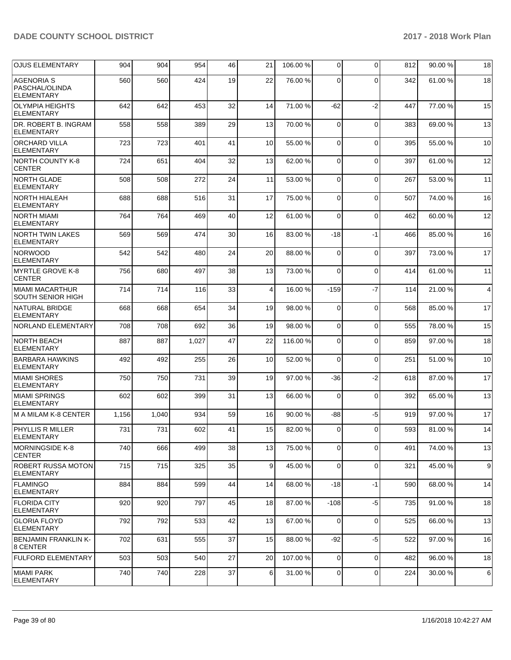| <b>OJUS ELEMENTARY</b>                                   | 904   | 904   | 954   | 46 | 21               | 106.00 % | $\Omega$     | $\mathbf 0$ | 812 | 90.00 % | 18             |
|----------------------------------------------------------|-------|-------|-------|----|------------------|----------|--------------|-------------|-----|---------|----------------|
| <b>AGENORIA S</b><br>PASCHAL/OLINDA<br><b>ELEMENTARY</b> | 560   | 560   | 424   | 19 | 22               | 76.00 %  | $\Omega$     | $\Omega$    | 342 | 61.00 % | 18             |
| OLYMPIA HEIGHTS<br><b>ELEMENTARY</b>                     | 642   | 642   | 453   | 32 | 14               | 71.00 %  | $-62$        | $-2$        | 447 | 77.00 % | 15             |
| DR. ROBERT B. INGRAM<br><b>ELEMENTARY</b>                | 558   | 558   | 389   | 29 | 13               | 70.00%   | $\Omega$     | $\Omega$    | 383 | 69.00 % | 13             |
| <b>ORCHARD VILLA</b><br><b>ELEMENTARY</b>                | 723   | 723   | 401   | 41 | 10               | 55.00 %  | $\Omega$     | $\Omega$    | 395 | 55.00 % | 10             |
| NORTH COUNTY K-8<br><b>CENTER</b>                        | 724   | 651   | 404   | 32 | 13               | 62.00 %  | $\Omega$     | $\Omega$    | 397 | 61.00%  | 12             |
| <b>NORTH GLADE</b><br><b>ELEMENTARY</b>                  | 508   | 508   | 272   | 24 | 11               | 53.00 %  | $\Omega$     | $\Omega$    | 267 | 53.00 % | 11             |
| NORTH HIALEAH<br><b>ELEMENTARY</b>                       | 688   | 688   | 516   | 31 | 17               | 75.00 %  | $\Omega$     | $\Omega$    | 507 | 74.00 % | 16             |
| NORTH MIAMI<br><b>ELEMENTARY</b>                         | 764   | 764   | 469   | 40 | 12               | 61.00%   | $\Omega$     | 0           | 462 | 60.00 % | 12             |
| <b>NORTH TWIN LAKES</b><br><b>ELEMENTARY</b>             | 569   | 569   | 474   | 30 | 16               | 83.00 %  | $-18$        | $-1$        | 466 | 85.00 % | 16             |
| <b>NORWOOD</b><br><b>ELEMENTARY</b>                      | 542   | 542   | 480   | 24 | 20               | 88.00%   | $\Omega$     | $\Omega$    | 397 | 73.00 % | 17             |
| MYRTLE GROVE K-8<br><b>CENTER</b>                        | 756   | 680   | 497   | 38 | 13               | 73.00 %  | $\Omega$     | $\Omega$    | 414 | 61.00%  | 11             |
| <b>MIAMI MACARTHUR</b><br><b>SOUTH SENIOR HIGH</b>       | 714   | 714   | 116   | 33 | 4                | 16.00 %  | $-159$       | $-7$        | 114 | 21.00 % | $\overline{4}$ |
| NATURAL BRIDGE<br><b>ELEMENTARY</b>                      | 668   | 668   | 654   | 34 | 19               | 98.00%   | $\Omega$     | $\Omega$    | 568 | 85.00 % | 17             |
| NORLAND ELEMENTARY                                       | 708   | 708   | 692   | 36 | 19               | 98.00 %  | $\Omega$     | $\Omega$    | 555 | 78.00 % | 15             |
| <b>NORTH BEACH</b><br><b>ELEMENTARY</b>                  | 887   | 887   | 1,027 | 47 | 22               | 116.00 % | $\Omega$     | $\Omega$    | 859 | 97.00 % | 18             |
| <b>BARBARA HAWKINS</b><br><b>ELEMENTARY</b>              | 492   | 492   | 255   | 26 | 10               | 52.00 %  | $\Omega$     | $\Omega$    | 251 | 51.00 % | 10             |
| <b>MIAMI SHORES</b><br><b>ELEMENTARY</b>                 | 750   | 750   | 731   | 39 | 19               | 97.00%   | $-36$        | $-2$        | 618 | 87.00 % | 17             |
| <b>MIAMI SPRINGS</b><br><b>ELEMENTARY</b>                | 602   | 602   | 399   | 31 | 13               | 66.00 %  | $\Omega$     | $\mathbf 0$ | 392 | 65.00 % | 13             |
| IM A MILAM K-8 CENTER                                    | 1,156 | 1,040 | 934   | 59 | 16               | 90.00%   | -88          | $-5$        | 919 | 97.00 % | 17             |
| PHYLLIS R MILLER<br>ELEMENTARY                           | 731   | 731   | 602   | 41 | 15               | 82.00 %  | $\Omega$     | $\Omega$    | 593 | 81.00 % | 14             |
| MORNINGSIDE K-8<br><b>CENTER</b>                         | 740   | 666   | 499   | 38 | 13               | 75.00 %  | $\mathbf{0}$ | $\mathbf 0$ | 491 | 74.00%  | 13             |
| <b>ROBERT RUSSA MOTON</b><br> ELEMENTARY                 | 715   | 715   | 325   | 35 | 9                | 45.00 %  | $\Omega$     | 0           | 321 | 45.00 % | 9              |
| <b> FLAMINGO</b><br><b>ELEMENTARY</b>                    | 884   | 884   | 599   | 44 | 14               | 68.00 %  | $-18$        | $-1$        | 590 | 68.00%  | 14             |
| <b>FLORIDA CITY</b><br>ELEMENTARY                        | 920   | 920   | 797   | 45 | 18               | 87.00 %  | $-108$       | $-5$        | 735 | 91.00%  | 18             |
| <b>GLORIA FLOYD</b><br> ELEMENTARY                       | 792   | 792   | 533   | 42 | 13               | 67.00 %  | $\Omega$     | 0           | 525 | 66.00 % | 13             |
| <b>BENJAMIN FRANKLIN K-</b><br>8 CENTER                  | 702   | 631   | 555   | 37 | 15               | 88.00 %  | $-92$        | $-5$        | 522 | 97.00 % | 16             |
| <b>FULFORD ELEMENTARY</b>                                | 503   | 503   | 540   | 27 | 20               | 107.00%  | $\Omega$     | $\mathbf 0$ | 482 | 96.00%  | 18             |
| MIAMI PARK<br>ELEMENTARY                                 | 740   | 740   | 228   | 37 | $6 \overline{6}$ | 31.00 %  | $\mathbf 0$  | 0           | 224 | 30.00 % | 6              |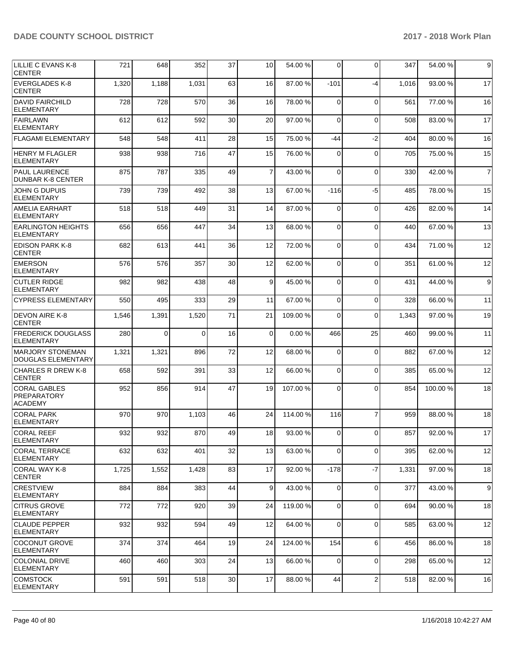| LILLIE C EVANS K-8<br><b>CENTER</b>                  | 721   | 648      | 352      | 37 | 10 <sup>1</sup>   | 54.00 %  | $\Omega$       | $\Omega$                | 347   | 54.00 % | 9                |
|------------------------------------------------------|-------|----------|----------|----|-------------------|----------|----------------|-------------------------|-------|---------|------------------|
| EVERGLADES K-8<br><b>CENTER</b>                      | 1,320 | 1,188    | 1,031    | 63 | 16                | 87.00 %  | $-101$         | $-4$                    | 1,016 | 93.00 % | 17               |
| <b>DAVID FAIRCHILD</b><br><b>ELEMENTARY</b>          | 728   | 728      | 570      | 36 | 16                | 78.00 %  | $\Omega$       | $\mathbf 0$             | 561   | 77.00 % | 16               |
| FAIRLAWN<br><b>ELEMENTARY</b>                        | 612   | 612      | 592      | 30 | 20                | 97.00 %  | $\Omega$       | $\Omega$                | 508   | 83.00 % | 17               |
| <b>FLAGAMI ELEMENTARY</b>                            | 548   | 548      | 411      | 28 | 15                | 75.00 %  | -44            | $-2$                    | 404   | 80.00%  | 16               |
| <b>HENRY M FLAGLER</b><br><b>IELEMENTARY</b>         | 938   | 938      | 716      | 47 | 15                | 76.00 %  | $\Omega$       | $\Omega$                | 705   | 75.00 % | 15               |
| <b>PAUL LAURENCE</b><br><b>DUNBAR K-8 CENTER</b>     | 875   | 787      | 335      | 49 | $\overline{7}$    | 43.00 %  | $\Omega$       | $\Omega$                | 330   | 42.00 % | $\overline{7}$   |
| JOHN G DUPUIS<br><b>ELEMENTARY</b>                   | 739   | 739      | 492      | 38 | 13                | 67.00 %  | $-116$         | -5                      | 485   | 78.00 % | 15               |
| AMELIA EARHART<br><b>IELEMENTARY</b>                 | 518   | 518      | 449      | 31 | 14                | 87.00 %  | $\Omega$       | $\Omega$                | 426   | 82.00 % | 14               |
| <b>EARLINGTON HEIGHTS</b><br><b>ELEMENTARY</b>       | 656   | 656      | 447      | 34 | 13                | 68.00 %  | $\Omega$       | $\Omega$                | 440   | 67.00 % | 13               |
| <b>EDISON PARK K-8</b><br><b>CENTER</b>              | 682   | 613      | 441      | 36 | 12                | 72.00 %  | $\Omega$       | $\Omega$                | 434   | 71.00 % | 12               |
| <b>EMERSON</b><br><b>IELEMENTARY</b>                 | 576   | 576      | 357      | 30 | $12 \overline{ }$ | 62.00 %  | $\Omega$       | $\Omega$                | 351   | 61.00%  | 12               |
| <b>CUTLER RIDGE</b><br><b>ELEMENTARY</b>             | 982   | 982      | 438      | 48 | 9                 | 45.00 %  | $\Omega$       | $\Omega$                | 431   | 44.00 % | $\boldsymbol{9}$ |
| <b>CYPRESS ELEMENTARY</b>                            | 550   | 495      | 333      | 29 | 11                | 67.00 %  | $\Omega$       | $\Omega$                | 328   | 66.00 % | 11               |
| <b>DEVON AIRE K-8</b><br><b>CENTER</b>               | 1,546 | 1,391    | 1,520    | 71 | 21                | 109.00%  | $\Omega$       | $\Omega$                | 1,343 | 97.00 % | 19               |
| <b>FREDERICK DOUGLASS</b><br><b>ELEMENTARY</b>       | 280   | $\Omega$ | $\Omega$ | 16 | $\Omega$          | 0.00%    | 466            | 25                      | 460   | 99.00 % | 11               |
| MARJORY STONEMAN<br>DOUGLAS ELEMENTARY               | 1,321 | 1,321    | 896      | 72 | 12                | 68.00 %  | $\Omega$       | $\mathbf 0$             | 882   | 67.00 % | 12               |
| <b>CHARLES R DREW K-8</b><br><b>CENTER</b>           | 658   | 592      | 391      | 33 | 12                | 66.00 %  | $\Omega$       | $\Omega$                | 385   | 65.00 % | 12               |
| CORAL GABLES<br><b>PREPARATORY</b><br><b>ACADEMY</b> | 952   | 856      | 914      | 47 | 19                | 107.00%  | $\Omega$       | $\Omega$                | 854   | 100.00% | 18               |
| <b>CORAL PARK</b><br>ELEMENTARY                      | 970   | 970      | 1,103    | 46 | 24                | 114.00 % | 116            | $\overline{7}$          | 959   | 88.00 % | 18               |
| CORAL REEF<br>ELEMENTARY                             | 932   | 932      | 870      | 49 | 18                | 93.00 %  | $\overline{0}$ | 0                       | 857   | 92.00%  | 17               |
| <b>CORAL TERRACE</b><br><b>ELEMENTARY</b>            | 632   | 632      | 401      | 32 | 13                | 63.00 %  | $\overline{0}$ | 0                       | 395   | 62.00 % | 12               |
| CORAL WAY K-8<br><b>CENTER</b>                       | 1,725 | 1,552    | 1,428    | 83 | 17                | 92.00 %  | $-178$         | $-7$                    | 1,331 | 97.00 % | 18               |
| <b>CRESTVIEW</b><br>ELEMENTARY                       | 884   | 884      | 383      | 44 | 9                 | 43.00 %  | $\Omega$       | 0                       | 377   | 43.00 % | 9                |
| <b>CITRUS GROVE</b><br><b>ELEMENTARY</b>             | 772   | 772      | 920      | 39 | 24                | 119.00 % | $\overline{0}$ | 0                       | 694   | 90.00 % | 18               |
| <b>CLAUDE PEPPER</b><br> ELEMENTARY                  | 932   | 932      | 594      | 49 | 12                | 64.00%   | $\Omega$       | $\mathbf 0$             | 585   | 63.00 % | 12               |
| COCONUT GROVE<br>ELEMENTARY                          | 374   | 374      | 464      | 19 | 24                | 124.00%  | 154            | 6                       | 456   | 86.00 % | 18               |
| COLONIAL DRIVE<br><b>ELEMENTARY</b>                  | 460   | 460      | 303      | 24 | 13                | 66.00 %  | 0              | 0                       | 298   | 65.00 % | 12               |
| <b>COMSTOCK</b><br>ELEMENTARY                        | 591   | 591      | 518      | 30 | 17                | 88.00%   | 44             | $\overline{\mathbf{c}}$ | 518   | 82.00 % | 16               |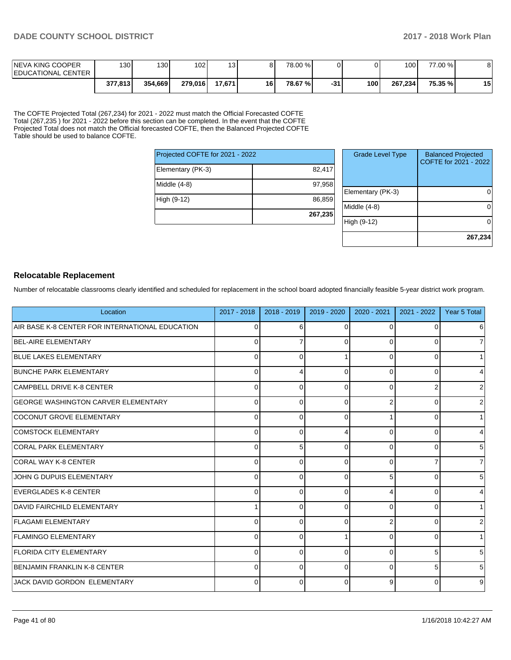| <b>INEVA KING COOPER</b><br><b>EDUCATIONAL CENTER</b> | 1301    | 1301    | 102 I   | 13     |                 | 78.00 %  |     |     | 100 I   | 77.00 % |    |
|-------------------------------------------------------|---------|---------|---------|--------|-----------------|----------|-----|-----|---------|---------|----|
|                                                       | 377.813 | 354.669 | 279.016 | 17,671 | 16 <sup>1</sup> | 78.67 %I | -31 | 100 | 267.234 | 75.35 % | 15 |

The COFTE Projected Total (267,234) for 2021 - 2022 must match the Official Forecasted COFTE Total (267,235 ) for 2021 - 2022 before this section can be completed. In the event that the COFTE Projected Total does not match the Official forecasted COFTE, then the Balanced Projected COFTE Table should be used to balance COFTE.

| Projected COFTE for 2021 - 2022 |         |
|---------------------------------|---------|
| Elementary (PK-3)               | 82,417  |
| Middle (4-8)                    | 97,958  |
| High (9-12)                     | 86,859  |
|                                 | 267,235 |

| <b>Grade Level Type</b> | <b>Balanced Projected</b><br>COFTE for 2021 - 2022 |
|-------------------------|----------------------------------------------------|
| Elementary (PK-3)       |                                                    |
| Middle (4-8)            |                                                    |
| High (9-12)             |                                                    |
|                         | 267,234                                            |

### **Relocatable Replacement**

Number of relocatable classrooms clearly identified and scheduled for replacement in the school board adopted financially feasible 5-year district work program.

| Location                                        | $2017 - 2018$ | 2018 - 2019 | 2019 - 2020  | $2020 - 2021$  | $2021 - 2022$ | Year 5 Total    |
|-------------------------------------------------|---------------|-------------|--------------|----------------|---------------|-----------------|
| AIR BASE K-8 CENTER FOR INTERNATIONAL EDUCATION | 0             | 6           | $\Omega$     | $\Omega$       | $\Omega$      | $6 \,$          |
| BEL-AIRE ELEMENTARY                             | 0             |             | <sup>0</sup> | $\Omega$       | O             | $\overline{7}$  |
| <b>BLUE LAKES ELEMENTARY</b>                    | 0             | ∩           |              | 0              | 0             | 1               |
| <b>BUNCHE PARK ELEMENTARY</b>                   | $\Omega$      |             | <sup>0</sup> | 0              | 0             | $\overline{4}$  |
| CAMPBELL DRIVE K-8 CENTER                       | $\Omega$      | $\Omega$    | $\Omega$     | $\Omega$       |               | $\overline{2}$  |
| <b>GEORGE WASHINGTON CARVER ELEMENTARY</b>      | $\Omega$      | ∩           | n            | $\overline{2}$ | n             | $\overline{2}$  |
| <b>COCONUT GROVE ELEMENTARY</b>                 | $\Omega$      | $\Omega$    | <sup>0</sup> |                | ŋ             | 1               |
| <b>COMSTOCK ELEMENTARY</b>                      | $\Omega$      | $\Omega$    |              | $\Omega$       | O             | $\overline{4}$  |
| <b>CORAL PARK ELEMENTARY</b>                    | $\Omega$      | 5           | $\Omega$     | $\Omega$       | $\Omega$      | 5 <sup>1</sup>  |
| <b>CORAL WAY K-8 CENTER</b>                     | 0             | $\Omega$    | $\Omega$     | $\Omega$       |               | $\overline{7}$  |
| JOHN G DUPUIS ELEMENTARY                        | $\Omega$      | $\Omega$    | $\Omega$     | 5              | $\Omega$      | 5 <sup>5</sup>  |
| <b>EVERGLADES K-8 CENTER</b>                    | 0             | $\Omega$    | $\Omega$     | 4              | O             | $\overline{4}$  |
| DAVID FAIRCHILD ELEMENTARY                      |               | $\Omega$    | <sup>0</sup> | 0              | O             | 1               |
| <b>FLAGAMI ELEMENTARY</b>                       | $\Omega$      | $\Omega$    | <sup>0</sup> | 2              | O             | $\overline{2}$  |
| <b>FLAMINGO ELEMENTARY</b>                      | $\Omega$      | $\Omega$    |              | 0              | $\Omega$      | 1               |
| <b>FLORIDA CITY ELEMENTARY</b>                  | 0             | ∩           | $\Omega$     | 0              | 5             | $5\overline{)}$ |
| BENJAMIN FRANKLIN K-8 CENTER                    | $\Omega$      | $\Omega$    | $\Omega$     | $\Omega$       | 5             | 5 <sup>5</sup>  |
| JACK DAVID GORDON ELEMENTARY                    | $\Omega$      | ∩           | <sup>n</sup> | 9              | n             | 9               |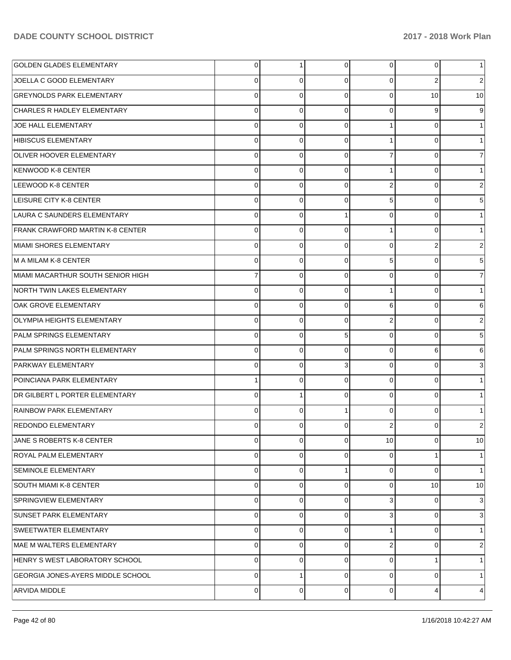| <b>GOLDEN GLADES ELEMENTARY</b>          | 0              | 1              | $\overline{0}$ | $\overline{0}$  | 0        | 1                       |
|------------------------------------------|----------------|----------------|----------------|-----------------|----------|-------------------------|
| JOELLA C GOOD ELEMENTARY                 | 0              | 0              | $\Omega$       | $\Omega$        | 2        | $\overline{c}$          |
| <b>GREYNOLDS PARK ELEMENTARY</b>         | $\mathbf 0$    | $\mathbf 0$    | $\Omega$       | $\Omega$        | 10       | 10                      |
| CHARLES R HADLEY ELEMENTARY              | 0              | $\mathbf 0$    | $\Omega$       | $\Omega$        | 9        | 9                       |
| JOE HALL ELEMENTARY                      | $\mathbf 0$    | $\mathbf 0$    | $\Omega$       | 1               | $\Omega$ | $\mathbf{1}$            |
| HIBISCUS ELEMENTARY                      | 0              | $\mathbf 0$    | $\Omega$       | 1               | $\Omega$ | $\mathbf{1}$            |
| <b>OLIVER HOOVER ELEMENTARY</b>          | $\mathbf 0$    | $\mathbf 0$    | $\Omega$       | $\overline{7}$  | $\Omega$ | $\boldsymbol{7}$        |
| KENWOOD K-8 CENTER                       | $\mathbf 0$    | $\mathbf 0$    | $\Omega$       | 1               | $\Omega$ | $\mathbf{1}$            |
| LEEWOOD K-8 CENTER                       | $\mathbf 0$    | $\mathbf 0$    | $\Omega$       | $\overline{2}$  | $\Omega$ | $\boldsymbol{2}$        |
| <b>LEISURE CITY K-8 CENTER</b>           | $\mathbf 0$    | $\mathbf 0$    | $\Omega$       | 5 <sup>5</sup>  | 0        | $\mathbf 5$             |
| LAURA C SAUNDERS ELEMENTARY              | $\mathbf 0$    | $\mathbf 0$    | 1              | $\Omega$        | $\Omega$ | $\mathbf{1}$            |
| <b>FRANK CRAWFORD MARTIN K-8 CENTER</b>  | 0              | $\mathbf 0$    | $\Omega$       | 1               | $\Omega$ | $\mathbf{1}$            |
| MIAMI SHORES ELEMENTARY                  | $\mathbf 0$    | $\mathbf 0$    | $\Omega$       | $\Omega$        | 2        | $\boldsymbol{2}$        |
| M A MILAM K-8 CENTER                     | 0              | $\mathbf 0$    | $\Omega$       | 5 <sup>5</sup>  | 0        | $\mathbf 5$             |
| MIAMI MACARTHUR SOUTH SENIOR HIGH        | $\overline{7}$ | $\mathbf 0$    | $\Omega$       | $\Omega$        | $\Omega$ | $\overline{7}$          |
| NORTH TWIN LAKES ELEMENTARY              | 0              | $\mathbf 0$    | $\Omega$       | 1               | $\Omega$ | $\mathbf{1}$            |
| OAK GROVE ELEMENTARY                     | $\mathbf 0$    | $\mathbf 0$    | $\Omega$       | 6               | $\Omega$ | 6                       |
| <b>OLYMPIA HEIGHTS ELEMENTARY</b>        | 0              | $\mathbf 0$    | $\Omega$       | $\overline{2}$  | 0        | $\overline{\mathbf{c}}$ |
| <b>PALM SPRINGS ELEMENTARY</b>           | $\mathbf 0$    | $\mathbf 0$    | 5              | $\Omega$        | $\Omega$ | $\mathbf 5$             |
| PALM SPRINGS NORTH ELEMENTARY            | 0              | $\mathbf 0$    | $\Omega$       | $\mathbf 0$     | 6        | 6                       |
| <b>PARKWAY ELEMENTARY</b>                | $\mathbf 0$    | $\mathbf 0$    | 3              | $\Omega$        | $\Omega$ | 3                       |
| POINCIANA PARK ELEMENTARY                | 1              | $\mathbf 0$    | $\Omega$       | $\Omega$        | $\Omega$ | $\mathbf{1}$            |
| DR GILBERT L PORTER ELEMENTARY           | $\mathbf 0$    | 1              | $\Omega$       | $\Omega$        | $\Omega$ | $\mathbf{1}$            |
| RAINBOW PARK ELEMENTARY                  | $\mathbf 0$    | $\mathbf 0$    | 1              | $\Omega$        | $\Omega$ | 1                       |
| <b>REDONDO ELEMENTARY</b>                | $\Omega$       | $\Omega$       | $\Omega$       | $\overline{2}$  |          | $\overline{2}$          |
| JANE S ROBERTS K-8 CENTER                | 0              | $\overline{0}$ | $\overline{0}$ | 10 <sup>1</sup> | 0        | 10                      |
| <b>ROYAL PALM ELEMENTARY</b>             | $\mathbf 0$    | 0              | $\Omega$       | $\overline{0}$  |          | 1                       |
| <b>SEMINOLE ELEMENTARY</b>               | $\mathbf 0$    | $\mathbf 0$    | 1              | $\Omega$        | 0        | $\mathbf{1}$            |
| SOUTH MIAMI K-8 CENTER                   | $\mathbf 0$    | $\mathbf 0$    | $\Omega$       | $\Omega$        | 10       | 10                      |
| <b>SPRINGVIEW ELEMENTARY</b>             | $\mathbf 0$    | $\mathbf 0$    | $\Omega$       | 3               | 0        | 3                       |
| <b>SUNSET PARK ELEMENTARY</b>            | $\mathbf 0$    | $\Omega$       | $\Omega$       | 3               | 0        | 3                       |
| <b>SWEETWATER ELEMENTARY</b>             | 0              | $\mathbf 0$    | $\Omega$       | 1               | $\Omega$ | $\mathbf{1}$            |
| MAE M WALTERS ELEMENTARY                 | 0              | 0              | $\Omega$       | $\overline{2}$  | 0        | $\overline{\mathbf{c}}$ |
| HENRY S WEST LABORATORY SCHOOL           | 0              | 0              | $\Omega$       | $\Omega$        |          | $\mathbf{1}$            |
| <b>GEORGIA JONES-AYERS MIDDLE SCHOOL</b> | 0              | 1              | $\Omega$       | $\overline{0}$  | 0        | 1                       |
| ARVIDA MIDDLE                            | 0              | 0              | $\Omega$       | $\overline{0}$  | 4        | 4                       |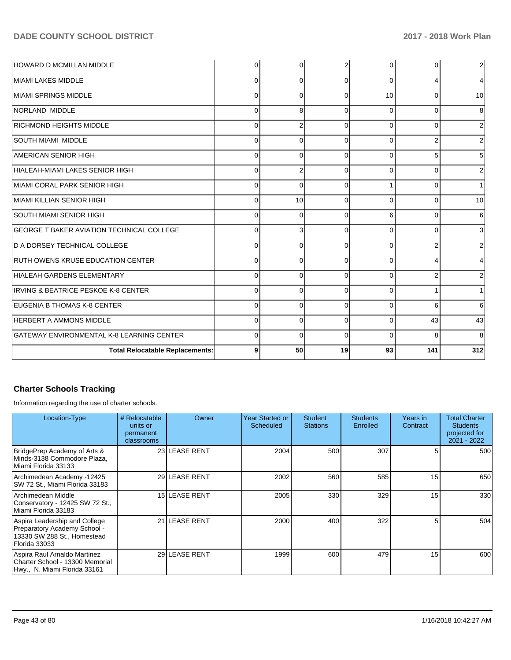| HOWARD D MCMILLAN MIDDLE                  | 0           | ∩        | っ        | $\Omega$ |          | 2   |
|-------------------------------------------|-------------|----------|----------|----------|----------|-----|
| MIAMI LAKES MIDDLE                        | 0           | $\Omega$ | $\Omega$ | $\Omega$ |          |     |
| MIAMI SPRINGS MIDDLE                      | $\Omega$    | $\Omega$ | $\Omega$ | 10       | $\Omega$ | 10  |
| NORLAND MIDDLE                            | $\Omega$    | 8        | $\Omega$ | $\Omega$ | $\Omega$ | 8   |
| <b>RICHMOND HEIGHTS MIDDLE</b>            | 0           |          | $\Omega$ | $\Omega$ |          | 2   |
| <b>SOUTH MIAMI MIDDLE</b>                 | $\mathbf 0$ | ∩        | $\Omega$ | $\Omega$ |          | 2   |
| AMERICAN SENIOR HIGH                      | $\mathbf 0$ | $\Omega$ | $\Omega$ | $\Omega$ |          | 5   |
| HIALEAH-MIAMI LAKES SENIOR HIGH           | $\Omega$    | 2        | $\Omega$ | 0        | ∩        | 2   |
| <b>MIAMI CORAL PARK SENIOR HIGH</b>       | $\mathbf 0$ | $\Omega$ | $\Omega$ |          |          |     |
| MIAMI KILLIAN SENIOR HIGH                 | 0           | 10       | $\Omega$ | $\Omega$ |          | 10  |
| <b>SOUTH MIAMI SENIOR HIGH</b>            | $\Omega$    | $\Omega$ | $\Omega$ | 6        | O        | 6   |
| GEORGE T BAKER AVIATION TECHNICAL COLLEGE | $\Omega$    | 3        | $\Omega$ | 0        | ∩        | 3   |
| D A DORSEY TECHNICAL COLLEGE              | $\mathbf 0$ | $\Omega$ | $\Omega$ | $\Omega$ |          | 2   |
| RUTH OWENS KRUSE EDUCATION CENTER         | $\mathbf 0$ | $\Omega$ | $\Omega$ | 0        |          | 4   |
| HIALEAH GARDENS ELEMENTARY                | 0           | $\Omega$ | $\Omega$ | $\Omega$ |          | 2   |
| IRVING & BEATRICE PESKOE K-8 CENTER       | $\Omega$    | ∩        | $\Omega$ | $\Omega$ |          | 1   |
| EUGENIA B THOMAS K-8 CENTER               | 0           | C        | $\Omega$ | $\Omega$ | 6        | 6   |
| <b>HERBERT A AMMONS MIDDLE</b>            | $\Omega$    | $\Omega$ | $\Omega$ | $\Omega$ | 43       | 43  |
| GATEWAY ENVIRONMENTAL K-8 LEARNING CENTER | $\Omega$    | $\Omega$ | $\Omega$ | $\Omega$ | 8        | 8   |
| <b>Total Relocatable Replacements:</b>    | 9           | 50       | 19       | 93       | 141      | 312 |

# **Charter Schools Tracking**

Information regarding the use of charter schools.

| Location-Type                                                                                                  | # Relocatable<br>units or<br>permanent<br>classrooms | Owner                | Year Started or<br><b>Scheduled</b> | <b>Student</b><br><b>Stations</b> | <b>Students</b><br>Enrolled | Years in<br>Contract | <b>Total Charter</b><br><b>Students</b><br>projected for<br>2021 - 2022 |
|----------------------------------------------------------------------------------------------------------------|------------------------------------------------------|----------------------|-------------------------------------|-----------------------------------|-----------------------------|----------------------|-------------------------------------------------------------------------|
| BridgePrep Academy of Arts &<br>Minds-3138 Commodore Plaza,<br>Miami Florida 33133                             |                                                      | 23 LEASE RENT        | 2004                                | 500                               | 307                         |                      | 500                                                                     |
| Archimedean Academy -12425<br>SW 72 St., Miami Florida 33183                                                   |                                                      | 29 LEASE RENT        | 2002                                | 560                               | 585                         | 15                   | 650                                                                     |
| Archimedean Middle<br>Conservatory - 12425 SW 72 St.,<br>Miami Florida 33183                                   |                                                      | <b>15 LEASE RENT</b> | 2005                                | 330                               | 329                         | 15                   | 330                                                                     |
| Aspira Leadership and College<br>Preparatory Academy School -<br>13330 SW 288 St., Homestead<br> Florida 33033 |                                                      | 21 LEASE RENT        | 2000                                | 400                               | 322                         | 5.                   | 504                                                                     |
| Aspira Raul Arnaldo Martinez<br>Charter School - 13300 Memorial<br>Hwy., N. Miami Florida 33161                |                                                      | 29 LEASE RENT        | 1999                                | 600                               | 479                         | 15                   | 600                                                                     |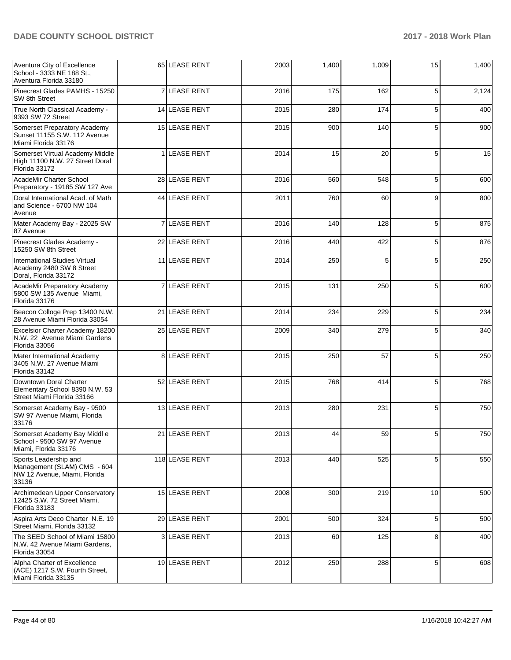| Aventura City of Excellence<br>School - 3333 NE 188 St.,<br>Aventura Florida 33180            |    | 65 LEASE RENT        | 2003 | 1,400 | 1,009 | 15             | 1,400 |
|-----------------------------------------------------------------------------------------------|----|----------------------|------|-------|-------|----------------|-------|
| Pinecrest Glades PAMHS - 15250<br>SW 8th Street                                               | 7  | <b>LEASE RENT</b>    | 2016 | 175   | 162   | 5              | 2,124 |
| True North Classical Academy -<br>9393 SW 72 Street                                           |    | 14 LEASE RENT        | 2015 | 280   | 174   | 5              | 400   |
| Somerset Preparatory Academy<br>Sunset 11155 S.W. 112 Avenue<br>Miami Florida 33176           |    | 15 LEASE RENT        | 2015 | 900   | 140   | 5              | 900   |
| Somerset Virtual Academy Middle<br>High 11100 N.W. 27 Street Doral<br>Florida 33172           |    | <b>1 ILEASE RENT</b> | 2014 | 15    | 20    | 5              | 15    |
| AcadeMir Charter School<br>Preparatory - 19185 SW 127 Ave                                     |    | 28 LEASE RENT        | 2016 | 560   | 548   | 5              | 600   |
| Doral International Acad. of Math<br>and Science - 6700 NW 104<br>Avenue                      |    | 44 LEASE RENT        | 2011 | 760   | 60    | 9              | 800   |
| Mater Academy Bay - 22025 SW<br>87 Avenue                                                     |    | 7 LEASE RENT         | 2016 | 140   | 128   | 5              | 875   |
| Pinecrest Glades Academy -<br>15250 SW 8th Street                                             |    | 22 LEASE RENT        | 2016 | 440   | 422   | 5              | 876   |
| <b>International Studies Virtual</b><br>Academy 2480 SW 8 Street<br>Doral, Florida 33172      |    | 11 LEASE RENT        | 2014 | 250   | 5     | 5              | 250   |
| AcadeMir Preparatory Academy<br>5800 SW 135 Avenue Miami,<br>Florida 33176                    |    | 7 LEASE RENT         | 2015 | 131   | 250   | 5              | 600   |
| Beacon Colloge Prep 13400 N.W.<br>28 Avenue Miami Florida 33054                               | 21 | <b>LEASE RENT</b>    | 2014 | 234   | 229   | 5              | 234   |
| Excelsior Charter Academy 18200<br>N.W. 22 Avenue Miami Gardens<br>Florida 33056              |    | 25 LEASE RENT        | 2009 | 340   | 279   | 5              | 340   |
| Mater International Academy<br>3405 N.W. 27 Avenue Miami<br>Florida 33142                     |    | 8 LEASE RENT         | 2015 | 250   | 57    | 5              | 250   |
| Downtown Doral Charter<br>Elementary School 8390 N.W. 53<br>Street Miami Florida 33166        |    | 52 LEASE RENT        | 2015 | 768   | 414   | 5              | 768   |
| Somerset Academy Bay - 9500<br>SW 97 Avenue Miami, Florida<br>33176                           |    | 13 LEASE RENT        | 2013 | 280   | 231   | 5              | 750   |
| Somerset Academy Bay Middl e<br>School - 9500 SW 97 Avenue<br>Miami, Florida 33176            |    | 21 LEASE RENT        | 2013 | 44    | 59    | $\overline{5}$ | 750   |
| Sports Leadership and<br>Management (SLAM) CMS - 604<br>NW 12 Avenue, Miami, Florida<br>33136 |    | 118 LEASE RENT       | 2013 | 440   | 525   | 5              | 550   |
| Archimedean Upper Conservatory<br>12425 S.W. 72 Street Miami,<br>Florida 33183                |    | 15 LEASE RENT        | 2008 | 300   | 219   | 10             | 500   |
| Aspira Arts Deco Charter N.E. 19<br>Street Miami, Florida 33132                               |    | 29 LEASE RENT        | 2001 | 500   | 324   | 5              | 500   |
| The SEED School of Miami 15800<br>N.W. 42 Avenue Miami Gardens,<br>Florida 33054              |    | 3 LEASE RENT         | 2013 | 60    | 125   | 8              | 400   |
| Alpha Charter of Excellence<br>(ACE) 1217 S.W. Fourth Street,<br>Miami Florida 33135          |    | 19 LEASE RENT        | 2012 | 250   | 288   | 5              | 608   |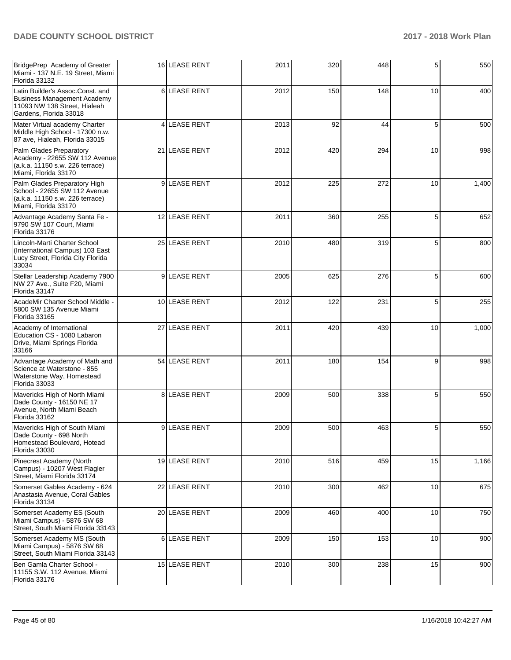| BridgePrep Academy of Greater<br>Miami - 137 N.E. 19 Street, Miami<br>Florida 33132                                       |                | 16 LEASE RENT     | 2011 | 320 | 448 | 5  | 550   |
|---------------------------------------------------------------------------------------------------------------------------|----------------|-------------------|------|-----|-----|----|-------|
| Latin Builder's Assoc.Const. and<br>Business Management Academy<br>11093 NW 138 Street, Hialeah<br>Gardens, Florida 33018 |                | 6 LEASE RENT      | 2012 | 150 | 148 | 10 | 400   |
| Mater Virtual academy Charter<br>Middle High School - 17300 n.w.<br>87 ave, Hialeah, Florida 33015                        | $\overline{4}$ | <b>LEASE RENT</b> | 2013 | 92  | 44  | 5  | 500   |
| Palm Glades Preparatory<br>Academy - 22655 SW 112 Avenue<br>(a.k.a. 11150 s.w. 226 terrace)<br>Miami, Florida 33170       |                | 21 LEASE RENT     | 2012 | 420 | 294 | 10 | 998   |
| Palm Glades Preparatory High<br>School - 22655 SW 112 Avenue<br>(a.k.a. 11150 s.w. 226 terrace)<br>Miami, Florida 33170   | $\overline{9}$ | <b>LEASE RENT</b> | 2012 | 225 | 272 | 10 | 1,400 |
| Advantage Academy Santa Fe -<br>9790 SW 107 Court, Miami<br>Florida 33176                                                 |                | 12 LEASE RENT     | 2011 | 360 | 255 | 5  | 652   |
| Lincoln-Marti Charter School<br>(International Campus) 103 East<br>Lucy Street, Florida City Florida<br>33034             |                | 25 LEASE RENT     | 2010 | 480 | 319 | 5  | 800   |
| Stellar Leadership Academy 7900<br>NW 27 Ave., Suite F20, Miami<br>Florida 33147                                          |                | 9 LEASE RENT      | 2005 | 625 | 276 | 5  | 600   |
| AcadeMir Charter School Middle -<br>5800 SW 135 Avenue Miami<br>Florida 33165                                             |                | 10 LEASE RENT     | 2012 | 122 | 231 | 5  | 255   |
| Academy of International<br>Education CS - 1080 Labaron<br>Drive, Miami Springs Florida<br>33166                          |                | 27 LEASE RENT     | 2011 | 420 | 439 | 10 | 1,000 |
| Advantage Academy of Math and<br>Science at Waterstone - 855<br>Waterstone Way, Homestead<br>Florida 33033                |                | 54 LEASE RENT     | 2011 | 180 | 154 | 9  | 998   |
| Mavericks High of North Miami<br>Dade County - 16150 NE 17<br>Avenue, North Miami Beach<br>Florida 33162                  |                | 8 LEASE RENT      | 2009 | 500 | 338 | 5  | 550   |
| Mavericks High of South Miami<br>Dade County - 698 North<br>Homestead Boulevard, Hotead<br>Florida 33030                  | 9 <sup>1</sup> | <b>LEASE RENT</b> | 2009 | 500 | 463 | 5  | 550   |
| Pinecrest Academy (North<br>Campus) - 10207 West Flagler<br>Street, Miami Florida 33174                                   |                | 19 LEASE RENT     | 2010 | 516 | 459 | 15 | 1,166 |
| Somerset Gables Academy - 624<br>Anastasia Avenue, Coral Gables<br>Florida 33134                                          |                | 22 LEASE RENT     | 2010 | 300 | 462 | 10 | 675   |
| Somerset Academy ES (South<br>Miami Campus) - 5876 SW 68<br>Street, South Miami Florida 33143                             |                | 20 LEASE RENT     | 2009 | 460 | 400 | 10 | 750   |
| Somerset Academy MS (South<br>Miami Campus) - 5876 SW 68<br>Street, South Miami Florida 33143                             |                | 6 LEASE RENT      | 2009 | 150 | 153 | 10 | 900   |
| Ben Gamla Charter School -<br>11155 S.W. 112 Avenue, Miami<br>Florida 33176                                               |                | 15 LEASE RENT     | 2010 | 300 | 238 | 15 | 900   |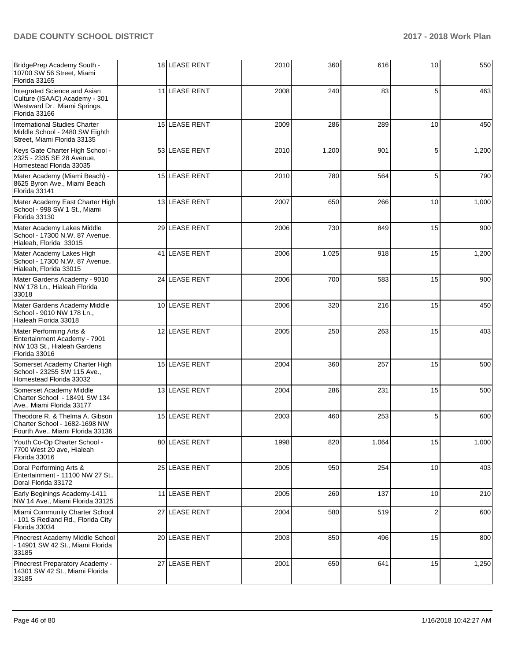| BridgePrep Academy South -<br>10700 SW 56 Street, Miami<br>Florida 33165                                      | 18 LEASE RENT | 2010 | 360   | 616   | 10 | 550   |
|---------------------------------------------------------------------------------------------------------------|---------------|------|-------|-------|----|-------|
| Integrated Science and Asian<br>Culture (ISAAC) Academy - 301<br>Westward Dr. Miami Springs,<br>Florida 33166 | 11 LEASE RENT | 2008 | 240   | 83    | 5  | 463   |
| International Studies Charter<br>Middle School - 2480 SW Eighth<br>Street, Miami Florida 33135                | 15 LEASE RENT | 2009 | 286   | 289   | 10 | 450   |
| Keys Gate Charter High School -<br>2325 - 2335 SE 28 Avenue,<br>Homestead Florida 33035                       | 53 LEASE RENT | 2010 | 1,200 | 901   | 5  | 1,200 |
| Mater Academy (Miami Beach) -<br>8625 Byron Ave., Miami Beach<br>Florida 33141                                | 15 LEASE RENT | 2010 | 780   | 564   | 5  | 790   |
| Mater Academy East Charter High<br>School - 998 SW 1 St., Miami<br>Florida 33130                              | 13 LEASE RENT | 2007 | 650   | 266   | 10 | 1,000 |
| Mater Academy Lakes Middle<br>School - 17300 N.W. 87 Avenue,<br>Hialeah, Florida 33015                        | 29 LEASE RENT | 2006 | 730   | 849   | 15 | 900   |
| Mater Academy Lakes High<br>School - 17300 N.W. 87 Avenue,<br>Hialeah, Florida 33015                          | 41 LEASE RENT | 2006 | 1,025 | 918   | 15 | 1,200 |
| Mater Gardens Academy - 9010<br>NW 178 Ln., Hialeah Florida<br>33018                                          | 24 LEASE RENT | 2006 | 700   | 583   | 15 | 900   |
| Mater Gardens Academy Middle<br>School - 9010 NW 178 Ln.,<br>Hialeah Florida 33018                            | 10 LEASE RENT | 2006 | 320   | 216   | 15 | 450   |
| Mater Performing Arts &<br>Entertainment Academy - 7901<br>NW 103 St., Hialeah Gardens<br>Florida 33016       | 12 LEASE RENT | 2005 | 250   | 263   | 15 | 403   |
| Somerset Academy Charter High<br>School - 23255 SW 115 Ave.,<br>Homestead Florida 33032                       | 15 LEASE RENT | 2004 | 360   | 257   | 15 | 500   |
| Somerset Academy Middle<br>Charter School - 18491 SW 134<br>Ave., Miami Florida 33177                         | 13 LEASE RENT | 2004 | 286   | 231   | 15 | 500   |
| Theodore R. & Thelma A. Gibson<br>Charter School - 1682-1698 NW<br>Fourth Ave., Miami Florida 33136           | 15 LEASE RENT | 2003 | 460   | 253   | 5  | 600   |
| Youth Co-Op Charter School -<br>7700 West 20 ave, Hialeah<br>Florida 33016                                    | 80 LEASE RENT | 1998 | 820   | 1,064 | 15 | 1,000 |
| Doral Performing Arts &<br>Entertainment - 11100 NW 27 St.,<br>Doral Florida 33172                            | 25 LEASE RENT | 2005 | 950   | 254   | 10 | 403   |
| Early Beginings Academy-1411<br>NW 14 Ave., Miami Florida 33125                                               | 11 LEASE RENT | 2005 | 260   | 137   | 10 | 210   |
| Miami Community Charter School<br>- 101 S Redland Rd., Florida City<br>Florida 33034                          | 27 LEASE RENT | 2004 | 580   | 519   | 2  | 600   |
| Pinecrest Academy Middle School<br>- 14901 SW 42 St., Miami Florida<br>33185                                  | 20 LEASE RENT | 2003 | 850   | 496   | 15 | 800   |
| Pinecrest Preparatory Academy -<br>14301 SW 42 St., Miami Florida<br>33185                                    | 27 LEASE RENT | 2001 | 650   | 641   | 15 | 1,250 |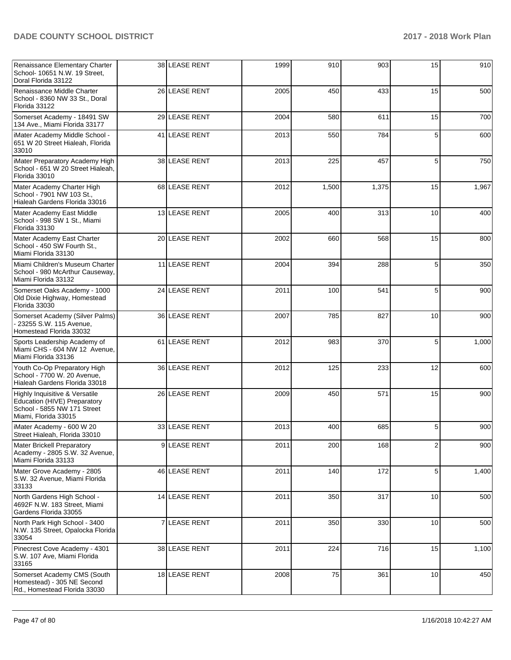| Renaissance Elementary Charter<br>School- 10651 N.W. 19 Street,<br>Doral Florida 33122                                |                | 38 LEASE RENT | 1999 | 910   | 903   | 15 | 910   |
|-----------------------------------------------------------------------------------------------------------------------|----------------|---------------|------|-------|-------|----|-------|
| Renaissance Middle Charter<br>School - 8360 NW 33 St., Doral<br>Florida 33122                                         |                | 26 LEASE RENT | 2005 | 450   | 433   | 15 | 500   |
| Somerset Academy - 18491 SW<br>134 Ave., Miami Florida 33177                                                          |                | 29 LEASE RENT | 2004 | 580   | 611   | 15 | 700   |
| iMater Academy Middle School -<br>651 W 20 Street Hialeah, Florida<br>33010                                           |                | 41 LEASE RENT | 2013 | 550   | 784   | 5  | 600   |
| iMater Preparatory Academy High<br>School - 651 W 20 Street Hialeah,<br>Florida 33010                                 |                | 38 LEASE RENT | 2013 | 225   | 457   | 5  | 750   |
| Mater Academy Charter High<br>School - 7901 NW 103 St.,<br>Hialeah Gardens Florida 33016                              |                | 68 LEASE RENT | 2012 | 1,500 | 1,375 | 15 | 1,967 |
| Mater Academy East Middle<br>School - 998 SW 1 St., Miami<br>Florida 33130                                            |                | 13 LEASE RENT | 2005 | 400   | 313   | 10 | 400   |
| Mater Academy East Charter<br>School - 450 SW Fourth St.,<br>Miami Florida 33130                                      |                | 20 LEASE RENT | 2002 | 660   | 568   | 15 | 800   |
| Miami Children's Museum Charter<br>School - 980 McArthur Causeway,<br>Miami Florida 33132                             |                | 11 LEASE RENT | 2004 | 394   | 288   | 5  | 350   |
| Somerset Oaks Academy - 1000<br>Old Dixie Highway, Homestead<br>Florida 33030                                         |                | 24 LEASE RENT | 2011 | 100   | 541   | 5  | 900   |
| Somerset Academy (Silver Palms)<br>23255 S.W. 115 Avenue,<br>Homestead Florida 33032                                  |                | 36 LEASE RENT | 2007 | 785   | 827   | 10 | 900   |
| Sports Leadership Academy of<br>Miami CHS - 604 NW 12 Avenue,<br>Miami Florida 33136                                  |                | 61 LEASE RENT | 2012 | 983   | 370   | 5  | 1,000 |
| Youth Co-Op Preparatory High<br>School - 7700 W. 20 Avenue,<br>Hialeah Gardens Florida 33018                          |                | 36 LEASE RENT | 2012 | 125   | 233   | 12 | 600   |
| Highly Inquisitive & Versatile<br>Education (HIVE) Preparatory<br>School - 5855 NW 171 Street<br>Miami, Florida 33015 |                | 26 LEASE RENT | 2009 | 450   | 571   | 15 | 900   |
| iMater Academy - 600 W 20<br>Street Hialeah, Florida 33010                                                            |                | 33 LEASE RENT | 2013 | 400   | 685   | 5  | 900   |
| <b>Mater Brickell Preparatory</b><br>Academy - 2805 S.W. 32 Avenue,<br>Miami Florida 33133                            |                | 9 LEASE RENT  | 2011 | 200   | 168   | 2  | 900   |
| Mater Grove Academy - 2805<br>S.W. 32 Avenue, Miami Florida<br>33133                                                  |                | 46 LEASE RENT | 2011 | 140   | 172   | 5  | 1,400 |
| North Gardens High School -<br>4692F N.W. 183 Street, Miami<br>Gardens Florida 33055                                  |                | 14 LEASE RENT | 2011 | 350   | 317   | 10 | 500   |
| North Park High School - 3400<br>N.W. 135 Street, Opalocka Florida<br>33054                                           | $\overline{7}$ | LEASE RENT    | 2011 | 350   | 330   | 10 | 500   |
| Pinecrest Cove Academy - 4301<br>S.W. 107 Ave, Miami Florida<br>33165                                                 |                | 38 LEASE RENT | 2011 | 224   | 716   | 15 | 1,100 |
| Somerset Academy CMS (South<br>Homestead) - 305 NE Second<br>Rd., Homestead Florida 33030                             |                | 18 LEASE RENT | 2008 | 75    | 361   | 10 | 450   |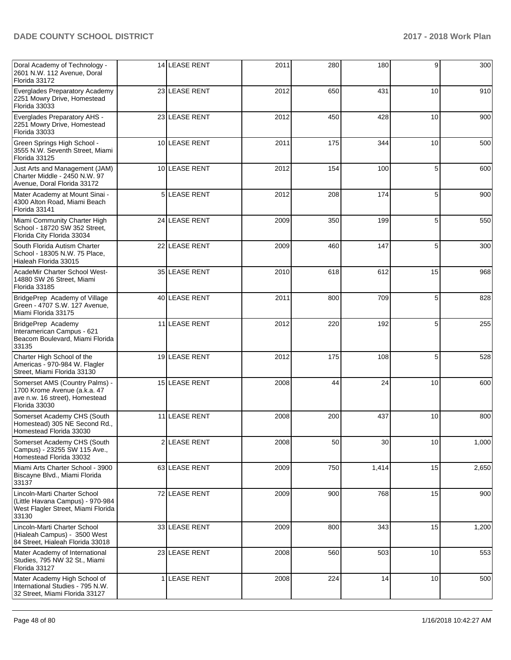| Doral Academy of Technology -<br>2601 N.W. 112 Avenue, Doral<br>Florida 33172                                     |    | 14 LEASE RENT     | 2011 | 280 | 180   | 9  | 300   |
|-------------------------------------------------------------------------------------------------------------------|----|-------------------|------|-----|-------|----|-------|
| Everglades Preparatory Academy<br>2251 Mowry Drive, Homestead<br>Florida 33033                                    |    | 23 LEASE RENT     | 2012 | 650 | 431   | 10 | 910   |
| Everglades Preparatory AHS -<br>2251 Mowry Drive, Homestead<br>Florida 33033                                      |    | 23 LEASE RENT     | 2012 | 450 | 428   | 10 | 900   |
| Green Springs High School -<br>3555 N.W. Seventh Street, Miami<br>Florida 33125                                   |    | 10 LEASE RENT     | 2011 | 175 | 344   | 10 | 500   |
| Just Arts and Management (JAM)<br>Charter Middle - 2450 N.W. 97<br>Avenue, Doral Florida 33172                    |    | 10 LEASE RENT     | 2012 | 154 | 100   | 5  | 600   |
| Mater Academy at Mount Sinai -<br>4300 Alton Road, Miami Beach<br>Florida 33141                                   |    | 5 LEASE RENT      | 2012 | 208 | 174   | 5  | 900   |
| Miami Community Charter High<br>School - 18720 SW 352 Street,<br>Florida City Florida 33034                       |    | 24 LEASE RENT     | 2009 | 350 | 199   | 5  | 550   |
| South Florida Autism Charter<br>School - 18305 N.W. 75 Place,<br>Hialeah Florida 33015                            |    | 22 LEASE RENT     | 2009 | 460 | 147   | 5  | 300   |
| AcadeMir Charter School West-<br>14880 SW 26 Street, Miami<br>Florida 33185                                       |    | 35 LEASE RENT     | 2010 | 618 | 612   | 15 | 968   |
| BridgePrep Academy of Village<br>Green - 4707 S.W. 127 Avenue,<br>Miami Florida 33175                             |    | 40 LEASE RENT     | 2011 | 800 | 709   | 5  | 828   |
| BridgePrep Academy<br>Interamerican Campus - 621<br>Beacom Boulevard, Miami Florida<br>33135                      | 11 | <b>LEASE RENT</b> | 2012 | 220 | 192   | 5  | 255   |
| Charter High School of the<br>Americas - 970-984 W. Flagler<br>Street, Miami Florida 33130                        |    | 19 LEASE RENT     | 2012 | 175 | 108   | 5  | 528   |
| Somerset AMS (Country Palms) -<br>1700 Krome Avenue (a.k.a. 47<br>ave n.w. 16 street), Homestead<br>Florida 33030 |    | 15 LEASE RENT     | 2008 | 44  | 24    | 10 | 600   |
| Somerset Academy CHS (South<br>Homestead) 305 NE Second Rd.,<br>Homestead Florida 33030                           |    | 11 LEASE RENT     | 2008 | 200 | 437   | 10 | 800   |
| Somerset Academy CHS (South<br>Campus) - 23255 SW 115 Ave.,<br>Homestead Florida 33032                            |    | 2 LEASE RENT      | 2008 | 50  | 30    | 10 | 1,000 |
| Miami Arts Charter School - 3900<br>Biscayne Blvd., Miami Florida<br>33137                                        |    | 63 LEASE RENT     | 2009 | 750 | 1,414 | 15 | 2,650 |
| Lincoln-Marti Charter School<br>(Little Havana Campus) - 970-984<br>West Flagler Street, Miami Florida<br>33130   |    | 72 LEASE RENT     | 2009 | 900 | 768   | 15 | 900   |
| Lincoln-Marti Charter School<br>(Hialeah Campus) - 3500 West<br>84 Street, Hialeah Florida 33018                  |    | 33 LEASE RENT     | 2009 | 800 | 343   | 15 | 1,200 |
| Mater Academy of International<br>Studies, 795 NW 32 St., Miami<br>Florida 33127                                  |    | 23 LEASE RENT     | 2008 | 560 | 503   | 10 | 553   |
| Mater Academy High School of<br>International Studies - 795 N.W.<br>32 Street, Miami Florida 33127                |    | 1 LEASE RENT      | 2008 | 224 | 14    | 10 | 500   |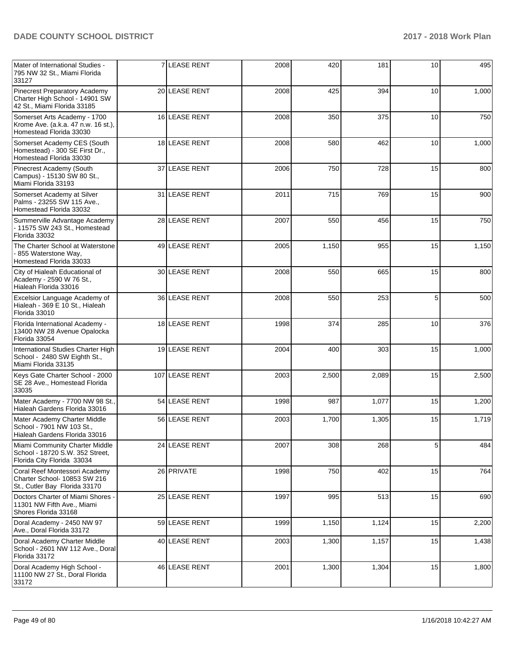| Mater of International Studies -<br>795 NW 32 St., Miami Florida<br>33127                       | 7 LEASE RENT   | 2008 | 420   | 181   | 10 | 495   |
|-------------------------------------------------------------------------------------------------|----------------|------|-------|-------|----|-------|
| Pinecrest Preparatory Academy<br>Charter High School - 14901 SW<br>42 St., Miami Florida 33185  | 20 LEASE RENT  | 2008 | 425   | 394   | 10 | 1,000 |
| Somerset Arts Academy - 1700<br>Krome Ave. (a.k.a. 47 n.w. 16 st.),<br>Homestead Florida 33030  | 16 LEASE RENT  | 2008 | 350   | 375   | 10 | 750   |
| Somerset Academy CES (South<br>Homestead) - 300 SE First Dr.,<br>Homestead Florida 33030        | 18 LEASE RENT  | 2008 | 580   | 462   | 10 | 1,000 |
| Pinecrest Academy (South<br>Campus) - 15130 SW 80 St.,<br>Miami Florida 33193                   | 37 LEASE RENT  | 2006 | 750   | 728   | 15 | 800   |
| Somerset Academy at Silver<br>Palms - 23255 SW 115 Ave.,<br>Homestead Florida 33032             | 31 LEASE RENT  | 2011 | 715   | 769   | 15 | 900   |
| Summerville Advantage Academy<br>- 11575 SW 243 St., Homestead<br>Florida 33032                 | 28 LEASE RENT  | 2007 | 550   | 456   | 15 | 750   |
| The Charter School at Waterstone<br>- 855 Waterstone Way,<br>Homestead Florida 33033            | 49 LEASE RENT  | 2005 | 1,150 | 955   | 15 | 1,150 |
| City of Hialeah Educational of<br>Academy - 2590 W 76 St.,<br>Hialeah Florida 33016             | 30 LEASE RENT  | 2008 | 550   | 665   | 15 | 800   |
| Excelsior Language Academy of<br>Hialeah - 369 E 10 St., Hialeah<br>Florida 33010               | 36 LEASE RENT  | 2008 | 550   | 253   | 5  | 500   |
| Florida International Academy -<br>13400 NW 28 Avenue Opalocka<br>Florida 33054                 | 18 LEASE RENT  | 1998 | 374   | 285   | 10 | 376   |
| International Studies Charter High<br>School - 2480 SW Eighth St.,<br>Miami Florida 33135       | 19 LEASE RENT  | 2004 | 400   | 303   | 15 | 1,000 |
| Keys Gate Charter School - 2000<br>SE 28 Ave., Homestead Florida<br>33035                       | 107 LEASE RENT | 2003 | 2,500 | 2,089 | 15 | 2,500 |
| Mater Academy - 7700 NW 98 St.,<br>Hialeah Gardens Florida 33016                                | 54 LEASE RENT  | 1998 | 987   | 1,077 | 15 | 1,200 |
| Mater Academy Charter Middle<br>School - 7901 NW 103 St.,<br>Hialeah Gardens Florida 33016      | 56 LEASE RENT  | 2003 | 1,700 | 1,305 | 15 | 1,719 |
| Miami Community Charter Middle<br>School - 18720 S.W. 352 Street.<br>Florida City Florida 33034 | 24 LEASE RENT  | 2007 | 308   | 268   | 5  | 484   |
| Coral Reef Montessori Academy<br>Charter School- 10853 SW 216<br>St., Cutler Bay Florida 33170  | 26 PRIVATE     | 1998 | 750   | 402   | 15 | 764   |
| Doctors Charter of Miami Shores -<br>11301 NW Fifth Ave., Miami<br>Shores Florida 33168         | 25 LEASE RENT  | 1997 | 995   | 513   | 15 | 690   |
| Doral Academy - 2450 NW 97<br>Ave., Doral Florida 33172                                         | 59 LEASE RENT  | 1999 | 1,150 | 1,124 | 15 | 2,200 |
| Doral Academy Charter Middle<br>School - 2601 NW 112 Ave., Doral<br>Florida 33172               | 40 LEASE RENT  | 2003 | 1,300 | 1,157 | 15 | 1,438 |
| Doral Academy High School -<br>11100 NW 27 St., Doral Florida<br>33172                          | 46 LEASE RENT  | 2001 | 1,300 | 1,304 | 15 | 1,800 |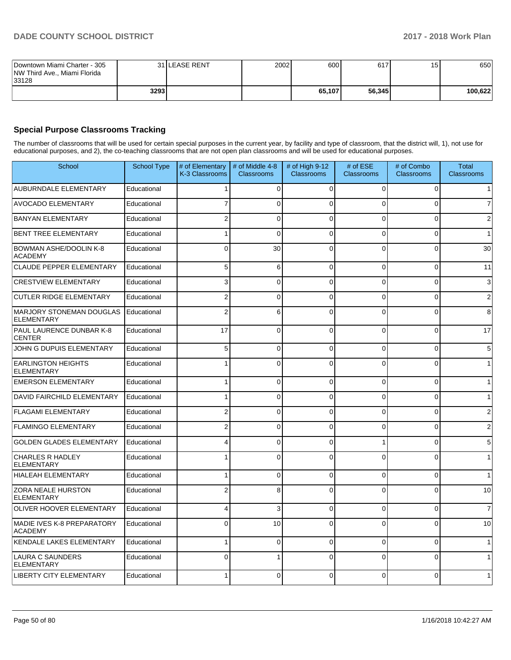| Downtown Miami Charter - 305<br>NW Third Ave., Miami Florida<br>33128 |       | 31 ILEASE RENT | 2002 | 600    | 617    | 15 | 650     |
|-----------------------------------------------------------------------|-------|----------------|------|--------|--------|----|---------|
|                                                                       | 32931 |                |      | 65.107 | 56,345 |    | 100,622 |

# **Special Purpose Classrooms Tracking**

The number of classrooms that will be used for certain special purposes in the current year, by facility and type of classroom, that the district will, 1), not use for educational purposes, and 2), the co-teaching classrooms that are not open plan classrooms and will be used for educational purposes.

| School                                              | <b>School Type</b> | # of Elementary<br>K-3 Classrooms | # of Middle 4-8<br><b>Classrooms</b> | # of High 9-12<br><b>Classrooms</b> | # of ESE<br><b>Classrooms</b> | # of Combo<br><b>Classrooms</b> | <b>Total</b><br><b>Classrooms</b> |
|-----------------------------------------------------|--------------------|-----------------------------------|--------------------------------------|-------------------------------------|-------------------------------|---------------------------------|-----------------------------------|
| <b>AUBURNDALE ELEMENTARY</b>                        | Educational        | $\mathbf{1}$                      | 0                                    | $\Omega$                            | $\Omega$                      | $\mathbf 0$                     | $\mathbf{1}$                      |
| <b>AVOCADO ELEMENTARY</b>                           | Educational        |                                   | $\Omega$                             | $\Omega$                            | 0                             | $\Omega$                        | $\overline{7}$                    |
| <b>BANYAN ELEMENTARY</b>                            | Educational        | 2                                 | 0                                    | $\Omega$                            | $\Omega$                      | $\Omega$                        | $\overline{2}$                    |
| <b>BENT TREE ELEMENTARY</b>                         | Educational        | 1                                 | $\Omega$                             | $\Omega$                            | 0                             | 0                               | $\mathbf{1}$                      |
| <b>BOWMAN ASHE/DOOLIN K-8</b><br><b>ACADEMY</b>     | Educational        | $\Omega$                          | 30                                   | $\Omega$                            | 0                             | $\Omega$                        | 30                                |
| <b>CLAUDE PEPPER ELEMENTARY</b>                     | Educational        | 5                                 | 6                                    | $\Omega$                            | $\Omega$                      | $\Omega$                        | 11                                |
| <b>CRESTVIEW ELEMENTARY</b>                         | Educational        | 3                                 | 0                                    | $\Omega$                            | 0                             | 0                               | 3                                 |
| <b>CUTLER RIDGE ELEMENTARY</b>                      | Educational        | $\overline{2}$                    | 0                                    | $\Omega$                            | 0                             | $\Omega$                        | 2                                 |
| MARJORY STONEMAN DOUGLAS<br><b>ELEMENTARY</b>       | Educational        | 2                                 | 6                                    | $\Omega$                            | $\Omega$                      | $\Omega$                        | 8                                 |
| PAUL LAURENCE DUNBAR K-8<br><b>CENTER</b>           | Educational        | 17                                | 0                                    | $\Omega$                            | 0                             | $\Omega$                        | 17                                |
| JOHN G DUPUIS ELEMENTARY                            | Educational        | 5                                 | $\Omega$                             | $\Omega$                            | $\Omega$                      | $\overline{0}$                  | 5                                 |
| <b>EARLINGTON HEIGHTS</b><br><b>ELEMENTARY</b>      | Educational        |                                   | $\Omega$                             | $\Omega$                            | $\Omega$                      | $\Omega$                        | $\mathbf{1}$                      |
| <b>EMERSON ELEMENTARY</b>                           | Educational        |                                   | 0                                    | $\Omega$                            | 0                             | 0                               | $\mathbf{1}$                      |
| DAVID FAIRCHILD ELEMENTARY                          | Educational        |                                   | 0                                    | $\Omega$                            | 0                             | $\Omega$                        | $\mathbf{1}$                      |
| <b>FLAGAMI ELEMENTARY</b>                           | Educational        | $\overline{2}$                    | 0                                    | $\Omega$                            | $\overline{0}$                | $\Omega$                        | $\overline{2}$                    |
| <b>FLAMINGO ELEMENTARY</b>                          | Educational        | $\overline{2}$                    | 0                                    | $\Omega$                            | 0                             | 0                               | $\overline{2}$                    |
| <b>GOLDEN GLADES ELEMENTARY</b>                     | Educational        | 4                                 | $\mathbf{0}$                         | $\Omega$                            | 1                             | $\Omega$                        | 5                                 |
| <b>CHARLES R HADLEY</b><br><b>ELEMENTARY</b>        | Educational        |                                   | $\Omega$                             | $\Omega$                            | 0                             | $\Omega$                        | $\mathbf{1}$                      |
| <b>HIALEAH ELEMENTARY</b>                           | Educational        |                                   | 0                                    | $\Omega$                            | $\mathbf 0$                   | $\Omega$                        | $\mathbf{1}$                      |
| <b>ZORA NEALE HURSTON</b><br><b>ELEMENTARY</b>      | Educational        | 2                                 | 8                                    | $\Omega$                            | $\Omega$                      | $\Omega$                        | 10                                |
| OLIVER HOOVER ELEMENTARY                            | Educational        |                                   | 3                                    | $\Omega$                            | 0                             | $\Omega$                        | $\overline{7}$                    |
| <b>MADIE IVES K-8 PREPARATORY</b><br><b>ACADEMY</b> | Educational        | $\Omega$                          | 10                                   | $\Omega$                            | 0                             | 0                               | 10                                |
| <b>KENDALE LAKES ELEMENTARY</b>                     | Educational        |                                   | 0                                    | $\Omega$                            | $\Omega$                      | $\Omega$                        | $\mathbf{1}$                      |
| <b>LAURA C SAUNDERS</b><br><b>ELEMENTARY</b>        | Educational        | $\Omega$                          | 1                                    | $\Omega$                            | 0                             | $\Omega$                        | $\mathbf{1}$                      |
| <b>LIBERTY CITY ELEMENTARY</b>                      | Educational        |                                   | 0                                    | $\Omega$                            | 0                             | 0                               | $\mathbf{1}$                      |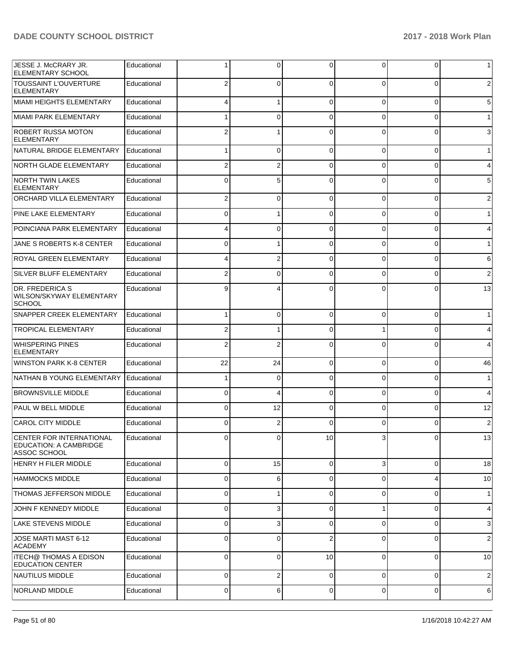| JESSE J. McCRARY JR.<br><b>ELEMENTARY SCHOOL</b>                                 | Educational |             | 0        | 0              | 0           | 0              | 1               |
|----------------------------------------------------------------------------------|-------------|-------------|----------|----------------|-------------|----------------|-----------------|
| TOUSSAINT L'OUVERTURE<br><b>ELEMENTARY</b>                                       | Educational | 2           | $\Omega$ | $\Omega$       | 0           | $\overline{0}$ | $\overline{2}$  |
| MIAMI HEIGHTS ELEMENTARY                                                         | Educational | 4           |          | $\Omega$       | 0           | 0              | $5\overline{)}$ |
| MIAMI PARK ELEMENTARY                                                            | Educational |             | 0        | $\Omega$       | 0           | 0              | 1               |
| <b>ROBERT RUSSA MOTON</b><br>ELEMENTARY                                          | Educational | 2           |          | $\Omega$       | 0           | 0              | $\mathbf{3}$    |
| NATURAL BRIDGE ELEMENTARY                                                        | Educational |             | 0        | $\Omega$       | $\Omega$    | $\overline{0}$ | 1               |
| NORTH GLADE ELEMENTARY                                                           | Educational | 2           | 2        | $\Omega$       | 0           | 0              | $\overline{4}$  |
| <b>NORTH TWIN LAKES</b><br><b>ELEMENTARY</b>                                     | Educational | 0           | 5        | $\Omega$       | 0           | 0              | $5\overline{)}$ |
| <b>ORCHARD VILLA ELEMENTARY</b>                                                  | Educational | 2           | 0        | $\Omega$       | $\Omega$    | $\overline{0}$ | $\sqrt{2}$      |
| <b>PINE LAKE ELEMENTARY</b>                                                      | Educational | 0           |          | $\Omega$       | 0           | 0              | 1               |
| POINCIANA PARK ELEMENTARY                                                        | Educational | 4           | 0        | $\Omega$       | $\Omega$    | 0              | $\overline{4}$  |
| JANE S ROBERTS K-8 CENTER                                                        | Educational | 0           |          | $\Omega$       | $\Omega$    | 0              | 1               |
| <b>ROYAL GREEN ELEMENTARY</b>                                                    | Educational | 4           | 2        | $\Omega$       | $\Omega$    | 0              | $6 \mid$        |
| SILVER BLUFF ELEMENTARY                                                          | Educational | 2           | 0        | $\Omega$       | $\Omega$    | 0              | $\overline{2}$  |
| DR. FREDERICA S<br>WILSON/SKYWAY ELEMENTARY<br><b>SCHOOL</b>                     | Educational | 9           | 4        | $\Omega$       | 0           | $\Omega$       | 13              |
| <b>SNAPPER CREEK ELEMENTARY</b>                                                  | Educational | 1           | 0        | $\Omega$       | 0           | $\overline{0}$ | 1 <sup>1</sup>  |
| <b>TROPICAL ELEMENTARY</b>                                                       | Educational | 2           | 1        | $\Omega$       |             | $\overline{0}$ | $\overline{4}$  |
| <b>WHISPERING PINES</b><br><b>ELEMENTARY</b>                                     | Educational | 2           | 2        | $\Omega$       | 0           | 0              | $\overline{4}$  |
| <b>WINSTON PARK K-8 CENTER</b>                                                   | Educational | 22          | 24       | $\Omega$       | $\Omega$    | 0              | 46              |
| NATHAN B YOUNG ELEMENTARY                                                        | Educational |             | 0        | $\Omega$       | 0           | 0              | 1               |
| <b>BROWNSVILLE MIDDLE</b>                                                        | Educational | 0           | 4        | $\Omega$       | 0           | 0              | $\overline{4}$  |
| PAUL W BELL MIDDLE                                                               | Educational | 0           | 12       | $\Omega$       | 0           | 0              | 12              |
| <b>CAROL CITY MIDDLE</b>                                                         | Educational | 0           | 2        | $\Omega$       | 0           | 0              | $\overline{2}$  |
| <b>CENTER FOR INTERNATIONAL</b><br><b>EDUCATION: A CAMBRIDGE</b><br>ASSOC SCHOOL | Educational | 0           | 0        | 10             | 3           | $\overline{0}$ | 13              |
| HENRY H FILER MIDDLE                                                             | Educational | $\mathbf 0$ | 15       | $\Omega$       | 3           | $\overline{0}$ | 18              |
| <b>HAMMOCKS MIDDLE</b>                                                           | Educational | 0           | 6        | $\Omega$       | 0           | $\overline{4}$ | 10              |
| THOMAS JEFFERSON MIDDLE                                                          | Educational | 0           | 1        | $\Omega$       | $\Omega$    | $\overline{0}$ | $\mathbf{1}$    |
| JOHN F KENNEDY MIDDLE                                                            | Educational | 0           | 3        | $\Omega$       |             | $\overline{0}$ | $\overline{4}$  |
| <b>LAKE STEVENS MIDDLE</b>                                                       | Educational | 0           | 3        | $\Omega$       | $\Omega$    | $\overline{0}$ | $\mathbf{3}$    |
| JOSE MARTI MAST 6-12<br><b>ACADEMY</b>                                           | Educational | 0           | 0        | $\overline{2}$ | $\Omega$    | $\overline{0}$ | $\overline{2}$  |
| <b>ITECH@ THOMAS A EDISON</b><br><b>EDUCATION CENTER</b>                         | Educational | 0           | 0        | 10             | 0           | $\overline{0}$ | 10              |
| NAUTILUS MIDDLE                                                                  | Educational | 0           | 2        | $\mathbf 0$    | $\mathbf 0$ | $\overline{0}$ | $\overline{2}$  |
| NORLAND MIDDLE                                                                   | Educational | 0           | 6        | $\mathbf 0$    | 0           | $\overline{0}$ | $6 \,$          |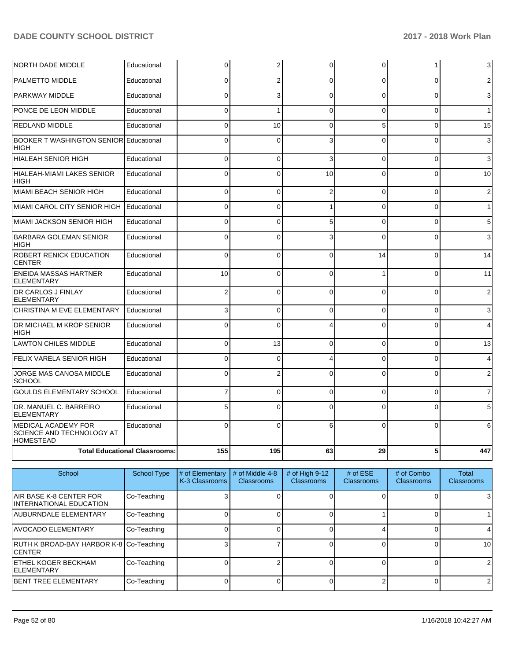| <b>HOMESTEAD</b>                                             | <b>Total Educational Classrooms:</b> | 155            | 195            | 63             | 29       | 5        | 447            |
|--------------------------------------------------------------|--------------------------------------|----------------|----------------|----------------|----------|----------|----------------|
| <b>MEDICAL ACADEMY FOR</b><br>SCIENCE AND TECHNOLOGY AT      | Educational                          | $\Omega$       | $\Omega$       | 6              | $\Omega$ | $\Omega$ | 6              |
| DR. MANUEL C. BARREIRO<br><b>ELEMENTARY</b>                  | Educational                          | 5              | 0              | $\Omega$       | $\Omega$ | $\Omega$ | 5              |
| <b>GOULDS ELEMENTARY SCHOOL</b>                              | Educational                          | 7              | $\Omega$       | $\Omega$       | $\Omega$ | $\Omega$ | $\overline{7}$ |
| JORGE MAS CANOSA MIDDLE<br><b>SCHOOL</b>                     | Educational                          | $\Omega$       | $\overline{2}$ | $\Omega$       | $\Omega$ | $\Omega$ | 2              |
| FELIX VARELA SENIOR HIGH                                     | Educational                          | $\Omega$       | $\Omega$       | 4              | $\Omega$ | $\Omega$ | 4              |
| <b>LAWTON CHILES MIDDLE</b>                                  | Educational                          | 0              | 13             | $\Omega$       | 0        | 0        | 13             |
| DR MICHAEL M KROP SENIOR<br><b>HIGH</b>                      | Educational                          | $\Omega$       | $\Omega$       | 4              | $\Omega$ | $\Omega$ | 4              |
| CHRISTINA M EVE ELEMENTARY                                   | Educational                          | 3              | $\Omega$       | $\Omega$       | $\Omega$ | $\Omega$ | 3              |
| <b>DR CARLOS J FINLAY</b><br><b>ELEMENTARY</b>               | Educational                          | $\overline{2}$ | $\Omega$       | $\Omega$       | $\Omega$ | $\Omega$ | $\overline{2}$ |
| <b>ENEIDA MASSAS HARTNER</b><br><b>ELEMENTARY</b>            | Educational                          | 10             | $\Omega$       | $\Omega$       | 1        | $\Omega$ | 11             |
| ROBERT RENICK EDUCATION<br><b>CENTER</b>                     | Educational                          | 0              | 0              | $\Omega$       | 14       | 0        | 14             |
| <b>BARBARA GOLEMAN SENIOR</b><br><b>HIGH</b>                 | Educational                          | $\Omega$       | 0              | 3              | $\Omega$ | $\Omega$ | 3              |
| <b>MIAMI JACKSON SENIOR HIGH</b>                             | Educational                          | 0              | 0              | 5              | 0        | 0        | 5              |
| MIAMI CAROL CITY SENIOR HIGH                                 | Educational                          | 0              | 0              |                | 0        | 0        | $\mathbf{1}$   |
| MIAMI BEACH SENIOR HIGH                                      | Educational                          | $\Omega$       | $\Omega$       | $\overline{2}$ | $\Omega$ | $\Omega$ | $\mathbf{2}$   |
| <b>HIALEAH-MIAMI LAKES SENIOR</b><br><b>HIGH</b>             | Educational                          | $\Omega$       | $\Omega$       | 10             | $\Omega$ | 0        | 10             |
| <b>HIALEAH SENIOR HIGH</b>                                   | Educational                          | 0              | $\Omega$       | 3              | $\Omega$ | $\Omega$ | $\mathbf{3}$   |
| <b>BOOKER T WASHINGTON SENIOR Educational</b><br><b>HIGH</b> |                                      | 0              | 0              | 3              | 0        | $\Omega$ | 3              |
| <b>REDLAND MIDDLE</b>                                        | Educational                          | 0              | 10             | 0              | 5        | 0        | 15             |
| PONCE DE LEON MIDDLE                                         | Educational                          | 0              | 1              | $\Omega$       | $\Omega$ | $\Omega$ | $\mathbf{1}$   |
| PARKWAY MIDDLE                                               | Educational                          | $\Omega$       | 3              | $\Omega$       | $\Omega$ | $\Omega$ | 3              |
| <b>PALMETTO MIDDLE</b>                                       | Educational                          | $\Omega$       | $\overline{2}$ | $\Omega$       | $\Omega$ | $\Omega$ | 2              |
| <b>NORTH DADE MIDDLE</b>                                     | Educational                          | 0              | 2              | $\Omega$       | 0        | 1        | 3              |

| School                                                    | <b>School Type</b> | # of Elementary<br>K-3 Classrooms | # of Middle 4-8<br><b>Classrooms</b> | # of High 9-12<br><b>Classrooms</b> | # of $ESE$<br>Classrooms | # of Combo<br><b>Classrooms</b> | Total<br>Classrooms |
|-----------------------------------------------------------|--------------------|-----------------------------------|--------------------------------------|-------------------------------------|--------------------------|---------------------------------|---------------------|
| AIR BASE K-8 CENTER FOR<br><b>INTERNATIONAL EDUCATION</b> | Co-Teaching        |                                   |                                      |                                     |                          |                                 | 3                   |
| AUBURNDALE ELEMENTARY                                     | Co-Teaching        |                                   |                                      |                                     |                          |                                 |                     |
| <b>AVOCADO ELEMENTARY</b>                                 | Co-Teaching        |                                   |                                      |                                     |                          |                                 | 4                   |
| RUTH K BROAD-BAY HARBOR K-8 Co-Teaching<br><b>ICENTER</b> |                    |                                   |                                      |                                     |                          |                                 | 10                  |
| <b>ETHEL KOGER BECKHAM</b><br><b>IELEMENTARY</b>          | Co-Teaching        |                                   |                                      |                                     |                          |                                 | 2                   |
| <b>BENT TREE ELEMENTARY</b>                               | Co-Teaching        |                                   |                                      |                                     |                          |                                 | 2                   |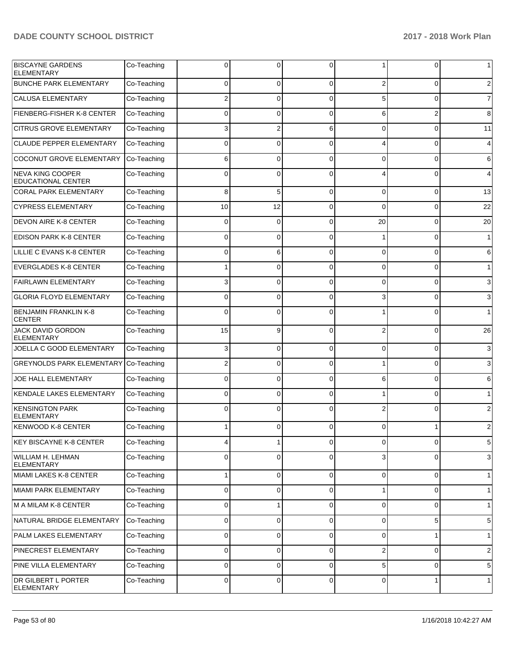| <b>BISCAYNE GARDENS</b><br><b>ELEMENTARY</b>         | Co-Teaching | 0        | 0              | $\Omega$    |             | 0              | $\mathbf{1}$   |
|------------------------------------------------------|-------------|----------|----------------|-------------|-------------|----------------|----------------|
| <b>BUNCHE PARK ELEMENTARY</b>                        | Co-Teaching | 0        | $\Omega$       | $\Omega$    | 2           | $\Omega$       | $\overline{c}$ |
| <b>CALUSA ELEMENTARY</b>                             | Co-Teaching | 2        | 0              | $\Omega$    | 5           | $\Omega$       | $\overline{7}$ |
| <b>FIENBERG-FISHER K-8 CENTER</b>                    | Co-Teaching | 0        | 0              | $\Omega$    | 6           | $\overline{2}$ | 8              |
| <b>CITRUS GROVE ELEMENTARY</b>                       | Co-Teaching | 3        | $\overline{2}$ | 6           | $\Omega$    | $\Omega$       | 11             |
| CLAUDE PEPPER ELEMENTARY                             | Co-Teaching | 0        | 0              | $\Omega$    | 4           | $\Omega$       | 4              |
| COCONUT GROVE ELEMENTARY                             | Co-Teaching | 6        | 0              | $\Omega$    | $\Omega$    | 0              | 6              |
| <b>NEVA KING COOPER</b><br><b>EDUCATIONAL CENTER</b> | Co-Teaching | 0        | 0              | $\Omega$    | 4           | 0              | 4              |
| <b>CORAL PARK ELEMENTARY</b>                         | Co-Teaching | 8        | 5              | $\Omega$    | 0           | 0              | 13             |
| <b>CYPRESS ELEMENTARY</b>                            | Co-Teaching | 10       | 12             | $\Omega$    | 0           | 0              | 22             |
| <b>DEVON AIRE K-8 CENTER</b>                         | Co-Teaching | 0        | 0              | $\Omega$    | 20          | 0              | 20             |
| <b>EDISON PARK K-8 CENTER</b>                        | Co-Teaching | 0        | $\Omega$       | $\Omega$    |             | 0              | $\mathbf{1}$   |
| LILLIE C EVANS K-8 CENTER                            | Co-Teaching | 0        | 6              | $\Omega$    | 0           | 0              | 6              |
| <b>EVERGLADES K-8 CENTER</b>                         | Co-Teaching |          | 0              | $\Omega$    | 0           | 0              | $\mathbf{1}$   |
| <b>FAIRLAWN ELEMENTARY</b>                           | Co-Teaching | 3        | $\Omega$       | $\Omega$    | 0           | 0              | 3              |
| <b>GLORIA FLOYD ELEMENTARY</b>                       | Co-Teaching | 0        | 0              | $\Omega$    | 3           | 0              | 3              |
| <b>BENJAMIN FRANKLIN K-8</b><br><b>CENTER</b>        | Co-Teaching | 0        | 0              | $\Omega$    |             | ŋ              | $\mathbf{1}$   |
| JACK DAVID GORDON<br><b>ELEMENTARY</b>               | Co-Teaching | 15       | 9              | $\Omega$    | 2           | 0              | 26             |
| JOELLA C GOOD ELEMENTARY                             | Co-Teaching | 3        | $\Omega$       | $\Omega$    | $\Omega$    | $\Omega$       | 3              |
| <b>GREYNOLDS PARK ELEMENTARY</b>                     | Co-Teaching | 2        | 0              | $\Omega$    |             | $\Omega$       | 3              |
| JOE HALL ELEMENTARY                                  | Co-Teaching | $\Omega$ | $\Omega$       | $\Omega$    | 6           | $\Omega$       | 6              |
| <b>KENDALE LAKES ELEMENTARY</b>                      | Co-Teaching | 0        | 0              | $\Omega$    |             | 0              | $\mathbf{1}$   |
| <b>KENSINGTON PARK</b><br><b>ELEMENTARY</b>          | Co-Teaching | 0        | 0              | $\Omega$    | 2           | $\Omega$       | $\overline{2}$ |
| <b>KENWOOD K-8 CENTER</b>                            | Co-Teaching |          | 0              | $\Omega$    | 0           |                | 2              |
| <b>KEY BISCAYNE K-8 CENTER</b>                       | Co-Teaching | 4        | 1              | $\Omega$    | 0           | 0              | 5              |
| WILLIAM H. LEHMAN<br><b>ELEMENTARY</b>               | Co-Teaching | 0        | 0              | $\Omega$    | 3           | 0              | $\mathbf{3}$   |
| MIAMI LAKES K-8 CENTER                               | Co-Teaching |          | 0              | $\mathbf 0$ | 0           | 0              | $\mathbf{1}$   |
| MIAMI PARK ELEMENTARY                                | Co-Teaching | 0        | 0              | $\mathbf 0$ | 1           | 0              | $\mathbf{1}$   |
| M A MILAM K-8 CENTER                                 | Co-Teaching | 0        | 1              | $\mathbf 0$ | 0           | 0              | $\mathbf{1}$   |
| NATURAL BRIDGE ELEMENTARY                            | Co-Teaching | 0        | 0              | $\mathbf 0$ | 0           | 5              | 5              |
| PALM LAKES ELEMENTARY                                | Co-Teaching | 0        | 0              | $\mathbf 0$ | 0           | 1              | $\mathbf{1}$   |
| PINECREST ELEMENTARY                                 | Co-Teaching | 0        | 0              | $\mathbf 0$ | 2           | 0              | $\sqrt{2}$     |
| PINE VILLA ELEMENTARY                                | Co-Teaching | 0        | 0              | $\mathbf 0$ | 5           | 0              | 5              |
| DR GILBERT L PORTER<br>ELEMENTARY                    | Co-Teaching | 0        | 0              | $\mathbf 0$ | $\mathbf 0$ | 1              | $\mathbf{1}$   |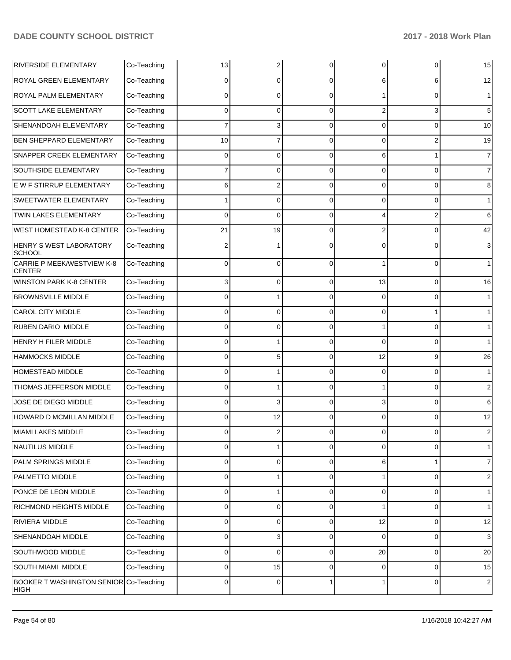| <b>RIVERSIDE ELEMENTARY</b>                           | Co-Teaching | 13             | 2           | 0        | 0        | 0              | 15             |
|-------------------------------------------------------|-------------|----------------|-------------|----------|----------|----------------|----------------|
| ROYAL GREEN ELEMENTARY                                | Co-Teaching | $\Omega$       | 0           | $\Omega$ | 6        | 6              | 12             |
| ROYAL PALM ELEMENTARY                                 | Co-Teaching | $\Omega$       | 0           | $\Omega$ |          | $\Omega$       | 1              |
| <b>SCOTT LAKE ELEMENTARY</b>                          | Co-Teaching | 0              | 0           | 0        | 2        | 3              | 5              |
| SHENANDOAH ELEMENTARY                                 | Co-Teaching | 7              | 3           | 0        | 0        | $\Omega$       | 10             |
| <b>BEN SHEPPARD ELEMENTARY</b>                        | Co-Teaching | 10             | 7           | 0        | 0        | 2              | 19             |
| SNAPPER CREEK ELEMENTARY                              | Co-Teaching | $\Omega$       | 0           | 0        | 6        |                | 7              |
| <b>SOUTHSIDE ELEMENTARY</b>                           | Co-Teaching | 7              | $\mathbf 0$ | 0        | 0        | $\Omega$       |                |
| E W F STIRRUP ELEMENTARY                              | Co-Teaching | 6              | 2           | 0        | 0        | $\Omega$       | 8              |
| <b>SWEETWATER ELEMENTARY</b>                          | Co-Teaching |                | 0           | 0        | 0        | $\Omega$       |                |
| <b>TWIN LAKES ELEMENTARY</b>                          | Co-Teaching | $\Omega$       | 0           | 0        |          | $\overline{2}$ | 6              |
| <b>WEST HOMESTEAD K-8 CENTER</b>                      | Co-Teaching | 21             | 19          | 0        | 2        | $\Omega$       | 42             |
| HENRY S WEST LABORATORY<br><b>SCHOOL</b>              | Co-Teaching | $\overline{2}$ |             | $\Omega$ | $\Omega$ | 0              |                |
| <b>CARRIE P MEEK/WESTVIEW K-8</b><br><b>CENTER</b>    | Co-Teaching | 0              | $\Omega$    | $\Omega$ |          | $\Omega$       | 1              |
| <b>WINSTON PARK K-8 CENTER</b>                        | Co-Teaching | 3              | 0           | 0        | 13       | $\mathbf 0$    | 16             |
| <b>BROWNSVILLE MIDDLE</b>                             | Co-Teaching | $\Omega$       |             | $\Omega$ | 0        | $\Omega$       |                |
| <b>CAROL CITY MIDDLE</b>                              | Co-Teaching | $\Omega$       | 0           | 0        | 0        |                | 1              |
| RUBEN DARIO MIDDLE                                    | Co-Teaching | $\Omega$       | 0           | 0        |          | $\Omega$       |                |
| HENRY H FILER MIDDLE                                  | Co-Teaching | $\Omega$       |             | 0        | 0        | $\Omega$       |                |
| <b>HAMMOCKS MIDDLE</b>                                | Co-Teaching | $\Omega$       | 5           | 0        | 12       | 9              | 26             |
| <b>HOMESTEAD MIDDLE</b>                               | Co-Teaching | $\Omega$       |             | 0        | 0        | $\Omega$       |                |
| THOMAS JEFFERSON MIDDLE                               | Co-Teaching | $\Omega$       |             | $\Omega$ |          | $\Omega$       | 2              |
| JOSE DE DIEGO MIDDLE                                  | Co-Teaching | $\Omega$       | 3           | 0        | 3        | $\Omega$       | 6              |
| HOWARD D MCMILLAN MIDDLE                              | Co-Teaching | $\Omega$       | 12          | $\Omega$ | 0        | $\Omega$       | 12             |
| MIAMI LAKES MIDDLE                                    | Co-Teaching | 0              | 2           | 0        | 0        | $\Omega$       | 2              |
| NAUTILUS MIDDLE                                       | Co-Teaching | $\Omega$       |             | 0        | 0        | 0              | 1              |
| PALM SPRINGS MIDDLE                                   | Co-Teaching | $\Omega$       | 0           | 0        | 6        |                | $\overline{7}$ |
| PALMETTO MIDDLE                                       | Co-Teaching | 0              |             | 0        |          | $\mathbf 0$    | 2              |
| PONCE DE LEON MIDDLE                                  | Co-Teaching | $\Omega$       |             | 0        | 0        | $\mathbf 0$    | $\mathbf{1}$   |
| RICHMOND HEIGHTS MIDDLE                               | Co-Teaching | 0              | 0           | 0        |          | $\mathbf 0$    | 1              |
| RIVIERA MIDDLE                                        | Co-Teaching | 0              | 0           | 0        | 12       | $\mathbf 0$    | 12             |
| SHENANDOAH MIDDLE                                     | Co-Teaching | 0              | 3           | 0        | $\Omega$ | $\mathbf 0$    | 3              |
| SOUTHWOOD MIDDLE                                      | Co-Teaching | 0              | 0           | 0        | 20       | 0              | 20             |
| SOUTH MIAMI MIDDLE                                    | Co-Teaching | 0              | 15          | 0        | 0        | $\mathbf 0$    | 15             |
| BOOKER T WASHINGTON SENIOR Co-Teaching<br><b>HIGH</b> |             | 0              | $\mathbf 0$ |          |          | $\mathbf 0$    | $\overline{c}$ |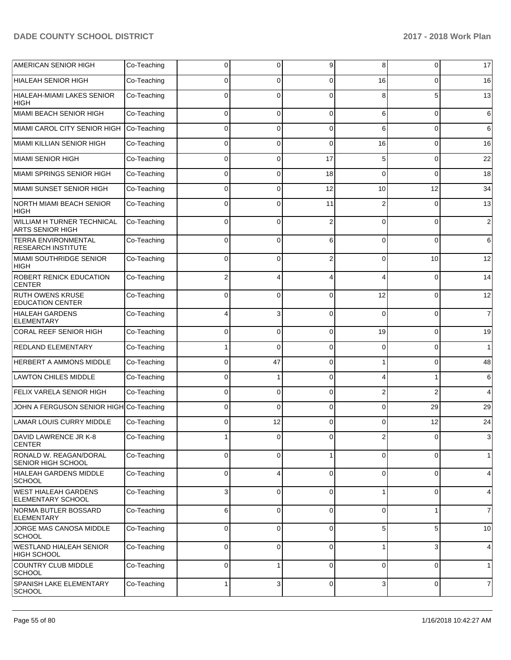| AMERICAN SENIOR HIGH                                    | Co-Teaching | 0              | 0           | 9        | 8              | 0              | 17             |
|---------------------------------------------------------|-------------|----------------|-------------|----------|----------------|----------------|----------------|
| <b>HIALEAH SENIOR HIGH</b>                              | Co-Teaching | 0              | 0           | 0        | 16             | 0              | 16             |
| HIALEAH-MIAMI LAKES SENIOR<br><b>HIGH</b>               | Co-Teaching | $\Omega$       | $\Omega$    | $\Omega$ | 8              | 5              | 13             |
| MIAMI BEACH SENIOR HIGH                                 | Co-Teaching | $\Omega$       | 0           | $\Omega$ | 6              | $\mathbf 0$    | $6 \mid$       |
| MIAMI CAROL CITY SENIOR HIGH                            | Co-Teaching | 0              | 0           | $\Omega$ | 6              | $\mathbf 0$    | $6 \,$         |
| MIAMI KILLIAN SENIOR HIGH                               | Co-Teaching | $\Omega$       | $\Omega$    | $\Omega$ | 16             | $\mathbf 0$    | 16             |
| İMIAMI SENIOR HIGH                                      | Co-Teaching | 0              | 0           | 17       | 5              | $\mathbf 0$    | 22             |
| MIAMI SPRINGS SENIOR HIGH                               | Co-Teaching | $\Omega$       | $\Omega$    | 18       | $\Omega$       | $\mathbf 0$    | 18             |
| <b>MIAMI SUNSET SENIOR HIGH</b>                         | Co-Teaching | $\Omega$       | 0           | 12       | 10             | 12             | 34             |
| NORTH MIAMI BEACH SENIOR<br><b>HIGH</b>                 | Co-Teaching | 0              | $\Omega$    | 11       | $\overline{2}$ | $\mathbf 0$    | 13             |
| WILLIAM H TURNER TECHNICAL<br><b>ARTS SENIOR HIGH</b>   | Co-Teaching | 0              | 0           | 2        | 0              | 0              | $\overline{2}$ |
| <b>TERRA ENVIRONMENTAL</b><br><b>RESEARCH INSTITUTE</b> | Co-Teaching | 0              | $\mathbf 0$ | 6        | $\Omega$       | $\mathbf 0$    | $6 \,$         |
| MIAMI SOUTHRIDGE SENIOR<br><b>HIGH</b>                  | Co-Teaching | $\Omega$       | $\Omega$    | 2        | $\Omega$       | 10             | 12             |
| ROBERT RENICK EDUCATION<br><b>CENTER</b>                | Co-Teaching | 2              | 4           |          |                | 0              | 14             |
| <b>RUTH OWENS KRUSE</b><br><b>EDUCATION CENTER</b>      | Co-Teaching | $\Omega$       | $\mathbf 0$ | $\Omega$ | 12             | $\mathbf 0$    | 12             |
| HIALEAH GARDENS<br><b>ELEMENTARY</b>                    | Co-Teaching | 4              | 3           | $\Omega$ | $\Omega$       | $\mathbf 0$    | $\overline{7}$ |
| <b>CORAL REEF SENIOR HIGH</b>                           | Co-Teaching | 0              | 0           | 0        | 19             | 0              | 19             |
| REDLAND ELEMENTARY                                      | Co-Teaching |                | 0           | $\Omega$ | $\Omega$       | 0              | 1              |
| <b>HERBERT A AMMONS MIDDLE</b>                          | Co-Teaching | 0              | 47          | $\Omega$ |                | 0              | 48             |
| <b>LAWTON CHILES MIDDLE</b>                             | Co-Teaching | 0              | 1           | 0        | Δ              | 1              | $6 \mid$       |
| FELIX VARELA SENIOR HIGH                                | Co-Teaching | 0              | 0           | $\Omega$ | 2              | $\overline{2}$ | $\overline{4}$ |
| JOHN A FERGUSON SENIOR HIGH Co-Teaching                 |             | 0              | 0           | $\Omega$ | $\Omega$       | 29             | 29             |
| LAMAR LOUIS CURRY MIDDLE                                | Co-Teaching | 0              | 12          | $\Omega$ | 0              | 12             | 24             |
| DAVID LAWRENCE JR K-8<br><b>CENTER</b>                  | Co-Teaching |                | 0           | 0        | 2              | 0              | 3              |
| RONALD W. REAGAN/DORAL<br><b>SENIOR HIGH SCHOOL</b>     | Co-Teaching | $\overline{0}$ | 0           |          | $\Omega$       | 0              | 1              |
| HIALEAH GARDENS MIDDLE<br><b>SCHOOL</b>                 | Co-Teaching | $\Omega$       | 4           | $\Omega$ | $\Omega$       | $\mathbf 0$    | $\overline{4}$ |
| <b>WEST HIALEAH GARDENS</b><br><b>ELEMENTARY SCHOOL</b> | Co-Teaching | 3              | 0           | $\Omega$ |                | 0              | $\overline{4}$ |
| NORMA BUTLER BOSSARD<br>ELEMENTARY                      | Co-Teaching | 6              | 0           | $\Omega$ | $\Omega$       | 1              | $\overline{7}$ |
| JORGE MAS CANOSA MIDDLE<br><b>SCHOOL</b>                | Co-Teaching | $\overline{0}$ | 0           | $\Omega$ | 5 <sup>5</sup> | 5 <sup>1</sup> | 10             |
| WESTLAND HIALEAH SENIOR<br><b>HIGH SCHOOL</b>           | Co-Teaching | 0              | 0           | $\Omega$ |                | 3              | $\overline{4}$ |
| COUNTRY CLUB MIDDLE<br><b>SCHOOL</b>                    | Co-Teaching | 0              | 1           | 0        | $\Omega$       | $\mathbf 0$    | 1              |
| SPANISH LAKE ELEMENTARY<br> SCHOOL                      | Co-Teaching | 1              | 3           | 0        | 3              | $\overline{0}$ | $\overline{7}$ |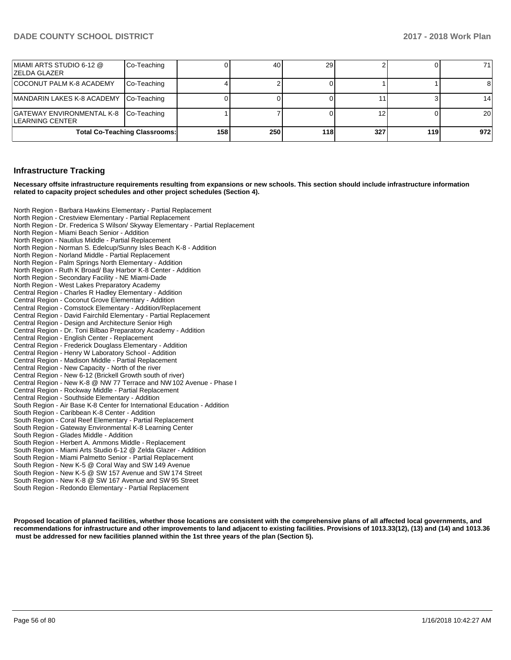| ∣MIAMI ARTS STUDIO 6-12 @<br>IZELDA GLAZER                | Co-Teaching                          |     | 40  | 29  |     |      | 71  |
|-----------------------------------------------------------|--------------------------------------|-----|-----|-----|-----|------|-----|
| COCONUT PALM K-8 ACADEMY                                  | Co-Teaching                          |     |     |     |     |      | 8   |
| MANDARIN LAKES K-8 ACADEMY Co-Teaching                    |                                      |     |     |     |     |      | 14  |
| GATEWAY ENVIRONMENTAL K-8 Co-Teaching<br>ILEARNING CENTER |                                      |     |     |     |     |      | 20  |
|                                                           | <b>Total Co-Teaching Classrooms:</b> | 158 | 250 | 118 | 327 | 119l | 972 |

#### **Infrastructure Tracking**

**Necessary offsite infrastructure requirements resulting from expansions or new schools. This section should include infrastructure information related to capacity project schedules and other project schedules (Section 4).** 

North Region - Barbara Hawkins Elementary - Partial Replacement North Region - Crestview Elementary - Partial Replacement North Region - Dr. Frederica S Wilson/ Skyway Elementary - Partial Replacement North Region - Miami Beach Senior - Addition North Region - Nautilus Middle - Partial Replacement North Region - Norman S. Edelcup/Sunny Isles Beach K-8 - Addition North Region - Norland Middle - Partial Replacement North Region - Palm Springs North Elementary - Addition North Region - Ruth K Broad/ Bay Harbor K-8 Center - Addition North Region - Secondary Facility - NE Miami-Dade North Region - West Lakes Preparatory Academy Central Region - Charles R Hadley Elementary - Addition Central Region - Coconut Grove Elementary - Addition Central Region - Comstock Elementary - Addition/Replacement Central Region - David Fairchild Elementary - Partial Replacement Central Region - Design and Architecture Senior High Central Region - Dr. Toni Bilbao Preparatory Academy - Addition Central Region - English Center - Replacement Central Region - Frederick Douglass Elementary - Addition Central Region - Henry W Laboratory School - Addition Central Region - Madison Middle - Partial Replacement Central Region - New Capacity - North of the river Central Region - New 6-12 (Brickell Growth south of river) Central Region - New K-8 @ NW 77 Terrace and NW 102 Avenue - Phase I Central Region - Rockway Middle - Partial Replacement Central Region - Southside Elementary - Addition South Region - Air Base K-8 Center for International Education - Addition South Region - Caribbean K-8 Center - Addition South Region - Coral Reef Elementary - Partial Replacement South Region - Gateway Environmental K-8 Learning Center South Region - Glades Middle - Addition South Region - Herbert A. Ammons Middle - Replacement South Region - Miami Arts Studio 6-12 @ Zelda Glazer - Addition South Region - Miami Palmetto Senior - Partial Replacement South Region - New K-5 @ Coral Way and SW 149 Avenue South Region - New K-5 @ SW 157 Avenue and SW 174 Street South Region - New K-8 @ SW 167 Avenue and SW 95 Street South Region - Redondo Elementary - Partial Replacement

**Proposed location of planned facilities, whether those locations are consistent with the comprehensive plans of all affected local governments, and recommendations for infrastructure and other improvements to land adjacent to existing facilities. Provisions of 1013.33(12), (13) and (14) and 1013.36 must be addressed for new facilities planned within the 1st three years of the plan (Section 5).**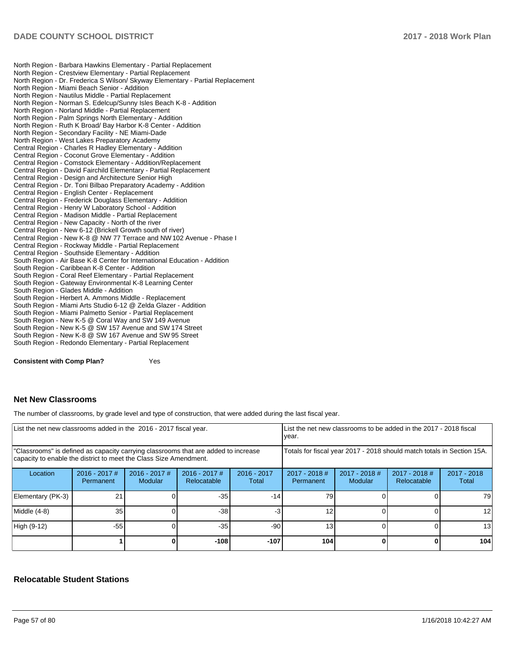North Region - Barbara Hawkins Elementary - Partial Replacement North Region - Crestview Elementary - Partial Replacement North Region - Dr. Frederica S Wilson/ Skyway Elementary - Partial Replacement North Region - Miami Beach Senior - Addition North Region - Nautilus Middle - Partial Replacement North Region - Norman S. Edelcup/Sunny Isles Beach K-8 - Addition North Region - Norland Middle - Partial Replacement North Region - Palm Springs North Elementary - Addition North Region - Ruth K Broad/ Bay Harbor K-8 Center - Addition North Region - Secondary Facility - NE Miami-Dade North Region - West Lakes Preparatory Academy Central Region - Charles R Hadley Elementary - Addition Central Region - Coconut Grove Elementary - Addition Central Region - Comstock Elementary - Addition/Replacement Central Region - David Fairchild Elementary - Partial Replacement Central Region - Design and Architecture Senior High Central Region - Dr. Toni Bilbao Preparatory Academy - Addition Central Region - English Center - Replacement Central Region - Frederick Douglass Elementary - Addition Central Region - Henry W Laboratory School - Addition Central Region - Madison Middle - Partial Replacement Central Region - New Capacity - North of the river Central Region - New 6-12 (Brickell Growth south of river) Central Region - New K-8 @ NW 77 Terrace and NW 102 Avenue - Phase I Central Region - Rockway Middle - Partial Replacement Central Region - Southside Elementary - Addition South Region - Air Base K-8 Center for International Education - Addition South Region - Caribbean K-8 Center - Addition South Region - Coral Reef Elementary - Partial Replacement South Region - Gateway Environmental K-8 Learning Center South Region - Glades Middle - Addition South Region - Herbert A. Ammons Middle - Replacement South Region - Miami Arts Studio 6-12 @ Zelda Glazer - Addition South Region - Miami Palmetto Senior - Partial Replacement South Region - New K-5 @ Coral Way and SW 149 Avenue South Region - New K-5 @ SW 157 Avenue and SW 174 Street South Region - New K-8 @ SW 167 Avenue and SW 95 Street South Region - Redondo Elementary - Partial Replacement

**Consistent with Comp Plan?** Yes

#### **Net New Classrooms**

The number of classrooms, by grade level and type of construction, that were added during the last fiscal year.

| List the net new classrooms added in the 2016 - 2017 fiscal year.                                                                                       |                              |                            |                                                                        |                        | List the net new classrooms to be added in the 2017 - 2018 fiscal<br>year. |                            |                                |                      |
|---------------------------------------------------------------------------------------------------------------------------------------------------------|------------------------------|----------------------------|------------------------------------------------------------------------|------------------------|----------------------------------------------------------------------------|----------------------------|--------------------------------|----------------------|
| "Classrooms" is defined as capacity carrying classrooms that are added to increase<br>capacity to enable the district to meet the Class Size Amendment. |                              |                            | Totals for fiscal year 2017 - 2018 should match totals in Section 15A. |                        |                                                                            |                            |                                |                      |
| Location                                                                                                                                                | $2016 - 2017$ #<br>Permanent | $2016 - 2017$ #<br>Modular | $2016 - 2017$ #<br>Relocatable                                         | $2016 - 2017$<br>Total | $2017 - 2018$ #<br>Permanent                                               | $2017 - 2018$ #<br>Modular | $2017 - 2018$ #<br>Relocatable | 2017 - 2018<br>Total |
| Elementary (PK-3)                                                                                                                                       | 21                           |                            | $-35$                                                                  | $-14$                  | 79                                                                         |                            |                                | 79                   |
| Middle (4-8)                                                                                                                                            | 35                           |                            | $-38$                                                                  | -3                     | 12                                                                         |                            |                                | 12                   |
| High (9-12)                                                                                                                                             | $-55$                        |                            | $-35$                                                                  | $-90$                  | 13 <sub>1</sub>                                                            |                            |                                | 13                   |
|                                                                                                                                                         |                              |                            | $-108$                                                                 | $-107$                 | 104                                                                        |                            |                                | 104                  |

### **Relocatable Student Stations**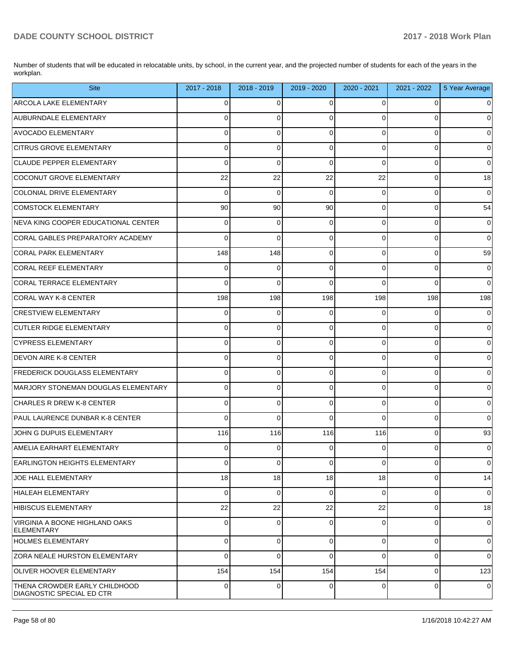Number of students that will be educated in relocatable units, by school, in the current year, and the projected number of students for each of the years in the workplan.

| <b>Site</b>                                                       | 2017 - 2018    | 2018 - 2019 | 2019 - 2020 | 2020 - 2021 | 2021 - 2022    | 5 Year Average |
|-------------------------------------------------------------------|----------------|-------------|-------------|-------------|----------------|----------------|
| <b>ARCOLA LAKE ELEMENTARY</b>                                     | $\overline{0}$ | 0           | $\Omega$    | $\Omega$    | $\mathbf 0$    | $\overline{0}$ |
| <b>AUBURNDALE ELEMENTARY</b>                                      | $\Omega$       | $\Omega$    | $\Omega$    | $\Omega$    | $\Omega$       | $\overline{0}$ |
| <b>AVOCADO ELEMENTARY</b>                                         | $\Omega$       | $\mathbf 0$ | $\Omega$    | $\Omega$    | $\overline{0}$ | $\overline{0}$ |
| <b>CITRUS GROVE ELEMENTARY</b>                                    | $\Omega$       | $\Omega$    | $\Omega$    | $\Omega$    | $\overline{0}$ | $\overline{0}$ |
| CLAUDE PEPPER ELEMENTARY                                          | $\Omega$       | $\Omega$    | $\Omega$    | $\Omega$    | $\overline{0}$ | $\overline{0}$ |
| COCONUT GROVE ELEMENTARY                                          | 22             | 22          | 22          | 22          | $\overline{0}$ | 18             |
| COLONIAL DRIVE ELEMENTARY                                         | $\Omega$       | $\Omega$    | $\Omega$    | $\Omega$    | $\overline{0}$ | $\overline{0}$ |
| COMSTOCK ELEMENTARY                                               | 90             | 90          | 90          | $\Omega$    | $\overline{0}$ | 54             |
| NEVA KING COOPER EDUCATIONAL CENTER                               | $\Omega$       | $\mathbf 0$ | $\Omega$    | $\Omega$    | $\mathbf{0}$   | $\overline{0}$ |
| CORAL GABLES PREPARATORY ACADEMY                                  | $\Omega$       | $\Omega$    | $\Omega$    | $\Omega$    | $\overline{0}$ | $\overline{0}$ |
| CORAL PARK ELEMENTARY                                             | 148            | 148         | $\Omega$    | $\Omega$    | $\overline{0}$ | 59             |
| CORAL REEF ELEMENTARY                                             | $\Omega$       | $\Omega$    | $\Omega$    | $\Omega$    | $\overline{0}$ | $\overline{0}$ |
| CORAL TERRACE ELEMENTARY                                          | $\Omega$       | $\Omega$    | $\Omega$    | $\Omega$    | $\Omega$       | $\overline{0}$ |
| CORAL WAY K-8 CENTER                                              | 198            | 198         | 198         | 198         | 198            | 198            |
| <b>CRESTVIEW ELEMENTARY</b>                                       | 0              | $\mathbf 0$ | $\Omega$    | $\Omega$    | $\overline{0}$ | $\overline{0}$ |
| <b>CUTLER RIDGE ELEMENTARY</b>                                    | $\Omega$       | $\mathbf 0$ | $\Omega$    | $\Omega$    | $\overline{0}$ | $\overline{0}$ |
| CYPRESS ELEMENTARY                                                | $\Omega$       | $\Omega$    | $\Omega$    | $\Omega$    | $\overline{0}$ | $\overline{0}$ |
| <b>DEVON AIRE K-8 CENTER</b>                                      | $\Omega$       | $\mathbf 0$ | $\Omega$    | $\Omega$    | $\overline{0}$ | $\overline{0}$ |
| FREDERICK DOUGLASS ELEMENTARY                                     | $\Omega$       | $\Omega$    | $\Omega$    | $\Omega$    | $\overline{0}$ | $\overline{0}$ |
| MARJORY STONEMAN DOUGLAS ELEMENTARY                               | $\mathbf 0$    | $\mathbf 0$ | $\Omega$    | $\Omega$    | $\overline{0}$ | $\overline{0}$ |
| CHARLES R DREW K-8 CENTER                                         | $\Omega$       | $\Omega$    | $\Omega$    | $\Omega$    | $\overline{0}$ | $\overline{0}$ |
| PAUL LAURENCE DUNBAR K-8 CENTER                                   | $\Omega$       | $\Omega$    | $\Omega$    | $\Omega$    | $\overline{0}$ | $\overline{0}$ |
| JOHN G DUPUIS ELEMENTARY                                          | 116            | 116         | 116         | 116         | $\overline{0}$ | 93             |
| AMELIA EARHART ELEMENTARY                                         | 0              | $\mathbf 0$ | 0           | $\Omega$    | $\mathbf 0$    | $\overline{0}$ |
| <b>EARLINGTON HEIGHTS ELEMENTARY</b>                              | $\Omega$       | $\Omega$    | $\Omega$    | $\Omega$    | $\Omega$       | $\overline{0}$ |
| JOE HALL ELEMENTARY                                               | 18             | 18          | 18          | 18          | $\overline{0}$ | 14             |
| HIALEAH ELEMENTARY                                                | $\Omega$       | $\Omega$    | $\Omega$    | $\Omega$    | $\mathbf 0$    | $\overline{0}$ |
| <b>HIBISCUS ELEMENTARY</b>                                        | 22             | 22          | 22          | 22          | $\overline{0}$ | 18             |
| VIRGINIA A BOONE HIGHLAND OAKS<br><b>ELEMENTARY</b>               | $\Omega$       | $\Omega$    | $\Omega$    | $\Omega$    | $\mathbf 0$    | $\overline{0}$ |
| <b>HOLMES ELEMENTARY</b>                                          | 0              | 0           | 0           | $\Omega$    | 0              | $\overline{0}$ |
| <b>ZORA NEALE HURSTON ELEMENTARY</b>                              | 0              | $\mathbf 0$ | 0           | 0           | 0              | $\overline{0}$ |
| <b>OLIVER HOOVER ELEMENTARY</b>                                   | 154            | 154         | 154         | 154         | 0              | 123            |
| THENA CROWDER EARLY CHILDHOOD<br><b>DIAGNOSTIC SPECIAL ED CTR</b> | 0              | 0           | 0           | 0           | 0              | $\mathbf 0$    |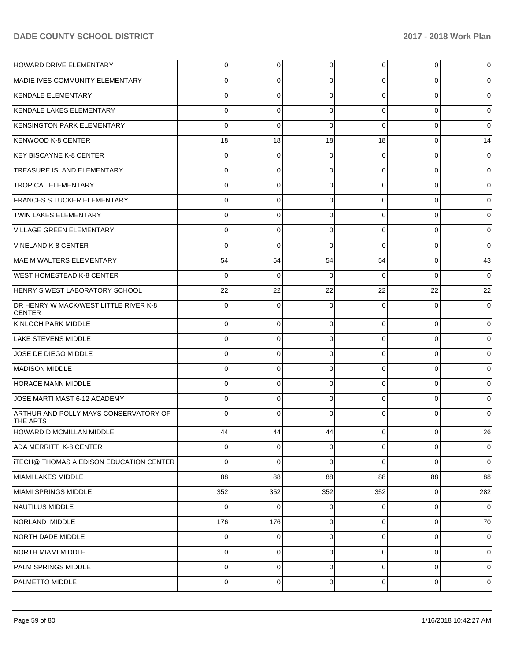| HOWARD DRIVE ELEMENTARY                                  | 0        | 0           | 0           | 0              | 0              | 0              |
|----------------------------------------------------------|----------|-------------|-------------|----------------|----------------|----------------|
| IMADIE IVES COMMUNITY ELEMENTARY                         | 0        | 0           | 0           | 0              | $\Omega$       | 0              |
| KENDALE ELEMENTARY                                       | $\Omega$ | $\mathbf 0$ | $\mathbf 0$ | 0              | $\Omega$       | 0              |
| KENDALE LAKES ELEMENTARY                                 | 0        | $\mathbf 0$ | $\mathbf 0$ | 0              | $\mathbf 0$    | 0              |
| <b>KENSINGTON PARK ELEMENTARY</b>                        | 0        | $\Omega$    | $\Omega$    | $\Omega$       | 0              | $\Omega$       |
| KENWOOD K-8 CENTER                                       | 18       | 18          | 18          | 18             | 0              | 14             |
| <b>KEY BISCAYNE K-8 CENTER</b>                           | $\Omega$ | $\mathbf 0$ | 0           | 0              | $\mathbf 0$    | $\Omega$       |
| <b>TREASURE ISLAND ELEMENTARY</b>                        | 0        | $\mathbf 0$ | 0           | 0              | $\mathbf 0$    | 0              |
| <b>TROPICAL ELEMENTARY</b>                               | 0        | 0           | $\Omega$    | 0              | 0              | 0              |
| <b>FRANCES S TUCKER ELEMENTARY</b>                       | 0        | $\mathbf 0$ | $\mathbf 0$ | 0              | $\mathbf 0$    | 0              |
| <b>TWIN LAKES ELEMENTARY</b>                             | 0        | $\mathbf 0$ | $\Omega$    | 0              | 0              | 0              |
| VILLAGE GREEN ELEMENTARY                                 | 0        | $\mathbf 0$ | 0           | 0              | 0              | 0              |
| VINELAND K-8 CENTER                                      | $\Omega$ | $\Omega$    | $\Omega$    | $\Omega$       | $\mathbf 0$    | $\Omega$       |
| MAE M WALTERS ELEMENTARY                                 | 54       | 54          | 54          | 54             | $\mathbf 0$    | 43             |
| <b>WEST HOMESTEAD K-8 CENTER</b>                         | 0        | $\Omega$    | $\Omega$    | 0              | $\Omega$       | $\Omega$       |
| HENRY S WEST LABORATORY SCHOOL                           | 22       | 22          | 22          | 22             | 22             | 22             |
| DR HENRY W MACK/WEST LITTLE RIVER K-8<br><b>CENTER</b>   | 0        | $\Omega$    | 0           | 0              | $\Omega$       | 0              |
| KINLOCH PARK MIDDLE                                      | 0        | $\mathbf 0$ | 0           | $\Omega$       | $\Omega$       | 0              |
| <b>LAKE STEVENS MIDDLE</b>                               | 0        | 0           | 0           | 0              | $\Omega$       | 0              |
| JOSE DE DIEGO MIDDLE                                     | 0        | 0           | 0           | 0              | $\mathbf 0$    | 0              |
| <b>MADISON MIDDLE</b>                                    | 0        | 0           | 0           | 0              | $\Omega$       | 0              |
| <b>HORACE MANN MIDDLE</b>                                | 0        | 0           | $\mathbf 0$ | 0              | $\mathbf 0$    | 0              |
| JOSE MARTI MAST 6-12 ACADEMY                             | 0        | 0           | 0           | 0              | $\Omega$       | 0              |
| ARTHUR AND POLLY MAYS CONSERVATORY OF<br><b>THE ARTS</b> | 0        | $\Omega$    | $\Omega$    | 0              | $\Omega$       | 0              |
| HOWARD D MCMILLAN MIDDLE                                 | 44       | 44          | 44          | $\Omega$       | $\overline{0}$ | 26             |
| ADA MERRITT K-8 CENTER                                   | 0        | 0           | 0           | 0              | 0              | 0              |
| <b>ITECH@ THOMAS A EDISON EDUCATION CENTER</b>           | 0        | $\mathbf 0$ | 0           | $\Omega$       | $\Omega$       | 0              |
| MIAMI LAKES MIDDLE                                       | 88       | 88          | 88          | 88             | 88             | 88             |
| MIAMI SPRINGS MIDDLE                                     | 352      | 352         | 352         | 352            | 0              | 282            |
| NAUTILUS MIDDLE                                          | $\Omega$ | 0           | 0           | $\Omega$       | $\mathbf 0$    | 0              |
| NORLAND MIDDLE                                           | 176      | 176         | 0           | $\Omega$       | $\mathbf 0$    | 70             |
| NORTH DADE MIDDLE                                        | $\Omega$ | 0           | 0           | $\Omega$       | 0              | 0              |
| NORTH MIAMI MIDDLE                                       | 0        | 0           | 0           | $\Omega$       | $\mathbf 0$    | 0              |
| PALM SPRINGS MIDDLE                                      | 0        | $\mathbf 0$ | 0           | $\Omega$       | $\Omega$       | 0              |
| <b>PALMETTO MIDDLE</b>                                   | 0        | 0           | 0           | $\overline{0}$ | 0              | $\overline{0}$ |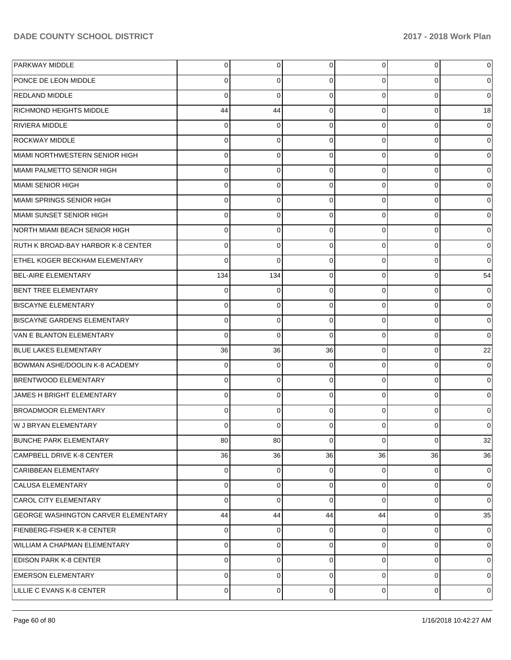| PARKWAY MIDDLE                             | $\overline{0}$ | 0           | 0              | $\overline{0}$ | 0           | 0              |
|--------------------------------------------|----------------|-------------|----------------|----------------|-------------|----------------|
| PONCE DE LEON MIDDLE                       | $\Omega$       | 0           | $\Omega$       | 0              | $\Omega$    | 0              |
| <b>REDLAND MIDDLE</b>                      | $\Omega$       | $\Omega$    | $\Omega$       | 0              | $\Omega$    | $\mathbf 0$    |
| <b>RICHMOND HEIGHTS MIDDLE</b>             | 44             | 44          | 0              | 0              | $\Omega$    | 18             |
| <b>RIVIERA MIDDLE</b>                      | $\Omega$       | 0           | $\Omega$       | 0              | $\Omega$    | $\Omega$       |
| <b>ROCKWAY MIDDLE</b>                      | 0              | 0           | 0              | 0              | $\Omega$    | 0              |
| MIAMI NORTHWESTERN SENIOR HIGH             | $\Omega$       | $\Omega$    | $\mathbf 0$    | 0              | $\Omega$    | 0              |
| MIAMI PALMETTO SENIOR HIGH                 | 0              | 0           | 0              | 0              | $\Omega$    | $\mathbf 0$    |
| MIAMI SENIOR HIGH                          | $\Omega$       | $\Omega$    | $\Omega$       | 0              | $\Omega$    | $\Omega$       |
| MIAMI SPRINGS SENIOR HIGH                  | 0              | 0           | 0              | 0              | $\Omega$    | $\mathbf 0$    |
| MIAMI SUNSET SENIOR HIGH                   | $\Omega$       | $\Omega$    | $\Omega$       | 0              | $\Omega$    | $\Omega$       |
| NORTH MIAMI BEACH SENIOR HIGH              | 0              | 0           | 0              | 0              | $\Omega$    | $\mathbf 0$    |
| RUTH K BROAD-BAY HARBOR K-8 CENTER         | $\Omega$       | $\Omega$    | $\Omega$       | 0              | $\Omega$    | 0              |
| ETHEL KOGER BECKHAM ELEMENTARY             | $\Omega$       | $\Omega$    | 0              | 0              | $\Omega$    | $\Omega$       |
| BEL-AIRE ELEMENTARY                        | 134            | 134         | $\Omega$       | 0              | $\Omega$    | 54             |
| <b>BENT TREE ELEMENTARY</b>                | 0              | 0           | $\mathbf 0$    | 0              | $\Omega$    | 0              |
| <b>BISCAYNE ELEMENTARY</b>                 | $\Omega$       | $\Omega$    | $\Omega$       | 0              | $\Omega$    | $\mathbf 0$    |
| BISCAYNE GARDENS ELEMENTARY                | 0              | 0           | 0              | 0              | $\Omega$    | 0              |
| <b>VAN E BLANTON ELEMENTARY</b>            | $\Omega$       | $\Omega$    | $\Omega$       | 0              | $\Omega$    | $\Omega$       |
| <b>BLUE LAKES ELEMENTARY</b>               | 36             | 36          | 36             | 0              | $\Omega$    | 22             |
| BOWMAN ASHE/DOOLIN K-8 ACADEMY             | $\Omega$       | $\Omega$    | $\Omega$       | 0              | $\Omega$    | $\Omega$       |
| <b>BRENTWOOD ELEMENTARY</b>                | 0              | 0           | $\mathbf 0$    | 0              | $\Omega$    | 0              |
| JAMES H BRIGHT ELEMENTARY                  | $\Omega$       | $\Omega$    | $\Omega$       | 0              | $\Omega$    | $\Omega$       |
| BROADMOOR ELEMENTARY                       | $\Omega$       | 0           | $\Omega$       | 0              | $\Omega$    | 0              |
| W J BRYAN ELEMENTARY                       | 0              | 0           | $\Omega$       | 0              | $\Omega$    | 0              |
| <b>BUNCHE PARK ELEMENTARY</b>              | 80             | 80          | $\overline{0}$ | $\overline{0}$ | 0           | 32             |
| CAMPBELL DRIVE K-8 CENTER                  | 36             | 36          | 36             | 36             | 36          | 36             |
| CARIBBEAN ELEMENTARY                       | $\overline{0}$ | $\mathbf 0$ | $\overline{0}$ | $\overline{0}$ | $\mathbf 0$ | 0              |
| CALUSA ELEMENTARY                          | $\overline{0}$ | 0           | 0              | $\overline{0}$ | $\mathbf 0$ | 0              |
| <b>CAROL CITY ELEMENTARY</b>               | $\Omega$       | 0           | $\Omega$       | $\Omega$       | $\Omega$    | $\mathbf 0$    |
| <b>GEORGE WASHINGTON CARVER ELEMENTARY</b> | 44             | 44          | 44             | 44             | $\mathbf 0$ | 35             |
| FIENBERG-FISHER K-8 CENTER                 | $\Omega$       | $\mathbf 0$ | 0              | $\overline{0}$ | $\Omega$    | 0              |
| WILLIAM A CHAPMAN ELEMENTARY               | $\overline{0}$ | 0           | $\Omega$       | $\Omega$       | $\mathbf 0$ | $\mathbf 0$    |
| <b>EDISON PARK K-8 CENTER</b>              | $\Omega$       | 0           | $\mathbf 0$    | $\Omega$       | $\Omega$    | $\mathbf 0$    |
| <b>EMERSON ELEMENTARY</b>                  | $\Omega$       | 0           | 0              | $\Omega$       | $\mathbf 0$ | $\mathbf 0$    |
| LILLIE C EVANS K-8 CENTER                  | $\overline{0}$ | 0           | 0              | $\overline{0}$ | $\mathbf 0$ | $\overline{0}$ |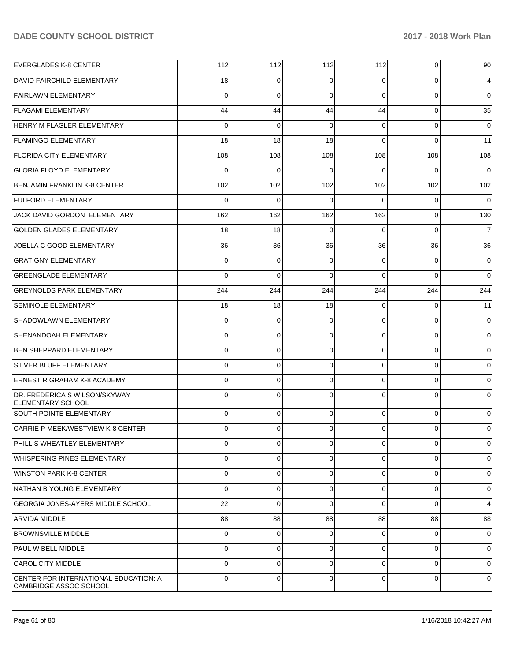| <b>EVERGLADES K-8 CENTER</b>                                    | 112            | 112         | 112         | 112            | 0        | 90             |
|-----------------------------------------------------------------|----------------|-------------|-------------|----------------|----------|----------------|
| <b>DAVID FAIRCHILD ELEMENTARY</b>                               | 18             | $\Omega$    | $\Omega$    | 0              | $\Omega$ | 4              |
| <b>FAIRLAWN ELEMENTARY</b>                                      | $\Omega$       | $\Omega$    | $\Omega$    | $\Omega$       | $\Omega$ | $\overline{0}$ |
| <b>FLAGAMI ELEMENTARY</b>                                       | 44             | 44          | 44          | 44             | $\Omega$ | 35             |
| HENRY M FLAGLER ELEMENTARY                                      | $\Omega$       | $\Omega$    | $\Omega$    | $\Omega$       | $\Omega$ | $\overline{0}$ |
| <b>FLAMINGO ELEMENTARY</b>                                      | 18             | 18          | 18          | $\Omega$       | $\Omega$ | 11             |
| <b>FLORIDA CITY ELEMENTARY</b>                                  | 108            | 108         | 108         | 108            | 108      | 108            |
| <b>GLORIA FLOYD ELEMENTARY</b>                                  | $\Omega$       | $\Omega$    | $\Omega$    | $\Omega$       | $\Omega$ | $\overline{0}$ |
| BENJAMIN FRANKLIN K-8 CENTER                                    | 102            | 102         | 102         | 102            | 102      | 102            |
| <b>FULFORD ELEMENTARY</b>                                       | $\Omega$       | $\Omega$    | $\Omega$    | $\Omega$       | $\Omega$ | $\overline{0}$ |
| JACK DAVID GORDON ELEMENTARY                                    | 162            | 162         | 162         | 162            | $\Omega$ | 130            |
| <b>GOLDEN GLADES ELEMENTARY</b>                                 | 18             | 18          | $\Omega$    | $\Omega$       | $\Omega$ | $\overline{7}$ |
| JOELLA C GOOD ELEMENTARY                                        | 36             | 36          | 36          | 36             | 36       | 36             |
| <b>GRATIGNY ELEMENTARY</b>                                      | $\overline{0}$ | $\mathbf 0$ | $\mathbf 0$ | $\Omega$       | $\Omega$ | $\overline{0}$ |
| <b>GREENGLADE ELEMENTARY</b>                                    | $\Omega$       | $\Omega$    | $\Omega$    | $\Omega$       | $\Omega$ | $\Omega$       |
| <b>GREYNOLDS PARK ELEMENTARY</b>                                | 244            | 244         | 244         | 244            | 244      | 244            |
| <b>SEMINOLE ELEMENTARY</b>                                      | 18             | 18          | 18          | $\Omega$       | $\Omega$ | 11             |
| SHADOWLAWN ELEMENTARY                                           | $\overline{0}$ | $\mathbf 0$ | $\Omega$    | $\Omega$       | $\Omega$ | $\overline{0}$ |
| SHENANDOAH ELEMENTARY                                           | $\Omega$       | 0           | $\Omega$    | $\Omega$       | $\Omega$ | $\overline{0}$ |
| <b>BEN SHEPPARD ELEMENTARY</b>                                  | $\Omega$       | $\mathbf 0$ | $\Omega$    | $\Omega$       | $\Omega$ | $\overline{0}$ |
| <b>SILVER BLUFF ELEMENTARY</b>                                  | $\Omega$       | $\Omega$    | $\Omega$    | $\Omega$       | $\Omega$ | $\overline{0}$ |
| <b>ERNEST R GRAHAM K-8 ACADEMY</b>                              | $\Omega$       | $\mathbf 0$ | $\Omega$    | $\Omega$       | $\Omega$ | $\overline{0}$ |
| DR. FREDERICA S WILSON/SKYWAY<br><b>ELEMENTARY SCHOOL</b>       | $\Omega$       | $\Omega$    | $\Omega$    | $\Omega$       | $\Omega$ | $\Omega$       |
| <b>SOUTH POINTE ELEMENTARY</b>                                  | $\Omega$       | $\Omega$    | $\Omega$    | $\Omega$       | $\Omega$ | $\Omega$       |
| <b>CARRIE P MEEK/WESTVIEW K-8 CENTER</b>                        | $\overline{0}$ | 0           | 0           | $\overline{0}$ | 0        | 0              |
| PHILLIS WHEATLEY ELEMENTARY                                     | $\Omega$       | $\Omega$    | $\Omega$    | $\Omega$       | $\Omega$ | $\mathbf 0$    |
| WHISPERING PINES ELEMENTARY                                     | $\Omega$       | $\Omega$    | $\Omega$    | $\Omega$       | $\Omega$ | $\overline{0}$ |
| <b>WINSTON PARK K-8 CENTER</b>                                  | $\Omega$       | $\Omega$    | $\Omega$    | $\Omega$       | $\Omega$ | $\overline{0}$ |
| NATHAN B YOUNG ELEMENTARY                                       | $\Omega$       | $\mathbf 0$ | $\Omega$    | $\Omega$       | $\Omega$ | $\overline{0}$ |
| <b>GEORGIA JONES-AYERS MIDDLE SCHOOL</b>                        | 22             | $\Omega$    | $\Omega$    | $\Omega$       | $\Omega$ | 4              |
| <b>ARVIDA MIDDLE</b>                                            | 88             | 88          | 88          | 88             | 88       | 88             |
| <b>BROWNSVILLE MIDDLE</b>                                       | $\Omega$       | $\Omega$    | $\Omega$    | $\Omega$       | $\Omega$ | $\overline{0}$ |
| PAUL W BELL MIDDLE                                              | $\Omega$       | $\mathbf 0$ | $\mathbf 0$ | $\Omega$       | $\Omega$ | $\overline{0}$ |
| <b>CAROL CITY MIDDLE</b>                                        | $\Omega$       | $\Omega$    | $\Omega$    | $\Omega$       | $\Omega$ | $\overline{0}$ |
| CENTER FOR INTERNATIONAL EDUCATION: A<br>CAMBRIDGE ASSOC SCHOOL | $\overline{0}$ | 0           | $\mathbf 0$ | $\overline{0}$ | 0        | 0              |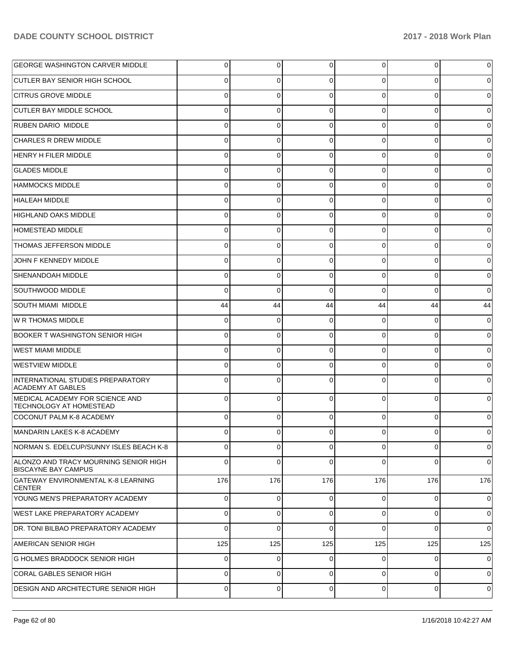| <b>GEORGE WASHINGTON CARVER MIDDLE</b>                              | 0        | $\overline{0}$ | 0        | 0        | 0           | 0           |
|---------------------------------------------------------------------|----------|----------------|----------|----------|-------------|-------------|
| CUTLER BAY SENIOR HIGH SCHOOL                                       | 0        | 0              |          | 0        | 0           | 0           |
| <b>CITRUS GROVE MIDDLE</b>                                          | 0        | $\mathbf 0$    | $\Omega$ | 0        | $\Omega$    | 0           |
| <b>CUTLER BAY MIDDLE SCHOOL</b>                                     | 0        | 0              | 0        | 0        | 0           | 0           |
| <b>RUBEN DARIO MIDDLE</b>                                           | 0        | 0              | $\Omega$ | 0        | $\Omega$    | 0           |
| <b>CHARLES R DREW MIDDLE</b>                                        | 0        | 0              | $\Omega$ | 0        | $\Omega$    | 0           |
| <b>HENRY H FILER MIDDLE</b>                                         | 0        | 0              | $\Omega$ | 0        | $\Omega$    | 0           |
| <b>GLADES MIDDLE</b>                                                | 0        | 0              | 0        | 0        | 0           | 0           |
| <b>HAMMOCKS MIDDLE</b>                                              | 0        | 0              | $\Omega$ | 0        | $\Omega$    | 0           |
| HIALEAH MIDDLE                                                      | 0        | 0              | $\Omega$ | 0        | 0           | 0           |
| HIGHLAND OAKS MIDDLE                                                | 0        | 0              | $\Omega$ | 0        | $\Omega$    | 0           |
| <b>HOMESTEAD MIDDLE</b>                                             | 0        | 0              | 0        | 0        | 0           | 0           |
| <b>THOMAS JEFFERSON MIDDLE</b>                                      | 0        | 0              | $\Omega$ | 0        | $\Omega$    | 0           |
| JOHN F KENNEDY MIDDLE                                               | 0        | 0              | 0        | 0        | 0           | 0           |
| <b>SHENANDOAH MIDDLE</b>                                            | 0        | $\mathbf 0$    | $\Omega$ | 0        | $\Omega$    | 0           |
| SOUTHWOOD MIDDLE                                                    | 0        | $\mathbf 0$    | 0        | 0        | $\Omega$    | 0           |
| <b>SOUTH MIAMI MIDDLE</b>                                           | 44       | 44             | 44       | 44       | 44          | 44          |
| W R THOMAS MIDDLE                                                   | 0        | $\mathbf 0$    | 0        | 0        | 0           | 0           |
| <b>BOOKER T WASHINGTON SENIOR HIGH</b>                              | 0        | $\mathbf 0$    | $\Omega$ | 0        | $\Omega$    | $\mathbf 0$ |
| WEST MIAMI MIDDLE                                                   | 0        | 0              | $\Omega$ | $\Omega$ | 0           | 0           |
| <b>WESTVIEW MIDDLE</b>                                              | 0        | 0              | $\Omega$ | 0        | $\Omega$    | 0           |
| INTERNATIONAL STUDIES PREPARATORY<br><b>ACADEMY AT GABLES</b>       | 0        | 0              | 0        | $\Omega$ | $\Omega$    | 0           |
| MEDICAL ACADEMY FOR SCIENCE AND<br><b>TECHNOLOGY AT HOMESTEAD</b>   | $\Omega$ | $\mathbf 0$    | $\Omega$ | $\Omega$ | $\Omega$    | $\Omega$    |
| COCONUT PALM K-8 ACADEMY                                            | 0        | 0              | 0        | 0        | 0           |             |
| MANDARIN LAKES K-8 ACADEMY                                          | 0        | $\overline{0}$ | $\Omega$ | $\Omega$ | 0           |             |
| NORMAN S. EDELCUP/SUNNY ISLES BEACH K-8                             | 0        | 0              | 0        | 0        | 0           | 0           |
| ALONZO AND TRACY MOURNING SENIOR HIGH<br><b>BISCAYNE BAY CAMPUS</b> | 0        | $\mathbf 0$    | $\Omega$ | $\Omega$ | $\Omega$    | $\Omega$    |
| <b>GATEWAY ENVIRONMENTAL K-8 LEARNING</b><br><b>CENTER</b>          | 176      | 176            | 176      | 176      | 176         | 176         |
| YOUNG MEN'S PREPARATORY ACADEMY                                     | $\Omega$ | $\mathbf 0$    | $\Omega$ | $\Omega$ | $\Omega$    | $\mathbf 0$ |
| WEST LAKE PREPARATORY ACADEMY                                       | $\Omega$ | $\mathbf 0$    | $\Omega$ | $\Omega$ | $\Omega$    | $\mathbf 0$ |
| DR. TONI BILBAO PREPARATORY ACADEMY                                 | $\Omega$ | $\Omega$       | $\Omega$ | $\Omega$ | $\Omega$    | $\mathbf 0$ |
| AMERICAN SENIOR HIGH                                                | 125      | 125            | 125      | 125      | 125         | 125         |
| G HOLMES BRADDOCK SENIOR HIGH                                       | $\Omega$ | $\mathbf 0$    | $\Omega$ | $\Omega$ | $\Omega$    | $\mathbf 0$ |
| <b>CORAL GABLES SENIOR HIGH</b>                                     | $\Omega$ | $\mathbf 0$    | $\Omega$ | $\Omega$ | $\Omega$    | $\mathbf 0$ |
| <b>DESIGN AND ARCHITECTURE SENIOR HIGH</b>                          | 0        | $\mathbf 0$    | $\Omega$ | $\Omega$ | $\mathbf 0$ | $\mathbf 0$ |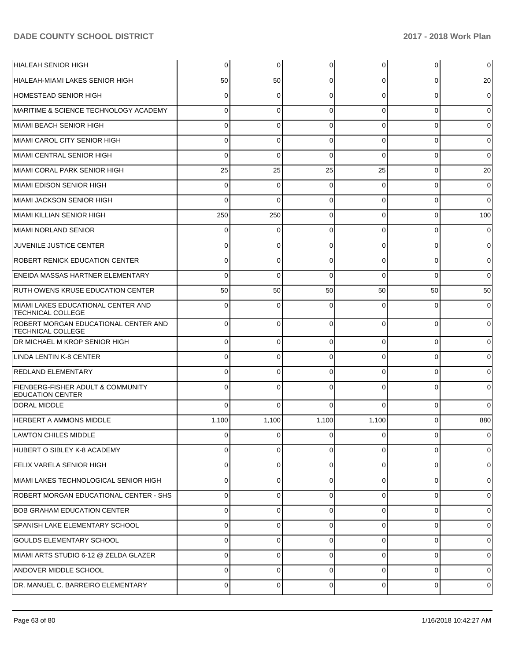| <b>HIALEAH SENIOR HIGH</b>                                       | $\overline{0}$ | 0            | $\overline{0}$ | $\overline{0}$ | 0           | 0              |
|------------------------------------------------------------------|----------------|--------------|----------------|----------------|-------------|----------------|
| HIALEAH-MIAMI LAKES SENIOR HIGH                                  | 50             | 50           | $\Omega$       | 0              | $\Omega$    | 20             |
| HOMESTEAD SENIOR HIGH                                            | $\Omega$       | $\Omega$     | $\Omega$       | 0              | $\Omega$    | $\Omega$       |
| MARITIME & SCIENCE TECHNOLOGY ACADEMY                            | $\Omega$       | 0            | $\Omega$       | 0              | $\Omega$    | 0              |
| MIAMI BEACH SENIOR HIGH                                          | $\Omega$       | $\Omega$     | $\Omega$       | 0              | $\Omega$    | 0              |
| MIAMI CAROL CITY SENIOR HIGH                                     | $\Omega$       | $\Omega$     | $\Omega$       | 0              | $\Omega$    | 0              |
| MIAMI CENTRAL SENIOR HIGH                                        | $\Omega$       | $\Omega$     | $\Omega$       | 0              | $\Omega$    | $\Omega$       |
| MIAMI CORAL PARK SENIOR HIGH                                     | 25             | 25           | 25             | 25             | $\Omega$    | 20             |
| MIAMI EDISON SENIOR HIGH                                         | $\Omega$       | $\Omega$     | $\Omega$       | 0              | $\Omega$    | $\Omega$       |
| <b>MIAMI JACKSON SENIOR HIGH</b>                                 | $\Omega$       | $\Omega$     | $\Omega$       | 0              | $\Omega$    | $\Omega$       |
| MIAMI KILLIAN SENIOR HIGH                                        | 250            | 250          | $\Omega$       | 0              | $\Omega$    | 100            |
| MIAMI NORLAND SENIOR                                             | $\Omega$       | 0            | $\Omega$       | 0              | $\Omega$    | 0              |
| JUVENILE JUSTICE CENTER                                          | $\Omega$       | $\Omega$     | $\Omega$       | 0              | $\Omega$    | $\Omega$       |
| ROBERT RENICK EDUCATION CENTER                                   | $\Omega$       | 0            | $\Omega$       | 0              | $\Omega$    | 0              |
| ENEIDA MASSAS HARTNER ELEMENTARY                                 | $\Omega$       | $\Omega$     | $\Omega$       | 0              | $\Omega$    | $\Omega$       |
| <b>RUTH OWENS KRUSE EDUCATION CENTER</b>                         | 50             | 50           | 50             | 50             | 50          | 50             |
| MIAMI LAKES EDUCATIONAL CENTER AND<br><b>TECHNICAL COLLEGE</b>   | $\Omega$       | $\Omega$     | $\Omega$       | <sup>0</sup>   | $\Omega$    | $\Omega$       |
| ROBERT MORGAN EDUCATIONAL CENTER AND<br><b>TECHNICAL COLLEGE</b> | $\Omega$       | $\Omega$     | $\Omega$       | 0              | $\Omega$    | $\Omega$       |
| DR MICHAEL M KROP SENIOR HIGH                                    | 0              | 0            | 0              | 0              | $\Omega$    |                |
| LINDA LENTIN K-8 CENTER                                          | 0              | 0            | $\Omega$       | 0              | 0           |                |
| <b>REDLAND ELEMENTARY</b>                                        | 0              | 0            | $\Omega$       | n              | 0           |                |
| FIENBERG-FISHER ADULT & COMMUNITY<br><b>EDUCATION CENTER</b>     | 0              | 0            | ∩              |                | 0           |                |
| <b>DORAL MIDDLE</b>                                              | $\Omega$       | $\Omega$     | $\Omega$       | <sup>0</sup>   | $\Omega$    | $\Omega$       |
| <b>HERBERT A AMMONS MIDDLE</b>                                   | 1,100          | 1,100        | 1,100          | 1,100          | $\Omega$    | 880            |
| LAWTON CHILES MIDDLE                                             | υı             | <sub>U</sub> | <sub>U</sub>   | U.             | U           | 0              |
| HUBERT O SIBLEY K-8 ACADEMY                                      | $\Omega$       | $\Omega$     | $\Omega$       | $\Omega$       | $\Omega$    | $\Omega$       |
| <b>FELIX VARELA SENIOR HIGH</b>                                  | $\Omega$       | 0            | $\Omega$       | $\Omega$       | $\Omega$    | 0              |
| MIAMI LAKES TECHNOLOGICAL SENIOR HIGH                            | $\Omega$       | $\Omega$     | $\Omega$       | $\Omega$       | $\Omega$    | $\Omega$       |
| ROBERT MORGAN EDUCATIONAL CENTER - SHS                           | $\Omega$       | $\Omega$     | $\Omega$       | $\Omega$       | $\Omega$    | $\Omega$       |
| <b>BOB GRAHAM EDUCATION CENTER</b>                               | $\Omega$       | $\Omega$     | $\Omega$       | $\Omega$       | $\Omega$    | $\Omega$       |
| SPANISH LAKE ELEMENTARY SCHOOL                                   | $\Omega$       | $\Omega$     | $\Omega$       | $\Omega$       | $\Omega$    | $\Omega$       |
| <b>GOULDS ELEMENTARY SCHOOL</b>                                  | $\Omega$       | $\Omega$     | $\Omega$       | $\Omega$       | $\Omega$    | $\Omega$       |
| MIAMI ARTS STUDIO 6-12 @ ZELDA GLAZER                            | $\Omega$       | $\Omega$     | $\Omega$       | $\Omega$       | $\Omega$    | $\Omega$       |
| <b>ANDOVER MIDDLE SCHOOL</b>                                     | $\Omega$       | $\Omega$     | $\Omega$       | $\Omega$       | $\Omega$    | $\Omega$       |
| DR. MANUEL C. BARREIRO ELEMENTARY                                | $\overline{0}$ | 0            | $\overline{0}$ | $\overline{0}$ | $\mathbf 0$ | $\overline{0}$ |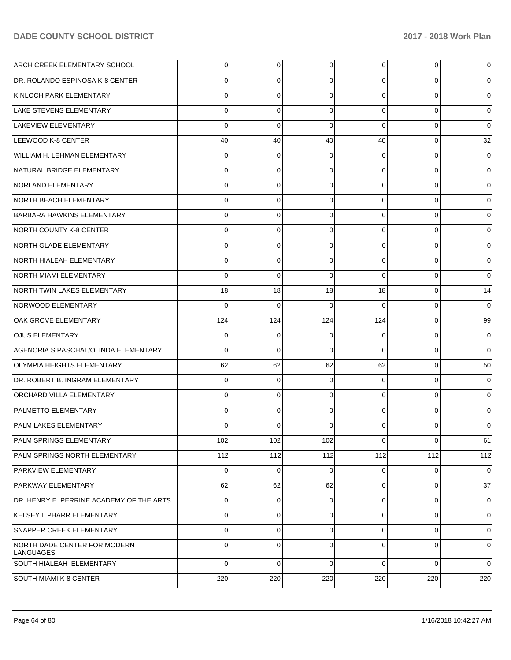| ARCH CREEK ELEMENTARY SCHOOL                     | 0              | 0           | 0        | 0              | 0              | 0           |
|--------------------------------------------------|----------------|-------------|----------|----------------|----------------|-------------|
| IDR. ROLANDO ESPINOSA K-8 CENTER                 | $\Omega$       | 0           | $\Omega$ | 0              | $\Omega$       | $\Omega$    |
| KINLOCH PARK ELEMENTARY                          | $\Omega$       | 0           | $\Omega$ | $\Omega$       | 0              | 0           |
| <b>LAKE STEVENS ELEMENTARY</b>                   | $\Omega$       | 0           | $\Omega$ | 0              | $\Omega$       | $\mathbf 0$ |
| LAKEVIEW ELEMENTARY                              | $\Omega$       | $\mathbf 0$ | $\Omega$ | $\Omega$       | 0              | 0           |
| LEEWOOD K-8 CENTER                               | 40             | 40          | 40       | 40             | 0              | 32          |
| WILLIAM H. LEHMAN ELEMENTARY                     | $\Omega$       | 0           | $\Omega$ | 0              | 0              | $\Omega$    |
| NATURAL BRIDGE ELEMENTARY                        | $\Omega$       | 0           | $\Omega$ | 0              | $\Omega$       | 0           |
| NORLAND ELEMENTARY                               | $\Omega$       | 0           | $\Omega$ | 0              | 0              | 0           |
| NORTH BEACH ELEMENTARY                           | $\Omega$       | 0           | $\Omega$ | 0              | $\Omega$       | 0           |
| BARBARA HAWKINS ELEMENTARY                       | $\Omega$       | 0           | $\Omega$ | 0              | 0              | $\Omega$    |
| NORTH COUNTY K-8 CENTER                          | $\Omega$       | 0           | $\Omega$ | 0              | 0              | $\Omega$    |
| NORTH GLADE ELEMENTARY                           | $\Omega$       | 0           | $\Omega$ | 0              | 0              | 0           |
| NORTH HIALEAH ELEMENTARY                         | $\Omega$       | 0           | $\Omega$ | 0              | $\Omega$       | 0           |
| <b>NORTH MIAMI ELEMENTARY</b>                    | $\Omega$       | 0           | $\Omega$ | $\Omega$       | 0              | $\Omega$    |
| NORTH TWIN LAKES ELEMENTARY                      | 18             | 18          | 18       | 18             | 0              | 14          |
| NORWOOD ELEMENTARY                               | $\Omega$       | $\Omega$    | $\Omega$ | $\Omega$       | 0              | $\Omega$    |
| OAK GROVE ELEMENTARY                             | 124            | 124         | 124      | 124            | 0              | 99          |
| <b>OJUS ELEMENTARY</b>                           | $\Omega$       | 0           | $\Omega$ | 0              | 0              | 0           |
| AGENORIA S PASCHAL/OLINDA ELEMENTARY             | $\Omega$       | $\mathbf 0$ | $\Omega$ | $\Omega$       | $\Omega$       | $\Omega$    |
| OLYMPIA HEIGHTS ELEMENTARY                       | 62             | 62          | 62       | 62             | 0              | 50          |
| DR. ROBERT B. INGRAM ELEMENTARY                  | $\Omega$       | 0           | $\Omega$ | $\Omega$       | 0              | 0           |
| <b>ORCHARD VILLA ELEMENTARY</b>                  | $\Omega$       | 0           | $\Omega$ | 0              | $\Omega$       | 0           |
| PALMETTO ELEMENTARY                              | $\Omega$       | 0           | $\Omega$ | $\Omega$       | 0              | 0           |
| <b>PALM LAKES ELEMENTARY</b>                     | $\Omega$       | 0           | $\Omega$ | 0              | $\Omega$       | 0           |
| PALM SPRINGS ELEMENTARY                          | 102            | 102         | 102      | $\overline{0}$ | $\overline{0}$ | 61          |
| PALM SPRINGS NORTH ELEMENTARY                    | 112            | 112         | 112      | 112            | 112            | 112         |
| PARKVIEW ELEMENTARY                              | $\Omega$       | $\mathbf 0$ | $\Omega$ | $\Omega$       | $\mathbf 0$    | $\mathbf 0$ |
| PARKWAY ELEMENTARY                               | 62             | 62          | 62       | $\Omega$       | $\mathbf 0$    | 37          |
| DR. HENRY E. PERRINE ACADEMY OF THE ARTS         | $\Omega$       | 0           | $\Omega$ | $\Omega$       | $\Omega$       | 0           |
| KELSEY L PHARR ELEMENTARY                        | $\Omega$       | $\mathbf 0$ | $\Omega$ | $\Omega$       | $\mathbf 0$    | 0           |
| SNAPPER CREEK ELEMENTARY                         | $\Omega$       | 0           | $\Omega$ | $\Omega$       | $\Omega$       | $\mathbf 0$ |
| NORTH DADE CENTER FOR MODERN<br><b>LANGUAGES</b> | $\Omega$       | 0           | $\Omega$ | $\Omega$       | $\Omega$       | $\mathbf 0$ |
| SOUTH HIALEAH ELEMENTARY                         | $\overline{0}$ | 0           | $\Omega$ | $\Omega$       | $\Omega$       | $\mathbf 0$ |
| <b>SOUTH MIAMI K-8 CENTER</b>                    | 220            | 220         | 220      | 220            | 220            | 220         |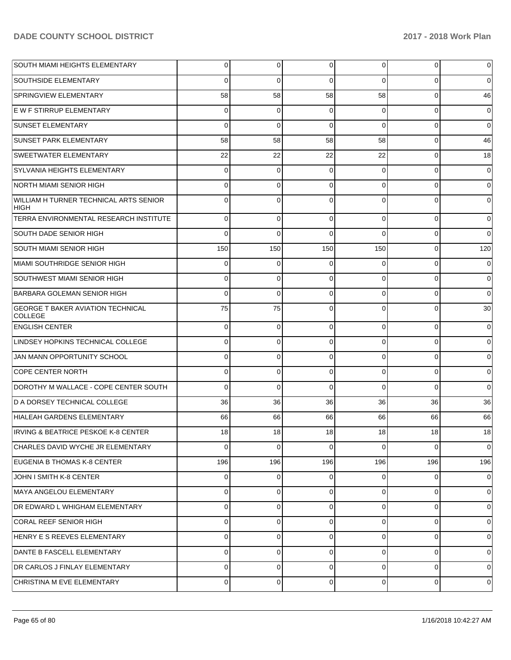| SOUTH MIAMI HEIGHTS ELEMENTARY                             | 0               | 0               | $\overline{0}$  | $\overline{0}$ | $\overline{0}$  | $\overline{0}$ |
|------------------------------------------------------------|-----------------|-----------------|-----------------|----------------|-----------------|----------------|
| <b>SOUTHSIDE ELEMENTARY</b>                                | 0               | 0               | $\Omega$        | 0              | $\overline{0}$  | $\overline{0}$ |
| SPRINGVIEW ELEMENTARY                                      | 58              | 58              | 58              | 58             | $\overline{0}$  | 46             |
| E W F STIRRUP ELEMENTARY                                   | 0               | 0               | 0               | 0              | $\overline{0}$  | $\overline{0}$ |
| <b>SUNSET ELEMENTARY</b>                                   | 0               | 0               | $\Omega$        | 0              | $\overline{0}$  | $\overline{0}$ |
| <b>SUNSET PARK ELEMENTARY</b>                              | 58              | 58              | 58              | 58             | $\overline{0}$  | 46             |
| <b>SWEETWATER ELEMENTARY</b>                               | 22              | 22              | 22              | 22             | $\overline{0}$  | 18             |
| SYLVANIA HEIGHTS ELEMENTARY                                | 0               | 0               | 0               | 0              | $\overline{0}$  | $\overline{0}$ |
| NORTH MIAMI SENIOR HIGH                                    | 0               | 0               | $\Omega$        | 0              | $\overline{0}$  | $\overline{0}$ |
| WILLIAM H TURNER TECHNICAL ARTS SENIOR<br><b>HIGH</b>      | 0               | 0               | $\Omega$        | 0              | $\overline{0}$  | $\overline{0}$ |
| TERRA ENVIRONMENTAL RESEARCH INSTITUTE                     | 0               | 0               | $\Omega$        | $\Omega$       | $\overline{0}$  | $\overline{0}$ |
| SOUTH DADE SENIOR HIGH                                     | $\Omega$        | $\Omega$        | $\Omega$        | $\Omega$       | $\overline{0}$  | $\overline{0}$ |
| SOUTH MIAMI SENIOR HIGH                                    | 150             | 150             | 150             | 150            | $\overline{0}$  | 120            |
| MIAMI SOUTHRIDGE SENIOR HIGH                               | 0               | $\Omega$        | $\Omega$        | 0              | $\overline{0}$  | $\overline{0}$ |
| SOUTHWEST MIAMI SENIOR HIGH                                | $\Omega$        | 0               | $\Omega$        | 0              | $\overline{0}$  | $\overline{0}$ |
| <b>BARBARA GOLEMAN SENIOR HIGH</b>                         | $\Omega$        | $\Omega$        | $\Omega$        | 0              | $\overline{0}$  | $\overline{0}$ |
| <b>GEORGE T BAKER AVIATION TECHNICAL</b><br><b>COLLEGE</b> | 75              | 75              | $\Omega$        | 0              | $\overline{0}$  | 30             |
| <b>ENGLISH CENTER</b>                                      | 0               | 0               | $\Omega$        | 0              | 0               | $\overline{0}$ |
| LINDSEY HOPKINS TECHNICAL COLLEGE                          | 0               | 0               | $\Omega$        | 0              | 0               | $\overline{0}$ |
| JAN MANN OPPORTUNITY SCHOOL                                | 0               | 0               | $\Omega$        | 0              | 0               | $\overline{0}$ |
| <b>COPE CENTER NORTH</b>                                   | 0               | 0               | $\Omega$        | 0              | 0               | $\overline{0}$ |
| DOROTHY M WALLACE - COPE CENTER SOUTH                      | 0               | 0               | $\Omega$        | 0              | 0               | $\overline{0}$ |
| D A DORSEY TECHNICAL COLLEGE                               | 36              | 36              | 36              | 36             | 36              | 36             |
| HIALEAH GARDENS ELEMENTARY                                 | 66              | 66              | 66              | 66             | 66              | 66             |
| IRVING & BEATRICE PESKOE K-8 CENTER                        | 18 <sup>1</sup> | 18 <sup>l</sup> | 18 <sup>l</sup> | 18             | 18 <sup>l</sup> | 18             |
| CHARLES DAVID WYCHE JR ELEMENTARY                          | 0               | 0               | $\Omega$        | 0              | 0               | $\overline{0}$ |
| EUGENIA B THOMAS K-8 CENTER                                | 196             | 196             | 196             | 196            | 196             | 196            |
| JOHN I SMITH K-8 CENTER                                    | 0               | 0               | $\Omega$        | 0              | $\overline{0}$  | $\overline{0}$ |
| MAYA ANGELOU ELEMENTARY                                    | 0               | 0               | $\Omega$        | 0              | $\overline{0}$  | $\overline{0}$ |
| DR EDWARD L WHIGHAM ELEMENTARY                             | 0               | 0               | $\Omega$        | 0              | 0               | $\overline{0}$ |
| CORAL REEF SENIOR HIGH                                     | 0               | 0               | $\Omega$        | 0              | 0               | $\overline{0}$ |
| HENRY E S REEVES ELEMENTARY                                | 0               | 0               | $\Omega$        | 0              | $\overline{0}$  | $\overline{0}$ |
| DANTE B FASCELL ELEMENTARY                                 | 0               | 0               | $\Omega$        | 0              | 0               | $\overline{0}$ |
| DR CARLOS J FINLAY ELEMENTARY                              | 0               | 0               | $\Omega$        | 0              | 0               | $\overline{0}$ |
| CHRISTINA M EVE ELEMENTARY                                 | 0               | 0               | 0               | 0              | 0               | $\overline{0}$ |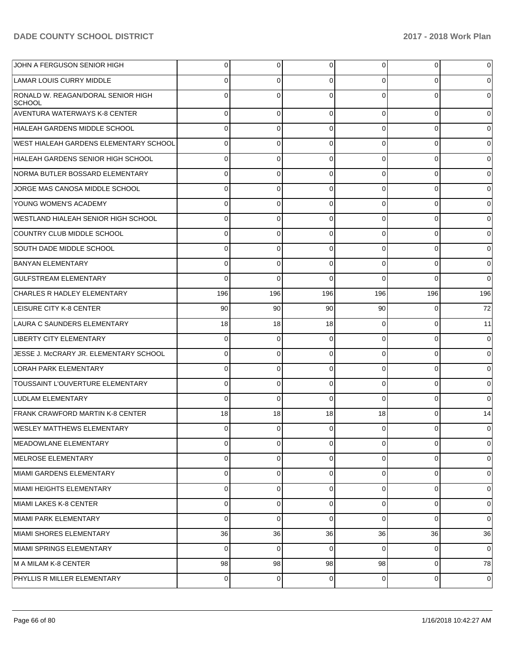| JOHN A FERGUSON SENIOR HIGH                         | $\overline{0}$ | $\overline{0}$ | 0        | $\overline{0}$ | $\overline{0}$ | $\overline{0}$ |
|-----------------------------------------------------|----------------|----------------|----------|----------------|----------------|----------------|
| LAMAR LOUIS CURRY MIDDLE                            | 0              | $\overline{0}$ | 0        | $\Omega$       | $\overline{0}$ | $\overline{0}$ |
| RONALD W. REAGAN/DORAL SENIOR HIGH<br><b>SCHOOL</b> | $\Omega$       | $\mathbf 0$    | $\Omega$ | $\Omega$       | $\Omega$       | $\overline{0}$ |
| AVENTURA WATERWAYS K-8 CENTER                       | $\Omega$       | $\overline{0}$ | $\Omega$ | $\Omega$       | $\overline{0}$ | $\overline{0}$ |
| HIALEAH GARDENS MIDDLE SCHOOL                       | $\Omega$       | $\overline{0}$ | $\Omega$ | $\Omega$       | $\overline{0}$ | $\overline{0}$ |
| <b>WEST HIALEAH GARDENS ELEMENTARY SCHOOL</b>       | $\Omega$       | $\overline{0}$ | $\Omega$ | $\Omega$       | $\overline{0}$ | $\overline{0}$ |
| HIALEAH GARDENS SENIOR HIGH SCHOOL                  | $\Omega$       | $\overline{0}$ | $\Omega$ | $\Omega$       | $\overline{0}$ | $\overline{0}$ |
| INORMA BUTLER BOSSARD ELEMENTARY                    | $\Omega$       | $\overline{0}$ | $\Omega$ | $\Omega$       | $\overline{0}$ | $\overline{0}$ |
| JORGE MAS CANOSA MIDDLE SCHOOL                      | $\Omega$       | $\overline{0}$ | $\Omega$ | $\Omega$       | $\overline{0}$ | $\overline{0}$ |
| YOUNG WOMEN'S ACADEMY                               | $\Omega$       | $\overline{0}$ | $\Omega$ | $\Omega$       | $\overline{0}$ | $\overline{0}$ |
| WESTLAND HIALEAH SENIOR HIGH SCHOOL                 | $\Omega$       | $\overline{0}$ | $\Omega$ | $\Omega$       | $\overline{0}$ | $\overline{0}$ |
| COUNTRY CLUB MIDDLE SCHOOL                          | $\Omega$       | $\overline{0}$ | $\Omega$ | $\Omega$       | $\overline{0}$ | $\overline{0}$ |
| SOUTH DADE MIDDLE SCHOOL                            | $\Omega$       | $\overline{0}$ | $\Omega$ | $\Omega$       | $\overline{0}$ | $\overline{0}$ |
| <b>BANYAN ELEMENTARY</b>                            | $\Omega$       | $\overline{0}$ | $\Omega$ | $\Omega$       | $\overline{0}$ | $\overline{0}$ |
| <b>GULFSTREAM ELEMENTARY</b>                        | $\Omega$       | $\Omega$       | $\Omega$ | $\Omega$       | $\Omega$       | $\Omega$       |
| <b>CHARLES R HADLEY ELEMENTARY</b>                  | 196            | 196            | 196      | 196            | 196            | 196            |
| <b>LEISURE CITY K-8 CENTER</b>                      | 90             | 90             | 90       | 90             | $\overline{0}$ | 72             |
| LAURA C SAUNDERS ELEMENTARY                         | 18             | 18             | 18       | $\Omega$       | $\overline{0}$ | 11             |
| LIBERTY CITY ELEMENTARY                             | $\Omega$       | $\overline{0}$ | $\Omega$ | $\Omega$       | $\overline{0}$ | $\overline{0}$ |
| JESSE J. MCCRARY JR. ELEMENTARY SCHOOL              | $\Omega$       | $\overline{0}$ | $\Omega$ | $\Omega$       | $\overline{0}$ | $\overline{0}$ |
| LORAH PARK ELEMENTARY                               | $\Omega$       | $\overline{0}$ | $\Omega$ | $\Omega$       | $\overline{0}$ | $\overline{0}$ |
| <b>TOUSSAINT L'OUVERTURE ELEMENTARY</b>             | $\Omega$       | $\overline{0}$ | $\Omega$ | $\Omega$       | $\overline{0}$ | $\overline{0}$ |
| LUDLAM ELEMENTARY                                   | $\Omega$       | $\overline{0}$ | $\Omega$ | $\Omega$       | $\overline{0}$ | $\overline{0}$ |
| FRANK CRAWFORD MARTIN K-8 CENTER                    | 18             | 18             | 18       | 18             | $\overline{0}$ | 14             |
| <b>WESLEY MATTHEWS ELEMENTARY</b>                   | $\Omega$       | $\mathbf 0$    | $\Omega$ | $\Omega$       | $\mathbf 0$    | $\overline{0}$ |
| MEADOWLANE ELEMENTARY                               | $\mathbf 0$    | $\overline{0}$ | $\Omega$ | $\Omega$       | $\overline{0}$ | $\overline{0}$ |
| MELROSE ELEMENTARY                                  | $\mathbf 0$    | $\mathbf 0$    | $\Omega$ | $\Omega$       | $\overline{0}$ | $\overline{0}$ |
| MIAMI GARDENS ELEMENTARY                            | $\mathbf 0$    | $\mathbf 0$    | $\Omega$ | $\Omega$       | $\overline{0}$ | $\overline{0}$ |
| MIAMI HEIGHTS ELEMENTARY                            | 0              | $\overline{0}$ | $\Omega$ | $\Omega$       | $\overline{0}$ | $\overline{0}$ |
| MIAMI LAKES K-8 CENTER                              | $\mathbf 0$    | $\mathbf 0$    | $\Omega$ | $\Omega$       | $\overline{0}$ | $\overline{0}$ |
| MIAMI PARK ELEMENTARY                               | $\Omega$       | $\overline{0}$ | $\Omega$ | $\Omega$       | $\overline{0}$ | $\overline{0}$ |
| MIAMI SHORES ELEMENTARY                             | 36             | 36             | 36       | 36             | 36             | 36             |
| MIAMI SPRINGS ELEMENTARY                            | 0              | $\mathbf 0$    | 0        | $\Omega$       | $\overline{0}$ | $\overline{0}$ |
| M A MILAM K-8 CENTER                                | 98             | 98             | 98       | 98             | $\overline{0}$ | 78             |
| PHYLLIS R MILLER ELEMENTARY                         | $\overline{0}$ | $\overline{0}$ | 0        | $\overline{0}$ | $\overline{0}$ | $\overline{0}$ |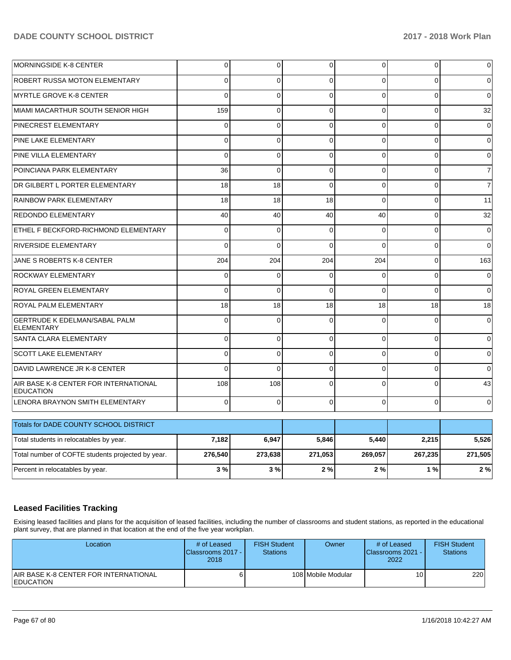| Total number of COFTE students projected by year.         | 276.540  | 273.638     | 271.053     | 269,057        | 267.235     | 271,505        |
|-----------------------------------------------------------|----------|-------------|-------------|----------------|-------------|----------------|
| Total students in relocatables by year.                   | 7,182    | 6,947       | 5,846       | 5,440          | 2,215       | 5,526          |
| Totals for DADE COUNTY SCHOOL DISTRICT                    |          |             |             |                |             |                |
| LENORA BRAYNON SMITH ELEMENTARY                           | 0        | $\mathbf 0$ | 0           | $\overline{0}$ | $\mathbf 0$ | $\overline{0}$ |
| AIR BASE K-8 CENTER FOR INTERNATIONAL<br><b>EDUCATION</b> | 108      | 108         | $\Omega$    | $\Omega$       | $\Omega$    | 43             |
| DAVID LAWRENCE JR K-8 CENTER                              | $\Omega$ | $\mathbf 0$ | 0           | $\overline{0}$ | 0           | 0              |
| <b>SCOTT LAKE ELEMENTARY</b>                              | $\Omega$ | $\Omega$    | 0           | $\Omega$       | $\Omega$    | $\Omega$       |
| <b>SANTA CLARA ELEMENTARY</b>                             | $\Omega$ | $\mathbf 0$ | $\Omega$    | $\Omega$       | $\Omega$    | 0              |
| <b>GERTRUDE K EDELMAN/SABAL PALM</b><br>ELEMENTARY        | $\Omega$ | $\mathbf 0$ | 0           | $\Omega$       | $\Omega$    | $\mathbf 0$    |
| <b>ROYAL PALM ELEMENTARY</b>                              | 18       | 18          | 18          | 18             | 18          | 18             |
| <b>ROYAL GREEN ELEMENTARY</b>                             | 0        | $\Omega$    | $\Omega$    | $\Omega$       | $\Omega$    | $\Omega$       |
| <b>ROCKWAY ELEMENTARY</b>                                 | $\Omega$ | $\Omega$    | 0           | 0              | $\Omega$    | $\Omega$       |
| JANE S ROBERTS K-8 CENTER                                 | 204      | 204         | 204         | 204            | $\Omega$    | 163            |
| <b>RIVERSIDE ELEMENTARY</b>                               | $\Omega$ | $\Omega$    | $\Omega$    | $\Omega$       | $\Omega$    | $\Omega$       |
| ETHEL F BECKFORD-RICHMOND ELEMENTARY                      | $\Omega$ | $\mathbf 0$ | $\mathbf 0$ | $\Omega$       | $\Omega$    | $\pmb{0}$      |
| <b>REDONDO ELEMENTARY</b>                                 | 40       | 40          | 40          | 40             | $\Omega$    | 32             |
| <b>RAINBOW PARK ELEMENTARY</b>                            | 18       | 18          | 18          | $\Omega$       | $\Omega$    | 11             |
| DR GILBERT L PORTER ELEMENTARY                            | 18       | 18          | $\Omega$    | $\Omega$       | $\Omega$    | $\overline{7}$ |
| POINCIANA PARK ELEMENTARY                                 | 36       | $\Omega$    | $\Omega$    | $\Omega$       | $\Omega$    | $\overline{7}$ |
| <b>PINE VILLA ELEMENTARY</b>                              | $\Omega$ | $\Omega$    | $\Omega$    | $\Omega$       | $\Omega$    | $\Omega$       |
| PINE LAKE ELEMENTARY                                      | 0        | $\mathbf 0$ | $\mathbf 0$ | $\overline{0}$ | 0           | $\mathbf 0$    |
| PINECREST ELEMENTARY                                      | $\Omega$ | $\Omega$    | 0           | $\Omega$       | $\Omega$    | $\mathbf 0$    |
| MIAMI MACARTHUR SOUTH SENIOR HIGH                         | 159      | $\Omega$    | $\Omega$    | $\Omega$       | $\Omega$    | 32             |
| MYRTLE GROVE K-8 CENTER                                   | $\Omega$ | $\Omega$    | $\Omega$    | $\Omega$       | $\Omega$    | $\Omega$       |
| <b>ROBERT RUSSA MOTON ELEMENTARY</b>                      | 0        | $\mathbf 0$ | 0           | $\Omega$       | $\Omega$    | $\Omega$       |
| <b>MORNINGSIDE K-8 CENTER</b>                             | 0        | 0           | 0           | $\overline{0}$ | 0           | 0              |

### **Leased Facilities Tracking**

Exising leased facilities and plans for the acquisition of leased facilities, including the number of classrooms and student stations, as reported in the educational plant survey, that are planned in that location at the end of the five year workplan.

Percent in relocatables by year. **3 % 3 % 2 % 2 % 1 % 2 %**

| Location                                                         | # of Leased<br><b>IClassrooms 2017 - I</b><br>2018 | <b>FISH Student</b><br><b>Stations</b> | Owner              | # of Leased<br>Classrooms 2021 -<br>2022 | <b>FISH Student</b><br><b>Stations</b> |
|------------------------------------------------------------------|----------------------------------------------------|----------------------------------------|--------------------|------------------------------------------|----------------------------------------|
| <b>AIR BASE K-8 CENTER FOR INTERNATIONAL</b><br><b>EDUCATION</b> | б.                                                 |                                        | 108 Mobile Modular | 10 <sup>1</sup>                          | 220                                    |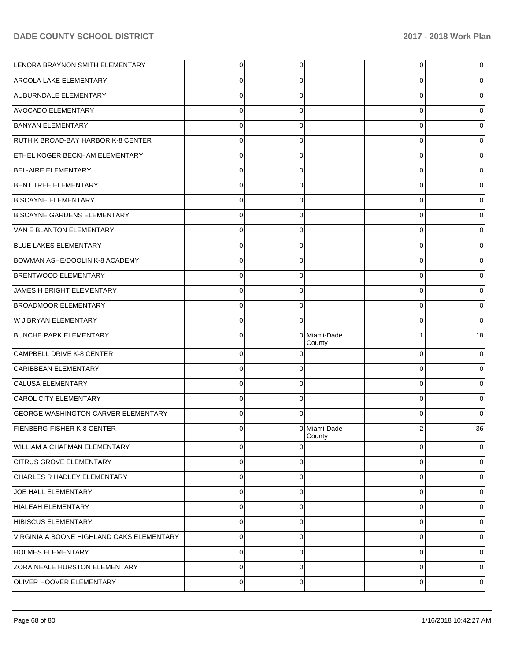| LENORA BRAYNON SMITH ELEMENTARY            | 0        | 0        |                        | 0           | 0        |
|--------------------------------------------|----------|----------|------------------------|-------------|----------|
| <b>ARCOLA LAKE ELEMENTARY</b>              | 0        | 0        |                        | 0           | 0        |
| AUBURNDALE ELEMENTARY                      | 0        | 0        |                        | $\mathbf 0$ | 0        |
| <b>AVOCADO ELEMENTARY</b>                  | 0        | 0        |                        | 0           | 0        |
| <b>BANYAN ELEMENTARY</b>                   | 0        | 0        |                        | $\mathbf 0$ | 0        |
| RUTH K BROAD-BAY HARBOR K-8 CENTER         | 0        | 0        |                        | 0           | 0        |
| <b>ETHEL KOGER BECKHAM ELEMENTARY</b>      | 0        | 0        |                        | $\mathbf 0$ | 0        |
| BEL-AIRE ELEMENTARY                        | 0        | 0        |                        | 0           | 0        |
| BENT TREE ELEMENTARY                       | 0        | 0        |                        | $\mathbf 0$ | 0        |
| <b>BISCAYNE ELEMENTARY</b>                 | 0        | 0        |                        | 0           | 0        |
| BISCAYNE GARDENS ELEMENTARY                | 0        | 0        |                        | $\mathbf 0$ | 0        |
| <b>VAN E BLANTON ELEMENTARY</b>            | 0        | 0        |                        | 0           | 0        |
| BLUE LAKES ELEMENTARY                      | 0        | 0        |                        | $\mathbf 0$ | 0        |
| BOWMAN ASHE/DOOLIN K-8 ACADEMY             | 0        | 0        |                        | 0           | 0        |
| <b>BRENTWOOD ELEMENTARY</b>                | 0        | 0        |                        | 0           | 0        |
| JAMES H BRIGHT ELEMENTARY                  | 0        | 0        |                        | 0           | 0        |
| <b>BROADMOOR ELEMENTARY</b>                | 0        | 0        |                        | $\mathbf 0$ | 0        |
| W J BRYAN ELEMENTARY                       | 0        | 0        |                        | 0           | 0        |
| <b>BUNCHE PARK ELEMENTARY</b>              | $\Omega$ |          | 0 Miami-Dade<br>County | 1           | 18       |
| CAMPBELL DRIVE K-8 CENTER                  | 0        | $\Omega$ |                        | $\mathbf 0$ | $\Omega$ |
| CARIBBEAN ELEMENTARY                       | $\Omega$ | $\Omega$ |                        | $\mathbf 0$ | 0        |
| <b>CALUSA ELEMENTARY</b>                   | $\Omega$ | $\Omega$ |                        | $\mathbf 0$ | $\Omega$ |
| CAROL CITY ELEMENTARY                      | $\Omega$ | $\Omega$ |                        | $\mathbf 0$ | $\Omega$ |
| <b>GEORGE WASHINGTON CARVER ELEMENTARY</b> | $\Omega$ | $\Omega$ |                        | $\Omega$    | $\Omega$ |
| FIENBERG-FISHER K-8 CENTER                 | $\Omega$ |          | 0 Miami-Dade<br>County | 2           | 36       |
| WILLIAM A CHAPMAN ELEMENTARY               | 0        | $\Omega$ |                        | 0           | 0        |
| <b>CITRUS GROVE ELEMENTARY</b>             | $\Omega$ | 0        |                        | 0           | 0        |
| CHARLES R HADLEY ELEMENTARY                | $\Omega$ | 0        |                        | 0           | 0        |
| JOE HALL ELEMENTARY                        | $\Omega$ | 0        |                        | 0           | 0        |
| <b>HIALEAH ELEMENTARY</b>                  | $\Omega$ | 0        |                        | 0           | 0        |
| <b>HIBISCUS ELEMENTARY</b>                 | $\Omega$ | 0        |                        | 0           | 0        |
| VIRGINIA A BOONE HIGHLAND OAKS ELEMENTARY  | $\Omega$ | 0        |                        | 0           | 0        |
| <b>HOLMES ELEMENTARY</b>                   | $\Omega$ | 0        |                        | 0           | 0        |
| <b>ZORA NEALE HURSTON ELEMENTARY</b>       | $\Omega$ | 0        |                        | 0           | 0        |
| OLIVER HOOVER ELEMENTARY                   | 0        | 0        |                        | 0           | 0        |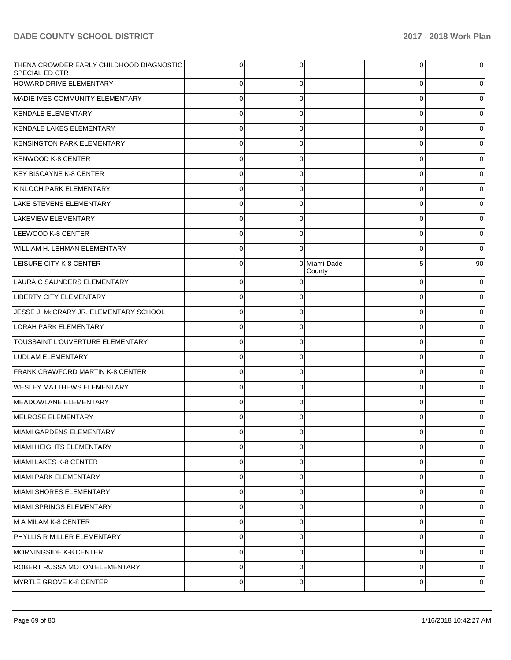| THENA CROWDER EARLY CHILDHOOD DIAGNOSTIC<br><b>SPECIAL ED CTR</b> | $\Omega$       | $\Omega$    |                        | $\Omega$ | $\overline{0}$ |
|-------------------------------------------------------------------|----------------|-------------|------------------------|----------|----------------|
| HOWARD DRIVE ELEMENTARY                                           | $\overline{0}$ | $\Omega$    |                        | $\Omega$ | $\overline{0}$ |
| MADIE IVES COMMUNITY ELEMENTARY                                   | $\overline{0}$ | $\Omega$    |                        | 0        | $\overline{0}$ |
| KENDALE ELEMENTARY                                                | $\overline{0}$ | $\Omega$    |                        | $\Omega$ | $\overline{0}$ |
| KENDALE LAKES ELEMENTARY                                          | $\overline{0}$ | $\Omega$    |                        | 0        | $\overline{0}$ |
| <b>KENSINGTON PARK ELEMENTARY</b>                                 | $\overline{0}$ | $\Omega$    |                        | $\Omega$ | $\overline{0}$ |
| KENWOOD K-8 CENTER                                                | $\overline{0}$ | 0           |                        | $\Omega$ | $\overline{0}$ |
| KEY BISCAYNE K-8 CENTER                                           | $\overline{0}$ | $\Omega$    |                        | $\Omega$ | $\overline{0}$ |
| KINLOCH PARK ELEMENTARY                                           | $\overline{0}$ | $\Omega$    |                        | 0        | $\overline{0}$ |
| <b>LAKE STEVENS ELEMENTARY</b>                                    | $\overline{0}$ | $\Omega$    |                        | 0        | $\overline{0}$ |
| <b>LAKEVIEW ELEMENTARY</b>                                        | $\overline{0}$ | $\Omega$    |                        | 0        | $\overline{0}$ |
| LEEWOOD K-8 CENTER                                                | $\overline{0}$ | $\Omega$    |                        | $\Omega$ | $\overline{0}$ |
| WILLIAM H. LEHMAN ELEMENTARY                                      | $\overline{0}$ | $\Omega$    |                        | $\Omega$ | $\overline{0}$ |
| LEISURE CITY K-8 CENTER                                           | $\overline{0}$ |             | 0 Miami-Dade<br>County | 5        | 90             |
| LAURA C SAUNDERS ELEMENTARY                                       | $\overline{0}$ | $\Omega$    |                        | 0        | $\overline{0}$ |
| LIBERTY CITY ELEMENTARY                                           | $\overline{0}$ | $\Omega$    |                        | 0        | $\overline{0}$ |
| JESSE J. McCRARY JR. ELEMENTARY SCHOOL                            | $\overline{0}$ | $\Omega$    |                        | $\Omega$ | $\overline{0}$ |
| <b>LORAH PARK ELEMENTARY</b>                                      | $\overline{0}$ | $\Omega$    |                        | 0        | $\overline{0}$ |
| TOUSSAINT L'OUVERTURE ELEMENTARY                                  | $\overline{0}$ | $\Omega$    |                        | $\Omega$ | $\overline{0}$ |
| <b>LUDLAM ELEMENTARY</b>                                          | $\overline{0}$ | $\Omega$    |                        | 0        | $\overline{0}$ |
| FRANK CRAWFORD MARTIN K-8 CENTER                                  | $\overline{0}$ | $\Omega$    |                        | 0        | $\overline{0}$ |
| <b>WESLEY MATTHEWS ELEMENTARY</b>                                 | $\overline{0}$ | $\Omega$    |                        | 0        | $\overline{0}$ |
| MEADOWLANE ELEMENTARY                                             | $\overline{0}$ | $\Omega$    |                        | 0        | $\overline{0}$ |
| MELROSE ELEMENTARY                                                | $\Omega$       | $\Omega$    |                        | $\Omega$ | 0              |
| IMIAMI GARDENS ELEMENTARY                                         | $\Omega$       | $\Omega$    |                        |          | 0              |
| MIAMI HEIGHTS ELEMENTARY                                          | $\overline{0}$ | $\Omega$    |                        | 0        | $\overline{0}$ |
| MIAMI LAKES K-8 CENTER                                            | $\overline{0}$ | $\Omega$    |                        | 0        | $\overline{0}$ |
| MIAMI PARK ELEMENTARY                                             | $\overline{0}$ | $\Omega$    |                        | 0        | $\overline{0}$ |
| MIAMI SHORES ELEMENTARY                                           | $\overline{0}$ | $\Omega$    |                        | 0        | $\overline{0}$ |
| MIAMI SPRINGS ELEMENTARY                                          | $\overline{0}$ | $\Omega$    |                        | 0        | $\overline{0}$ |
| M A MILAM K-8 CENTER                                              | $\overline{0}$ | $\Omega$    |                        | 0        | $\overline{0}$ |
| PHYLLIS R MILLER ELEMENTARY                                       | $\overline{0}$ | $\Omega$    |                        | 0        | $\overline{0}$ |
| MORNINGSIDE K-8 CENTER                                            | $\overline{0}$ | $\Omega$    |                        | 0        | $\overline{0}$ |
| <b>ROBERT RUSSA MOTON ELEMENTARY</b>                              | $\overline{0}$ | $\Omega$    |                        | 0        | $\overline{0}$ |
| MYRTLE GROVE K-8 CENTER                                           | $\overline{0}$ | $\mathbf 0$ |                        | 0        | 0              |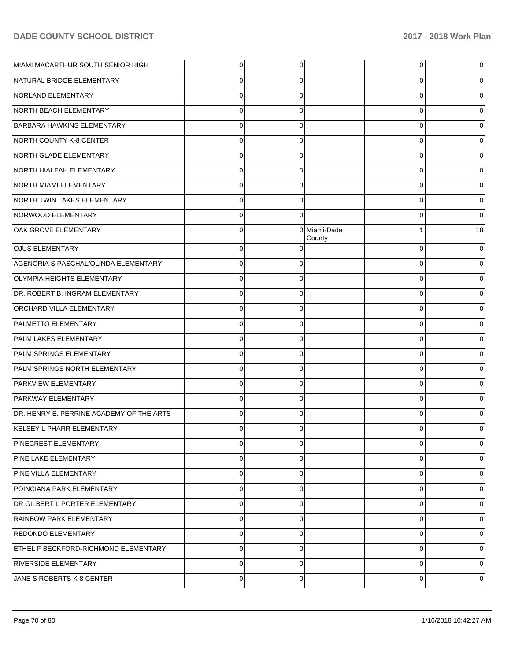| <b>MIAMI MACARTHUR SOUTH SENIOR HIGH</b> | $\overline{0}$ | 0        |                        | 0           | 0        |
|------------------------------------------|----------------|----------|------------------------|-------------|----------|
| NATURAL BRIDGE ELEMENTARY                | 0              | 0        |                        | 0           | 0        |
| NORLAND ELEMENTARY                       | 0              | 0        |                        | 0           | 0        |
| NORTH BEACH ELEMENTARY                   | $\Omega$       | 0        |                        | 0           | 0        |
| <b>BARBARA HAWKINS ELEMENTARY</b>        | 0              | 0        |                        | 0           | 0        |
| NORTH COUNTY K-8 CENTER                  | 0              | 0        |                        | 0           | 0        |
| NORTH GLADE ELEMENTARY                   | 0              | 0        |                        | 0           | 0        |
| NORTH HIALEAH ELEMENTARY                 | $\Omega$       | 0        |                        | 0           | 0        |
| NORTH MIAMI ELEMENTARY                   | 0              | 0        |                        | 0           | 0        |
| NORTH TWIN LAKES ELEMENTARY              | 0              | 0        |                        | 0           | 0        |
| NORWOOD ELEMENTARY                       | 0              | 0        |                        | 0           | 0        |
| OAK GROVE ELEMENTARY                     | $\Omega$       |          | 0 Miami-Dade<br>County | 1           | 18       |
| <b>OJUS ELEMENTARY</b>                   | $\Omega$       | $\Omega$ |                        | $\mathbf 0$ | 0        |
| AGENORIA S PASCHAL/OLINDA ELEMENTARY     | $\Omega$       | $\Omega$ |                        | $\mathbf 0$ | $\Omega$ |
| <b>OLYMPIA HEIGHTS ELEMENTARY</b>        | $\Omega$       | $\Omega$ |                        | $\mathbf 0$ | 0        |
| DR. ROBERT B. INGRAM ELEMENTARY          | $\Omega$       | $\Omega$ |                        | $\mathbf 0$ | 0        |
| <b>ORCHARD VILLA ELEMENTARY</b>          | $\Omega$       | $\Omega$ |                        | $\Omega$    |          |
| PALMETTO ELEMENTARY                      | $\Omega$       | $\Omega$ |                        | $\Omega$    |          |
| PALM LAKES ELEMENTARY                    | $\Omega$       | $\Omega$ |                        | $\mathbf 0$ | 0        |
| PALM SPRINGS ELEMENTARY                  | $\Omega$       | $\Omega$ |                        | $\mathbf 0$ | 0        |
| PALM SPRINGS NORTH ELEMENTARY            | $\Omega$       | $\Omega$ |                        | $\mathbf 0$ | 0        |
| <b>PARKVIEW ELEMENTARY</b>               | $\Omega$       | $\Omega$ |                        | $\Omega$    |          |
| PARKWAY ELEMENTARY                       | $\Omega$       | $\Omega$ |                        | $\mathbf 0$ |          |
| DR. HENRY E. PERRINE ACADEMY OF THE ARTS | $\Omega$       | $\Omega$ |                        | $\Omega$    |          |
| KELSEY L PHARR ELEMENTARY                | $\Omega$       | $\Omega$ |                        | 0           | 0        |
| PINECREST ELEMENTARY                     | $\Omega$       | $\Omega$ |                        | 0           | 0        |
| <b>PINE LAKE ELEMENTARY</b>              | $\Omega$       | $\Omega$ |                        | $\mathbf 0$ | 0        |
| <b>PINE VILLA ELEMENTARY</b>             | $\Omega$       | $\Omega$ |                        | $\mathbf 0$ | $\Omega$ |
| POINCIANA PARK ELEMENTARY                | $\Omega$       | $\Omega$ |                        | $\mathbf 0$ | 0        |
| DR GILBERT L PORTER ELEMENTARY           | $\Omega$       | $\Omega$ |                        | $\mathbf 0$ | $\Omega$ |
| RAINBOW PARK ELEMENTARY                  | $\Omega$       | $\Omega$ |                        | $\mathbf 0$ | 0        |
| <b>REDONDO ELEMENTARY</b>                | $\Omega$       | $\Omega$ |                        | $\mathbf 0$ | $\Omega$ |
| ETHEL F BECKFORD-RICHMOND ELEMENTARY     | $\Omega$       | $\Omega$ |                        | $\mathbf 0$ | 0        |
| <b>RIVERSIDE ELEMENTARY</b>              | $\Omega$       | $\Omega$ |                        | $\mathbf 0$ | 0        |
| JANE S ROBERTS K-8 CENTER                | $\mathbf 0$    | 0        |                        | 0           | 0        |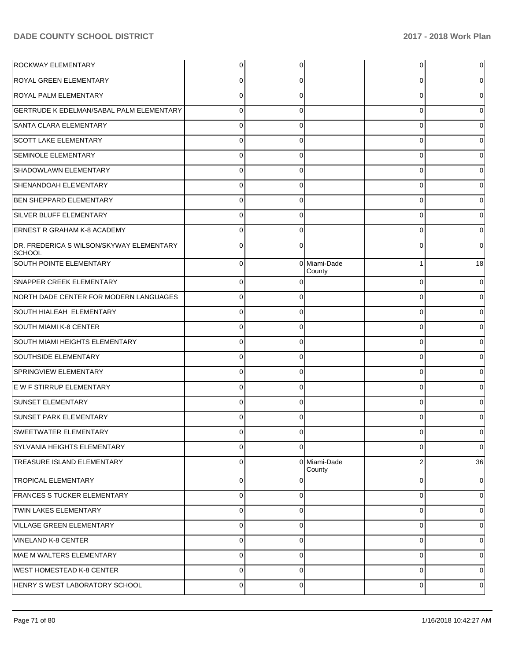| ROCKWAY ELEMENTARY                                        | 0        | 0        |                        | $\overline{0}$ | 0        |
|-----------------------------------------------------------|----------|----------|------------------------|----------------|----------|
| <b>ROYAL GREEN ELEMENTARY</b>                             | 0        | O        |                        | 0              | 0        |
| <b>ROYAL PALM ELEMENTARY</b>                              | 0        |          |                        | 0              |          |
| GERTRUDE K EDELMAN/SABAL PALM ELEMENTARY                  | 0        | O        |                        | 0              |          |
| SANTA CLARA ELEMENTARY                                    | 0        |          |                        | 0              |          |
| <b>SCOTT LAKE ELEMENTARY</b>                              | 0        | O        |                        | 0              |          |
| <b>SEMINOLE ELEMENTARY</b>                                | 0        | 0        |                        | 0              |          |
| SHADOWLAWN ELEMENTARY                                     | 0        | 0        |                        | 0              |          |
| SHENANDOAH ELEMENTARY                                     | 0        |          |                        | 0              |          |
| <b>BEN SHEPPARD ELEMENTARY</b>                            | 0        | O        |                        | 0              |          |
| SILVER BLUFF ELEMENTARY                                   | 0        |          |                        | 0              |          |
| <b>ERNEST R GRAHAM K-8 ACADEMY</b>                        | 0        | 0        |                        | 0              | o        |
| DR. FREDERICA S WILSON/SKYWAY ELEMENTARY<br><b>SCHOOL</b> | 0        |          |                        | 0              |          |
| SOUTH POINTE ELEMENTARY                                   | $\Omega$ |          | 0 Miami-Dade<br>County | 1              | 18       |
| SNAPPER CREEK ELEMENTARY                                  | 0        | U        |                        | $\mathbf 0$    | $\Omega$ |
| NORTH DADE CENTER FOR MODERN LANGUAGES                    | $\Omega$ | $\Omega$ |                        | $\mathbf 0$    | 0        |
| SOUTH HIALEAH ELEMENTARY                                  | $\Omega$ | $\Omega$ |                        | $\mathbf 0$    |          |
| SOUTH MIAMI K-8 CENTER                                    | 0        | $\Omega$ |                        | $\mathbf 0$    |          |
| <b>SOUTH MIAMI HEIGHTS ELEMENTARY</b>                     | $\Omega$ | $\Omega$ |                        | $\mathbf 0$    |          |
| SOUTHSIDE ELEMENTARY                                      | 0        | $\Omega$ |                        | $\mathbf 0$    |          |
| SPRINGVIEW ELEMENTARY                                     | $\Omega$ | $\Omega$ |                        | $\mathbf 0$    |          |
| E W F STIRRUP ELEMENTARY                                  | $\Omega$ | 0        |                        | $\mathbf 0$    |          |
| <b>SUNSET ELEMENTARY</b>                                  | $\Omega$ | $\Omega$ |                        | $\mathbf 0$    |          |
| <b>SUNSET PARK ELEMENTARY</b>                             | U        | ∩        |                        | $\Omega$       |          |
| SWEETWATER ELEMENTARY                                     |          |          |                        | ∩              |          |
| SYLVANIA HEIGHTS ELEMENTARY                               | $\Omega$ | $\Omega$ |                        | $\mathbf 0$    | $\Omega$ |
| <b>TREASURE ISLAND ELEMENTARY</b>                         | $\Omega$ |          | 0 Miami-Dade<br>County | $\overline{2}$ | 36       |
| <b>TROPICAL ELEMENTARY</b>                                | 0        | 0        |                        | 0              | 0        |
| <b>FRANCES S TUCKER ELEMENTARY</b>                        | 0        | 0        |                        | 0              | 0        |
| <b>TWIN LAKES ELEMENTARY</b>                              | $\Omega$ | 0        |                        | 0              | 0        |
| VILLAGE GREEN ELEMENTARY                                  | $\Omega$ | 0        |                        | 0              | 0        |
| VINELAND K-8 CENTER                                       | $\Omega$ | 0        |                        | 0              | 0        |
| MAE M WALTERS ELEMENTARY                                  | $\Omega$ | 0        |                        | 0              | 0        |
| <b>WEST HOMESTEAD K-8 CENTER</b>                          | $\Omega$ | 0        |                        | 0              | 0        |
| HENRY S WEST LABORATORY SCHOOL                            | 0        | 0        |                        | 0              | 0        |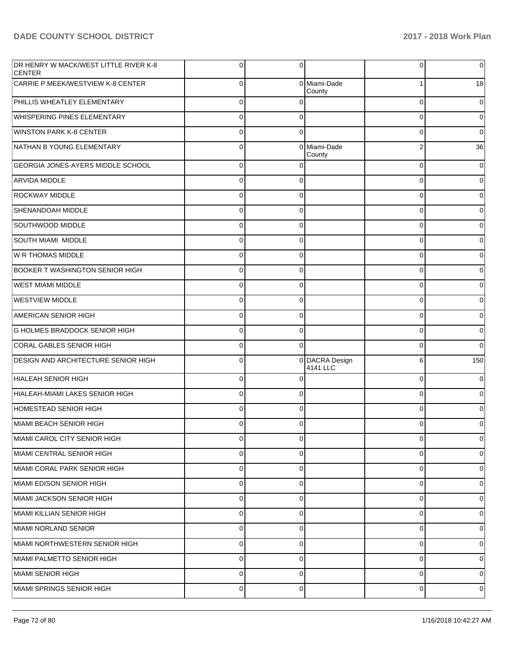| DR HENRY W MACK/WEST LITTLE RIVER K-8<br><b>CENTER</b> | 0              | $\Omega$    |                            | 0           | 0              |
|--------------------------------------------------------|----------------|-------------|----------------------------|-------------|----------------|
| CARRIE P MEEK/WESTVIEW K-8 CENTER                      | $\Omega$       |             | 0 Miami-Dade<br>County     |             | 18             |
| PHILLIS WHEATLEY ELEMENTARY                            | $\Omega$       | ∩           |                            | $\Omega$    | 0              |
| WHISPERING PINES ELEMENTARY                            | $\Omega$       | ∩           |                            | $\Omega$    | 0              |
| <b>WINSTON PARK K-8 CENTER</b>                         | $\Omega$       | $\Omega$    |                            | 0           | 0              |
| NATHAN B YOUNG ELEMENTARY                              | $\Omega$       | $\Omega$    | Miami-Dade<br>County       | 2           | 36             |
| GEORGIA JONES-AYERS MIDDLE SCHOOL                      | $\mathbf 0$    | 0           |                            | 0           | $\Omega$       |
| <b>ARVIDA MIDDLE</b>                                   | $\mathbf 0$    | $\Omega$    |                            | 0           | 0              |
| <b>ROCKWAY MIDDLE</b>                                  | $\Omega$       | $\Omega$    |                            | 0           | 0              |
| SHENANDOAH MIDDLE                                      | $\mathbf 0$    | 0           |                            | 0           | 0              |
| SOUTHWOOD MIDDLE                                       | $\Omega$       | $\Omega$    |                            | 0           | 0              |
| <b>SOUTH MIAMI MIDDLE</b>                              | $\mathbf 0$    | 0           |                            | 0           | 0              |
| W R THOMAS MIDDLE                                      | $\Omega$       | $\Omega$    |                            | 0           | 0              |
| <b>BOOKER T WASHINGTON SENIOR HIGH</b>                 | $\mathbf 0$    | 0           |                            | 0           | 0              |
| <b>WEST MIAMI MIDDLE</b>                               | $\Omega$       | $\Omega$    |                            | 0           | 0              |
| <b>WESTVIEW MIDDLE</b>                                 | $\Omega$       | 0           |                            | 0           | 0              |
| AMERICAN SENIOR HIGH                                   | $\Omega$       | $\Omega$    |                            | $\Omega$    | 0              |
| <b>G HOLMES BRADDOCK SENIOR HIGH</b>                   | $\mathbf 0$    | $\mathbf 0$ |                            | 0           | 0              |
| CORAL GABLES SENIOR HIGH                               | $\Omega$       | $\Omega$    |                            | $\Omega$    | $\Omega$       |
| DESIGN AND ARCHITECTURE SENIOR HIGH                    | $\mathbf 0$    |             | 0 DACRA Design<br>4141 LLC | 6           | 150            |
| HIALEAH SENIOR HIGH                                    | $\mathbf 0$    | $\Omega$    |                            | $\mathbf 0$ | $\Omega$       |
| HIALEAH-MIAMI LAKES SENIOR HIGH                        | $\mathbf 0$    | $\Omega$    |                            | $\Omega$    |                |
| HOMESTEAD SENIOR HIGH                                  | $\mathbf 0$    | $\Omega$    |                            | $\Omega$    |                |
| MIAMI BEACH SENIOR HIGH                                | $\Omega$       | $\Omega$    |                            | $\Omega$    |                |
| MIAMI CAROL CITY SENIOR HIGH                           | $\overline{0}$ | 0           |                            | 0           | $\overline{0}$ |
| MIAMI CENTRAL SENIOR HIGH                              | $\mathbf 0$    | $\Omega$    |                            | 0           | $\Omega$       |
| MIAMI CORAL PARK SENIOR HIGH                           | $\mathbf 0$    | $\mathbf 0$ |                            | $\mathbf 0$ | 0              |
| MIAMI EDISON SENIOR HIGH                               | $\mathbf 0$    | $\mathbf 0$ |                            | 0           | 0              |
| MIAMI JACKSON SENIOR HIGH                              | $\mathbf 0$    | $\mathbf 0$ |                            | $\mathbf 0$ | 0              |
| MIAMI KILLIAN SENIOR HIGH                              | $\mathbf 0$    | $\mathbf 0$ |                            | $\mathbf 0$ | 0              |
| MIAMI NORLAND SENIOR                                   | $\mathbf 0$    | $\Omega$    |                            | $\mathbf 0$ | 0              |
| MIAMI NORTHWESTERN SENIOR HIGH                         | $\mathbf 0$    | $\Omega$    |                            | 0           | 0              |
| MIAMI PALMETTO SENIOR HIGH                             | $\mathbf 0$    | $\mathbf 0$ |                            | $\mathbf 0$ | 0              |
| MIAMI SENIOR HIGH                                      | $\mathbf 0$    | $\mathbf 0$ |                            | $\mathbf 0$ | 0              |
| MIAMI SPRINGS SENIOR HIGH                              | $\mathbf{0}$   | $\mathbf 0$ |                            | 0           | 0              |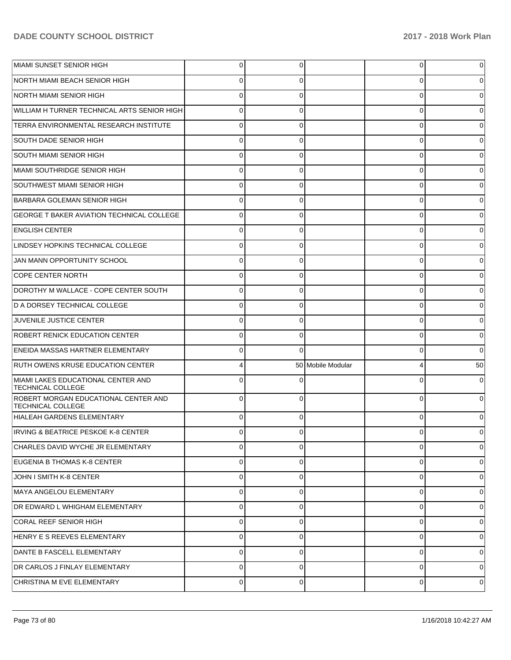| MIAMI SUNSET SENIOR HIGH                                         | 0        | 0        |                   | $\overline{0}$ | 0  |
|------------------------------------------------------------------|----------|----------|-------------------|----------------|----|
| NORTH MIAMI BEACH SENIOR HIGH                                    |          |          |                   | 0              |    |
| NORTH MIAMI SENIOR HIGH                                          | $\Omega$ | 0        |                   | 0              |    |
| WILLIAM H TURNER TECHNICAL ARTS SENIOR HIGH                      | $\Omega$ | 0        |                   | 0              |    |
| TERRA ENVIRONMENTAL RESEARCH INSTITUTE                           | $\Omega$ | 0        |                   | 0              |    |
| <b>SOUTH DADE SENIOR HIGH</b>                                    | 0        | 0        |                   | 0              |    |
| <b>SOUTH MIAMI SENIOR HIGH</b>                                   | $\Omega$ | 0        |                   | 0              |    |
| MIAMI SOUTHRIDGE SENIOR HIGH                                     | 0        | 0        |                   | 0              |    |
| SOUTHWEST MIAMI SENIOR HIGH                                      | $\Omega$ | 0        |                   | 0              |    |
| BARBARA GOLEMAN SENIOR HIGH                                      | 0        | 0        |                   | 0              |    |
| <b>GEORGE T BAKER AVIATION TECHNICAL COLLEGE</b>                 | $\Omega$ | 0        |                   | 0              |    |
| <b>ENGLISH CENTER</b>                                            | 0        | 0        |                   | 0              |    |
| LINDSEY HOPKINS TECHNICAL COLLEGE                                | $\Omega$ | 0        |                   | 0              |    |
| JAN MANN OPPORTUNITY SCHOOL                                      | 0        | 0        |                   | 0              |    |
| <b>COPE CENTER NORTH</b>                                         | 0        |          |                   | 0              |    |
| DOROTHY M WALLACE - COPE CENTER SOUTH                            | $\Omega$ | 0        |                   | 0              |    |
| D A DORSEY TECHNICAL COLLEGE                                     | $\Omega$ | 0        |                   | 0              |    |
| JUVENILE JUSTICE CENTER                                          | $\Omega$ | 0        |                   | 0              |    |
| <b>ROBERT RENICK EDUCATION CENTER</b>                            | $\Omega$ | 0        |                   | $\Omega$       |    |
| <b>ENEIDA MASSAS HARTNER ELEMENTARY</b>                          | 0        | 0        |                   | 0              | 0  |
| <b>RUTH OWENS KRUSE EDUCATION CENTER</b>                         |          |          | 50 Mobile Modular | 4              | 50 |
| MIAMI LAKES EDUCATIONAL CENTER AND<br><b>TECHNICAL COLLEGE</b>   | 0        |          |                   | $\Omega$       |    |
| ROBERT MORGAN EDUCATIONAL CENTER AND<br><b>TECHNICAL COLLEGE</b> | $\Omega$ | 0        |                   | 0              |    |
| HIALEAH GARDENS ELEMENTARY                                       | U        |          |                   | 0              |    |
| IRVING & BEATRICE PESKOE K-8 CENTER                              |          |          |                   |                |    |
| CHARLES DAVID WYCHE JR ELEMENTARY                                | 0        | 0        |                   | 0              | 0  |
| EUGENIA B THOMAS K-8 CENTER                                      | 0        | 0        |                   | $\mathbf 0$    | 0  |
| JOHN I SMITH K-8 CENTER                                          | 0        | 0        |                   | $\mathbf 0$    | 0  |
| MAYA ANGELOU ELEMENTARY                                          | 0        | 0        |                   | $\mathbf 0$    | 0  |
| DR EDWARD L WHIGHAM ELEMENTARY                                   | 0        | 0        |                   | $\mathbf 0$    | 0  |
| CORAL REEF SENIOR HIGH                                           | 0        | 0        |                   | $\mathbf 0$    | 0  |
| HENRY E S REEVES ELEMENTARY                                      | 0        | $\Omega$ |                   | $\mathbf 0$    | 0  |
| DANTE B FASCELL ELEMENTARY                                       | 0        | 0        |                   | $\mathbf 0$    | 0  |
| DR CARLOS J FINLAY ELEMENTARY                                    | 0        | 0        |                   | $\mathbf 0$    | 0  |
| CHRISTINA M EVE ELEMENTARY                                       | 0        | 0        |                   | 0              | 0  |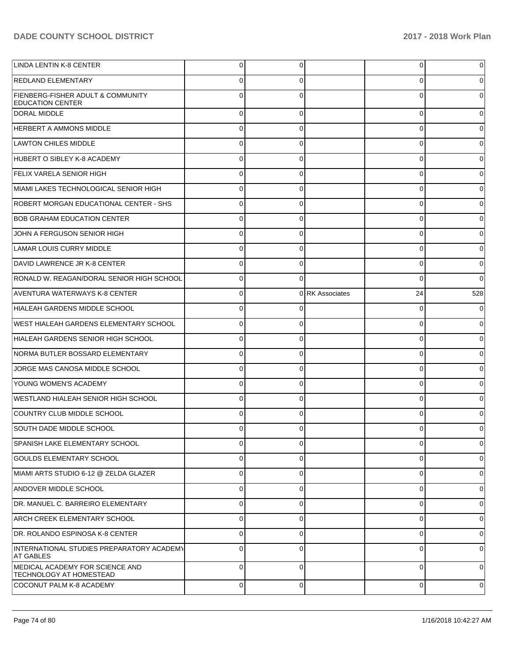| LINDA LENTIN K-8 CENTER                                       | $\overline{0}$ | 0           |                 | 0        | $\overline{0}$ |
|---------------------------------------------------------------|----------------|-------------|-----------------|----------|----------------|
| <b>REDLAND ELEMENTARY</b>                                     | $\Omega$       | $\Omega$    |                 | 0        | $\overline{0}$ |
| FIENBERG-FISHER ADULT & COMMUNITY<br><b>EDUCATION CENTER</b>  | $\Omega$       | $\Omega$    |                 | $\Omega$ | $\Omega$       |
| <b>DORAL MIDDLE</b>                                           | $\Omega$       | $\Omega$    |                 | $\Omega$ | 0              |
| <b>HERBERT A AMMONS MIDDLE</b>                                | $\Omega$       | $\Omega$    |                 | $\Omega$ | 0              |
| <b>LAWTON CHILES MIDDLE</b>                                   | $\Omega$       | $\Omega$    |                 | $\Omega$ | 0              |
| HUBERT O SIBLEY K-8 ACADEMY                                   | $\Omega$       | $\Omega$    |                 | $\Omega$ | 0              |
| <b>FELIX VARELA SENIOR HIGH</b>                               | $\Omega$       | $\Omega$    |                 | $\Omega$ | 0              |
| MIAMI LAKES TECHNOLOGICAL SENIOR HIGH                         | $\Omega$       | $\Omega$    |                 | $\Omega$ | 0              |
| ROBERT MORGAN EDUCATIONAL CENTER - SHS                        | $\Omega$       | $\Omega$    |                 | $\Omega$ | 0              |
| <b>BOB GRAHAM EDUCATION CENTER</b>                            | $\Omega$       | $\Omega$    |                 | $\Omega$ | 0              |
| JOHN A FERGUSON SENIOR HIGH                                   | $\Omega$       | $\Omega$    |                 | $\Omega$ | 0              |
| <b>LAMAR LOUIS CURRY MIDDLE</b>                               | $\Omega$       | $\Omega$    |                 | $\Omega$ | 0              |
| DAVID LAWRENCE JR K-8 CENTER                                  | $\Omega$       | $\Omega$    |                 | $\Omega$ | 0              |
| RONALD W. REAGAN/DORAL SENIOR HIGH SCHOOL                     | $\Omega$       | $\Omega$    |                 | $\Omega$ | $\Omega$       |
| <b>AVENTURA WATERWAYS K-8 CENTER</b>                          | $\Omega$       |             | 0 RK Associates | 24       | 528            |
| HIALEAH GARDENS MIDDLE SCHOOL                                 | $\overline{0}$ | $\Omega$    |                 | $\Omega$ | $\Omega$       |
| <b>WEST HIALEAH GARDENS ELEMENTARY SCHOOL</b>                 | $\Omega$       | $\Omega$    |                 | $\Omega$ | $\Omega$       |
| HIALEAH GARDENS SENIOR HIGH SCHOOL                            | $\overline{0}$ | $\Omega$    |                 | $\Omega$ | 0              |
| NORMA BUTLER BOSSARD ELEMENTARY                               | $\Omega$       | $\Omega$    |                 | $\Omega$ | 0              |
| JORGE MAS CANOSA MIDDLE SCHOOL                                | $\Omega$       | $\Omega$    |                 | $\Omega$ | 0              |
| YOUNG WOMEN'S ACADEMY                                         | $\Omega$       | $\Omega$    |                 | $\Omega$ | 0              |
| WESTLAND HIALEAH SENIOR HIGH SCHOOL                           | $\Omega$       | $\Omega$    |                 | $\Omega$ | 0              |
| COUNTRY CLUB MIDDLE SCHOOL                                    | $\Omega$       | $\Omega$    |                 | $\Omega$ | 0              |
| SOUTH DADE MIDDLE SCHOOL                                      | $\Omega$       | $\Omega$    |                 | 0        | 0              |
| <b>SPANISH LAKE ELEMENTARY SCHOOL</b>                         | $\Omega$       | $\Omega$    |                 | $\Omega$ | $\mathbf 0$    |
| <b>GOULDS ELEMENTARY SCHOOL</b>                               | $\Omega$       | $\Omega$    |                 | $\Omega$ | $\overline{0}$ |
| MIAMI ARTS STUDIO 6-12 @ ZELDA GLAZER                         | $\Omega$       | $\Omega$    |                 | $\Omega$ | $\overline{0}$ |
| <b>ANDOVER MIDDLE SCHOOL</b>                                  | $\Omega$       | $\Omega$    |                 | $\Omega$ | $\overline{0}$ |
| DR. MANUEL C. BARREIRO ELEMENTARY                             | $\Omega$       | $\Omega$    |                 | $\Omega$ | $\overline{0}$ |
| ARCH CREEK ELEMENTARY SCHOOL                                  | $\Omega$       | $\Omega$    |                 | $\Omega$ | $\overline{0}$ |
| DR. ROLANDO ESPINOSA K-8 CENTER                               | $\Omega$       | $\Omega$    |                 | $\Omega$ | $\overline{0}$ |
| INTERNATIONAL STUDIES PREPARATORY ACADEMY<br><b>AT GABLES</b> | $\Omega$       | $\Omega$    |                 | $\Omega$ | $\overline{0}$ |
| MEDICAL ACADEMY FOR SCIENCE AND<br>TECHNOLOGY AT HOMESTEAD    | $\Omega$       | $\Omega$    |                 | 0        | $\Omega$       |
| COCONUT PALM K-8 ACADEMY                                      | $\overline{0}$ | $\mathbf 0$ |                 | 0        | 0              |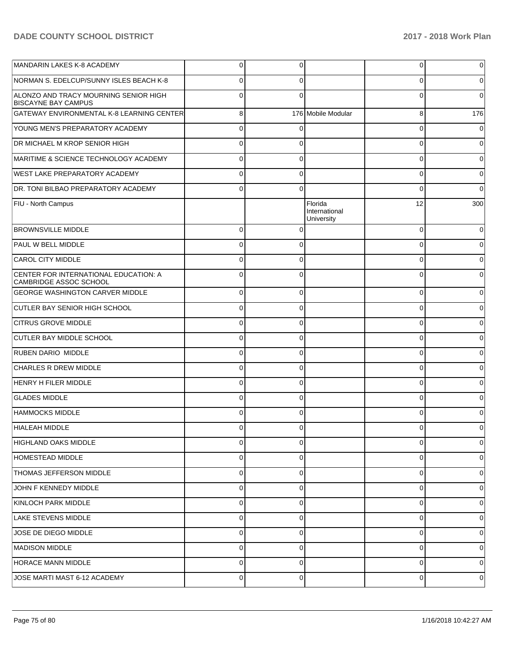| <b>MANDARIN LAKES K-8 ACADEMY</b>                                   | $\overline{0}$ | 0           |                                        | $\overline{0}$ | 0   |
|---------------------------------------------------------------------|----------------|-------------|----------------------------------------|----------------|-----|
| NORMAN S. EDELCUP/SUNNY ISLES BEACH K-8                             | $\mathbf 0$    | 0           |                                        | 0              | 0   |
| ALONZO AND TRACY MOURNING SENIOR HIGH<br><b>BISCAYNE BAY CAMPUS</b> | $\Omega$       | $\Omega$    |                                        | $\Omega$       | 0   |
| <b>GATEWAY ENVIRONMENTAL K-8 LEARNING CENTER</b>                    | 8              |             | 176 Mobile Modular                     | 8              | 176 |
| YOUNG MEN'S PREPARATORY ACADEMY                                     | $\mathbf 0$    | $\Omega$    |                                        | 0              |     |
| DR MICHAEL M KROP SENIOR HIGH                                       | $\Omega$       | $\Omega$    |                                        | 0              | 0   |
| MARITIME & SCIENCE TECHNOLOGY ACADEMY                               | $\mathbf 0$    | 0           |                                        | 0              | 0   |
| <b>WEST LAKE PREPARATORY ACADEMY</b>                                | $\Omega$       | $\Omega$    |                                        | 0              | 0   |
| DR. TONI BILBAO PREPARATORY ACADEMY                                 | $\Omega$       | $\Omega$    |                                        | $\mathbf 0$    | 0   |
| FIU - North Campus                                                  |                |             | Florida<br>International<br>University | 12             | 300 |
| <b>BROWNSVILLE MIDDLE</b>                                           | $\mathbf 0$    | $\Omega$    |                                        | 0              | 0   |
| <b>PAUL W BELL MIDDLE</b>                                           | $\mathbf 0$    | 0           |                                        | $\Omega$       | 0   |
| <b>CAROL CITY MIDDLE</b>                                            | $\mathbf 0$    | 0           |                                        | 0              | 0   |
| CENTER FOR INTERNATIONAL EDUCATION: A<br>CAMBRIDGE ASSOC SCHOOL     | $\Omega$       | $\Omega$    |                                        | $\Omega$       |     |
| <b>GEORGE WASHINGTON CARVER MIDDLE</b>                              | $\overline{0}$ | $\Omega$    |                                        | $\mathbf 0$    | 0   |
| CUTLER BAY SENIOR HIGH SCHOOL                                       | $\Omega$       | $\Omega$    |                                        | $\Omega$       |     |
| <b>CITRUS GROVE MIDDLE</b>                                          | $\Omega$       | $\Omega$    |                                        | $\Omega$       |     |
| CUTLER BAY MIDDLE SCHOOL                                            | $\Omega$       | $\Omega$    |                                        | $\Omega$       |     |
| <b>RUBEN DARIO MIDDLE</b>                                           | $\mathbf 0$    | $\Omega$    |                                        | $\Omega$       |     |
| <b>CHARLES R DREW MIDDLE</b>                                        | $\mathbf 0$    | $\Omega$    |                                        | $\Omega$       |     |
| <b>HENRY H FILER MIDDLE</b>                                         | $\Omega$       | $\Omega$    |                                        | $\Omega$       |     |
| <b>GLADES MIDDLE</b>                                                | $\Omega$       | $\Omega$    |                                        | $\Omega$       |     |
| <b>HAMMOCKS MIDDLE</b>                                              | $\Omega$       | $\Omega$    |                                        | $\Omega$       |     |
| HIALEAH MIDDLE                                                      | $\Omega$       | $\Omega$    |                                        | 0              | 0   |
| <b>HIGHLAND OAKS MIDDLE</b>                                         | $\mathbf 0$    | $\Omega$    |                                        | $\Omega$       | 0   |
| <b>HOMESTEAD MIDDLE</b>                                             | $\overline{0}$ | $\Omega$    |                                        | $\mathbf 0$    | 0   |
| THOMAS JEFFERSON MIDDLE                                             | $\overline{0}$ | $\Omega$    |                                        | 0              | 0   |
| JOHN F KENNEDY MIDDLE                                               | $\overline{0}$ | $\Omega$    |                                        | $\mathbf 0$    | 0   |
| KINLOCH PARK MIDDLE                                                 | $\overline{0}$ | $\Omega$    |                                        | $\mathbf 0$    | 0   |
| LAKE STEVENS MIDDLE                                                 | $\overline{0}$ | $\Omega$    |                                        | $\mathbf 0$    | 0   |
| JOSE DE DIEGO MIDDLE                                                | $\overline{0}$ | $\Omega$    |                                        | 0              | 0   |
| <b>MADISON MIDDLE</b>                                               | $\overline{0}$ | $\Omega$    |                                        | $\mathbf 0$    | 0   |
| <b>HORACE MANN MIDDLE</b>                                           | $\overline{0}$ | $\Omega$    |                                        | $\mathbf 0$    | 0   |
| JOSE MARTI MAST 6-12 ACADEMY                                        | $\mathbf 0$    | $\mathbf 0$ |                                        | 0              | 0   |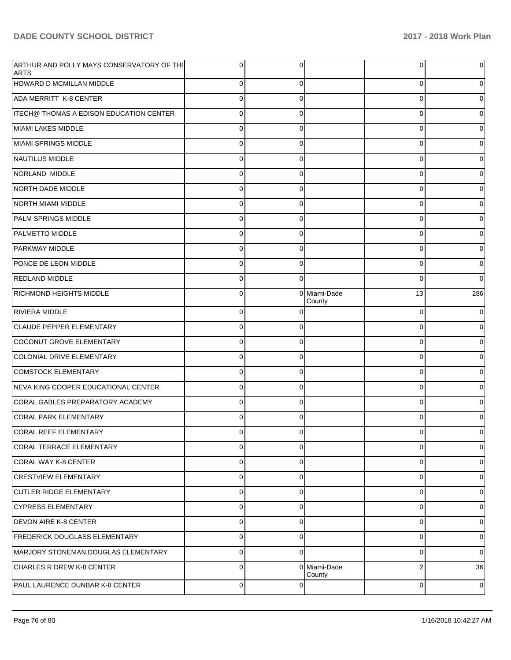| ARTHUR AND POLLY MAYS CONSERVATORY OF THE<br><b>ARTS</b> | $\overline{0}$ | $\Omega$    |                        | 0              | $\overline{0}$ |
|----------------------------------------------------------|----------------|-------------|------------------------|----------------|----------------|
| <b>HOWARD D MCMILLAN MIDDLE</b>                          | $\overline{0}$ | $\Omega$    |                        | 0              | 0              |
| ADA MERRITT K-8 CENTER                                   | $\overline{0}$ | $\Omega$    |                        | 0              | 0              |
| <b>ITECH@ THOMAS A EDISON EDUCATION CENTER</b>           | $\overline{0}$ | $\Omega$    |                        | 0              | $\overline{0}$ |
| MIAMI LAKES MIDDLE                                       | $\overline{0}$ | $\Omega$    |                        | 0              | 0              |
| MIAMI SPRINGS MIDDLE                                     | $\overline{0}$ | $\Omega$    |                        | $\Omega$       | $\overline{0}$ |
| <b>NAUTILUS MIDDLE</b>                                   | $\overline{0}$ | $\Omega$    |                        | 0              | 0              |
| NORLAND MIDDLE                                           | $\overline{0}$ | $\Omega$    |                        | 0              | $\overline{0}$ |
| NORTH DADE MIDDLE                                        | $\overline{0}$ | $\Omega$    |                        | 0              | 0              |
| NORTH MIAMI MIDDLE                                       | $\overline{0}$ | $\Omega$    |                        | $\Omega$       | $\overline{0}$ |
| PALM SPRINGS MIDDLE                                      | $\overline{0}$ | $\mathbf 0$ |                        | 0              | 0              |
| PALMETTO MIDDLE                                          | $\overline{0}$ | $\Omega$    |                        | $\Omega$       | $\overline{0}$ |
| <b>PARKWAY MIDDLE</b>                                    | $\overline{0}$ | $\Omega$    |                        | 0              | $\overline{0}$ |
| PONCE DE LEON MIDDLE                                     | $\overline{0}$ | $\Omega$    |                        | 0              | $\overline{0}$ |
| <b>REDLAND MIDDLE</b>                                    | $\overline{0}$ | $\Omega$    |                        | 0              | 0              |
| <b>RICHMOND HEIGHTS MIDDLE</b>                           | $\overline{0}$ |             | 0 Miami-Dade<br>County | 13             | 286            |
| <b>RIVIERA MIDDLE</b>                                    | $\overline{0}$ | ∩           |                        | 0              | $\overline{0}$ |
| <b>CLAUDE PEPPER ELEMENTARY</b>                          | $\overline{0}$ | $\Omega$    |                        | 0              | $\overline{0}$ |
| COCONUT GROVE ELEMENTARY                                 | $\overline{0}$ | $\Omega$    |                        | 0              | $\overline{0}$ |
| COLONIAL DRIVE ELEMENTARY                                | $\overline{0}$ | $\Omega$    |                        | 0              | $\overline{0}$ |
| <b>COMSTOCK ELEMENTARY</b>                               | $\overline{0}$ | $\Omega$    |                        | 0              | $\mathbf 0$    |
| NEVA KING COOPER EDUCATIONAL CENTER                      | $\overline{0}$ | $\Omega$    |                        | 0              | $\overline{0}$ |
| CORAL GABLES PREPARATORY ACADEMY                         | $\overline{0}$ | $\Omega$    |                        | 0              | $\overline{0}$ |
| <b>CORAL PARK ELEMENTARY</b>                             | $\Omega$       | $\Omega$    |                        | 0              | $\overline{0}$ |
| <b>CORAL REEF ELEMENTARY</b>                             | $\Omega$       | $\Omega$    |                        | ∩              | $\Omega$       |
| CORAL TERRACE ELEMENTARY                                 | $\overline{0}$ | 0           |                        | $\Omega$       | $\overline{0}$ |
| CORAL WAY K-8 CENTER                                     | $\overline{0}$ | $\Omega$    |                        | $\mathbf 0$    | $\overline{0}$ |
| <b>CRESTVIEW ELEMENTARY</b>                              | $\overline{0}$ | $\mathbf 0$ |                        | $\mathbf 0$    | $\overline{0}$ |
| <b>CUTLER RIDGE ELEMENTARY</b>                           | $\overline{0}$ | $\Omega$    |                        | $\mathbf 0$    | $\overline{0}$ |
| <b>CYPRESS ELEMENTARY</b>                                | $\overline{0}$ | $\mathbf 0$ |                        | $\mathbf 0$    | $\overline{0}$ |
| <b>DEVON AIRE K-8 CENTER</b>                             | $\overline{0}$ | $\Omega$    |                        | $\mathbf 0$    | $\overline{0}$ |
| <b>FREDERICK DOUGLASS ELEMENTARY</b>                     | $\mathbf{0}$   | $\mathbf 0$ |                        | $\mathbf 0$    | $\overline{0}$ |
| MARJORY STONEMAN DOUGLAS ELEMENTARY                      | $\overline{0}$ | $\Omega$    |                        | $\mathbf 0$    | $\overline{0}$ |
| <b>CHARLES R DREW K-8 CENTER</b>                         | $\overline{0}$ |             | 0 Miami-Dade<br>County | $\overline{2}$ | 36             |
| PAUL LAURENCE DUNBAR K-8 CENTER                          | $\overline{0}$ | $\mathbf 0$ |                        | 0              | 0              |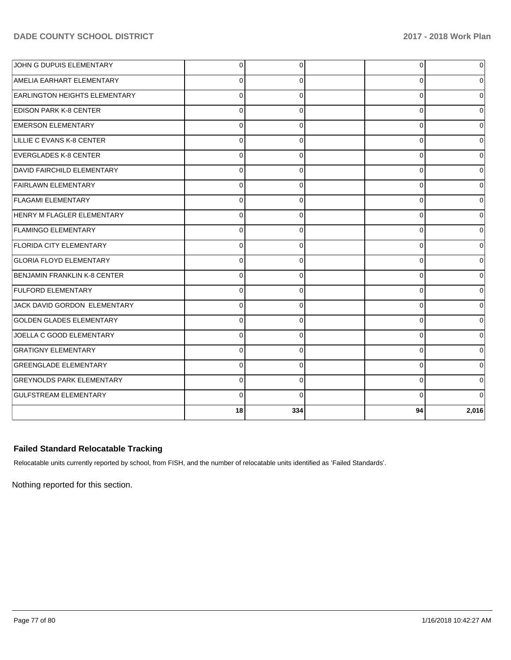| JOHN G DUPUIS ELEMENTARY             | $\overline{0}$  | 0        | 0        | 0              |
|--------------------------------------|-----------------|----------|----------|----------------|
| AMELIA EARHART ELEMENTARY            | $\Omega$        | 0        | 0        | $\Omega$       |
| <b>EARLINGTON HEIGHTS ELEMENTARY</b> | $\Omega$        | $\Omega$ | $\Omega$ | $\overline{0}$ |
| <b>EDISON PARK K-8 CENTER</b>        | $\mathbf 0$     | 0        | 0        | $\Omega$       |
| <b>EMERSON ELEMENTARY</b>            | $\mathbf 0$     |          | $\Omega$ | $\overline{0}$ |
| LILLIE C EVANS K-8 CENTER            | $\overline{0}$  | $\Omega$ | $\Omega$ | $\overline{0}$ |
| <b>EVERGLADES K-8 CENTER</b>         | $\Omega$        | $\Omega$ | $\Omega$ | $\Omega$       |
| DAVID FAIRCHILD ELEMENTARY           | $\Omega$        | $\Omega$ | $\Omega$ | $\Omega$       |
| <b>FAIRLAWN ELEMENTARY</b>           | $\Omega$        | 0        | 0        | $\overline{0}$ |
| <b>FLAGAMI ELEMENTARY</b>            | $\Omega$        | $\Omega$ | $\Omega$ | $\Omega$       |
| HENRY M FLAGLER ELEMENTARY           | $\mathbf 0$     | $\Omega$ | 0        | $\overline{0}$ |
| <b>FLAMINGO ELEMENTARY</b>           | $\mathbf 0$     |          | $\Omega$ | $\overline{0}$ |
| <b>FLORIDA CITY ELEMENTARY</b>       | $\Omega$        | $\Omega$ | $\Omega$ | $\Omega$       |
| <b>GLORIA FLOYD ELEMENTARY</b>       | $\Omega$        | $\Omega$ | $\Omega$ | $\Omega$       |
| BENJAMIN FRANKLIN K-8 CENTER         | $\Omega$        | $\Omega$ | $\Omega$ | $\Omega$       |
| <b>FULFORD ELEMENTARY</b>            | $\mathbf 0$     | 0        | 0        | $\overline{0}$ |
| JACK DAVID GORDON ELEMENTARY         | $\overline{0}$  | $\Omega$ | $\Omega$ | $\overline{0}$ |
| <b>GOLDEN GLADES ELEMENTARY</b>      | $\Omega$        | 0        | 0        | $\overline{0}$ |
| JOELLA C GOOD ELEMENTARY             | $\mathbf 0$     |          | $\Omega$ | $\Omega$       |
| <b>GRATIGNY ELEMENTARY</b>           | $\Omega$        | ∩        | $\Omega$ | $\overline{0}$ |
| <b>GREENGLADE ELEMENTARY</b>         | $\Omega$        | $\Omega$ | $\Omega$ | $\Omega$       |
| <b>GREYNOLDS PARK ELEMENTARY</b>     | $\Omega$        | $\Omega$ | $\Omega$ | $\overline{0}$ |
| <b>GULFSTREAM ELEMENTARY</b>         | $\Omega$        | $\Omega$ | $\Omega$ | $\Omega$       |
|                                      | 18 <sup>1</sup> | 334      | 94       | 2,016          |

# **Failed Standard Relocatable Tracking**

Relocatable units currently reported by school, from FISH, and the number of relocatable units identified as 'Failed Standards'.

Nothing reported for this section.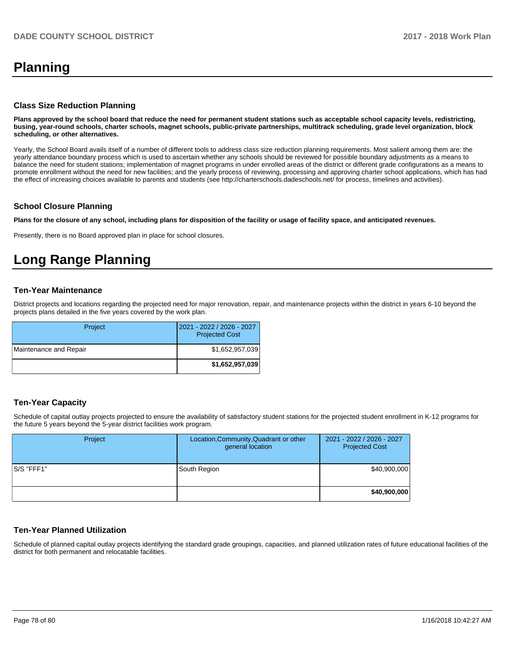# **Planning**

### **Class Size Reduction Planning**

**Plans approved by the school board that reduce the need for permanent student stations such as acceptable school capacity levels, redistricting, busing, year-round schools, charter schools, magnet schools, public-private partnerships, multitrack scheduling, grade level organization, block scheduling, or other alternatives.**

Yearly, the School Board avails itself of a number of different tools to address class size reduction planning requirements. Most salient among them are: the yearly attendance boundary process which is used to ascertain whether any schools should be reviewed for possible boundary adjustments as a means to balance the need for student stations; implementation of magnet programs in under enrolled areas of the district or different grade configurations as a means to promote enrollment without the need for new facilities; and the yearly process of reviewing, processing and approving charter school applications, which has had the effect of increasing choices available to parents and students (see http://charterschools.dadeschools.net/ for process, timelines and activities).

#### **School Closure Planning**

**Plans for the closure of any school, including plans for disposition of the facility or usage of facility space, and anticipated revenues.** 

Presently, there is no Board approved plan in place for school closures.

# **Long Range Planning**

#### **Ten-Year Maintenance**

District projects and locations regarding the projected need for major renovation, repair, and maintenance projects within the district in years 6-10 beyond the projects plans detailed in the five years covered by the work plan.

| Project                | 2021 - 2022 / 2026 - 2027<br><b>Projected Cost</b> |
|------------------------|----------------------------------------------------|
| Maintenance and Repair | \$1,652,957,039                                    |
|                        | \$1,652,957,039                                    |

# **Ten-Year Capacity**

Schedule of capital outlay projects projected to ensure the availability of satisfactory student stations for the projected student enrollment in K-12 programs for the future 5 years beyond the 5-year district facilities work program.

| Project    | Location, Community, Quadrant or other<br>general location | 2021 - 2022 / 2026 - 2027<br><b>Projected Cost</b> |
|------------|------------------------------------------------------------|----------------------------------------------------|
| S/S "FFF1" | South Region                                               | \$40,900,000                                       |
|            |                                                            | \$40,900,000                                       |

## **Ten-Year Planned Utilization**

Schedule of planned capital outlay projects identifying the standard grade groupings, capacities, and planned utilization rates of future educational facilities of the district for both permanent and relocatable facilities.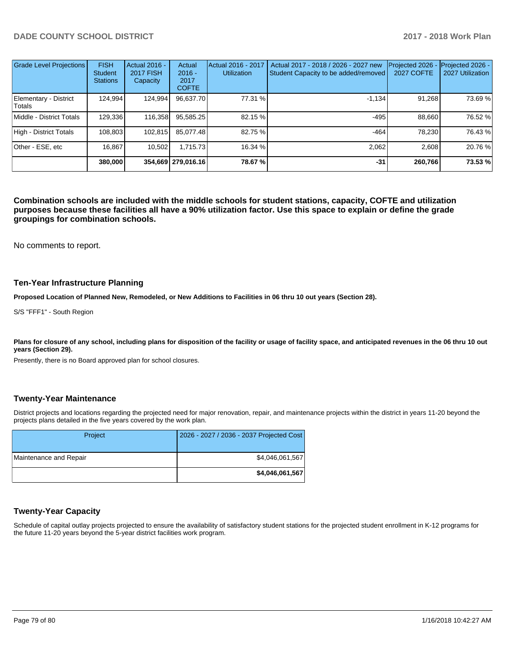| <b>Grade Level Projections</b>  | <b>FISH</b><br><b>Student</b><br><b>Stations</b> | Actual 2016 -<br><b>2017 FISH</b><br>Capacity | Actual<br>$2016 -$<br>2017<br><b>COFTE</b> | Actual 2016 - 2017<br><b>Utilization</b> | Actual 2017 - 2018 / 2026 - 2027 new<br>Student Capacity to be added/removed | Projected 2026<br><b>2027 COFTE</b> | Projected 2026 -<br>2027 Utilization |
|---------------------------------|--------------------------------------------------|-----------------------------------------------|--------------------------------------------|------------------------------------------|------------------------------------------------------------------------------|-------------------------------------|--------------------------------------|
| Elementary - District<br>Totals | 124.994                                          | 124,994                                       | 96,637.70                                  | 77.31 %                                  | $-1.134$                                                                     | 91,268                              | 73.69 %                              |
| Middle - District Totals        | 129.336                                          | 116,358                                       | 95,585.25                                  | 82.15 %                                  | -495                                                                         | 88.660                              | 76.52 %                              |
| High - District Totals          | 108,803                                          | 102,815                                       | 85.077.48                                  | 82.75 %                                  | $-464$                                                                       | 78,230                              | 76.43 %                              |
| Other - ESE, etc                | 16.867                                           | 10.502                                        | 1,715.73                                   | 16.34 %                                  | 2.062                                                                        | 2.608                               | 20.76 %                              |
|                                 | 380,000                                          |                                               | 354,669   279,016.16                       | 78.67%                                   | $-31$                                                                        | 260,766                             | 73.53 %                              |

**Combination schools are included with the middle schools for student stations, capacity, COFTE and utilization purposes because these facilities all have a 90% utilization factor. Use this space to explain or define the grade groupings for combination schools.** 

No comments to report.

#### **Ten-Year Infrastructure Planning**

**Proposed Location of Planned New, Remodeled, or New Additions to Facilities in 06 thru 10 out years (Section 28).**

S/S "FFF1" - South Region

Plans for closure of any school, including plans for disposition of the facility or usage of facility space, and anticipated revenues in the 06 thru 10 out **years (Section 29).**

Presently, there is no Board approved plan for school closures.

#### **Twenty-Year Maintenance**

District projects and locations regarding the projected need for major renovation, repair, and maintenance projects within the district in years 11-20 beyond the projects plans detailed in the five years covered by the work plan.

|                        | \$4,046,061,567                          |
|------------------------|------------------------------------------|
| Maintenance and Repair | \$4,046,061,567                          |
| Project                | 2026 - 2027 / 2036 - 2037 Projected Cost |

## **Twenty-Year Capacity**

Schedule of capital outlay projects projected to ensure the availability of satisfactory student stations for the projected student enrollment in K-12 programs for the future 11-20 years beyond the 5-year district facilities work program.